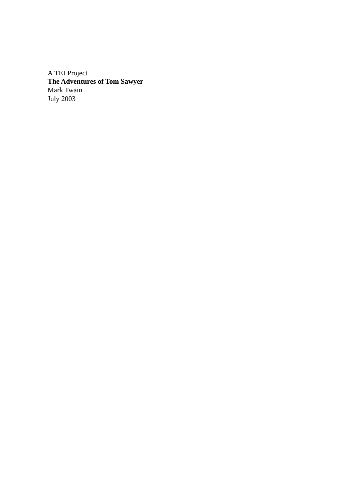A TEI Project **The Adventures of Tom Sawyer** Mark Twain July 2003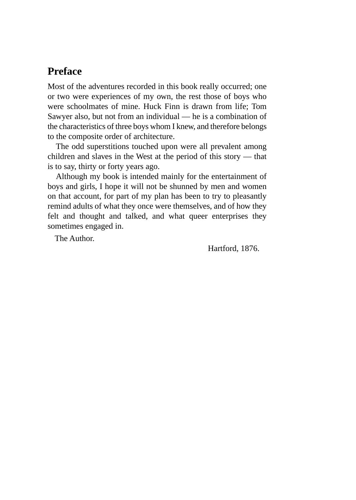### <span id="page-2-0"></span>**Preface**

Most of the adventures recorded in this book really occurred; one or two were experiences of my own, the rest those of boys who were schoolmates of mine. Huck Finn is drawn from life; Tom Sawyer also, but not from an individual — he is a combination of the characteristics of three boys whom I knew, and therefore belongs to the composite order of architecture.

The odd superstitions touched upon were all prevalent among children and slaves in the West at the period of this story — that is to say, thirty or forty years ago.

Although my book is intended mainly for the entertainment of boys and girls, I hope it will not be shunned by men and women on that account, for part of my plan has been to try to pleasantly remind adults of what they once were themselves, and of how they felt and thought and talked, and what queer enterprises they sometimes engaged in.

The Author.

Hartford, 1876.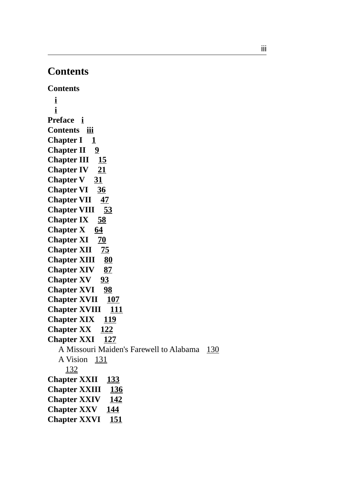# <span id="page-4-0"></span>**Contents**

**Contents i [i](#page-2-0) Preface [i](#page-2-0) Contents [iii](#page-4-0) Chapter I [1](#page-6-0) Chapter II [9](#page-14-0) Chapter III [15](#page-20-0) Chapter IV [21](#page-26-0) Chapter V [31](#page-36-0) Chapter VI [36](#page-41-0) Chapter VII [47](#page-52-0) Chapter VIII [53](#page-58-0) Chapter IX [58](#page-63-0) Chapter X [64](#page-69-0) Chapter XI [70](#page-75-0) Chapter XII [75](#page-80-0) Chapter XIII [80](#page-85-0) Chapter XIV [87](#page-92-0) Chapter XV [93](#page-98-0) Chapter XVI [98](#page-103-0) Chapter XVII [107](#page-112-0) Chapter XVIII [111](#page-116-0) Chapter XIX [119](#page-124-0) Chapter XX [122](#page-127-0) Chapter XXI [127](#page-132-0)** A Missouri Maiden's Farewell to Alabama [130](#page-135-0) A Vision [131](#page-136-0) [132](#page-137-0) **Chapter XXII [133](#page-138-0) Chapter XXIII [136](#page-141-0) Chapter XXIV [142](#page-147-0) Chapter XXV [144](#page-149-0) Chapter XXVI [151](#page-156-0)**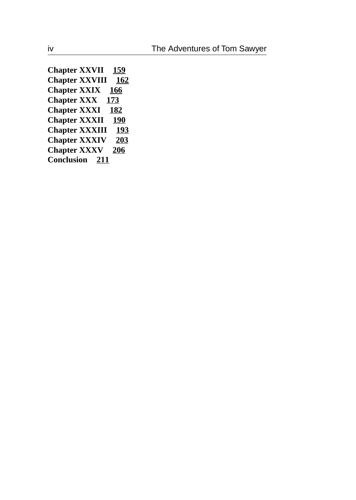**Chapter XXVII [159](#page-164-0) Chapter XXVIII [162](#page-167-0) Chapter XXIX [166](#page-171-0) Chapter XXX [173](#page-178-0) Chapter XXXI [182](#page-187-0) Chapter XXXII [190](#page-195-0) Chapter XXXIII [193](#page-198-0) Chapter XXXIV [203](#page-208-0) Chapter XXXV [206](#page-211-0) Conclusion [211](#page-216-0)**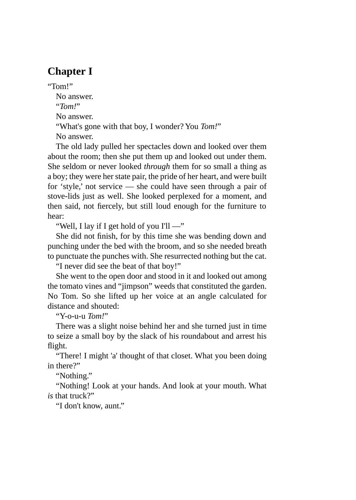# <span id="page-6-0"></span>**Chapter I**

"Tom!"

No answer.

"*Tom!*"

No answer.

"What's gone with that boy, I wonder? You *Tom!*"

No answer.

The old lady pulled her spectacles down and looked over them about the room; then she put them up and looked out under them. She seldom or never looked *through* them for so small a thing as a boy; they were her state pair, the pride of her heart, and were built for 'style,' not service — she could have seen through a pair of stove-lids just as well. She looked perplexed for a moment, and then said, not fiercely, but still loud enough for the furniture to hear:

"Well, I lay if I get hold of you I'll —"

She did not finish, for by this time she was bending down and punching under the bed with the broom, and so she needed breath to punctuate the punches with. She resurrected nothing but the cat.

"I never did see the beat of that boy!"

She went to the open door and stood in it and looked out among the tomato vines and "jimpson" weeds that constituted the garden. No Tom. So she lifted up her voice at an angle calculated for distance and shouted:

"Y-o-u-u *Tom!*"

There was a slight noise behind her and she turned just in time to seize a small boy by the slack of his roundabout and arrest his flight.

"There! I might 'a' thought of that closet. What you been doing in there?"

"Nothing."

"Nothing! Look at your hands. And look at your mouth. What *is* that truck?"

"I don't know, aunt."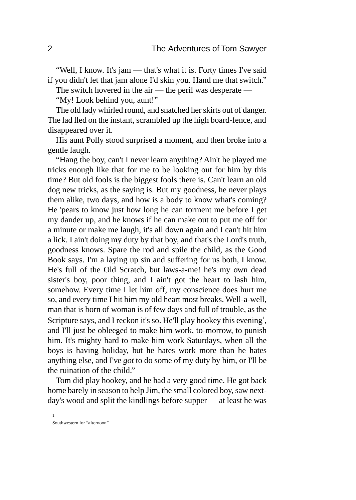"Well, I know. It's jam — that's what it is. Forty times I've said if you didn't let that jam alone I'd skin you. Hand me that switch."

The switch hovered in the air — the peril was desperate —

"My! Look behind you, aunt!"

The old lady whirled round, and snatched her skirts out of danger. The lad fled on the instant, scrambled up the high board-fence, and disappeared over it.

His aunt Polly stood surprised a moment, and then broke into a gentle laugh.

"Hang the boy, can't I never learn anything? Ain't he played me tricks enough like that for me to be looking out for him by this time? But old fools is the biggest fools there is. Can't learn an old dog new tricks, as the saying is. But my goodness, he never plays them alike, two days, and how is a body to know what's coming? He 'pears to know just how long he can torment me before I get my dander up, and he knows if he can make out to put me off for a minute or make me laugh, it's all down again and I can't hit him a lick. I ain't doing my duty by that boy, and that's the Lord's truth, goodness knows. Spare the rod and spile the child, as the Good Book says. I'm a laying up sin and suffering for us both, I know. He's full of the Old Scratch, but laws-a-me! he's my own dead sister's boy, poor thing, and I ain't got the heart to lash him, somehow. Every time I let him off, my conscience does hurt me so, and every time I hit him my old heart most breaks. Well-a-well, man that is born of woman is of few days and full of trouble, as the Scripture says, and I reckon it's so. He'll play hookey this evening<sup>1</sup>, and I'll just be obleeged to make him work, to-morrow, to punish him. It's mighty hard to make him work Saturdays, when all the boys is having holiday, but he hates work more than he hates anything else, and I've *got* to do some of my duty by him, or I'll be the ruination of the child."

Tom did play hookey, and he had a very good time. He got back home barely in season to help Jim, the small colored boy, saw nextday's wood and split the kindlings before supper — at least he was

Southwestern for "afternoon"

1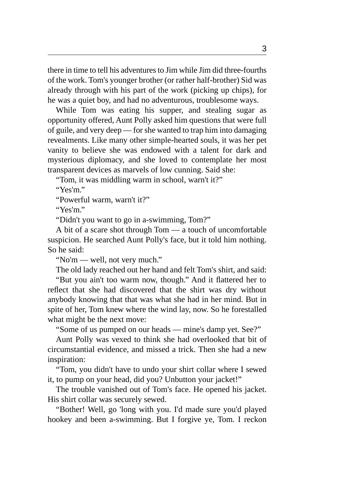there in time to tell his adventures to Jim while Jim did three-fourths of the work. Tom's younger brother (or rather half-brother) Sid was already through with his part of the work (picking up chips), for he was a quiet boy, and had no adventurous, troublesome ways.

While Tom was eating his supper, and stealing sugar as opportunity offered, Aunt Polly asked him questions that were full of guile, and very deep — for she wanted to trap him into damaging revealments. Like many other simple-hearted souls, it was her pet vanity to believe she was endowed with a talent for dark and mysterious diplomacy, and she loved to contemplate her most transparent devices as marvels of low cunning. Said she:

"Tom, it was middling warm in school, warn't it?"

"Yes'm."

"Powerful warm, warn't it?"

"Yes'm."

"Didn't you want to go in a-swimming, Tom?"

A bit of a scare shot through Tom — a touch of uncomfortable suspicion. He searched Aunt Polly's face, but it told him nothing. So he said:

"No'm — well, not very much."

The old lady reached out her hand and felt Tom's shirt, and said:

"But you ain't too warm now, though." And it flattered her to reflect that she had discovered that the shirt was dry without anybody knowing that that was what she had in her mind. But in spite of her, Tom knew where the wind lay, now. So he forestalled what might be the next move:

"Some of us pumped on our heads — mine's damp yet. See?"

Aunt Polly was vexed to think she had overlooked that bit of circumstantial evidence, and missed a trick. Then she had a new inspiration:

"Tom, you didn't have to undo your shirt collar where I sewed it, to pump on your head, did you? Unbutton your jacket!"

The trouble vanished out of Tom's face. He opened his jacket. His shirt collar was securely sewed.

"Bother! Well, go 'long with you. I'd made sure you'd played hookey and been a-swimming. But I forgive ye, Tom. I reckon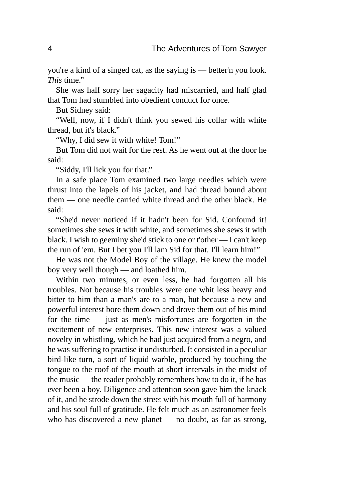you're a kind of a singed cat, as the saying is — better'n you look. *This* time."

She was half sorry her sagacity had miscarried, and half glad that Tom had stumbled into obedient conduct for once.

But Sidney said:

"Well, now, if I didn't think you sewed his collar with white thread, but it's black."

"Why, I did sew it with white! Tom!"

But Tom did not wait for the rest. As he went out at the door he said:

"Siddy, I'll lick you for that."

In a safe place Tom examined two large needles which were thrust into the lapels of his jacket, and had thread bound about them — one needle carried white thread and the other black. He said:

"She'd never noticed if it hadn't been for Sid. Confound it! sometimes she sews it with white, and sometimes she sews it with black. I wish to geeminy she'd stick to one or t'other — I can't keep the run of 'em. But I bet you I'll lam Sid for that. I'll learn him!"

He was not the Model Boy of the village. He knew the model boy very well though — and loathed him.

Within two minutes, or even less, he had forgotten all his troubles. Not because his troubles were one whit less heavy and bitter to him than a man's are to a man, but because a new and powerful interest bore them down and drove them out of his mind for the time — just as men's misfortunes are forgotten in the excitement of new enterprises. This new interest was a valued novelty in whistling, which he had just acquired from a negro, and he was suffering to practise it undisturbed. It consisted in a peculiar bird-like turn, a sort of liquid warble, produced by touching the tongue to the roof of the mouth at short intervals in the midst of the music — the reader probably remembers how to do it, if he has ever been a boy. Diligence and attention soon gave him the knack of it, and he strode down the street with his mouth full of harmony and his soul full of gratitude. He felt much as an astronomer feels who has discovered a new planet — no doubt, as far as strong,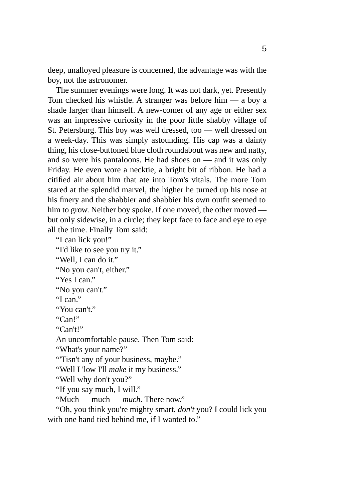deep, unalloyed pleasure is concerned, the advantage was with the boy, not the astronomer.

The summer evenings were long. It was not dark, yet. Presently Tom checked his whistle. A stranger was before him — a boy a shade larger than himself. A new-comer of any age or either sex was an impressive curiosity in the poor little shabby village of St. Petersburg. This boy was well dressed, too — well dressed on a week-day. This was simply astounding. His cap was a dainty thing, his close-buttoned blue cloth roundabout was new and natty, and so were his pantaloons. He had shoes on — and it was only Friday. He even wore a necktie, a bright bit of ribbon. He had a citified air about him that ate into Tom's vitals. The more Tom stared at the splendid marvel, the higher he turned up his nose at his finery and the shabbier and shabbier his own outfit seemed to him to grow. Neither boy spoke. If one moved, the other moved but only sidewise, in a circle; they kept face to face and eye to eye all the time. Finally Tom said:

"I can lick you!"

"I'd like to see you try it."

"Well, I can do it."

"No you can't, either."

"Yes I can."

"No you can't."

"I can."

"You can't."

"Can!"

"Can't!"

An uncomfortable pause. Then Tom said:

"What's your name?"

"'Tisn't any of your business, maybe."

"Well I 'low I'll *make* it my business."

"Well why don't you?"

"If you say much, I will."

"Much — much — *much*. There now."

"Oh, you think you're mighty smart, *don't* you? I could lick you with one hand tied behind me, if I wanted to."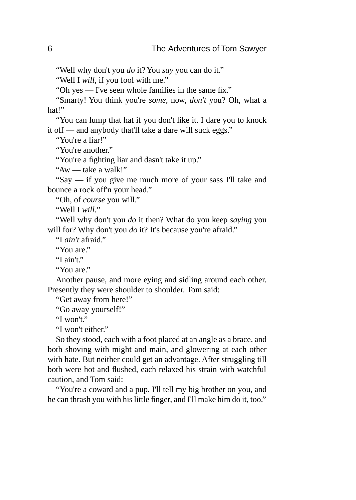"Well why don't you *do* it? You *say* you can do it."

"Well I *will,* if you fool with me."

"Oh yes — I've seen whole families in the same fix."

"Smarty! You think you're *some,* now, *don't* you? Oh, what a hat!"

"You can lump that hat if you don't like it. I dare you to knock it off — and anybody that'll take a dare will suck eggs."

"You're a liar!"

"You're another."

"You're a fighting liar and dasn't take it up."

"Aw — take a walk!"

"Say — if you give me much more of your sass I'll take and bounce a rock off'n your head."

"Oh, of *course* you will."

"Well I *will.*"

"Well why don't you *do* it then? What do you keep *saying* you will for? Why don't you *do* it? It's because you're afraid."

"I *ain't* afraid."

"You are."

"I ain't."

"You are."

Another pause, and more eying and sidling around each other. Presently they were shoulder to shoulder. Tom said:

"Get away from here!"

"Go away yourself!"

"I won't."

"I won't either."

So they stood, each with a foot placed at an angle as a brace, and both shoving with might and main, and glowering at each other with hate. But neither could get an advantage. After struggling till both were hot and flushed, each relaxed his strain with watchful caution, and Tom said:

"You're a coward and a pup. I'll tell my big brother on you, and he can thrash you with his little finger, and I'll make him do it, too."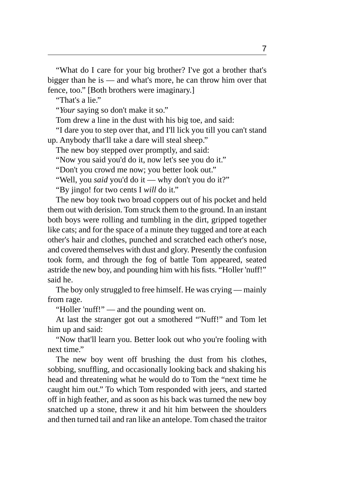"What do I care for your big brother? I've got a brother that's bigger than he is — and what's more, he can throw him over that fence, too." [Both brothers were imaginary.]

"That's a lie."

"*Your* saying so don't make it so."

Tom drew a line in the dust with his big toe, and said:

"I dare you to step over that, and I'll lick you till you can't stand up. Anybody that'll take a dare will steal sheep."

The new boy stepped over promptly, and said:

"Now you said you'd do it, now let's see you do it."

"Don't you crowd me now; you better look out."

"Well, you *said* you'd do it — why don't you do it?"

"By jingo! for two cents I *will* do it."

The new boy took two broad coppers out of his pocket and held them out with derision. Tom struck them to the ground. In an instant both boys were rolling and tumbling in the dirt, gripped together like cats; and for the space of a minute they tugged and tore at each other's hair and clothes, punched and scratched each other's nose, and covered themselves with dust and glory. Presently the confusion took form, and through the fog of battle Tom appeared, seated astride the new boy, and pounding him with his fists. "Holler 'nuff!" said he.

The boy only struggled to free himself. He was crying — mainly from rage.

"Holler 'nuff!" — and the pounding went on.

At last the stranger got out a smothered "'Nuff!" and Tom let him up and said:

"Now that'll learn you. Better look out who you're fooling with next time."

The new boy went off brushing the dust from his clothes, sobbing, snuffling, and occasionally looking back and shaking his head and threatening what he would do to Tom the "next time he caught him out." To which Tom responded with jeers, and started off in high feather, and as soon as his back was turned the new boy snatched up a stone, threw it and hit him between the shoulders and then turned tail and ran like an antelope. Tom chased the traitor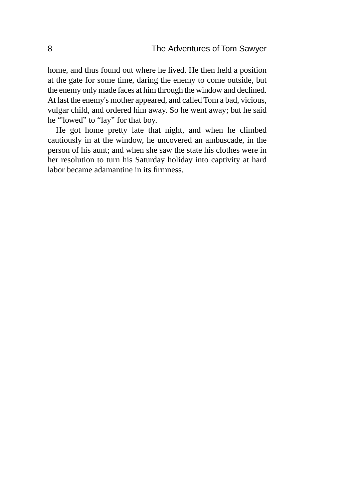home, and thus found out where he lived. He then held a position at the gate for some time, daring the enemy to come outside, but the enemy only made faces at him through the window and declined. At last the enemy's mother appeared, and called Tom a bad, vicious, vulgar child, and ordered him away. So he went away; but he said he "'lowed" to "lay" for that boy.

He got home pretty late that night, and when he climbed cautiously in at the window, he uncovered an ambuscade, in the person of his aunt; and when she saw the state his clothes were in her resolution to turn his Saturday holiday into captivity at hard labor became adamantine in its firmness.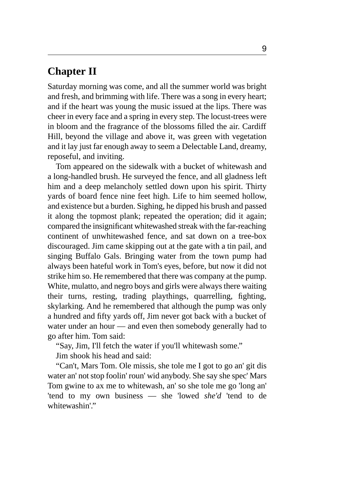### <span id="page-14-0"></span>**Chapter II**

Saturday morning was come, and all the summer world was bright and fresh, and brimming with life. There was a song in every heart; and if the heart was young the music issued at the lips. There was cheer in every face and a spring in every step. The locust-trees were in bloom and the fragrance of the blossoms filled the air. Cardiff Hill, beyond the village and above it, was green with vegetation and it lay just far enough away to seem a Delectable Land, dreamy, reposeful, and inviting.

Tom appeared on the sidewalk with a bucket of whitewash and a long-handled brush. He surveyed the fence, and all gladness left him and a deep melancholy settled down upon his spirit. Thirty yards of board fence nine feet high. Life to him seemed hollow, and existence but a burden. Sighing, he dipped his brush and passed it along the topmost plank; repeated the operation; did it again; compared the insignificant whitewashed streak with the far-reaching continent of unwhitewashed fence, and sat down on a tree-box discouraged. Jim came skipping out at the gate with a tin pail, and singing Buffalo Gals. Bringing water from the town pump had always been hateful work in Tom's eyes, before, but now it did not strike him so. He remembered that there was company at the pump. White, mulatto, and negro boys and girls were always there waiting their turns, resting, trading playthings, quarrelling, fighting, skylarking. And he remembered that although the pump was only a hundred and fifty yards off, Jim never got back with a bucket of water under an hour — and even then somebody generally had to go after him. Tom said:

"Say, Jim, I'll fetch the water if you'll whitewash some."

Jim shook his head and said:

"Can't, Mars Tom. Ole missis, she tole me I got to go an' git dis water an' not stop foolin' roun' wid anybody. She say she spec' Mars Tom gwine to ax me to whitewash, an' so she tole me go 'long an' 'tend to my own business — she 'lowed *she'd* 'tend to de whitewashin'."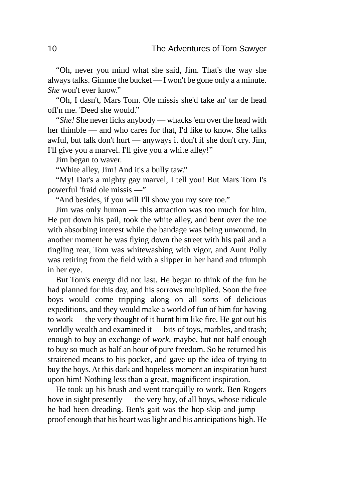"Oh, never you mind what she said, Jim. That's the way she always talks. Gimme the bucket — I won't be gone only a a minute. *She* won't ever know."

"Oh, I dasn't, Mars Tom. Ole missis she'd take an' tar de head off'n me. 'Deed she would."

"*She!* She never licks anybody — whacks 'em over the head with her thimble — and who cares for that, I'd like to know. She talks awful, but talk don't hurt — anyways it don't if she don't cry. Jim, I'll give you a marvel. I'll give you a white alley!"

Jim began to waver.

"White alley, Jim! And it's a bully taw."

"My! Dat's a mighty gay marvel, I tell you! But Mars Tom I's powerful 'fraid ole missis —"

"And besides, if you will I'll show you my sore toe."

Jim was only human — this attraction was too much for him. He put down his pail, took the white alley, and bent over the toe with absorbing interest while the bandage was being unwound. In another moment he was flying down the street with his pail and a tingling rear, Tom was whitewashing with vigor, and Aunt Polly was retiring from the field with a slipper in her hand and triumph in her eye.

But Tom's energy did not last. He began to think of the fun he had planned for this day, and his sorrows multiplied. Soon the free boys would come tripping along on all sorts of delicious expeditions, and they would make a world of fun of him for having to work — the very thought of it burnt him like fire. He got out his worldly wealth and examined it — bits of toys, marbles, and trash; enough to buy an exchange of *work,* maybe, but not half enough to buy so much as half an hour of pure freedom. So he returned his straitened means to his pocket, and gave up the idea of trying to buy the boys. At this dark and hopeless moment an inspiration burst upon him! Nothing less than a great, magnificent inspiration.

He took up his brush and went tranquilly to work. Ben Rogers hove in sight presently — the very boy, of all boys, whose ridicule he had been dreading. Ben's gait was the hop-skip-and-jump proof enough that his heart was light and his anticipations high. He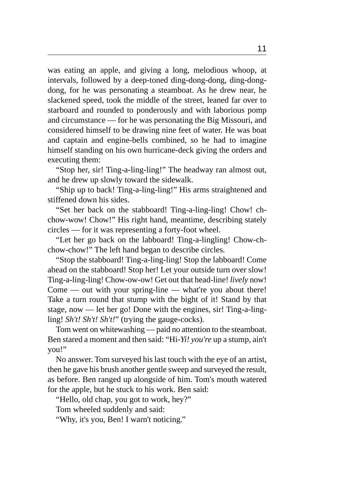was eating an apple, and giving a long, melodious whoop, at intervals, followed by a deep-toned ding-dong-dong, ding-dongdong, for he was personating a steamboat. As he drew near, he slackened speed, took the middle of the street, leaned far over to starboard and rounded to ponderously and with laborious pomp and circumstance — for he was personating the Big Missouri, and considered himself to be drawing nine feet of water. He was boat and captain and engine-bells combined, so he had to imagine himself standing on his own hurricane-deck giving the orders and executing them:

"Stop her, sir! Ting-a-ling-ling!" The headway ran almost out, and he drew up slowly toward the sidewalk.

"Ship up to back! Ting-a-ling-ling!" His arms straightened and stiffened down his sides.

"Set her back on the stabboard! Ting-a-ling-ling! Chow! chchow-wow! Chow!" His right hand, meantime, describing stately circles — for it was representing a forty-foot wheel.

"Let her go back on the labboard! Ting-a-lingling! Chow-chchow-chow!" The left hand began to describe circles.

"Stop the stabboard! Ting-a-ling-ling! Stop the labboard! Come ahead on the stabboard! Stop her! Let your outside turn over slow! Ting-a-ling-ling! Chow-ow-ow! Get out that head-line! *lively* now! Come — out with your spring-line — what're you about there! Take a turn round that stump with the bight of it! Stand by that stage, now — let her go! Done with the engines, sir! Ting-a-lingling! *Sh't! Sh't! Sh't!*" (trying the gauge-cocks).

Tom went on whitewashing — paid no attention to the steamboat. Ben stared a moment and then said: "Hi-*Yi! you're* up a stump, ain't you!"

No answer. Tom surveyed his last touch with the eye of an artist, then he gave his brush another gentle sweep and surveyed the result, as before. Ben ranged up alongside of him. Tom's mouth watered for the apple, but he stuck to his work. Ben said:

"Hello, old chap, you got to work, hey?"

Tom wheeled suddenly and said:

"Why, it's you, Ben! I warn't noticing."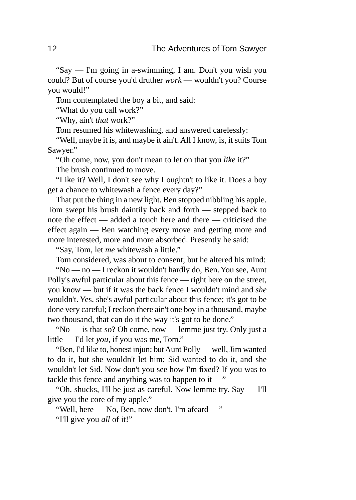"Say — I'm going in a-swimming, I am. Don't you wish you could? But of course you'd druther *work* — wouldn't you? Course you would!"

Tom contemplated the boy a bit, and said:

"What do you call work?"

"Why, ain't *that* work?"

Tom resumed his whitewashing, and answered carelessly:

"Well, maybe it is, and maybe it ain't. All I know, is, it suits Tom Sawyer."

"Oh come, now, you don't mean to let on that you *like* it?" The brush continued to move.

"Like it? Well, I don't see why I oughtn't to like it. Does a boy get a chance to whitewash a fence every day?"

That put the thing in a new light. Ben stopped nibbling his apple. Tom swept his brush daintily back and forth — stepped back to note the effect — added a touch here and there — criticised the effect again — Ben watching every move and getting more and more interested, more and more absorbed. Presently he said:

"Say, Tom, let *me* whitewash a little."

Tom considered, was about to consent; but he altered his mind:

"No — no — I reckon it wouldn't hardly do, Ben. You see, Aunt Polly's awful particular about this fence — right here on the street, you know — but if it was the back fence I wouldn't mind and *she* wouldn't. Yes, she's awful particular about this fence; it's got to be done very careful; I reckon there ain't one boy in a thousand, maybe two thousand, that can do it the way it's got to be done."

"No — is that so? Oh come, now — lemme just try. Only just a little — I'd let *you,* if you was me, Tom."

"Ben, I'd like to, honest injun; but Aunt Polly — well, Jim wanted to do it, but she wouldn't let him; Sid wanted to do it, and she wouldn't let Sid. Now don't you see how I'm fixed? If you was to tackle this fence and anything was to happen to it  $-$ "

"Oh, shucks, I'll be just as careful. Now lemme try. Say — I'll give you the core of my apple."

"Well, here — No, Ben, now don't. I'm afeard —" "I'll give you *all* of it!"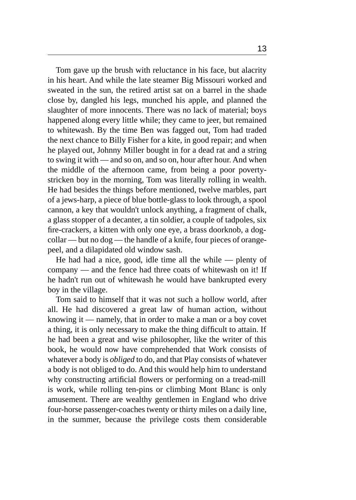Tom gave up the brush with reluctance in his face, but alacrity in his heart. And while the late steamer Big Missouri worked and sweated in the sun, the retired artist sat on a barrel in the shade close by, dangled his legs, munched his apple, and planned the slaughter of more innocents. There was no lack of material; boys happened along every little while; they came to jeer, but remained to whitewash. By the time Ben was fagged out, Tom had traded the next chance to Billy Fisher for a kite, in good repair; and when he played out, Johnny Miller bought in for a dead rat and a string to swing it with — and so on, and so on, hour after hour. And when the middle of the afternoon came, from being a poor povertystricken boy in the morning, Tom was literally rolling in wealth. He had besides the things before mentioned, twelve marbles, part of a jews-harp, a piece of blue bottle-glass to look through, a spool cannon, a key that wouldn't unlock anything, a fragment of chalk, a glass stopper of a decanter, a tin soldier, a couple of tadpoles, six fire-crackers, a kitten with only one eye, a brass doorknob, a dogcollar — but no dog — the handle of a knife, four pieces of orangepeel, and a dilapidated old window sash.

He had had a nice, good, idle time all the while — plenty of company — and the fence had three coats of whitewash on it! If he hadn't run out of whitewash he would have bankrupted every boy in the village.

Tom said to himself that it was not such a hollow world, after all. He had discovered a great law of human action, without knowing it — namely, that in order to make a man or a boy covet a thing, it is only necessary to make the thing difficult to attain. If he had been a great and wise philosopher, like the writer of this book, he would now have comprehended that Work consists of whatever a body is *obliged* to do, and that Play consists of whatever a body is not obliged to do. And this would help him to understand why constructing artificial flowers or performing on a tread-mill is work, while rolling ten-pins or climbing Mont Blanc is only amusement. There are wealthy gentlemen in England who drive four-horse passenger-coaches twenty or thirty miles on a daily line, in the summer, because the privilege costs them considerable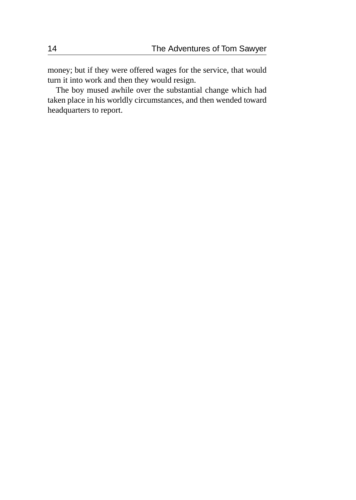money; but if they were offered wages for the service, that would turn it into work and then they would resign.

The boy mused awhile over the substantial change which had taken place in his worldly circumstances, and then wended toward headquarters to report.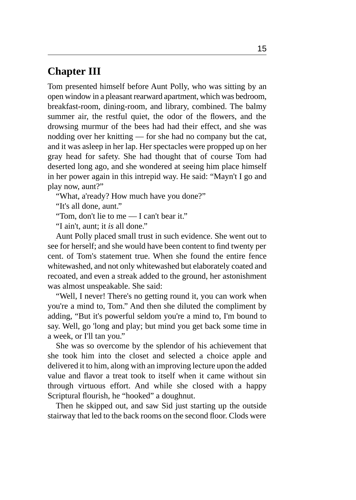### <span id="page-20-0"></span>**Chapter III**

Tom presented himself before Aunt Polly, who was sitting by an open window in a pleasant rearward apartment, which was bedroom, breakfast-room, dining-room, and library, combined. The balmy summer air, the restful quiet, the odor of the flowers, and the drowsing murmur of the bees had had their effect, and she was nodding over her knitting — for she had no company but the cat, and it was asleep in her lap. Her spectacles were propped up on her gray head for safety. She had thought that of course Tom had deserted long ago, and she wondered at seeing him place himself in her power again in this intrepid way. He said: "Mayn't I go and play now, aunt?"

"What, a'ready? How much have you done?"

"It's all done, aunt."

"Tom, don't lie to me — I can't bear it."

"I ain't, aunt; it *is* all done."

Aunt Polly placed small trust in such evidence. She went out to see for herself; and she would have been content to find twenty per cent. of Tom's statement true. When she found the entire fence whitewashed, and not only whitewashed but elaborately coated and recoated, and even a streak added to the ground, her astonishment was almost unspeakable. She said:

"Well, I never! There's no getting round it, you can work when you're a mind to, Tom." And then she diluted the compliment by adding, "But it's powerful seldom you're a mind to, I'm bound to say. Well, go 'long and play; but mind you get back some time in a week, or I'll tan you."

She was so overcome by the splendor of his achievement that she took him into the closet and selected a choice apple and delivered it to him, along with an improving lecture upon the added value and flavor a treat took to itself when it came without sin through virtuous effort. And while she closed with a happy Scriptural flourish, he "hooked" a doughnut.

Then he skipped out, and saw Sid just starting up the outside stairway that led to the back rooms on the second floor. Clods were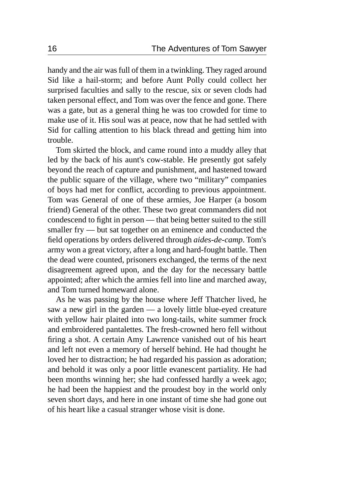handy and the air was full of them in a twinkling. They raged around Sid like a hail-storm; and before Aunt Polly could collect her surprised faculties and sally to the rescue, six or seven clods had taken personal effect, and Tom was over the fence and gone. There was a gate, but as a general thing he was too crowded for time to make use of it. His soul was at peace, now that he had settled with Sid for calling attention to his black thread and getting him into trouble.

Tom skirted the block, and came round into a muddy alley that led by the back of his aunt's cow-stable. He presently got safely beyond the reach of capture and punishment, and hastened toward the public square of the village, where two "military" companies of boys had met for conflict, according to previous appointment. Tom was General of one of these armies, Joe Harper (a bosom friend) General of the other. These two great commanders did not condescend to fight in person — that being better suited to the still smaller fry — but sat together on an eminence and conducted the field operations by orders delivered through *aides-de-camp*. Tom's army won a great victory, after a long and hard-fought battle. Then the dead were counted, prisoners exchanged, the terms of the next disagreement agreed upon, and the day for the necessary battle appointed; after which the armies fell into line and marched away, and Tom turned homeward alone.

As he was passing by the house where Jeff Thatcher lived, he saw a new girl in the garden — a lovely little blue-eyed creature with yellow hair plaited into two long-tails, white summer frock and embroidered pantalettes. The fresh-crowned hero fell without firing a shot. A certain Amy Lawrence vanished out of his heart and left not even a memory of herself behind. He had thought he loved her to distraction; he had regarded his passion as adoration; and behold it was only a poor little evanescent partiality. He had been months winning her; she had confessed hardly a week ago; he had been the happiest and the proudest boy in the world only seven short days, and here in one instant of time she had gone out of his heart like a casual stranger whose visit is done.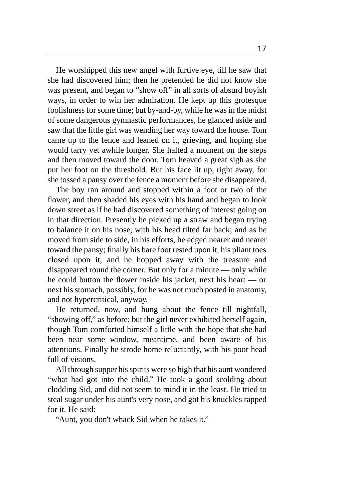He worshipped this new angel with furtive eye, till he saw that she had discovered him; then he pretended he did not know she was present, and began to "show off" in all sorts of absurd boyish ways, in order to win her admiration. He kept up this grotesque foolishness for some time; but by-and-by, while he was in the midst of some dangerous gymnastic performances, he glanced aside and saw that the little girl was wending her way toward the house. Tom came up to the fence and leaned on it, grieving, and hoping she would tarry yet awhile longer. She halted a moment on the steps and then moved toward the door. Tom heaved a great sigh as she put her foot on the threshold. But his face lit up, right away, for she tossed a pansy over the fence a moment before she disappeared.

The boy ran around and stopped within a foot or two of the flower, and then shaded his eyes with his hand and began to look down street as if he had discovered something of interest going on in that direction. Presently he picked up a straw and began trying to balance it on his nose, with his head tilted far back; and as he moved from side to side, in his efforts, he edged nearer and nearer toward the pansy; finally his bare foot rested upon it, his pliant toes closed upon it, and he hopped away with the treasure and disappeared round the corner. But only for a minute — only while he could button the flower inside his jacket, next his heart — or next his stomach, possibly, for he was not much posted in anatomy, and not hypercritical, anyway.

He returned, now, and hung about the fence till nightfall, "showing off," as before; but the girl never exhibited herself again, though Tom comforted himself a little with the hope that she had been near some window, meantime, and been aware of his attentions. Finally he strode home reluctantly, with his poor head full of visions.

All through supper his spirits were so high that his aunt wondered "what had got into the child." He took a good scolding about clodding Sid, and did not seem to mind it in the least. He tried to steal sugar under his aunt's very nose, and got his knuckles rapped for it. He said:

"Aunt, you don't whack Sid when he takes it."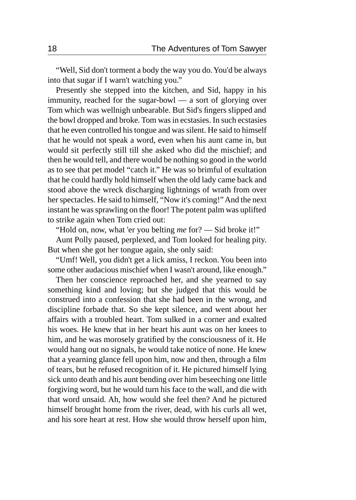"Well, Sid don't torment a body the way you do. You'd be always into that sugar if I warn't watching you."

Presently she stepped into the kitchen, and Sid, happy in his immunity, reached for the sugar-bowl — a sort of glorying over Tom which was wellnigh unbearable. But Sid's fingers slipped and the bowl dropped and broke. Tom was in ecstasies. In such ecstasies that he even controlled his tongue and was silent. He said to himself that he would not speak a word, even when his aunt came in, but would sit perfectly still till she asked who did the mischief; and then he would tell, and there would be nothing so good in the world as to see that pet model "catch it." He was so brimful of exultation that he could hardly hold himself when the old lady came back and stood above the wreck discharging lightnings of wrath from over her spectacles. He said to himself, "Now it's coming!" And the next instant he was sprawling on the floor! The potent palm was uplifted to strike again when Tom cried out:

"Hold on, now, what 'er you belting *me* for? — Sid broke it!"

Aunt Polly paused, perplexed, and Tom looked for healing pity. But when she got her tongue again, she only said:

"Umf! Well, you didn't get a lick amiss, I reckon. You been into some other audacious mischief when I wasn't around, like enough."

Then her conscience reproached her, and she yearned to say something kind and loving; but she judged that this would be construed into a confession that she had been in the wrong, and discipline forbade that. So she kept silence, and went about her affairs with a troubled heart. Tom sulked in a corner and exalted his woes. He knew that in her heart his aunt was on her knees to him, and he was morosely gratified by the consciousness of it. He would hang out no signals, he would take notice of none. He knew that a yearning glance fell upon him, now and then, through a film of tears, but he refused recognition of it. He pictured himself lying sick unto death and his aunt bending over him beseeching one little forgiving word, but he would turn his face to the wall, and die with that word unsaid. Ah, how would she feel then? And he pictured himself brought home from the river, dead, with his curls all wet, and his sore heart at rest. How she would throw herself upon him,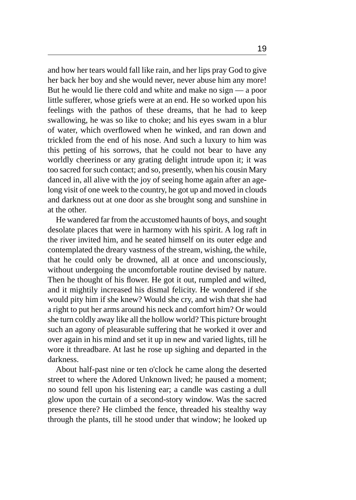and how her tears would fall like rain, and her lips pray God to give her back her boy and she would never, never abuse him any more! But he would lie there cold and white and make no sign — a poor little sufferer, whose griefs were at an end. He so worked upon his feelings with the pathos of these dreams, that he had to keep swallowing, he was so like to choke; and his eyes swam in a blur of water, which overflowed when he winked, and ran down and trickled from the end of his nose. And such a luxury to him was this petting of his sorrows, that he could not bear to have any worldly cheeriness or any grating delight intrude upon it; it was too sacred for such contact; and so, presently, when his cousin Mary danced in, all alive with the joy of seeing home again after an agelong visit of one week to the country, he got up and moved in clouds and darkness out at one door as she brought song and sunshine in at the other.

He wandered far from the accustomed haunts of boys, and sought desolate places that were in harmony with his spirit. A log raft in the river invited him, and he seated himself on its outer edge and contemplated the dreary vastness of the stream, wishing, the while, that he could only be drowned, all at once and unconsciously, without undergoing the uncomfortable routine devised by nature. Then he thought of his flower. He got it out, rumpled and wilted, and it mightily increased his dismal felicity. He wondered if she would pity him if she knew? Would she cry, and wish that she had a right to put her arms around his neck and comfort him? Or would she turn coldly away like all the hollow world? This picture brought such an agony of pleasurable suffering that he worked it over and over again in his mind and set it up in new and varied lights, till he wore it threadbare. At last he rose up sighing and departed in the darkness.

About half-past nine or ten o'clock he came along the deserted street to where the Adored Unknown lived; he paused a moment; no sound fell upon his listening ear; a candle was casting a dull glow upon the curtain of a second-story window. Was the sacred presence there? He climbed the fence, threaded his stealthy way through the plants, till he stood under that window; he looked up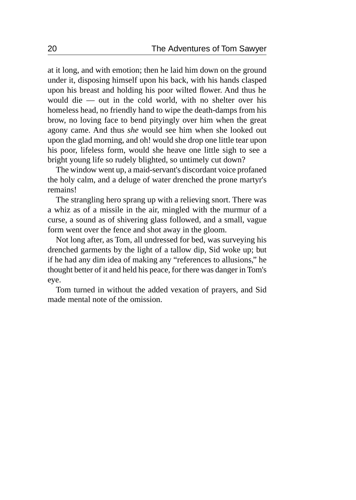at it long, and with emotion; then he laid him down on the ground under it, disposing himself upon his back, with his hands clasped upon his breast and holding his poor wilted flower. And thus he would die — out in the cold world, with no shelter over his homeless head, no friendly hand to wipe the death-damps from his brow, no loving face to bend pityingly over him when the great agony came. And thus *she* would see him when she looked out upon the glad morning, and oh! would she drop one little tear upon his poor, lifeless form, would she heave one little sigh to see a bright young life so rudely blighted, so untimely cut down?

The window went up, a maid-servant's discordant voice profaned the holy calm, and a deluge of water drenched the prone martyr's remains!

The strangling hero sprang up with a relieving snort. There was a whiz as of a missile in the air, mingled with the murmur of a curse, a sound as of shivering glass followed, and a small, vague form went over the fence and shot away in the gloom.

Not long after, as Tom, all undressed for bed, was surveying his drenched garments by the light of a tallow dip, Sid woke up; but if he had any dim idea of making any "references to allusions," he thought better of it and held his peace, for there was danger in Tom's eye.

Tom turned in without the added vexation of prayers, and Sid made mental note of the omission.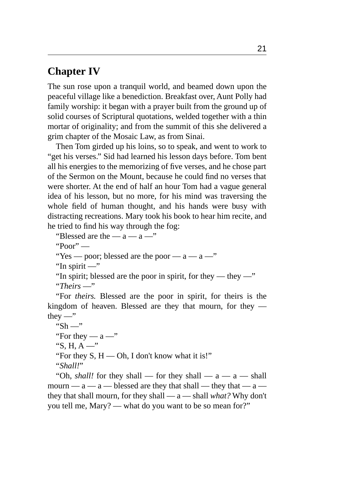#### <span id="page-26-0"></span>**Chapter IV**

The sun rose upon a tranquil world, and beamed down upon the peaceful village like a benediction. Breakfast over, Aunt Polly had family worship: it began with a prayer built from the ground up of solid courses of Scriptural quotations, welded together with a thin mortar of originality; and from the summit of this she delivered a grim chapter of the Mosaic Law, as from Sinai.

Then Tom girded up his loins, so to speak, and went to work to "get his verses." Sid had learned his lesson days before. Tom bent all his energies to the memorizing of five verses, and he chose part of the Sermon on the Mount, because he could find no verses that were shorter. At the end of half an hour Tom had a vague general idea of his lesson, but no more, for his mind was traversing the whole field of human thought, and his hands were busy with distracting recreations. Mary took his book to hear him recite, and he tried to find his way through the fog:

"Blessed are the —  $a$  —  $a$  —"

"Poor" —

"Yes — poor; blessed are the poor —  $a - a -$ "

"In spirit —"

"In spirit; blessed are the poor in spirit, for they — they —"

"*Theirs* —"

"For *theirs.* Blessed are the poor in spirit, for theirs is the kingdom of heaven. Blessed are they that mourn, for they they  $-$ "

" $Sh -$ "

"For they —  $a -$ "

"S, H, A  $-$ "

"For they  $S, H \rightarrow Oh$ , I don't know what it is!"

"*Shall!*"

"Oh, *shall!* for they shall — for they shall —  $a - a$  — shall mourn —  $a - a$  — blessed are they that shall — they that —  $a$  they that shall mourn, for they shall — a — shall *what?* Why don't you tell me, Mary? — what do you want to be so mean for?"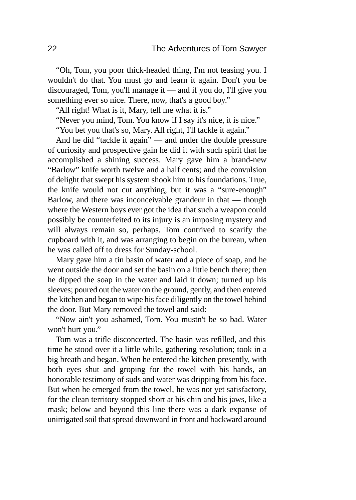"Oh, Tom, you poor thick-headed thing, I'm not teasing you. I wouldn't do that. You must go and learn it again. Don't you be discouraged, Tom, you'll manage it — and if you do, I'll give you something ever so nice. There, now, that's a good boy."

"All right! What is it, Mary, tell me what it is."

"Never you mind, Tom. You know if I say it's nice, it is nice."

"You bet you that's so, Mary. All right, I'll tackle it again."

And he did "tackle it again" — and under the double pressure of curiosity and prospective gain he did it with such spirit that he accomplished a shining success. Mary gave him a brand-new "Barlow" knife worth twelve and a half cents; and the convulsion of delight that swept his system shook him to his foundations. True, the knife would not cut anything, but it was a "sure-enough" Barlow, and there was inconceivable grandeur in that — though where the Western boys ever got the idea that such a weapon could possibly be counterfeited to its injury is an imposing mystery and will always remain so, perhaps. Tom contrived to scarify the cupboard with it, and was arranging to begin on the bureau, when he was called off to dress for Sunday-school.

Mary gave him a tin basin of water and a piece of soap, and he went outside the door and set the basin on a little bench there; then he dipped the soap in the water and laid it down; turned up his sleeves; poured out the water on the ground, gently, and then entered the kitchen and began to wipe his face diligently on the towel behind the door. But Mary removed the towel and said:

"Now ain't you ashamed, Tom. You mustn't be so bad. Water won't hurt you."

Tom was a trifle disconcerted. The basin was refilled, and this time he stood over it a little while, gathering resolution; took in a big breath and began. When he entered the kitchen presently, with both eyes shut and groping for the towel with his hands, an honorable testimony of suds and water was dripping from his face. But when he emerged from the towel, he was not yet satisfactory, for the clean territory stopped short at his chin and his jaws, like a mask; below and beyond this line there was a dark expanse of unirrigated soil that spread downward in front and backward around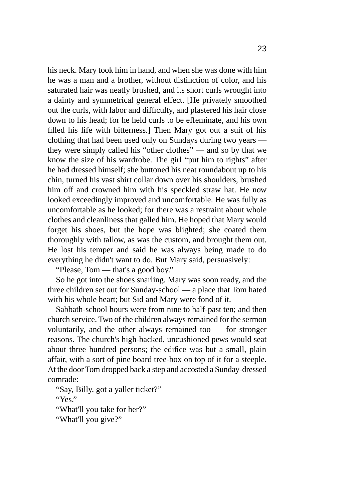his neck. Mary took him in hand, and when she was done with him he was a man and a brother, without distinction of color, and his saturated hair was neatly brushed, and its short curls wrought into a dainty and symmetrical general effect. [He privately smoothed out the curls, with labor and difficulty, and plastered his hair close down to his head; for he held curls to be effeminate, and his own filled his life with bitterness.] Then Mary got out a suit of his clothing that had been used only on Sundays during two years they were simply called his "other clothes" — and so by that we know the size of his wardrobe. The girl "put him to rights" after he had dressed himself; she buttoned his neat roundabout up to his chin, turned his vast shirt collar down over his shoulders, brushed him off and crowned him with his speckled straw hat. He now looked exceedingly improved and uncomfortable. He was fully as uncomfortable as he looked; for there was a restraint about whole clothes and cleanliness that galled him. He hoped that Mary would forget his shoes, but the hope was blighted; she coated them thoroughly with tallow, as was the custom, and brought them out. He lost his temper and said he was always being made to do everything he didn't want to do. But Mary said, persuasively:

"Please, Tom — that's a good boy."

So he got into the shoes snarling. Mary was soon ready, and the three children set out for Sunday-school — a place that Tom hated with his whole heart; but Sid and Mary were fond of it.

Sabbath-school hours were from nine to half-past ten; and then church service. Two of the children always remained for the sermon voluntarily, and the other always remained too — for stronger reasons. The church's high-backed, uncushioned pews would seat about three hundred persons; the edifice was but a small, plain affair, with a sort of pine board tree-box on top of it for a steeple. At the door Tom dropped back a step and accosted a Sunday-dressed comrade:

"Say, Billy, got a yaller ticket?"

"Yes."

"What'll you take for her?"

"What'll you give?"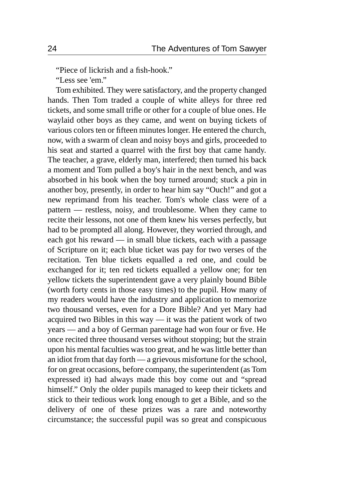"Piece of lickrish and a fish-hook."

"Less see 'em."

Tom exhibited. They were satisfactory, and the property changed hands. Then Tom traded a couple of white alleys for three red tickets, and some small trifle or other for a couple of blue ones. He waylaid other boys as they came, and went on buying tickets of various colors ten or fifteen minutes longer. He entered the church, now, with a swarm of clean and noisy boys and girls, proceeded to his seat and started a quarrel with the first boy that came handy. The teacher, a grave, elderly man, interfered; then turned his back a moment and Tom pulled a boy's hair in the next bench, and was absorbed in his book when the boy turned around; stuck a pin in another boy, presently, in order to hear him say "Ouch!" and got a new reprimand from his teacher. Tom's whole class were of a pattern — restless, noisy, and troublesome. When they came to recite their lessons, not one of them knew his verses perfectly, but had to be prompted all along. However, they worried through, and each got his reward — in small blue tickets, each with a passage of Scripture on it; each blue ticket was pay for two verses of the recitation. Ten blue tickets equalled a red one, and could be exchanged for it; ten red tickets equalled a yellow one; for ten yellow tickets the superintendent gave a very plainly bound Bible (worth forty cents in those easy times) to the pupil. How many of my readers would have the industry and application to memorize two thousand verses, even for a Dore Bible? And yet Mary had acquired two Bibles in this way — it was the patient work of two years — and a boy of German parentage had won four or five. He once recited three thousand verses without stopping; but the strain upon his mental faculties was too great, and he was little better than an idiot from that day forth — a grievous misfortune for the school, for on great occasions, before company, the superintendent (as Tom expressed it) had always made this boy come out and "spread himself." Only the older pupils managed to keep their tickets and stick to their tedious work long enough to get a Bible, and so the delivery of one of these prizes was a rare and noteworthy circumstance; the successful pupil was so great and conspicuous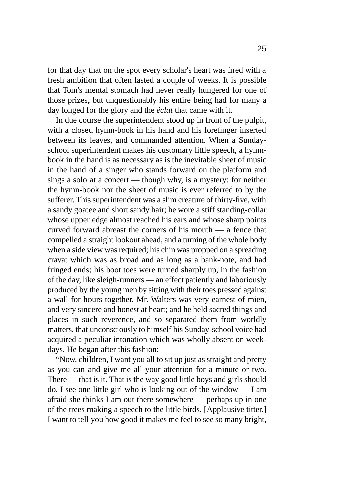for that day that on the spot every scholar's heart was fired with a fresh ambition that often lasted a couple of weeks. It is possible that Tom's mental stomach had never really hungered for one of those prizes, but unquestionably his entire being had for many a day longed for the glory and the *éclat* that came with it.

In due course the superintendent stood up in front of the pulpit, with a closed hymn-book in his hand and his forefinger inserted between its leaves, and commanded attention. When a Sundayschool superintendent makes his customary little speech, a hymnbook in the hand is as necessary as is the inevitable sheet of music in the hand of a singer who stands forward on the platform and sings a solo at a concert — though why, is a mystery: for neither the hymn-book nor the sheet of music is ever referred to by the sufferer. This superintendent was a slim creature of thirty-five, with a sandy goatee and short sandy hair; he wore a stiff standing-collar whose upper edge almost reached his ears and whose sharp points curved forward abreast the corners of his mouth — a fence that compelled a straight lookout ahead, and a turning of the whole body when a side view was required; his chin was propped on a spreading cravat which was as broad and as long as a bank-note, and had fringed ends; his boot toes were turned sharply up, in the fashion of the day, like sleigh-runners — an effect patiently and laboriously produced by the young men by sitting with their toes pressed against a wall for hours together. Mr. Walters was very earnest of mien, and very sincere and honest at heart; and he held sacred things and places in such reverence, and so separated them from worldly matters, that unconsciously to himself his Sunday-school voice had acquired a peculiar intonation which was wholly absent on weekdays. He began after this fashion:

"Now, children, I want you all to sit up just as straight and pretty as you can and give me all your attention for a minute or two. There — that is it. That is the way good little boys and girls should do. I see one little girl who is looking out of the window — I am afraid she thinks I am out there somewhere — perhaps up in one of the trees making a speech to the little birds. [Applausive titter.] I want to tell you how good it makes me feel to see so many bright,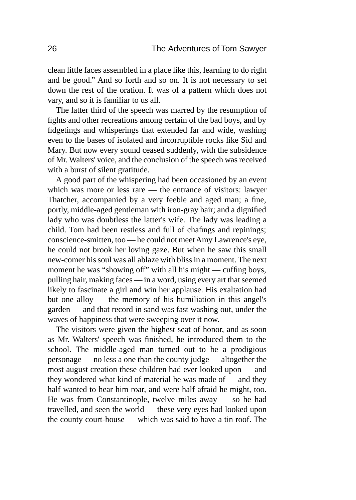clean little faces assembled in a place like this, learning to do right and be good." And so forth and so on. It is not necessary to set down the rest of the oration. It was of a pattern which does not vary, and so it is familiar to us all.

The latter third of the speech was marred by the resumption of fights and other recreations among certain of the bad boys, and by fidgetings and whisperings that extended far and wide, washing even to the bases of isolated and incorruptible rocks like Sid and Mary. But now every sound ceased suddenly, with the subsidence of Mr. Walters' voice, and the conclusion of the speech was received with a burst of silent gratitude.

A good part of the whispering had been occasioned by an event which was more or less rare — the entrance of visitors: lawyer Thatcher, accompanied by a very feeble and aged man; a fine, portly, middle-aged gentleman with iron-gray hair; and a dignified lady who was doubtless the latter's wife. The lady was leading a child. Tom had been restless and full of chafings and repinings; conscience-smitten, too — he could not meet Amy Lawrence's eye, he could not brook her loving gaze. But when he saw this small new-comer his soul was all ablaze with bliss in a moment. The next moment he was "showing off" with all his might — cuffing boys, pulling hair, making faces — in a word, using every art that seemed likely to fascinate a girl and win her applause. His exaltation had but one alloy — the memory of his humiliation in this angel's garden — and that record in sand was fast washing out, under the waves of happiness that were sweeping over it now.

The visitors were given the highest seat of honor, and as soon as Mr. Walters' speech was finished, he introduced them to the school. The middle-aged man turned out to be a prodigious personage — no less a one than the county judge — altogether the most august creation these children had ever looked upon — and they wondered what kind of material he was made of — and they half wanted to hear him roar, and were half afraid he might, too. He was from Constantinople, twelve miles away — so he had travelled, and seen the world — these very eyes had looked upon the county court-house — which was said to have a tin roof. The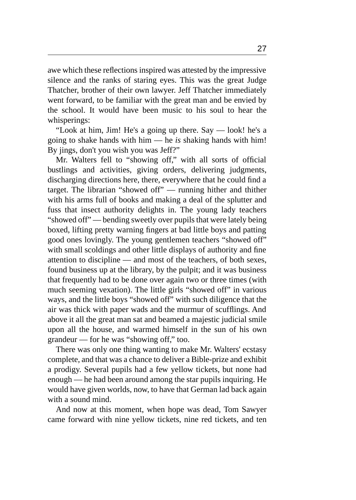awe which these reflections inspired was attested by the impressive silence and the ranks of staring eyes. This was the great Judge Thatcher, brother of their own lawyer. Jeff Thatcher immediately went forward, to be familiar with the great man and be envied by the school. It would have been music to his soul to hear the whisperings:

"Look at him, Jim! He's a going up there. Say — look! he's a going to shake hands with him — he *is* shaking hands with him! By jings, don't you wish you was Jeff?"

Mr. Walters fell to "showing off," with all sorts of official bustlings and activities, giving orders, delivering judgments, discharging directions here, there, everywhere that he could find a target. The librarian "showed off" — running hither and thither with his arms full of books and making a deal of the splutter and fuss that insect authority delights in. The young lady teachers "showed off" — bending sweetly over pupils that were lately being boxed, lifting pretty warning fingers at bad little boys and patting good ones lovingly. The young gentlemen teachers "showed off" with small scoldings and other little displays of authority and fine attention to discipline — and most of the teachers, of both sexes, found business up at the library, by the pulpit; and it was business that frequently had to be done over again two or three times (with much seeming vexation). The little girls "showed off" in various ways, and the little boys "showed off" with such diligence that the air was thick with paper wads and the murmur of scufflings. And above it all the great man sat and beamed a majestic judicial smile upon all the house, and warmed himself in the sun of his own grandeur — for he was "showing off," too.

There was only one thing wanting to make Mr. Walters' ecstasy complete, and that was a chance to deliver a Bible-prize and exhibit a prodigy. Several pupils had a few yellow tickets, but none had enough — he had been around among the star pupils inquiring. He would have given worlds, now, to have that German lad back again with a sound mind.

And now at this moment, when hope was dead, Tom Sawyer came forward with nine yellow tickets, nine red tickets, and ten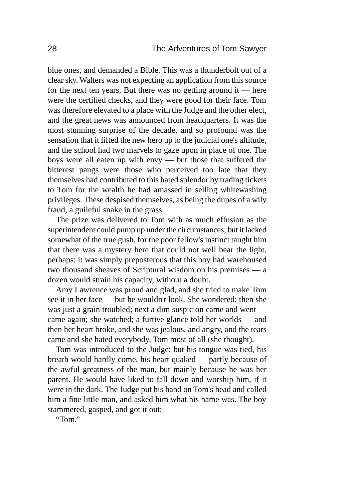blue ones, and demanded a Bible. This was a thunderbolt out of a clear sky. Walters was not expecting an application from this source for the next ten years. But there was no getting around it — here were the certified checks, and they were good for their face. Tom was therefore elevated to a place with the Judge and the other elect, and the great news was announced from headquarters. It was the most stunning surprise of the decade, and so profound was the sensation that it lifted the new hero up to the judicial one's altitude, and the school had two marvels to gaze upon in place of one. The boys were all eaten up with envy — but those that suffered the bitterest pangs were those who perceived too late that they themselves had contributed to this hated splendor by trading tickets to Tom for the wealth he had amassed in selling whitewashing privileges. These despised themselves, as being the dupes of a wily fraud, a guileful snake in the grass.

The prize was delivered to Tom with as much effusion as the superintendent could pump up under the circumstances; but it lacked somewhat of the true gush, for the poor fellow's instinct taught him that there was a mystery here that could not well bear the light, perhaps; it was simply preposterous that this boy had warehoused two thousand sheaves of Scriptural wisdom on his premises — a dozen would strain his capacity, without a doubt.

Amy Lawrence was proud and glad, and she tried to make Tom see it in her face — but he wouldn't look. She wondered; then she was just a grain troubled; next a dim suspicion came and went came again; she watched; a furtive glance told her worlds — and then her heart broke, and she was jealous, and angry, and the tears came and she hated everybody. Tom most of all (she thought).

Tom was introduced to the Judge; but his tongue was tied, his breath would hardly come, his heart quaked — partly because of the awful greatness of the man, but mainly because he was her parent. He would have liked to fall down and worship him, if it were in the dark. The Judge put his hand on Tom's head and called him a fine little man, and asked him what his name was. The boy stammered, gasped, and got it out:

"Tom."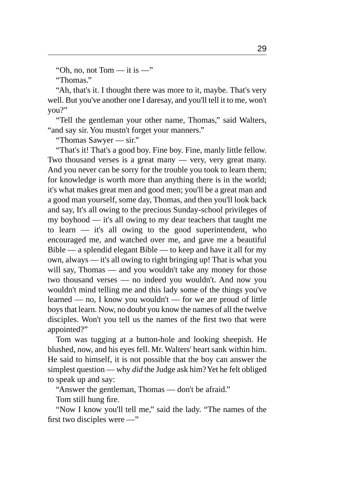"Oh, no, not Tom — it is  $-$ "

"Thomas."

"Ah, that's it. I thought there was more to it, maybe. That's very well. But you've another one I daresay, and you'll tell it to me, won't you?"

"Tell the gentleman your other name, Thomas," said Walters, "and say sir. You mustn't forget your manners."

"Thomas Sawyer — sir."

"That's it! That's a good boy. Fine boy. Fine, manly little fellow. Two thousand verses is a great many — very, very great many. And you never can be sorry for the trouble you took to learn them; for knowledge is worth more than anything there is in the world; it's what makes great men and good men; you'll be a great man and a good man yourself, some day, Thomas, and then you'll look back and say, It's all owing to the precious Sunday-school privileges of my boyhood — it's all owing to my dear teachers that taught me to learn — it's all owing to the good superintendent, who encouraged me, and watched over me, and gave me a beautiful Bible — a splendid elegant Bible — to keep and have it all for my own, always — it's all owing to right bringing up! That is what you will say, Thomas — and you wouldn't take any money for those two thousand verses — no indeed you wouldn't. And now you wouldn't mind telling me and this lady some of the things you've learned — no, I know you wouldn't — for we are proud of little boys that learn. Now, no doubt you know the names of all the twelve disciples. Won't you tell us the names of the first two that were appointed?"

Tom was tugging at a button-hole and looking sheepish. He blushed, now, and his eyes fell. Mr. Walters' heart sank within him. He said to himself, it is not possible that the boy can answer the simplest question — why *did* the Judge ask him? Yet he felt obliged to speak up and say:

"Answer the gentleman, Thomas — don't be afraid."

Tom still hung fire.

"Now I know you'll tell me," said the lady. "The names of the first two disciples were —"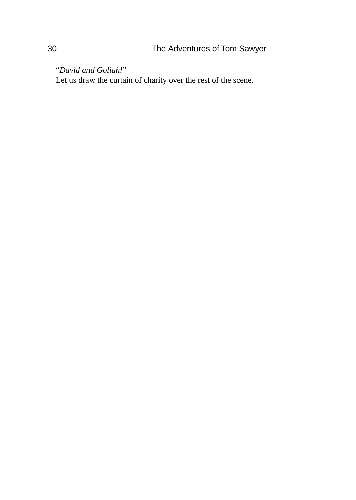"*David and Goliah!*"

Let us draw the curtain of charity over the rest of the scene.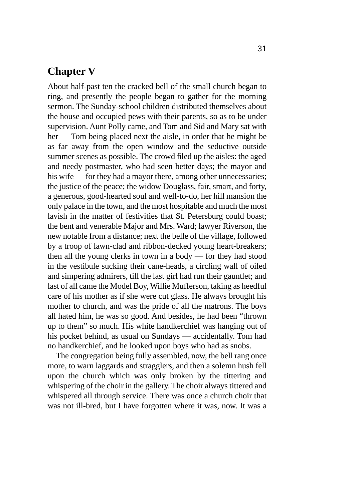#### **Chapter V**

About half-past ten the cracked bell of the small church began to ring, and presently the people began to gather for the morning sermon. The Sunday-school children distributed themselves about the house and occupied pews with their parents, so as to be under supervision. Aunt Polly came, and Tom and Sid and Mary sat with her — Tom being placed next the aisle, in order that he might be as far away from the open window and the seductive outside summer scenes as possible. The crowd filed up the aisles: the aged and needy postmaster, who had seen better days; the mayor and his wife — for they had a mayor there, among other unnecessaries; the justice of the peace; the widow Douglass, fair, smart, and forty, a generous, good-hearted soul and well-to-do, her hill mansion the only palace in the town, and the most hospitable and much the most lavish in the matter of festivities that St. Petersburg could boast; the bent and venerable Major and Mrs. Ward; lawyer Riverson, the new notable from a distance; next the belle of the village, followed by a troop of lawn-clad and ribbon-decked young heart-breakers; then all the young clerks in town in a body — for they had stood in the vestibule sucking their cane-heads, a circling wall of oiled and simpering admirers, till the last girl had run their gauntlet; and last of all came the Model Boy, Willie Mufferson, taking as heedful care of his mother as if she were cut glass. He always brought his mother to church, and was the pride of all the matrons. The boys all hated him, he was so good. And besides, he had been "thrown up to them" so much. His white handkerchief was hanging out of his pocket behind, as usual on Sundays — accidentally. Tom had no handkerchief, and he looked upon boys who had as snobs.

The congregation being fully assembled, now, the bell rang once more, to warn laggards and stragglers, and then a solemn hush fell upon the church which was only broken by the tittering and whispering of the choir in the gallery. The choir always tittered and whispered all through service. There was once a church choir that was not ill-bred, but I have forgotten where it was, now. It was a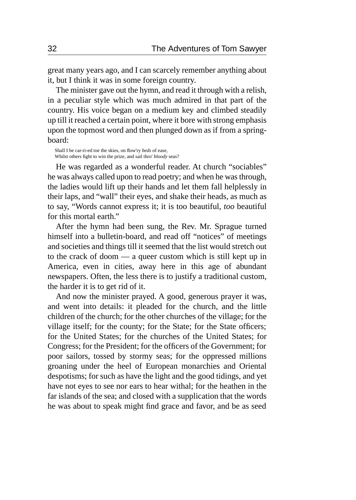great many years ago, and I can scarcely remember anything about it, but I think it was in some foreign country.

The minister gave out the hymn, and read it through with a relish, in a peculiar style which was much admired in that part of the country. His voice began on a medium key and climbed steadily up till it reached a certain point, where it bore with strong emphasis upon the topmost word and then plunged down as if from a springboard:

Shall I be car-ri-ed toe the skies, on flow'ry *beds* of ease, Whilst others fight to win the prize, and sail thro' *bloody* seas?

He was regarded as a wonderful reader. At church "sociables" he was always called upon to read poetry; and when he was through, the ladies would lift up their hands and let them fall helplessly in their laps, and "wall" their eyes, and shake their heads, as much as to say, "Words cannot express it; it is too beautiful, *too* beautiful for this mortal earth."

After the hymn had been sung, the Rev. Mr. Sprague turned himself into a bulletin-board, and read off "notices" of meetings and societies and things till it seemed that the list would stretch out to the crack of doom — a queer custom which is still kept up in America, even in cities, away here in this age of abundant newspapers. Often, the less there is to justify a traditional custom, the harder it is to get rid of it.

And now the minister prayed. A good, generous prayer it was, and went into details: it pleaded for the church, and the little children of the church; for the other churches of the village; for the village itself; for the county; for the State; for the State officers; for the United States; for the churches of the United States; for Congress; for the President; for the officers of the Government; for poor sailors, tossed by stormy seas; for the oppressed millions groaning under the heel of European monarchies and Oriental despotisms; for such as have the light and the good tidings, and yet have not eyes to see nor ears to hear withal; for the heathen in the far islands of the sea; and closed with a supplication that the words he was about to speak might find grace and favor, and be as seed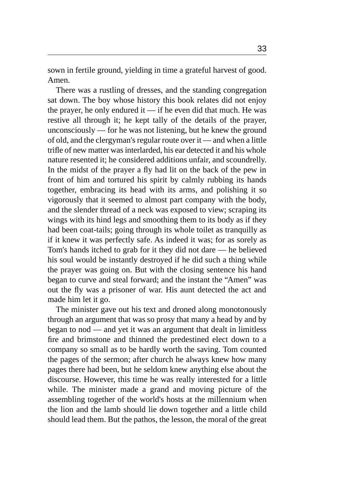sown in fertile ground, yielding in time a grateful harvest of good. Amen.

There was a rustling of dresses, and the standing congregation sat down. The boy whose history this book relates did not enjoy the prayer, he only endured it  $\frac{d}{dt}$  if he even did that much. He was restive all through it; he kept tally of the details of the prayer, unconsciously — for he was not listening, but he knew the ground of old, and the clergyman's regular route over it — and when a little trifle of new matter was interlarded, his ear detected it and his whole nature resented it; he considered additions unfair, and scoundrelly. In the midst of the prayer a fly had lit on the back of the pew in front of him and tortured his spirit by calmly rubbing its hands together, embracing its head with its arms, and polishing it so vigorously that it seemed to almost part company with the body, and the slender thread of a neck was exposed to view; scraping its wings with its hind legs and smoothing them to its body as if they had been coat-tails; going through its whole toilet as tranquilly as if it knew it was perfectly safe. As indeed it was; for as sorely as Tom's hands itched to grab for it they did not dare — he believed his soul would be instantly destroyed if he did such a thing while the prayer was going on. But with the closing sentence his hand began to curve and steal forward; and the instant the "Amen" was out the fly was a prisoner of war. His aunt detected the act and made him let it go.

The minister gave out his text and droned along monotonously through an argument that was so prosy that many a head by and by began to nod — and yet it was an argument that dealt in limitless fire and brimstone and thinned the predestined elect down to a company so small as to be hardly worth the saving. Tom counted the pages of the sermon; after church he always knew how many pages there had been, but he seldom knew anything else about the discourse. However, this time he was really interested for a little while. The minister made a grand and moving picture of the assembling together of the world's hosts at the millennium when the lion and the lamb should lie down together and a little child should lead them. But the pathos, the lesson, the moral of the great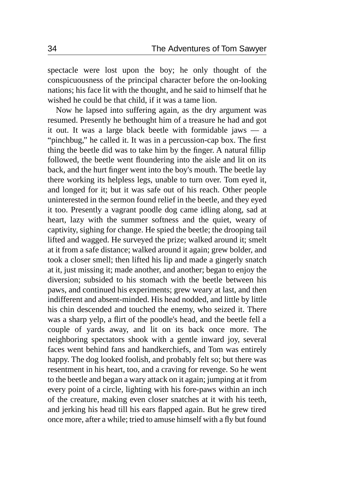spectacle were lost upon the boy; he only thought of the conspicuousness of the principal character before the on-looking nations; his face lit with the thought, and he said to himself that he wished he could be that child, if it was a tame lion.

Now he lapsed into suffering again, as the dry argument was resumed. Presently he bethought him of a treasure he had and got it out. It was a large black beetle with formidable jaws — a "pinchbug," he called it. It was in a percussion-cap box. The first thing the beetle did was to take him by the finger. A natural fillip followed, the beetle went floundering into the aisle and lit on its back, and the hurt finger went into the boy's mouth. The beetle lay there working its helpless legs, unable to turn over. Tom eyed it, and longed for it; but it was safe out of his reach. Other people uninterested in the sermon found relief in the beetle, and they eyed it too. Presently a vagrant poodle dog came idling along, sad at heart, lazy with the summer softness and the quiet, weary of captivity, sighing for change. He spied the beetle; the drooping tail lifted and wagged. He surveyed the prize; walked around it; smelt at it from a safe distance; walked around it again; grew bolder, and took a closer smell; then lifted his lip and made a gingerly snatch at it, just missing it; made another, and another; began to enjoy the diversion; subsided to his stomach with the beetle between his paws, and continued his experiments; grew weary at last, and then indifferent and absent-minded. His head nodded, and little by little his chin descended and touched the enemy, who seized it. There was a sharp yelp, a flirt of the poodle's head, and the beetle fell a couple of yards away, and lit on its back once more. The neighboring spectators shook with a gentle inward joy, several faces went behind fans and handkerchiefs, and Tom was entirely happy. The dog looked foolish, and probably felt so; but there was resentment in his heart, too, and a craving for revenge. So he went to the beetle and began a wary attack on it again; jumping at it from every point of a circle, lighting with his fore-paws within an inch of the creature, making even closer snatches at it with his teeth, and jerking his head till his ears flapped again. But he grew tired once more, after a while; tried to amuse himself with a fly but found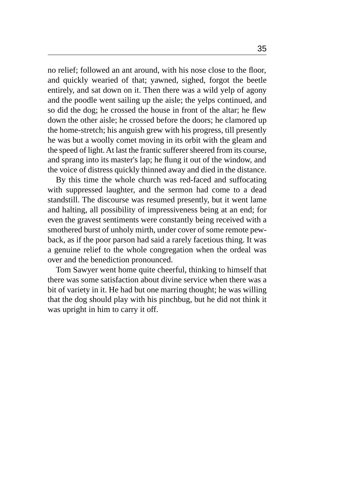no relief; followed an ant around, with his nose close to the floor, and quickly wearied of that; yawned, sighed, forgot the beetle entirely, and sat down on it. Then there was a wild yelp of agony and the poodle went sailing up the aisle; the yelps continued, and so did the dog; he crossed the house in front of the altar; he flew down the other aisle; he crossed before the doors; he clamored up the home-stretch; his anguish grew with his progress, till presently he was but a woolly comet moving in its orbit with the gleam and the speed of light. At last the frantic sufferer sheered from its course, and sprang into its master's lap; he flung it out of the window, and the voice of distress quickly thinned away and died in the distance.

By this time the whole church was red-faced and suffocating with suppressed laughter, and the sermon had come to a dead standstill. The discourse was resumed presently, but it went lame and halting, all possibility of impressiveness being at an end; for even the gravest sentiments were constantly being received with a smothered burst of unholy mirth, under cover of some remote pewback, as if the poor parson had said a rarely facetious thing. It was a genuine relief to the whole congregation when the ordeal was over and the benediction pronounced.

Tom Sawyer went home quite cheerful, thinking to himself that there was some satisfaction about divine service when there was a bit of variety in it. He had but one marring thought; he was willing that the dog should play with his pinchbug, but he did not think it was upright in him to carry it off.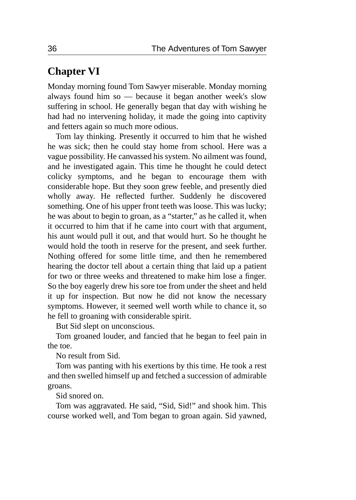### **Chapter VI**

Monday morning found Tom Sawyer miserable. Monday morning always found him so — because it began another week's slow suffering in school. He generally began that day with wishing he had had no intervening holiday, it made the going into captivity and fetters again so much more odious.

Tom lay thinking. Presently it occurred to him that he wished he was sick; then he could stay home from school. Here was a vague possibility. He canvassed his system. No ailment was found, and he investigated again. This time he thought he could detect colicky symptoms, and he began to encourage them with considerable hope. But they soon grew feeble, and presently died wholly away. He reflected further. Suddenly he discovered something. One of his upper front teeth was loose. This was lucky; he was about to begin to groan, as a "starter," as he called it, when it occurred to him that if he came into court with that argument, his aunt would pull it out, and that would hurt. So he thought he would hold the tooth in reserve for the present, and seek further. Nothing offered for some little time, and then he remembered hearing the doctor tell about a certain thing that laid up a patient for two or three weeks and threatened to make him lose a finger. So the boy eagerly drew his sore toe from under the sheet and held it up for inspection. But now he did not know the necessary symptoms. However, it seemed well worth while to chance it, so he fell to groaning with considerable spirit.

But Sid slept on unconscious.

Tom groaned louder, and fancied that he began to feel pain in the toe.

No result from Sid.

Tom was panting with his exertions by this time. He took a rest and then swelled himself up and fetched a succession of admirable groans.

Sid snored on.

Tom was aggravated. He said, "Sid, Sid!" and shook him. This course worked well, and Tom began to groan again. Sid yawned,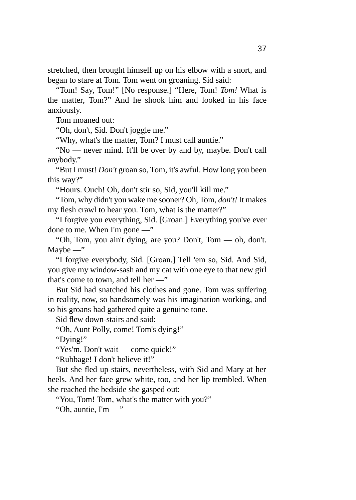stretched, then brought himself up on his elbow with a snort, and began to stare at Tom. Tom went on groaning. Sid said:

"Tom! Say, Tom!" [No response.] "Here, Tom! *Tom!* What is the matter, Tom?" And he shook him and looked in his face anxiously.

Tom moaned out:

"Oh, don't, Sid. Don't joggle me."

"Why, what's the matter, Tom? I must call auntie."

"No — never mind. It'll be over by and by, maybe. Don't call anybody."

"But I must! *Don't* groan so, Tom, it's awful. How long you been this way?"

"Hours. Ouch! Oh, don't stir so, Sid, you'll kill me."

"Tom, why didn't you wake me sooner? Oh, Tom, *don't!* It makes my flesh crawl to hear you. Tom, what is the matter?"

"I forgive you everything, Sid. [Groan.] Everything you've ever done to me. When I'm gone —"

"Oh, Tom, you ain't dying, are you? Don't, Tom — oh, don't.  $M$ aybe —"

"I forgive everybody, Sid. [Groan.] Tell 'em so, Sid. And Sid, you give my window-sash and my cat with one eye to that new girl that's come to town, and tell her —"

But Sid had snatched his clothes and gone. Tom was suffering in reality, now, so handsomely was his imagination working, and so his groans had gathered quite a genuine tone.

Sid flew down-stairs and said:

"Oh, Aunt Polly, come! Tom's dying!"

"Dying!"

"Yes'm. Don't wait — come quick!"

"Rubbage! I don't believe it!"

But she fled up-stairs, nevertheless, with Sid and Mary at her heels. And her face grew white, too, and her lip trembled. When she reached the bedside she gasped out:

"You, Tom! Tom, what's the matter with you?"

"Oh, auntie,  $\Gamma m$  —"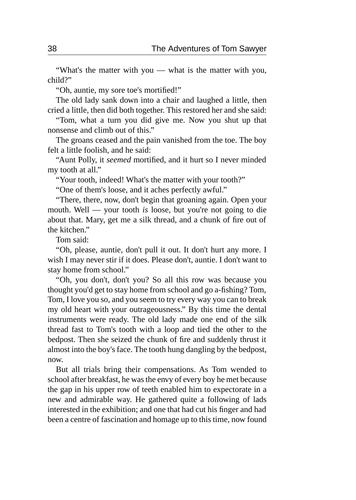"What's the matter with you — what is the matter with you, child?"

"Oh, auntie, my sore toe's mortified!"

The old lady sank down into a chair and laughed a little, then cried a little, then did both together. This restored her and she said:

"Tom, what a turn you did give me. Now you shut up that nonsense and climb out of this."

The groans ceased and the pain vanished from the toe. The boy felt a little foolish, and he said:

"Aunt Polly, it *seemed* mortified, and it hurt so I never minded my tooth at all."

"Your tooth, indeed! What's the matter with your tooth?"

"One of them's loose, and it aches perfectly awful."

"There, there, now, don't begin that groaning again. Open your mouth. Well — your tooth *is* loose, but you're not going to die about that. Mary, get me a silk thread, and a chunk of fire out of the kitchen."

Tom said:

"Oh, please, auntie, don't pull it out. It don't hurt any more. I wish I may never stir if it does. Please don't, auntie. I don't want to stay home from school."

"Oh, you don't, don't you? So all this row was because you thought you'd get to stay home from school and go a-fishing? Tom, Tom, I love you so, and you seem to try every way you can to break my old heart with your outrageousness." By this time the dental instruments were ready. The old lady made one end of the silk thread fast to Tom's tooth with a loop and tied the other to the bedpost. Then she seized the chunk of fire and suddenly thrust it almost into the boy's face. The tooth hung dangling by the bedpost, now.

But all trials bring their compensations. As Tom wended to school after breakfast, he was the envy of every boy he met because the gap in his upper row of teeth enabled him to expectorate in a new and admirable way. He gathered quite a following of lads interested in the exhibition; and one that had cut his finger and had been a centre of fascination and homage up to this time, now found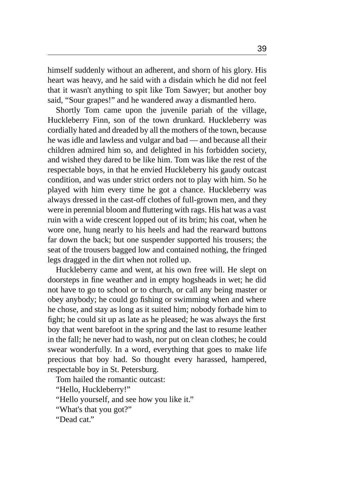himself suddenly without an adherent, and shorn of his glory. His heart was heavy, and he said with a disdain which he did not feel that it wasn't anything to spit like Tom Sawyer; but another boy said, "Sour grapes!" and he wandered away a dismantled hero.

Shortly Tom came upon the juvenile pariah of the village, Huckleberry Finn, son of the town drunkard. Huckleberry was cordially hated and dreaded by all the mothers of the town, because he was idle and lawless and vulgar and bad — and because all their children admired him so, and delighted in his forbidden society, and wished they dared to be like him. Tom was like the rest of the respectable boys, in that he envied Huckleberry his gaudy outcast condition, and was under strict orders not to play with him. So he played with him every time he got a chance. Huckleberry was always dressed in the cast-off clothes of full-grown men, and they were in perennial bloom and fluttering with rags. His hat was a vast ruin with a wide crescent lopped out of its brim; his coat, when he wore one, hung nearly to his heels and had the rearward buttons far down the back; but one suspender supported his trousers; the seat of the trousers bagged low and contained nothing, the fringed legs dragged in the dirt when not rolled up.

Huckleberry came and went, at his own free will. He slept on doorsteps in fine weather and in empty hogsheads in wet; he did not have to go to school or to church, or call any being master or obey anybody; he could go fishing or swimming when and where he chose, and stay as long as it suited him; nobody forbade him to fight; he could sit up as late as he pleased; he was always the first boy that went barefoot in the spring and the last to resume leather in the fall; he never had to wash, nor put on clean clothes; he could swear wonderfully. In a word, everything that goes to make life precious that boy had. So thought every harassed, hampered, respectable boy in St. Petersburg.

Tom hailed the romantic outcast:

"Hello, Huckleberry!"

"Hello yourself, and see how you like it."

"What's that you got?"

"Dead cat."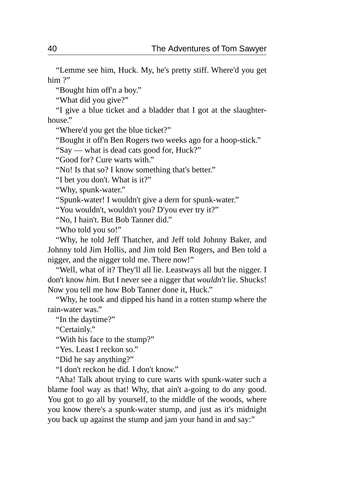"Lemme see him, Huck. My, he's pretty stiff. Where'd you get him?"

"Bought him off'n a boy."

"What did you give?"

"I give a blue ticket and a bladder that I got at the slaughterhouse."

"Where'd you get the blue ticket?"

"Bought it off'n Ben Rogers two weeks ago for a hoop-stick."

"Say — what is dead cats good for, Huck?"

"Good for? Cure warts with."

"No! Is that so? I know something that's better."

"I bet you don't. What is it?"

"Why, spunk-water."

"Spunk-water! I wouldn't give a dern for spunk-water."

"You wouldn't, wouldn't you? D'you ever try it?"

"No, I hain't. But Bob Tanner did."

"Who told you so!"

"Why, he told Jeff Thatcher, and Jeff told Johnny Baker, and Johnny told Jim Hollis, and Jim told Ben Rogers, and Ben told a nigger, and the nigger told me. There now!"

"Well, what of it? They'll all lie. Leastways all but the nigger. I don't know *him.* But I never see a nigger that *wouldn't* lie. Shucks! Now you tell me how Bob Tanner done it, Huck."

"Why, he took and dipped his hand in a rotten stump where the rain-water was."

"In the daytime?"

"Certainly."

"With his face to the stump?"

"Yes. Least I reckon so."

"Did he say anything?"

"I don't reckon he did. I don't know."

"Aha! Talk about trying to cure warts with spunk-water such a blame fool way as that! Why, that ain't a-going to do any good. You got to go all by yourself, to the middle of the woods, where you know there's a spunk-water stump, and just as it's midnight you back up against the stump and jam your hand in and say:"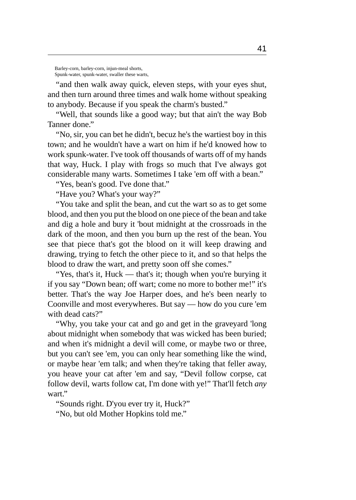Barley-corn, barley-corn, injun-meal shorts, Spunk-water, spunk-water, swaller these warts,

"and then walk away quick, eleven steps, with your eyes shut, and then turn around three times and walk home without speaking to anybody. Because if you speak the charm's busted."

"Well, that sounds like a good way; but that ain't the way Bob Tanner done."

"No, sir, you can bet he didn't, becuz he's the wartiest boy in this town; and he wouldn't have a wart on him if he'd knowed how to work spunk-water. I've took off thousands of warts off of my hands that way, Huck. I play with frogs so much that I've always got considerable many warts. Sometimes I take 'em off with a bean."

"Yes, bean's good. I've done that."

"Have you? What's your way?"

"You take and split the bean, and cut the wart so as to get some blood, and then you put the blood on one piece of the bean and take and dig a hole and bury it 'bout midnight at the crossroads in the dark of the moon, and then you burn up the rest of the bean. You see that piece that's got the blood on it will keep drawing and drawing, trying to fetch the other piece to it, and so that helps the blood to draw the wart, and pretty soon off she comes."

"Yes, that's it, Huck — that's it; though when you're burying it if you say "Down bean; off wart; come no more to bother me!" it's better. That's the way Joe Harper does, and he's been nearly to Coonville and most everywheres. But say — how do you cure 'em with dead cats?"

"Why, you take your cat and go and get in the graveyard 'long about midnight when somebody that was wicked has been buried; and when it's midnight a devil will come, or maybe two or three, but you can't see 'em, you can only hear something like the wind, or maybe hear 'em talk; and when they're taking that feller away, you heave your cat after 'em and say, "Devil follow corpse, cat follow devil, warts follow cat, I'm done with ye!" That'll fetch *any* wart."

"Sounds right. D'you ever try it, Huck?"

"No, but old Mother Hopkins told me."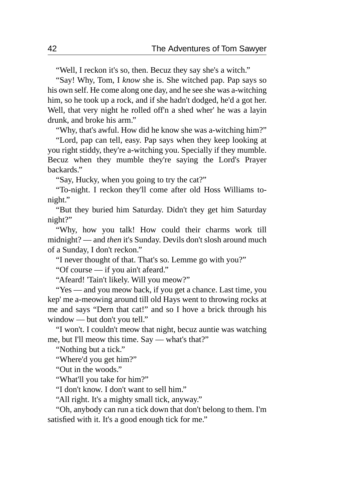"Well, I reckon it's so, then. Becuz they say she's a witch."

"Say! Why, Tom, I *know* she is. She witched pap. Pap says so his own self. He come along one day, and he see she was a-witching him, so he took up a rock, and if she hadn't dodged, he'd a got her. Well, that very night he rolled off'n a shed wher' he was a layin drunk, and broke his arm."

"Why, that's awful. How did he know she was a-witching him?"

"Lord, pap can tell, easy. Pap says when they keep looking at you right stiddy, they're a-witching you. Specially if they mumble. Becuz when they mumble they're saying the Lord's Prayer backards."

"Say, Hucky, when you going to try the cat?"

"To-night. I reckon they'll come after old Hoss Williams tonight."

"But they buried him Saturday. Didn't they get him Saturday night?"

"Why, how you talk! How could their charms work till midnight? — and *then* it's Sunday. Devils don't slosh around much of a Sunday, I don't reckon."

"I never thought of that. That's so. Lemme go with you?"

"Of course — if you ain't afeard."

"Afeard! 'Tain't likely. Will you meow?"

"Yes — and you meow back, if you get a chance. Last time, you kep' me a-meowing around till old Hays went to throwing rocks at me and says "Dern that cat!" and so I hove a brick through his window — but don't you tell."

"I won't. I couldn't meow that night, becuz auntie was watching me, but I'll meow this time. Say — what's that?"

"Nothing but a tick."

"Where'd you get him?"

"Out in the woods."

"What'll you take for him?"

"I don't know. I don't want to sell him."

"All right. It's a mighty small tick, anyway."

"Oh, anybody can run a tick down that don't belong to them. I'm satisfied with it. It's a good enough tick for me."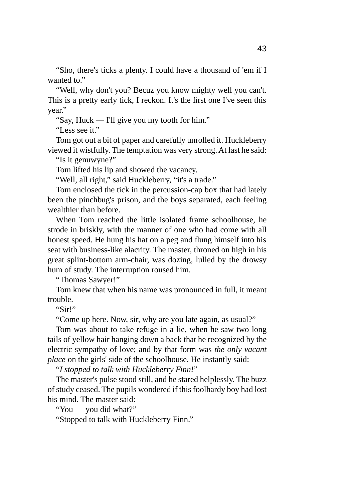"Sho, there's ticks a plenty. I could have a thousand of 'em if I wanted to."

"Well, why don't you? Becuz you know mighty well you can't. This is a pretty early tick, I reckon. It's the first one I've seen this year."

"Say, Huck — I'll give you my tooth for him."

"Less see it."

Tom got out a bit of paper and carefully unrolled it. Huckleberry viewed it wistfully. The temptation was very strong. At last he said:

"Is it genuwyne?"

Tom lifted his lip and showed the vacancy.

"Well, all right," said Huckleberry, "it's a trade."

Tom enclosed the tick in the percussion-cap box that had lately been the pinchbug's prison, and the boys separated, each feeling wealthier than before.

When Tom reached the little isolated frame schoolhouse, he strode in briskly, with the manner of one who had come with all honest speed. He hung his hat on a peg and flung himself into his seat with business-like alacrity. The master, throned on high in his great splint-bottom arm-chair, was dozing, lulled by the drowsy hum of study. The interruption roused him.

"Thomas Sawyer!"

Tom knew that when his name was pronounced in full, it meant trouble.

"Sir!"

"Come up here. Now, sir, why are you late again, as usual?"

Tom was about to take refuge in a lie, when he saw two long tails of yellow hair hanging down a back that he recognized by the electric sympathy of love; and by that form was *the only vacant place* on the girls' side of the schoolhouse. He instantly said:

"*I stopped to talk with Huckleberry Finn!*"

The master's pulse stood still, and he stared helplessly. The buzz of study ceased. The pupils wondered if this foolhardy boy had lost his mind. The master said:

"You — you did what?"

"Stopped to talk with Huckleberry Finn."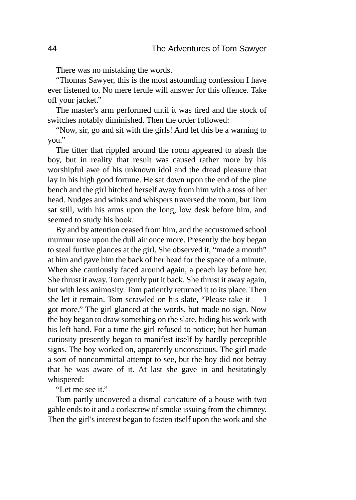There was no mistaking the words.

"Thomas Sawyer, this is the most astounding confession I have ever listened to. No mere ferule will answer for this offence. Take off your jacket."

The master's arm performed until it was tired and the stock of switches notably diminished. Then the order followed:

"Now, sir, go and sit with the girls! And let this be a warning to you."

The titter that rippled around the room appeared to abash the boy, but in reality that result was caused rather more by his worshipful awe of his unknown idol and the dread pleasure that lay in his high good fortune. He sat down upon the end of the pine bench and the girl hitched herself away from him with a toss of her head. Nudges and winks and whispers traversed the room, but Tom sat still, with his arms upon the long, low desk before him, and seemed to study his book.

By and by attention ceased from him, and the accustomed school murmur rose upon the dull air once more. Presently the boy began to steal furtive glances at the girl. She observed it, "made a mouth" at him and gave him the back of her head for the space of a minute. When she cautiously faced around again, a peach lay before her. She thrust it away. Tom gently put it back. She thrust it away again, but with less animosity. Tom patiently returned it to its place. Then she let it remain. Tom scrawled on his slate, "Please take it — I got more." The girl glanced at the words, but made no sign. Now the boy began to draw something on the slate, hiding his work with his left hand. For a time the girl refused to notice; but her human curiosity presently began to manifest itself by hardly perceptible signs. The boy worked on, apparently unconscious. The girl made a sort of noncommittal attempt to see, but the boy did not betray that he was aware of it. At last she gave in and hesitatingly whispered:

"Let me see it."

Tom partly uncovered a dismal caricature of a house with two gable ends to it and a corkscrew of smoke issuing from the chimney. Then the girl's interest began to fasten itself upon the work and she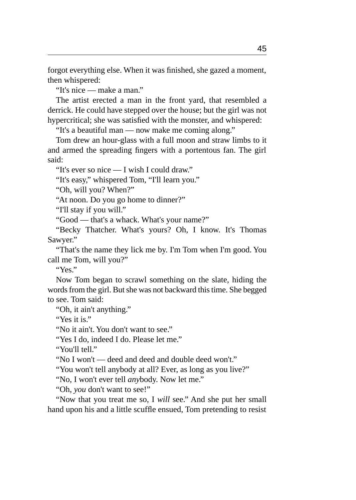forgot everything else. When it was finished, she gazed a moment, then whispered:

"It's nice — make a man."

The artist erected a man in the front yard, that resembled a derrick. He could have stepped over the house; but the girl was not hypercritical; she was satisfied with the monster, and whispered:

"It's a beautiful man — now make me coming along."

Tom drew an hour-glass with a full moon and straw limbs to it and armed the spreading fingers with a portentous fan. The girl said:

"It's ever so nice — I wish I could draw."

"It's easy," whispered Tom, "I'll learn you."

"Oh, will you? When?"

"At noon. Do you go home to dinner?"

"I'll stay if you will."

"Good — that's a whack. What's your name?"

"Becky Thatcher. What's yours? Oh, I know. It's Thomas Sawyer."

"That's the name they lick me by. I'm Tom when I'm good. You call me Tom, will you?"

"Yes."

Now Tom began to scrawl something on the slate, hiding the words from the girl. But she was not backward this time. She begged to see. Tom said:

"Oh, it ain't anything."

"Yes it is."

"No it ain't. You don't want to see."

"Yes I do, indeed I do. Please let me."

"You'll tell."

"No I won't — deed and deed and double deed won't."

"You won't tell anybody at all? Ever, as long as you live?"

"No, I won't ever tell *any*body. Now let me."

"Oh, *you* don't want to see!"

"Now that you treat me so, I *will* see." And she put her small hand upon his and a little scuffle ensued, Tom pretending to resist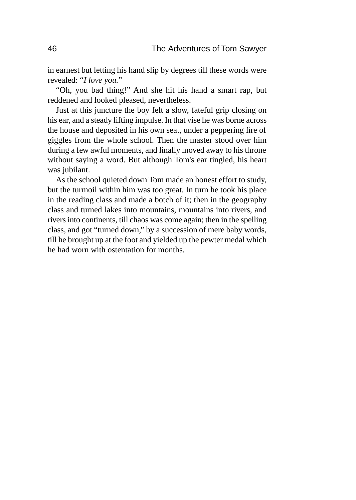in earnest but letting his hand slip by degrees till these words were revealed: "*I love you.*"

"Oh, you bad thing!" And she hit his hand a smart rap, but reddened and looked pleased, nevertheless.

Just at this juncture the boy felt a slow, fateful grip closing on his ear, and a steady lifting impulse. In that vise he was borne across the house and deposited in his own seat, under a peppering fire of giggles from the whole school. Then the master stood over him during a few awful moments, and finally moved away to his throne without saying a word. But although Tom's ear tingled, his heart was jubilant.

As the school quieted down Tom made an honest effort to study, but the turmoil within him was too great. In turn he took his place in the reading class and made a botch of it; then in the geography class and turned lakes into mountains, mountains into rivers, and rivers into continents, till chaos was come again; then in the spelling class, and got "turned down," by a succession of mere baby words, till he brought up at the foot and yielded up the pewter medal which he had worn with ostentation for months.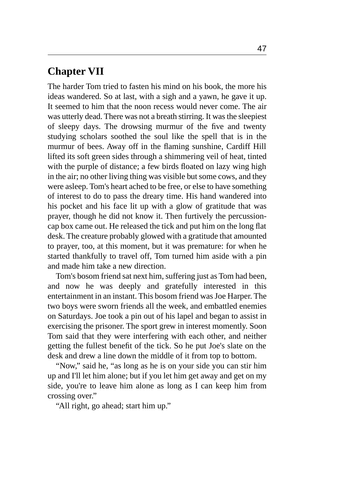## **Chapter VII**

The harder Tom tried to fasten his mind on his book, the more his ideas wandered. So at last, with a sigh and a yawn, he gave it up. It seemed to him that the noon recess would never come. The air was utterly dead. There was not a breath stirring. It was the sleepiest of sleepy days. The drowsing murmur of the five and twenty studying scholars soothed the soul like the spell that is in the murmur of bees. Away off in the flaming sunshine, Cardiff Hill lifted its soft green sides through a shimmering veil of heat, tinted with the purple of distance; a few birds floated on lazy wing high in the air; no other living thing was visible but some cows, and they were asleep. Tom's heart ached to be free, or else to have something of interest to do to pass the dreary time. His hand wandered into his pocket and his face lit up with a glow of gratitude that was prayer, though he did not know it. Then furtively the percussioncap box came out. He released the tick and put him on the long flat desk. The creature probably glowed with a gratitude that amounted to prayer, too, at this moment, but it was premature: for when he started thankfully to travel off, Tom turned him aside with a pin and made him take a new direction.

Tom's bosom friend sat next him, suffering just as Tom had been, and now he was deeply and gratefully interested in this entertainment in an instant. This bosom friend was Joe Harper. The two boys were sworn friends all the week, and embattled enemies on Saturdays. Joe took a pin out of his lapel and began to assist in exercising the prisoner. The sport grew in interest momently. Soon Tom said that they were interfering with each other, and neither getting the fullest benefit of the tick. So he put Joe's slate on the desk and drew a line down the middle of it from top to bottom.

"Now," said he, "as long as he is on your side you can stir him up and I'll let him alone; but if you let him get away and get on my side, you're to leave him alone as long as I can keep him from crossing over."

"All right, go ahead; start him up."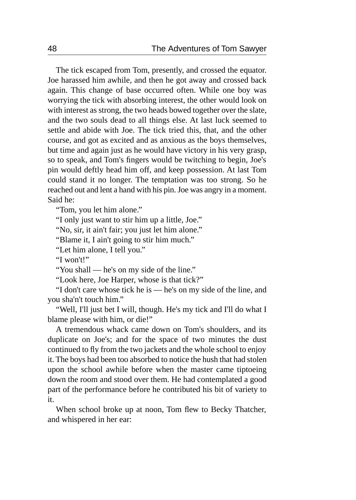The tick escaped from Tom, presently, and crossed the equator. Joe harassed him awhile, and then he got away and crossed back again. This change of base occurred often. While one boy was worrying the tick with absorbing interest, the other would look on with interest as strong, the two heads bowed together over the slate, and the two souls dead to all things else. At last luck seemed to settle and abide with Joe. The tick tried this, that, and the other course, and got as excited and as anxious as the boys themselves, but time and again just as he would have victory in his very grasp, so to speak, and Tom's fingers would be twitching to begin, Joe's pin would deftly head him off, and keep possession. At last Tom could stand it no longer. The temptation was too strong. So he reached out and lent a hand with his pin. Joe was angry in a moment. Said he:

"Tom, you let him alone."

"I only just want to stir him up a little, Joe."

"No, sir, it ain't fair; you just let him alone."

"Blame it, I ain't going to stir him much."

"Let him alone, I tell you."

"I won't!"

"You shall — he's on my side of the line."

"Look here, Joe Harper, whose is that tick?"

"I don't care whose tick he is — he's on my side of the line, and you sha'n't touch him."

"Well, I'll just bet I will, though. He's my tick and I'll do what I blame please with him, or die!"

A tremendous whack came down on Tom's shoulders, and its duplicate on Joe's; and for the space of two minutes the dust continued to fly from the two jackets and the whole school to enjoy it. The boys had been too absorbed to notice the hush that had stolen upon the school awhile before when the master came tiptoeing down the room and stood over them. He had contemplated a good part of the performance before he contributed his bit of variety to it.

When school broke up at noon, Tom flew to Becky Thatcher, and whispered in her ear: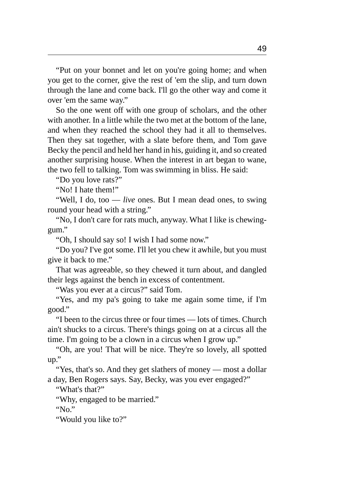"Put on your bonnet and let on you're going home; and when you get to the corner, give the rest of 'em the slip, and turn down through the lane and come back. I'll go the other way and come it over 'em the same way."

So the one went off with one group of scholars, and the other with another. In a little while the two met at the bottom of the lane, and when they reached the school they had it all to themselves. Then they sat together, with a slate before them, and Tom gave Becky the pencil and held her hand in his, guiding it, and so created another surprising house. When the interest in art began to wane, the two fell to talking. Tom was swimming in bliss. He said:

"Do you love rats?"

"No! I hate them!"

"Well, I do, too — *live* ones. But I mean dead ones, to swing round your head with a string."

"No, I don't care for rats much, anyway. What I like is chewinggum."

"Oh, I should say so! I wish I had some now."

"Do you? I've got some. I'll let you chew it awhile, but you must give it back to me."

That was agreeable, so they chewed it turn about, and dangled their legs against the bench in excess of contentment.

"Was you ever at a circus?" said Tom.

"Yes, and my pa's going to take me again some time, if I'm good."

"I been to the circus three or four times — lots of times. Church ain't shucks to a circus. There's things going on at a circus all the time. I'm going to be a clown in a circus when I grow up."

"Oh, are you! That will be nice. They're so lovely, all spotted up."

"Yes, that's so. And they get slathers of money — most a dollar a day, Ben Rogers says. Say, Becky, was you ever engaged?"

"What's that?"

"Why, engaged to be married."

"No."

"Would you like to?"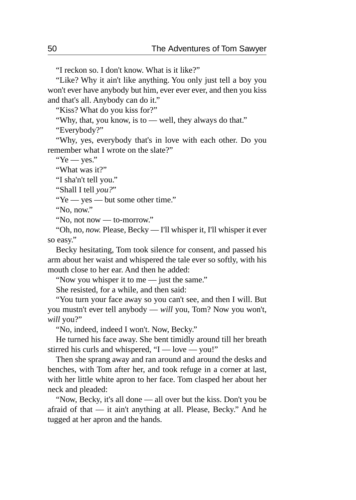"I reckon so. I don't know. What is it like?"

"Like? Why it ain't like anything. You only just tell a boy you won't ever have anybody but him, ever ever ever, and then you kiss and that's all. Anybody can do it."

"Kiss? What do you kiss for?"

"Why, that, you know, is to — well, they always do that."

"Everybody?"

"Why, yes, everybody that's in love with each other. Do you remember what I wrote on the slate?"

"Ye — yes."

"What was it?"

"I sha'n't tell you."

"Shall I tell *you?*"

"Ye — yes — but some other time."

"No, now."

"No, not now — to-morrow."

"Oh, no, *now.* Please, Becky — I'll whisper it, I'll whisper it ever so easy."

Becky hesitating, Tom took silence for consent, and passed his arm about her waist and whispered the tale ever so softly, with his mouth close to her ear. And then he added:

"Now you whisper it to me — just the same."

She resisted, for a while, and then said:

"You turn your face away so you can't see, and then I will. But you mustn't ever tell anybody — *will* you, Tom? Now you won't, *will* you?"

"No, indeed, indeed I won't. Now, Becky."

He turned his face away. She bent timidly around till her breath stirred his curls and whispered, "I — love — you!"

Then she sprang away and ran around and around the desks and benches, with Tom after her, and took refuge in a corner at last, with her little white apron to her face. Tom clasped her about her neck and pleaded:

"Now, Becky, it's all done — all over but the kiss. Don't you be afraid of that — it ain't anything at all. Please, Becky." And he tugged at her apron and the hands.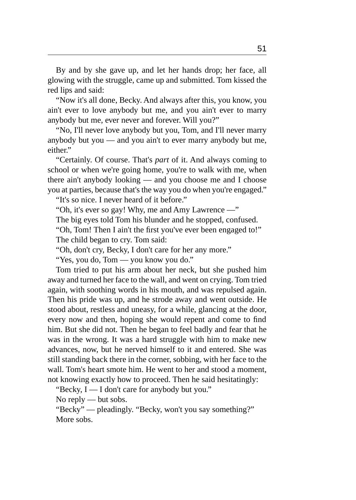By and by she gave up, and let her hands drop; her face, all glowing with the struggle, came up and submitted. Tom kissed the red lips and said:

"Now it's all done, Becky. And always after this, you know, you ain't ever to love anybody but me, and you ain't ever to marry anybody but me, ever never and forever. Will you?"

"No, I'll never love anybody but you, Tom, and I'll never marry anybody but you — and you ain't to ever marry anybody but me, either."

"Certainly. Of course. That's *part* of it. And always coming to school or when we're going home, you're to walk with me, when there ain't anybody looking — and you choose me and I choose you at parties, because that's the way you do when you're engaged."

"It's so nice. I never heard of it before."

"Oh, it's ever so gay! Why, me and Amy Lawrence —"

The big eyes told Tom his blunder and he stopped, confused.

"Oh, Tom! Then I ain't the first you've ever been engaged to!"

The child began to cry. Tom said:

"Oh, don't cry, Becky, I don't care for her any more."

"Yes, you do, Tom — you know you do."

Tom tried to put his arm about her neck, but she pushed him away and turned her face to the wall, and went on crying. Tom tried again, with soothing words in his mouth, and was repulsed again. Then his pride was up, and he strode away and went outside. He stood about, restless and uneasy, for a while, glancing at the door, every now and then, hoping she would repent and come to find him. But she did not. Then he began to feel badly and fear that he was in the wrong. It was a hard struggle with him to make new advances, now, but he nerved himself to it and entered. She was still standing back there in the corner, sobbing, with her face to the wall. Tom's heart smote him. He went to her and stood a moment, not knowing exactly how to proceed. Then he said hesitatingly:

"Becky, I — I don't care for anybody but you."

No reply — but sobs.

"Becky" — pleadingly. "Becky, won't you say something?" More sobs.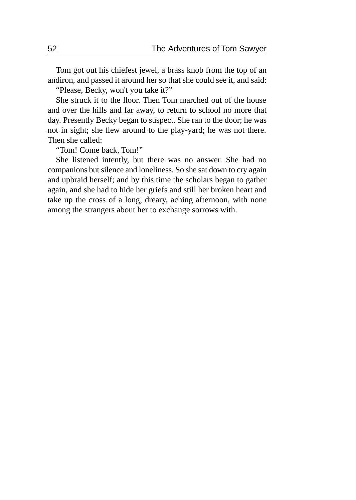Tom got out his chiefest jewel, a brass knob from the top of an andiron, and passed it around her so that she could see it, and said:

"Please, Becky, won't you take it?"

She struck it to the floor. Then Tom marched out of the house and over the hills and far away, to return to school no more that day. Presently Becky began to suspect. She ran to the door; he was not in sight; she flew around to the play-yard; he was not there. Then she called:

"Tom! Come back, Tom!"

She listened intently, but there was no answer. She had no companions but silence and loneliness. So she sat down to cry again and upbraid herself; and by this time the scholars began to gather again, and she had to hide her griefs and still her broken heart and take up the cross of a long, dreary, aching afternoon, with none among the strangers about her to exchange sorrows with.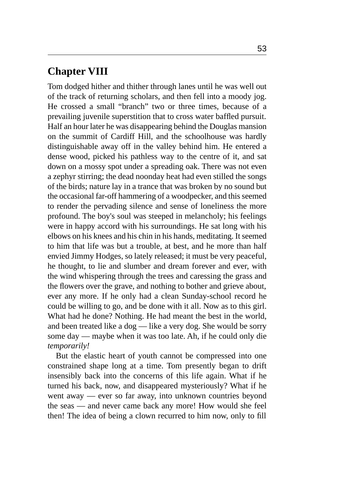# **Chapter VIII**

Tom dodged hither and thither through lanes until he was well out of the track of returning scholars, and then fell into a moody jog. He crossed a small "branch" two or three times, because of a prevailing juvenile superstition that to cross water baffled pursuit. Half an hour later he was disappearing behind the Douglas mansion on the summit of Cardiff Hill, and the schoolhouse was hardly distinguishable away off in the valley behind him. He entered a dense wood, picked his pathless way to the centre of it, and sat down on a mossy spot under a spreading oak. There was not even a zephyr stirring; the dead noonday heat had even stilled the songs of the birds; nature lay in a trance that was broken by no sound but the occasional far-off hammering of a woodpecker, and this seemed to render the pervading silence and sense of loneliness the more profound. The boy's soul was steeped in melancholy; his feelings were in happy accord with his surroundings. He sat long with his elbows on his knees and his chin in his hands, meditating. It seemed to him that life was but a trouble, at best, and he more than half envied Jimmy Hodges, so lately released; it must be very peaceful, he thought, to lie and slumber and dream forever and ever, with the wind whispering through the trees and caressing the grass and the flowers over the grave, and nothing to bother and grieve about, ever any more. If he only had a clean Sunday-school record he could be willing to go, and be done with it all. Now as to this girl. What had he done? Nothing. He had meant the best in the world, and been treated like a dog — like a very dog. She would be sorry some day — maybe when it was too late. Ah, if he could only die *temporarily!*

But the elastic heart of youth cannot be compressed into one constrained shape long at a time. Tom presently began to drift insensibly back into the concerns of this life again. What if he turned his back, now, and disappeared mysteriously? What if he went away — ever so far away, into unknown countries beyond the seas — and never came back any more! How would she feel then! The idea of being a clown recurred to him now, only to fill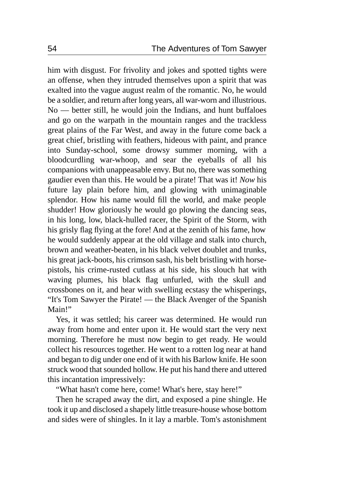him with disgust. For frivolity and jokes and spotted tights were an offense, when they intruded themselves upon a spirit that was exalted into the vague august realm of the romantic. No, he would be a soldier, and return after long years, all war-worn and illustrious. No — better still, he would join the Indians, and hunt buffaloes and go on the warpath in the mountain ranges and the trackless great plains of the Far West, and away in the future come back a great chief, bristling with feathers, hideous with paint, and prance into Sunday-school, some drowsy summer morning, with a bloodcurdling war-whoop, and sear the eyeballs of all his companions with unappeasable envy. But no, there was something gaudier even than this. He would be a pirate! That was it! *Now* his future lay plain before him, and glowing with unimaginable splendor. How his name would fill the world, and make people shudder! How gloriously he would go plowing the dancing seas, in his long, low, black-hulled racer, the Spirit of the Storm, with his grisly flag flying at the fore! And at the zenith of his fame, how he would suddenly appear at the old village and stalk into church, brown and weather-beaten, in his black velvet doublet and trunks, his great jack-boots, his crimson sash, his belt bristling with horsepistols, his crime-rusted cutlass at his side, his slouch hat with waving plumes, his black flag unfurled, with the skull and crossbones on it, and hear with swelling ecstasy the whisperings, "It's Tom Sawyer the Pirate! — the Black Avenger of the Spanish Main!"

Yes, it was settled; his career was determined. He would run away from home and enter upon it. He would start the very next morning. Therefore he must now begin to get ready. He would collect his resources together. He went to a rotten log near at hand and began to dig under one end of it with his Barlow knife. He soon struck wood that sounded hollow. He put his hand there and uttered this incantation impressively:

"What hasn't come here, come! What's here, stay here!"

Then he scraped away the dirt, and exposed a pine shingle. He took it up and disclosed a shapely little treasure-house whose bottom and sides were of shingles. In it lay a marble. Tom's astonishment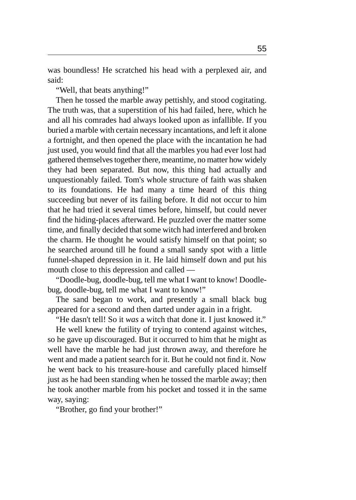was boundless! He scratched his head with a perplexed air, and said:

"Well, that beats anything!"

Then he tossed the marble away pettishly, and stood cogitating. The truth was, that a superstition of his had failed, here, which he and all his comrades had always looked upon as infallible. If you buried a marble with certain necessary incantations, and left it alone a fortnight, and then opened the place with the incantation he had just used, you would find that all the marbles you had ever lost had gathered themselves together there, meantime, no matter how widely they had been separated. But now, this thing had actually and unquestionably failed. Tom's whole structure of faith was shaken to its foundations. He had many a time heard of this thing succeeding but never of its failing before. It did not occur to him that he had tried it several times before, himself, but could never find the hiding-places afterward. He puzzled over the matter some time, and finally decided that some witch had interfered and broken the charm. He thought he would satisfy himself on that point; so he searched around till he found a small sandy spot with a little funnel-shaped depression in it. He laid himself down and put his mouth close to this depression and called —

"Doodle-bug, doodle-bug, tell me what I want to know! Doodlebug, doodle-bug, tell me what I want to know!"

The sand began to work, and presently a small black bug appeared for a second and then darted under again in a fright.

"He dasn't tell! So it *was* a witch that done it. I just knowed it."

He well knew the futility of trying to contend against witches, so he gave up discouraged. But it occurred to him that he might as well have the marble he had just thrown away, and therefore he went and made a patient search for it. But he could not find it. Now he went back to his treasure-house and carefully placed himself just as he had been standing when he tossed the marble away; then he took another marble from his pocket and tossed it in the same way, saying:

"Brother, go find your brother!"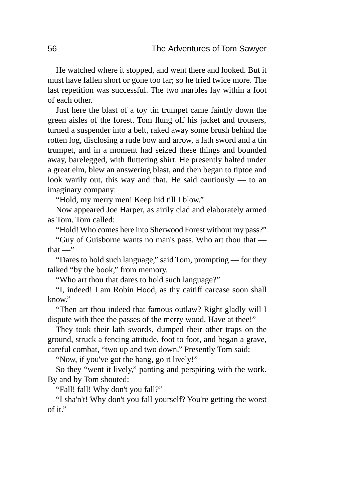He watched where it stopped, and went there and looked. But it must have fallen short or gone too far; so he tried twice more. The last repetition was successful. The two marbles lay within a foot of each other.

Just here the blast of a toy tin trumpet came faintly down the green aisles of the forest. Tom flung off his jacket and trousers, turned a suspender into a belt, raked away some brush behind the rotten log, disclosing a rude bow and arrow, a lath sword and a tin trumpet, and in a moment had seized these things and bounded away, barelegged, with fluttering shirt. He presently halted under a great elm, blew an answering blast, and then began to tiptoe and look warily out, this way and that. He said cautiously — to an imaginary company:

"Hold, my merry men! Keep hid till I blow."

Now appeared Joe Harper, as airily clad and elaborately armed as Tom. Tom called:

"Hold! Who comes here into Sherwood Forest without my pass?"

"Guy of Guisborne wants no man's pass. Who art thou that that $-$ "

"Dares to hold such language," said Tom, prompting — for they talked "by the book," from memory.

"Who art thou that dares to hold such language?"

"I, indeed! I am Robin Hood, as thy caitiff carcase soon shall know."

"Then art thou indeed that famous outlaw? Right gladly will I dispute with thee the passes of the merry wood. Have at thee!"

They took their lath swords, dumped their other traps on the ground, struck a fencing attitude, foot to foot, and began a grave, careful combat, "two up and two down." Presently Tom said:

"Now, if you've got the hang, go it lively!"

So they "went it lively," panting and perspiring with the work. By and by Tom shouted:

"Fall! fall! Why don't you fall?"

"I sha'n't! Why don't you fall yourself? You're getting the worst of it."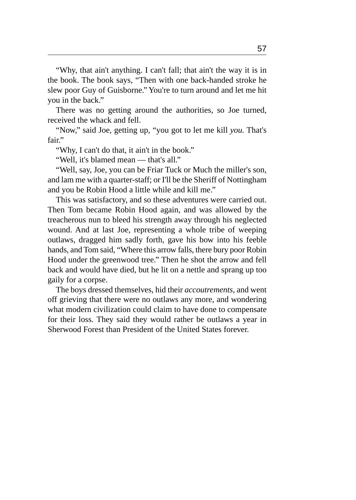"Why, that ain't anything. I can't fall; that ain't the way it is in the book. The book says, "Then with one back-handed stroke he slew poor Guy of Guisborne." You're to turn around and let me hit you in the back."

There was no getting around the authorities, so Joe turned, received the whack and fell.

"Now," said Joe, getting up, "you got to let me kill *you.* That's fair."

"Why, I can't do that, it ain't in the book."

"Well, it's blamed mean — that's all."

"Well, say, Joe, you can be Friar Tuck or Much the miller's son, and lam me with a quarter-staff; or I'll be the Sheriff of Nottingham and you be Robin Hood a little while and kill me."

This was satisfactory, and so these adventures were carried out. Then Tom became Robin Hood again, and was allowed by the treacherous nun to bleed his strength away through his neglected wound. And at last Joe, representing a whole tribe of weeping outlaws, dragged him sadly forth, gave his bow into his feeble hands, and Tom said, "Where this arrow falls, there bury poor Robin Hood under the greenwood tree." Then he shot the arrow and fell back and would have died, but he lit on a nettle and sprang up too gaily for a corpse.

The boys dressed themselves, hid their *accoutrements,* and went off grieving that there were no outlaws any more, and wondering what modern civilization could claim to have done to compensate for their loss. They said they would rather be outlaws a year in Sherwood Forest than President of the United States forever.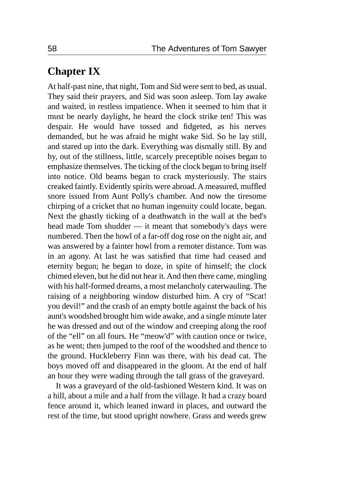## **Chapter IX**

At half-past nine, that night, Tom and Sid were sent to bed, as usual. They said their prayers, and Sid was soon asleep. Tom lay awake and waited, in restless impatience. When it seemed to him that it must be nearly daylight, he heard the clock strike ten! This was despair. He would have tossed and fidgeted, as his nerves demanded, but he was afraid he might wake Sid. So he lay still, and stared up into the dark. Everything was dismally still. By and by, out of the stillness, little, scarcely preceptible noises began to emphasize themselves. The ticking of the clock began to bring itself into notice. Old beams began to crack mysteriously. The stairs creaked faintly. Evidently spirits were abroad. A measured, muffled snore issued from Aunt Polly's chamber. And now the tiresome chirping of a cricket that no human ingenuity could locate, began. Next the ghastly ticking of a deathwatch in the wall at the bed's head made Tom shudder — it meant that somebody's days were numbered. Then the howl of a far-off dog rose on the night air, and was answered by a fainter howl from a remoter distance. Tom was in an agony. At last he was satisfied that time had ceased and eternity begun; he began to doze, in spite of himself; the clock chimed eleven, but he did not hear it. And then there came, mingling with his half-formed dreams, a most melancholy caterwauling. The raising of a neighboring window disturbed him. A cry of "Scat! you devil!" and the crash of an empty bottle against the back of his aunt's woodshed brought him wide awake, and a single minute later he was dressed and out of the window and creeping along the roof of the "ell" on all fours. He "meow'd" with caution once or twice, as he went; then jumped to the roof of the woodshed and thence to the ground. Huckleberry Finn was there, with his dead cat. The boys moved off and disappeared in the gloom. At the end of half an hour they were wading through the tall grass of the graveyard.

It was a graveyard of the old-fashioned Western kind. It was on a hill, about a mile and a half from the village. It had a crazy board fence around it, which leaned inward in places, and outward the rest of the time, but stood upright nowhere. Grass and weeds grew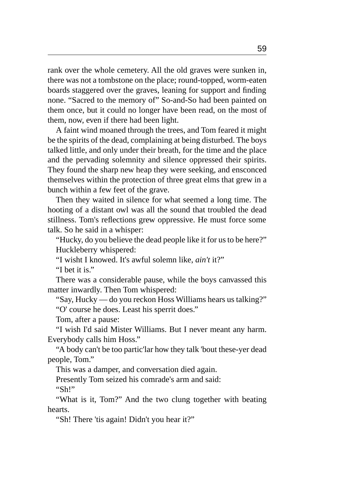rank over the whole cemetery. All the old graves were sunken in, there was not a tombstone on the place; round-topped, worm-eaten boards staggered over the graves, leaning for support and finding none. "Sacred to the memory of" So-and-So had been painted on them once, but it could no longer have been read, on the most of them, now, even if there had been light.

A faint wind moaned through the trees, and Tom feared it might be the spirits of the dead, complaining at being disturbed. The boys talked little, and only under their breath, for the time and the place and the pervading solemnity and silence oppressed their spirits. They found the sharp new heap they were seeking, and ensconced themselves within the protection of three great elms that grew in a bunch within a few feet of the grave.

Then they waited in silence for what seemed a long time. The hooting of a distant owl was all the sound that troubled the dead stillness. Tom's reflections grew oppressive. He must force some talk. So he said in a whisper:

"Hucky, do you believe the dead people like it for us to be here?" Huckleberry whispered:

"I wisht I knowed. It's awful solemn like, *ain't* it?"

"I bet it is."

There was a considerable pause, while the boys canvassed this matter inwardly. Then Tom whispered:

"Say, Hucky — do you reckon Hoss Williams hears us talking?" "O' course he does. Least his sperrit does."

Tom, after a pause:

"I wish I'd said Mister Williams. But I never meant any harm. Everybody calls him Hoss."

"A body can't be too partic'lar how they talk 'bout these-yer dead people, Tom."

This was a damper, and conversation died again.

Presently Tom seized his comrade's arm and said:

"Sh!"

"What is it, Tom?" And the two clung together with beating hearts.

"Sh! There 'tis again! Didn't you hear it?"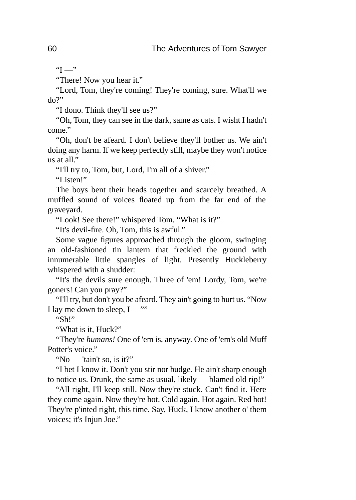$"I"$ 

"There! Now you hear it."

"Lord, Tom, they're coming! They're coming, sure. What'll we do?"

"I dono. Think they'll see us?"

"Oh, Tom, they can see in the dark, same as cats. I wisht I hadn't come."

"Oh, don't be afeard. I don't believe they'll bother us. We ain't doing any harm. If we keep perfectly still, maybe they won't notice  $\overline{\mathbf{u}}$  at all."

"I'll try to, Tom, but, Lord, I'm all of a shiver."

"Listen!"

The boys bent their heads together and scarcely breathed. A muffled sound of voices floated up from the far end of the graveyard.

"Look! See there!" whispered Tom. "What is it?"

"It's devil-fire. Oh, Tom, this is awful."

Some vague figures approached through the gloom, swinging an old-fashioned tin lantern that freckled the ground with innumerable little spangles of light. Presently Huckleberry whispered with a shudder:

"It's the devils sure enough. Three of 'em! Lordy, Tom, we're goners! Can you pray?"

"I'll try, but don't you be afeard. They ain't going to hurt us. "Now I lay me down to sleep,  $I -$ "

"Sh!"

"What is it, Huck?"

"They're *humans!* One of 'em is, anyway. One of 'em's old Muff Potter's voice."

"No — 'tain't so, is it?"

"I bet I know it. Don't you stir nor budge. He ain't sharp enough to notice us. Drunk, the same as usual, likely — blamed old rip!"

"All right, I'll keep still. Now they're stuck. Can't find it. Here they come again. Now they're hot. Cold again. Hot again. Red hot! They're p'inted right, this time. Say, Huck, I know another o' them voices; it's Injun Joe."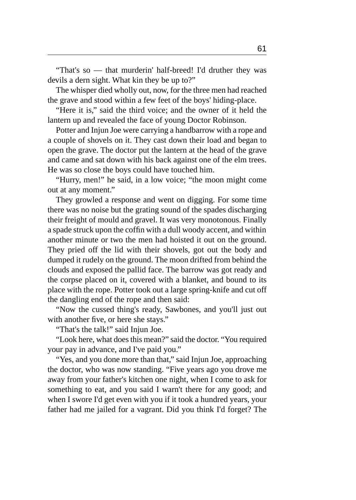"That's so — that murderin' half-breed! I'd druther they was devils a dern sight. What kin they be up to?"

The whisper died wholly out, now, for the three men had reached the grave and stood within a few feet of the boys' hiding-place.

"Here it is," said the third voice; and the owner of it held the lantern up and revealed the face of young Doctor Robinson.

Potter and Injun Joe were carrying a handbarrow with a rope and a couple of shovels on it. They cast down their load and began to open the grave. The doctor put the lantern at the head of the grave and came and sat down with his back against one of the elm trees. He was so close the boys could have touched him.

"Hurry, men!" he said, in a low voice; "the moon might come out at any moment."

They growled a response and went on digging. For some time there was no noise but the grating sound of the spades discharging their freight of mould and gravel. It was very monotonous. Finally a spade struck upon the coffin with a dull woody accent, and within another minute or two the men had hoisted it out on the ground. They pried off the lid with their shovels, got out the body and dumped it rudely on the ground. The moon drifted from behind the clouds and exposed the pallid face. The barrow was got ready and the corpse placed on it, covered with a blanket, and bound to its place with the rope. Potter took out a large spring-knife and cut off the dangling end of the rope and then said:

"Now the cussed thing's ready, Sawbones, and you'll just out with another five, or here she stays."

"That's the talk!" said Injun Joe.

"Look here, what does this mean?" said the doctor. "You required your pay in advance, and I've paid you."

"Yes, and you done more than that," said Injun Joe, approaching the doctor, who was now standing. "Five years ago you drove me away from your father's kitchen one night, when I come to ask for something to eat, and you said I warn't there for any good; and when I swore I'd get even with you if it took a hundred years, your father had me jailed for a vagrant. Did you think I'd forget? The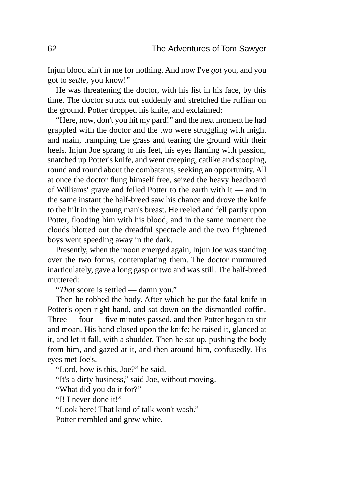Injun blood ain't in me for nothing. And now I've *got* you, and you got to *settle,* you know!"

He was threatening the doctor, with his fist in his face, by this time. The doctor struck out suddenly and stretched the ruffian on the ground. Potter dropped his knife, and exclaimed:

"Here, now, don't you hit my pard!" and the next moment he had grappled with the doctor and the two were struggling with might and main, trampling the grass and tearing the ground with their heels. Injun Joe sprang to his feet, his eyes flaming with passion, snatched up Potter's knife, and went creeping, catlike and stooping, round and round about the combatants, seeking an opportunity. All at once the doctor flung himself free, seized the heavy headboard of Williams' grave and felled Potter to the earth with it — and in the same instant the half-breed saw his chance and drove the knife to the hilt in the young man's breast. He reeled and fell partly upon Potter, flooding him with his blood, and in the same moment the clouds blotted out the dreadful spectacle and the two frightened boys went speeding away in the dark.

Presently, when the moon emerged again, Injun Joe was standing over the two forms, contemplating them. The doctor murmured inarticulately, gave a long gasp or two and was still. The half-breed muttered:

"*That* score is settled — damn you."

Then he robbed the body. After which he put the fatal knife in Potter's open right hand, and sat down on the dismantled coffin. Three — four — five minutes passed, and then Potter began to stir and moan. His hand closed upon the knife; he raised it, glanced at it, and let it fall, with a shudder. Then he sat up, pushing the body from him, and gazed at it, and then around him, confusedly. His eyes met Joe's.

"Lord, how is this, Joe?" he said.

"It's a dirty business," said Joe, without moving.

"What did you do it for?"

"I! I never done it!"

"Look here! That kind of talk won't wash."

Potter trembled and grew white.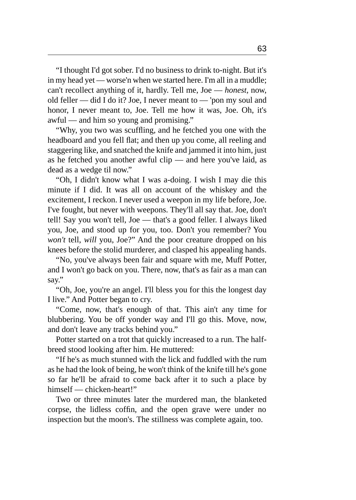"I thought I'd got sober. I'd no business to drink to-night. But it's in my head yet — worse'n when we started here. I'm all in a muddle; can't recollect anything of it, hardly. Tell me, Joe — *honest,* now, old feller — did I do it? Joe, I never meant to — 'pon my soul and honor, I never meant to, Joe. Tell me how it was, Joe. Oh, it's awful — and him so young and promising."

"Why, you two was scuffling, and he fetched you one with the headboard and you fell flat; and then up you come, all reeling and staggering like, and snatched the knife and jammed it into him, just as he fetched you another awful clip — and here you've laid, as dead as a wedge til now."

"Oh, I didn't know what I was a-doing. I wish I may die this minute if I did. It was all on account of the whiskey and the excitement, I reckon. I never used a weepon in my life before, Joe. I've fought, but never with weepons. They'll all say that. Joe, don't tell! Say you won't tell, Joe — that's a good feller. I always liked you, Joe, and stood up for you, too. Don't you remember? You *won't* tell, *will* you, Joe?" And the poor creature dropped on his knees before the stolid murderer, and clasped his appealing hands.

"No, you've always been fair and square with me, Muff Potter, and I won't go back on you. There, now, that's as fair as a man can say."

"Oh, Joe, you're an angel. I'll bless you for this the longest day I live." And Potter began to cry.

"Come, now, that's enough of that. This ain't any time for blubbering. You be off yonder way and I'll go this. Move, now, and don't leave any tracks behind you."

Potter started on a trot that quickly increased to a run. The halfbreed stood looking after him. He muttered:

"If he's as much stunned with the lick and fuddled with the rum as he had the look of being, he won't think of the knife till he's gone so far he'll be afraid to come back after it to such a place by himself — chicken-heart!"

Two or three minutes later the murdered man, the blanketed corpse, the lidless coffin, and the open grave were under no inspection but the moon's. The stillness was complete again, too.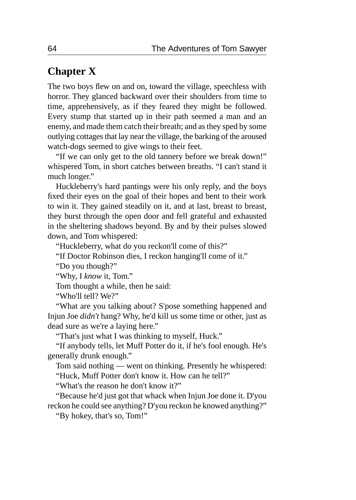## **Chapter X**

The two boys flew on and on, toward the village, speechless with horror. They glanced backward over their shoulders from time to time, apprehensively, as if they feared they might be followed. Every stump that started up in their path seemed a man and an enemy, and made them catch their breath; and as they sped by some outlying cottages that lay near the village, the barking of the aroused watch-dogs seemed to give wings to their feet.

"If we can only get to the old tannery before we break down!" whispered Tom, in short catches between breaths. "I can't stand it much longer."

Huckleberry's hard pantings were his only reply, and the boys fixed their eyes on the goal of their hopes and bent to their work to win it. They gained steadily on it, and at last, breast to breast, they burst through the open door and fell grateful and exhausted in the sheltering shadows beyond. By and by their pulses slowed down, and Tom whispered:

"Huckleberry, what do you reckon'll come of this?"

"If Doctor Robinson dies, I reckon hanging'll come of it."

"Do you though?"

"Why, I *know* it, Tom."

Tom thought a while, then he said:

"Who'll tell? We?"

"What are you talking about? S'pose something happened and Injun Joe *didn't* hang? Why, he'd kill us some time or other, just as dead sure as we're a laying here."

"That's just what I was thinking to myself, Huck."

"If anybody tells, let Muff Potter do it, if he's fool enough. He's generally drunk enough."

Tom said nothing — went on thinking. Presently he whispered: "Huck, Muff Potter don't know it. How can he tell?"

"What's the reason he don't know it?"

"Because he'd just got that whack when Injun Joe done it. D'you reckon he could see anything? D'you reckon he knowed anything?"

"By hokey, that's so, Tom!"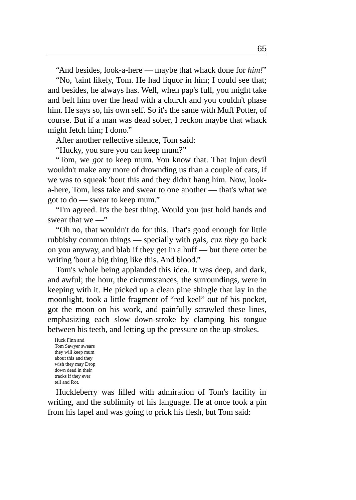"And besides, look-a-here — maybe that whack done for *him!*" "No, 'taint likely, Tom. He had liquor in him; I could see that; and besides, he always has. Well, when pap's full, you might take and belt him over the head with a church and you couldn't phase him. He says so, his own self. So it's the same with Muff Potter, of course. But if a man was dead sober, I reckon maybe that whack might fetch him; I dono."

After another reflective silence, Tom said:

"Hucky, you sure you can keep mum?"

"Tom, we *got* to keep mum. You know that. That Injun devil wouldn't make any more of drownding us than a couple of cats, if we was to squeak 'bout this and they didn't hang him. Now, looka-here, Tom, less take and swear to one another — that's what we got to do — swear to keep mum."

"I'm agreed. It's the best thing. Would you just hold hands and swear that we —"

"Oh no, that wouldn't do for this. That's good enough for little rubbishy common things — specially with gals, cuz *they* go back on you anyway, and blab if they get in a huff — but there orter be writing 'bout a big thing like this. And blood."

Tom's whole being applauded this idea. It was deep, and dark, and awful; the hour, the circumstances, the surroundings, were in keeping with it. He picked up a clean pine shingle that lay in the moonlight, took a little fragment of "red keel" out of his pocket, got the moon on his work, and painfully scrawled these lines, emphasizing each slow down-stroke by clamping his tongue between his teeth, and letting up the pressure on the up-strokes.

Huck Finn and Tom Sawyer swears they will keep mum about this and they wish they may Drop down dead in their tracks if they ever tell and Rot.

Huckleberry was filled with admiration of Tom's facility in writing, and the sublimity of his language. He at once took a pin from his lapel and was going to prick his flesh, but Tom said: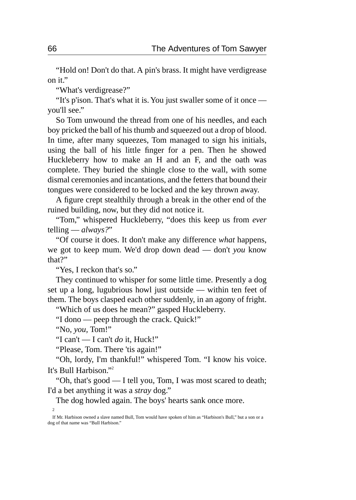"Hold on! Don't do that. A pin's brass. It might have verdigrease on it."

"What's verdigrease?"

"It's p'ison. That's what it is. You just swaller some of it once you'll see."

So Tom unwound the thread from one of his needles, and each boy pricked the ball of his thumb and squeezed out a drop of blood. In time, after many squeezes, Tom managed to sign his initials, using the ball of his little finger for a pen. Then he showed Huckleberry how to make an H and an F, and the oath was complete. They buried the shingle close to the wall, with some dismal ceremonies and incantations, and the fetters that bound their tongues were considered to be locked and the key thrown away.

A figure crept stealthily through a break in the other end of the ruined building, now, but they did not notice it.

"Tom," whispered Huckleberry, "does this keep us from *ever* telling — *always?*"

"Of course it does. It don't make any difference *what* happens, we got to keep mum. We'd drop down dead — don't *you* know that?"

"Yes. I reckon that's so."

They continued to whisper for some little time. Presently a dog set up a long, lugubrious howl just outside — within ten feet of them. The boys clasped each other suddenly, in an agony of fright.

"Which of us does he mean?" gasped Huckleberry.

"I dono — peep through the crack. Quick!"

"No, *you,* Tom!"

"I can't — I can't *do* it, Huck!"

"Please, Tom. There 'tis again!"

"Oh, lordy, I'm thankful!" whispered Tom. "I know his voice. It's Bull Harbison."<sup>2</sup>

"Oh, that's good — I tell you, Tom, I was most scared to death; I'd a bet anything it was a *stray* dog."

The dog howled again. The boys' hearts sank once more. 2

If Mr. Harbison owned a slave named Bull, Tom would have spoken of him as "Harbison's Bull," but a son or a dog of that name was "Bull Harbison."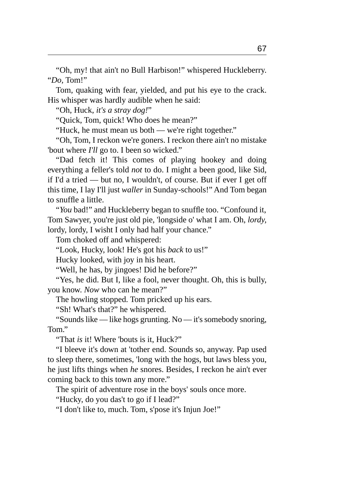"Oh, my! that ain't no Bull Harbison!" whispered Huckleberry. "*Do,* Tom!"

Tom, quaking with fear, yielded, and put his eye to the crack. His whisper was hardly audible when he said:

"Oh, Huck, *it's a stray dog!*"

"Quick, Tom, quick! Who does he mean?"

"Huck, he must mean us both — we're right together."

"Oh, Tom, I reckon we're goners. I reckon there ain't no mistake 'bout where *I'll* go to. I been so wicked."

"Dad fetch it! This comes of playing hookey and doing everything a feller's told *not* to do. I might a been good, like Sid, if I'd a tried — but no, I wouldn't, of course. But if ever I get off this time, I lay I'll just *waller* in Sunday-schools!" And Tom began to snuffle a little.

"*You* bad!" and Huckleberry began to snuffle too. "Confound it, Tom Sawyer, you're just old pie, 'longside o' what I am. Oh, *lordy,* lordy, lordy, I wisht I only had half your chance."

Tom choked off and whispered:

"Look, Hucky, look! He's got his *back* to us!"

Hucky looked, with joy in his heart.

"Well, he has, by jingoes! Did he before?"

"Yes, he did. But I, like a fool, never thought. Oh, this is bully, you know. *Now* who can he mean?"

The howling stopped. Tom pricked up his ears.

"Sh! What's that?" he whispered.

"Sounds like — like hogs grunting. No — it's somebody snoring, Tom."

"That *is* it! Where 'bouts is it, Huck?"

"I bleeve it's down at 'tother end. Sounds so, anyway. Pap used to sleep there, sometimes, 'long with the hogs, but laws bless you, he just lifts things when *he* snores. Besides, I reckon he ain't ever coming back to this town any more."

The spirit of adventure rose in the boys' souls once more.

"Hucky, do you das't to go if I lead?"

"I don't like to, much. Tom, s'pose it's Injun Joe!"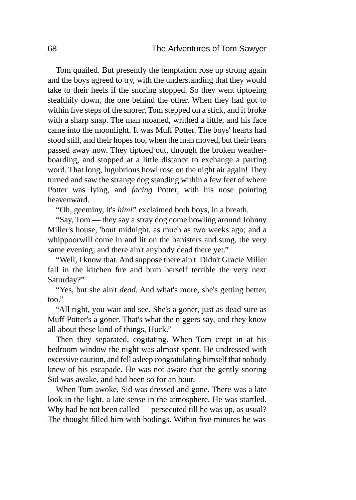Tom quailed. But presently the temptation rose up strong again and the boys agreed to try, with the understanding that they would take to their heels if the snoring stopped. So they went tiptoeing stealthily down, the one behind the other. When they had got to within five steps of the snorer, Tom stepped on a stick, and it broke with a sharp snap. The man moaned, writhed a little, and his face came into the moonlight. It was Muff Potter. The boys' hearts had stood still, and their hopes too, when the man moved, but their fears passed away now. They tiptoed out, through the broken weatherboarding, and stopped at a little distance to exchange a parting word. That long, lugubrious howl rose on the night air again! They turned and saw the strange dog standing within a few feet of where Potter was lying, and *facing* Potter, with his nose pointing heavenward.

"Oh, geeminy, it's *him!*" exclaimed both boys, in a breath.

"Say, Tom — they say a stray dog come howling around Johnny Miller's house, 'bout midnight, as much as two weeks ago; and a whippoorwill come in and lit on the banisters and sung, the very same evening; and there ain't anybody dead there yet."

"Well, I know that. And suppose there ain't. Didn't Gracie Miller fall in the kitchen fire and burn herself terrible the very next Saturday?"

"Yes, but she ain't *dead.* And what's more, she's getting better, too."

"All right, you wait and see. She's a goner, just as dead sure as Muff Potter's a goner. That's what the niggers say, and they know all about these kind of things, Huck."

Then they separated, cogitating. When Tom crept in at his bedroom window the night was almost spent. He undressed with excessive caution, and fell asleep congratulating himself that nobody knew of his escapade. He was not aware that the gently-snoring Sid was awake, and had been so for an hour.

When Tom awoke, Sid was dressed and gone. There was a late look in the light, a late sense in the atmosphere. He was startled. Why had he not been called — persecuted till he was up, as usual? The thought filled him with bodings. Within five minutes he was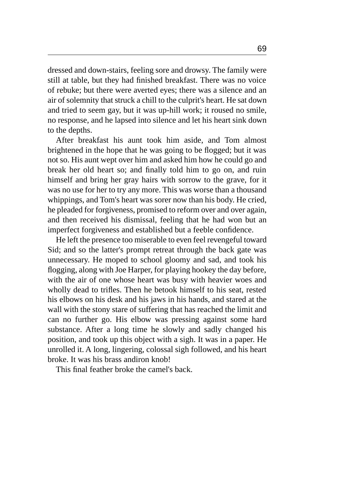dressed and down-stairs, feeling sore and drowsy. The family were still at table, but they had finished breakfast. There was no voice of rebuke; but there were averted eyes; there was a silence and an air of solemnity that struck a chill to the culprit's heart. He sat down and tried to seem gay, but it was up-hill work; it roused no smile, no response, and he lapsed into silence and let his heart sink down to the depths.

After breakfast his aunt took him aside, and Tom almost brightened in the hope that he was going to be flogged; but it was not so. His aunt wept over him and asked him how he could go and break her old heart so; and finally told him to go on, and ruin himself and bring her gray hairs with sorrow to the grave, for it was no use for her to try any more. This was worse than a thousand whippings, and Tom's heart was sorer now than his body. He cried, he pleaded for forgiveness, promised to reform over and over again, and then received his dismissal, feeling that he had won but an imperfect forgiveness and established but a feeble confidence.

He left the presence too miserable to even feel revengeful toward Sid; and so the latter's prompt retreat through the back gate was unnecessary. He moped to school gloomy and sad, and took his flogging, along with Joe Harper, for playing hookey the day before, with the air of one whose heart was busy with heavier woes and wholly dead to trifles. Then he betook himself to his seat, rested his elbows on his desk and his jaws in his hands, and stared at the wall with the stony stare of suffering that has reached the limit and can no further go. His elbow was pressing against some hard substance. After a long time he slowly and sadly changed his position, and took up this object with a sigh. It was in a paper. He unrolled it. A long, lingering, colossal sigh followed, and his heart broke. It was his brass andiron knob!

This final feather broke the camel's back.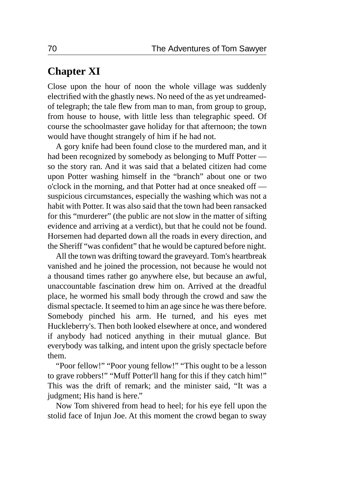### **Chapter XI**

Close upon the hour of noon the whole village was suddenly electrified with the ghastly news. No need of the as yet undreamedof telegraph; the tale flew from man to man, from group to group, from house to house, with little less than telegraphic speed. Of course the schoolmaster gave holiday for that afternoon; the town would have thought strangely of him if he had not.

A gory knife had been found close to the murdered man, and it had been recognized by somebody as belonging to Muff Potter so the story ran. And it was said that a belated citizen had come upon Potter washing himself in the "branch" about one or two o'clock in the morning, and that Potter had at once sneaked off suspicious circumstances, especially the washing which was not a habit with Potter. It was also said that the town had been ransacked for this "murderer" (the public are not slow in the matter of sifting evidence and arriving at a verdict), but that he could not be found. Horsemen had departed down all the roads in every direction, and the Sheriff "was confident" that he would be captured before night.

All the town was drifting toward the graveyard. Tom's heartbreak vanished and he joined the procession, not because he would not a thousand times rather go anywhere else, but because an awful, unaccountable fascination drew him on. Arrived at the dreadful place, he wormed his small body through the crowd and saw the dismal spectacle. It seemed to him an age since he was there before. Somebody pinched his arm. He turned, and his eyes met Huckleberry's. Then both looked elsewhere at once, and wondered if anybody had noticed anything in their mutual glance. But everybody was talking, and intent upon the grisly spectacle before them.

"Poor fellow!" "Poor young fellow!" "This ought to be a lesson to grave robbers!" "Muff Potter'll hang for this if they catch him!" This was the drift of remark; and the minister said, "It was a judgment; His hand is here."

Now Tom shivered from head to heel; for his eye fell upon the stolid face of Injun Joe. At this moment the crowd began to sway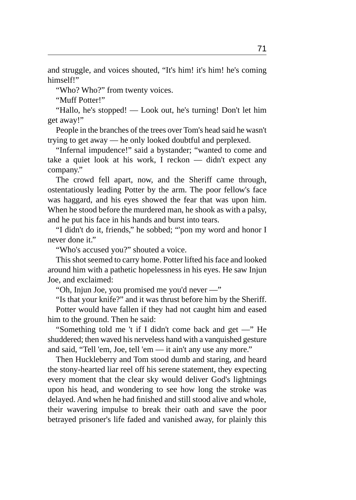and struggle, and voices shouted, "It's him! it's him! he's coming himself!"

"Who? Who?" from twenty voices.

"Muff Potter!"

"Hallo, he's stopped! — Look out, he's turning! Don't let him get away!"

People in the branches of the trees over Tom's head said he wasn't trying to get away — he only looked doubtful and perplexed.

"Infernal impudence!" said a bystander; "wanted to come and take a quiet look at his work, I reckon — didn't expect any company."

The crowd fell apart, now, and the Sheriff came through, ostentatiously leading Potter by the arm. The poor fellow's face was haggard, and his eyes showed the fear that was upon him. When he stood before the murdered man, he shook as with a palsy, and he put his face in his hands and burst into tears.

"I didn't do it, friends," he sobbed; "'pon my word and honor I never done it."

"Who's accused you?" shouted a voice.

This shot seemed to carry home. Potter lifted his face and looked around him with a pathetic hopelessness in his eyes. He saw Injun Joe, and exclaimed:

"Oh, Injun Joe, you promised me you'd never —"

"Is that your knife?" and it was thrust before him by the Sheriff. Potter would have fallen if they had not caught him and eased him to the ground. Then he said:

"Something told me 't if I didn't come back and get —" He shuddered; then waved his nerveless hand with a vanquished gesture and said, "Tell 'em, Joe, tell 'em — it ain't any use any more."

Then Huckleberry and Tom stood dumb and staring, and heard the stony-hearted liar reel off his serene statement, they expecting every moment that the clear sky would deliver God's lightnings upon his head, and wondering to see how long the stroke was delayed. And when he had finished and still stood alive and whole, their wavering impulse to break their oath and save the poor betrayed prisoner's life faded and vanished away, for plainly this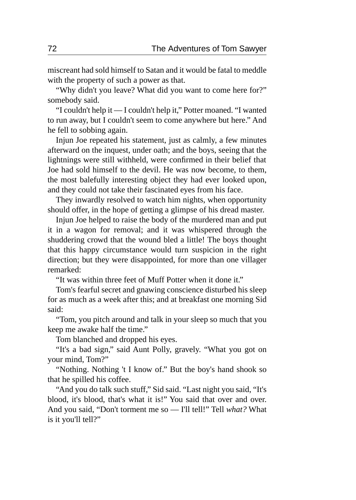miscreant had sold himself to Satan and it would be fatal to meddle with the property of such a power as that.

"Why didn't you leave? What did you want to come here for?" somebody said.

"I couldn't help it — I couldn't help it," Potter moaned. "I wanted to run away, but I couldn't seem to come anywhere but here." And he fell to sobbing again.

Injun Joe repeated his statement, just as calmly, a few minutes afterward on the inquest, under oath; and the boys, seeing that the lightnings were still withheld, were confirmed in their belief that Joe had sold himself to the devil. He was now become, to them, the most balefully interesting object they had ever looked upon, and they could not take their fascinated eyes from his face.

They inwardly resolved to watch him nights, when opportunity should offer, in the hope of getting a glimpse of his dread master.

Injun Joe helped to raise the body of the murdered man and put it in a wagon for removal; and it was whispered through the shuddering crowd that the wound bled a little! The boys thought that this happy circumstance would turn suspicion in the right direction; but they were disappointed, for more than one villager remarked:

"It was within three feet of Muff Potter when it done it."

Tom's fearful secret and gnawing conscience disturbed his sleep for as much as a week after this; and at breakfast one morning Sid said:

"Tom, you pitch around and talk in your sleep so much that you keep me awake half the time."

Tom blanched and dropped his eyes.

"It's a bad sign," said Aunt Polly, gravely. "What you got on your mind, Tom?"

"Nothing. Nothing 't I know of." But the boy's hand shook so that he spilled his coffee.

"And you do talk such stuff," Sid said. "Last night you said, "It's blood, it's blood, that's what it is!" You said that over and over. And you said, "Don't torment me so — I'll tell!" Tell *what?* What is it you'll tell?"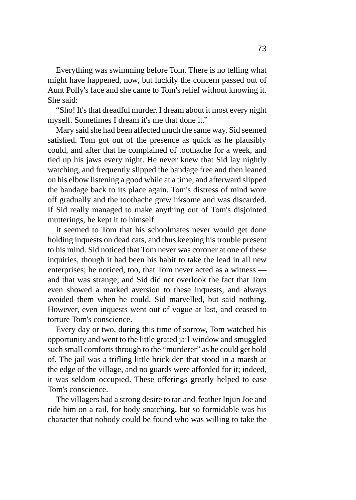Everything was swimming before Tom. There is no telling what might have happened, now, but luckily the concern passed out of Aunt Polly's face and she came to Tom's relief without knowing it. She said:

"Sho! It's that dreadful murder. I dream about it most every night myself. Sometimes I dream it's me that done it."

Mary said she had been affected much the same way. Sid seemed satisfied. Tom got out of the presence as quick as he plausibly could, and after that he complained of toothache for a week, and tied up his jaws every night. He never knew that Sid lay nightly watching, and frequently slipped the bandage free and then leaned on his elbow listening a good while at a time, and afterward slipped the bandage back to its place again. Tom's distress of mind wore off gradually and the toothache grew irksome and was discarded. If Sid really managed to make anything out of Tom's disjointed mutterings, he kept it to himself.

It seemed to Tom that his schoolmates never would get done holding inquests on dead cats, and thus keeping his trouble present to his mind. Sid noticed that Tom never was coroner at one of these inquiries, though it had been his habit to take the lead in all new enterprises; he noticed, too, that Tom never acted as a witness and that was strange; and Sid did not overlook the fact that Tom even showed a marked aversion to these inquests, and always avoided them when he could. Sid marvelled, but said nothing. However, even inquests went out of vogue at last, and ceased to torture Tom's conscience.

Every day or two, during this time of sorrow, Tom watched his opportunity and went to the little grated jail-window and smuggled such small comforts through to the "murderer" as he could get hold of. The jail was a trifling little brick den that stood in a marsh at the edge of the village, and no guards were afforded for it; indeed, it was seldom occupied. These offerings greatly helped to ease Tom's conscience.

The villagers had a strong desire to tar-and-feather Injun Joe and ride him on a rail, for body-snatching, but so formidable was his character that nobody could be found who was willing to take the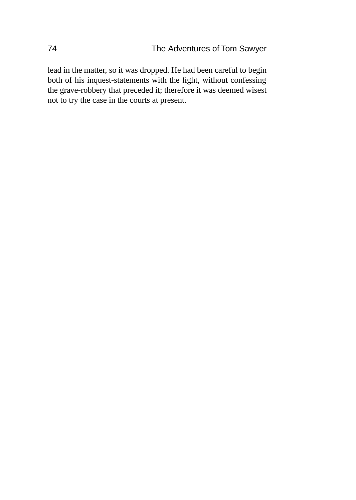lead in the matter, so it was dropped. He had been careful to begin both of his inquest-statements with the fight, without confessing the grave-robbery that preceded it; therefore it was deemed wisest not to try the case in the courts at present.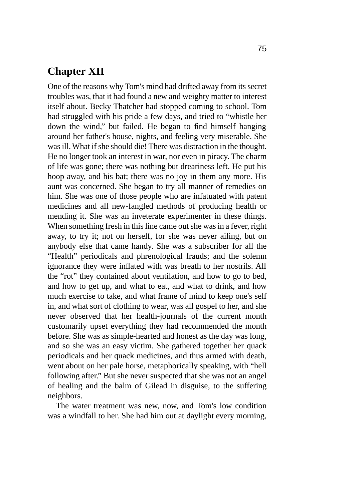# **Chapter XII**

One of the reasons why Tom's mind had drifted away from its secret troubles was, that it had found a new and weighty matter to interest itself about. Becky Thatcher had stopped coming to school. Tom had struggled with his pride a few days, and tried to "whistle her down the wind," but failed. He began to find himself hanging around her father's house, nights, and feeling very miserable. She was ill. What if she should die! There was distraction in the thought. He no longer took an interest in war, nor even in piracy. The charm of life was gone; there was nothing but dreariness left. He put his hoop away, and his bat; there was no joy in them any more. His aunt was concerned. She began to try all manner of remedies on him. She was one of those people who are infatuated with patent medicines and all new-fangled methods of producing health or mending it. She was an inveterate experimenter in these things. When something fresh in this line came out she was in a fever, right away, to try it; not on herself, for she was never ailing, but on anybody else that came handy. She was a subscriber for all the "Health" periodicals and phrenological frauds; and the solemn ignorance they were inflated with was breath to her nostrils. All the "rot" they contained about ventilation, and how to go to bed, and how to get up, and what to eat, and what to drink, and how much exercise to take, and what frame of mind to keep one's self in, and what sort of clothing to wear, was all gospel to her, and she never observed that her health-journals of the current month customarily upset everything they had recommended the month before. She was as simple-hearted and honest as the day was long, and so she was an easy victim. She gathered together her quack periodicals and her quack medicines, and thus armed with death, went about on her pale horse, metaphorically speaking, with "hell following after." But she never suspected that she was not an angel of healing and the balm of Gilead in disguise, to the suffering neighbors.

The water treatment was new, now, and Tom's low condition was a windfall to her. She had him out at daylight every morning,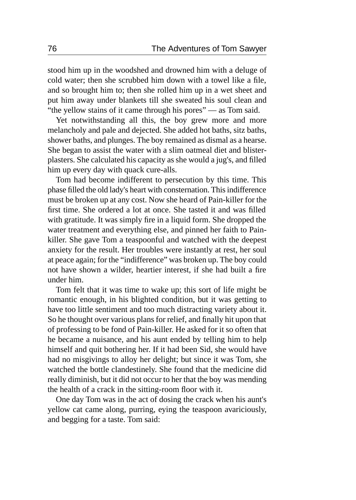stood him up in the woodshed and drowned him with a deluge of cold water; then she scrubbed him down with a towel like a file, and so brought him to; then she rolled him up in a wet sheet and put him away under blankets till she sweated his soul clean and "the yellow stains of it came through his pores" — as Tom said.

Yet notwithstanding all this, the boy grew more and more melancholy and pale and dejected. She added hot baths, sitz baths, shower baths, and plunges. The boy remained as dismal as a hearse. She began to assist the water with a slim oatmeal diet and blisterplasters. She calculated his capacity as she would a jug's, and filled him up every day with quack cure-alls.

Tom had become indifferent to persecution by this time. This phase filled the old lady's heart with consternation. This indifference must be broken up at any cost. Now she heard of Pain-killer for the first time. She ordered a lot at once. She tasted it and was filled with gratitude. It was simply fire in a liquid form. She dropped the water treatment and everything else, and pinned her faith to Painkiller. She gave Tom a teaspoonful and watched with the deepest anxiety for the result. Her troubles were instantly at rest, her soul at peace again; for the "indifference" was broken up. The boy could not have shown a wilder, heartier interest, if she had built a fire under him.

Tom felt that it was time to wake up; this sort of life might be romantic enough, in his blighted condition, but it was getting to have too little sentiment and too much distracting variety about it. So he thought over various plans for relief, and finally hit upon that of professing to be fond of Pain-killer. He asked for it so often that he became a nuisance, and his aunt ended by telling him to help himself and quit bothering her. If it had been Sid, she would have had no misgivings to alloy her delight; but since it was Tom, she watched the bottle clandestinely. She found that the medicine did really diminish, but it did not occur to her that the boy was mending the health of a crack in the sitting-room floor with it.

One day Tom was in the act of dosing the crack when his aunt's yellow cat came along, purring, eying the teaspoon avariciously, and begging for a taste. Tom said: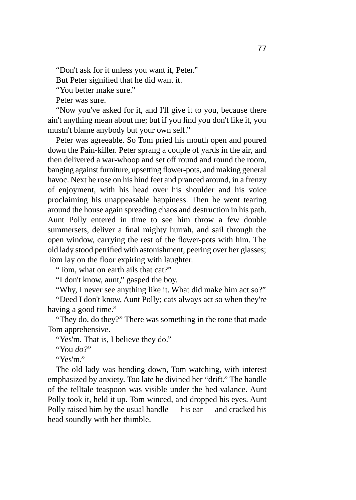"Don't ask for it unless you want it, Peter."

But Peter signified that he did want it.

"You better make sure."

Peter was sure.

"Now you've asked for it, and I'll give it to you, because there ain't anything mean about me; but if you find you don't like it, you mustn't blame anybody but your own self."

Peter was agreeable. So Tom pried his mouth open and poured down the Pain-killer. Peter sprang a couple of yards in the air, and then delivered a war-whoop and set off round and round the room, banging against furniture, upsetting flower-pots, and making general havoc. Next he rose on his hind feet and pranced around, in a frenzy of enjoyment, with his head over his shoulder and his voice proclaiming his unappeasable happiness. Then he went tearing around the house again spreading chaos and destruction in his path. Aunt Polly entered in time to see him throw a few double summersets, deliver a final mighty hurrah, and sail through the open window, carrying the rest of the flower-pots with him. The old lady stood petrified with astonishment, peering over her glasses; Tom lay on the floor expiring with laughter.

"Tom, what on earth ails that cat?"

"I don't know, aunt," gasped the boy.

"Why, I never see anything like it. What did make him act so?"

"Deed I don't know, Aunt Polly; cats always act so when they're having a good time."

"They do, do they?" There was something in the tone that made Tom apprehensive.

"Yes'm. That is, I believe they do."

"You *do?*"

"Yes'm."

The old lady was bending down, Tom watching, with interest emphasized by anxiety. Too late he divined her "drift." The handle of the telltale teaspoon was visible under the bed-valance. Aunt Polly took it, held it up. Tom winced, and dropped his eyes. Aunt Polly raised him by the usual handle — his ear — and cracked his head soundly with her thimble.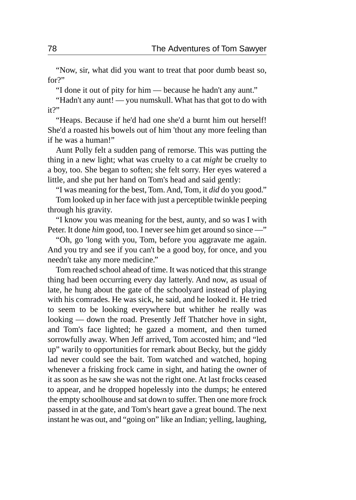"Now, sir, what did you want to treat that poor dumb beast so, for?"

"I done it out of pity for him — because he hadn't any aunt."

"Hadn't any aunt! — you numskull. What has that got to do with it?"

"Heaps. Because if he'd had one she'd a burnt him out herself! She'd a roasted his bowels out of him 'thout any more feeling than if he was a human!"

Aunt Polly felt a sudden pang of remorse. This was putting the thing in a new light; what was cruelty to a cat *might* be cruelty to a boy, too. She began to soften; she felt sorry. Her eyes watered a little, and she put her hand on Tom's head and said gently:

"I was meaning for the best, Tom. And, Tom, it *did* do you good."

Tom looked up in her face with just a perceptible twinkle peeping through his gravity.

"I know you was meaning for the best, aunty, and so was I with Peter. It done *him* good, too. I never see him get around so since —"

"Oh, go 'long with you, Tom, before you aggravate me again. And you try and see if you can't be a good boy, for once, and you needn't take any more medicine."

Tom reached school ahead of time. It was noticed that this strange thing had been occurring every day latterly. And now, as usual of late, he hung about the gate of the schoolyard instead of playing with his comrades. He was sick, he said, and he looked it. He tried to seem to be looking everywhere but whither he really was looking — down the road. Presently Jeff Thatcher hove in sight, and Tom's face lighted; he gazed a moment, and then turned sorrowfully away. When Jeff arrived, Tom accosted him; and "led up" warily to opportunities for remark about Becky, but the giddy lad never could see the bait. Tom watched and watched, hoping whenever a frisking frock came in sight, and hating the owner of it as soon as he saw she was not the right one. At last frocks ceased to appear, and he dropped hopelessly into the dumps; he entered the empty schoolhouse and sat down to suffer. Then one more frock passed in at the gate, and Tom's heart gave a great bound. The next instant he was out, and "going on" like an Indian; yelling, laughing,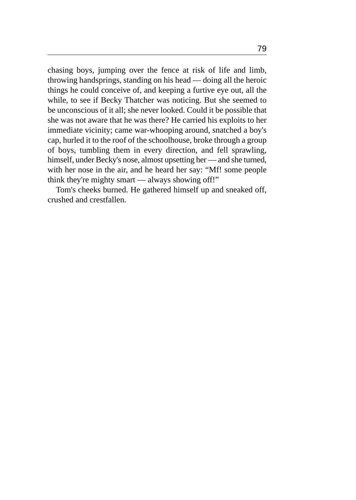chasing boys, jumping over the fence at risk of life and limb, throwing handsprings, standing on his head — doing all the heroic things he could conceive of, and keeping a furtive eye out, all the while, to see if Becky Thatcher was noticing. But she seemed to be unconscious of it all; she never looked. Could it be possible that she was not aware that he was there? He carried his exploits to her immediate vicinity; came war-whooping around, snatched a boy's cap, hurled it to the roof of the schoolhouse, broke through a group of boys, tumbling them in every direction, and fell sprawling, himself, under Becky's nose, almost upsetting her — and she turned, with her nose in the air, and he heard her say: "Mf! some people think they're mighty smart — always showing off!"

Tom's cheeks burned. He gathered himself up and sneaked off, crushed and crestfallen.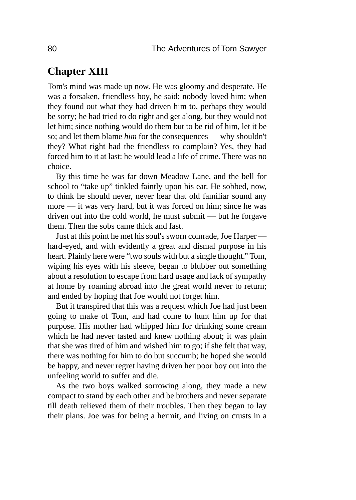# **Chapter XIII**

Tom's mind was made up now. He was gloomy and desperate. He was a forsaken, friendless boy, he said; nobody loved him; when they found out what they had driven him to, perhaps they would be sorry; he had tried to do right and get along, but they would not let him; since nothing would do them but to be rid of him, let it be so; and let them blame *him* for the consequences — why shouldn't they? What right had the friendless to complain? Yes, they had forced him to it at last: he would lead a life of crime. There was no choice.

By this time he was far down Meadow Lane, and the bell for school to "take up" tinkled faintly upon his ear. He sobbed, now, to think he should never, never hear that old familiar sound any more — it was very hard, but it was forced on him; since he was driven out into the cold world, he must submit — but he forgave them. Then the sobs came thick and fast.

Just at this point he met his soul's sworn comrade, Joe Harper hard-eyed, and with evidently a great and dismal purpose in his heart. Plainly here were "two souls with but a single thought." Tom, wiping his eyes with his sleeve, began to blubber out something about a resolution to escape from hard usage and lack of sympathy at home by roaming abroad into the great world never to return; and ended by hoping that Joe would not forget him.

But it transpired that this was a request which Joe had just been going to make of Tom, and had come to hunt him up for that purpose. His mother had whipped him for drinking some cream which he had never tasted and knew nothing about; it was plain that she was tired of him and wished him to go; if she felt that way, there was nothing for him to do but succumb; he hoped she would be happy, and never regret having driven her poor boy out into the unfeeling world to suffer and die.

As the two boys walked sorrowing along, they made a new compact to stand by each other and be brothers and never separate till death relieved them of their troubles. Then they began to lay their plans. Joe was for being a hermit, and living on crusts in a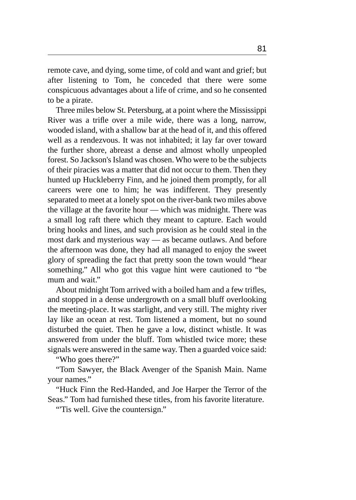remote cave, and dying, some time, of cold and want and grief; but after listening to Tom, he conceded that there were some conspicuous advantages about a life of crime, and so he consented to be a pirate.

Three miles below St. Petersburg, at a point where the Mississippi River was a trifle over a mile wide, there was a long, narrow, wooded island, with a shallow bar at the head of it, and this offered well as a rendezvous. It was not inhabited; it lay far over toward the further shore, abreast a dense and almost wholly unpeopled forest. So Jackson's Island was chosen. Who were to be the subjects of their piracies was a matter that did not occur to them. Then they hunted up Huckleberry Finn, and he joined them promptly, for all careers were one to him; he was indifferent. They presently separated to meet at a lonely spot on the river-bank two miles above the village at the favorite hour — which was midnight. There was a small log raft there which they meant to capture. Each would bring hooks and lines, and such provision as he could steal in the most dark and mysterious way — as became outlaws. And before the afternoon was done, they had all managed to enjoy the sweet glory of spreading the fact that pretty soon the town would "hear something." All who got this vague hint were cautioned to "be mum and wait."

About midnight Tom arrived with a boiled ham and a few trifles, and stopped in a dense undergrowth on a small bluff overlooking the meeting-place. It was starlight, and very still. The mighty river lay like an ocean at rest. Tom listened a moment, but no sound disturbed the quiet. Then he gave a low, distinct whistle. It was answered from under the bluff. Tom whistled twice more; these signals were answered in the same way. Then a guarded voice said:

"Who goes there?"

"Tom Sawyer, the Black Avenger of the Spanish Main. Name your names."

"Huck Finn the Red-Handed, and Joe Harper the Terror of the Seas." Tom had furnished these titles, from his favorite literature.

"Tis well. Give the countersign."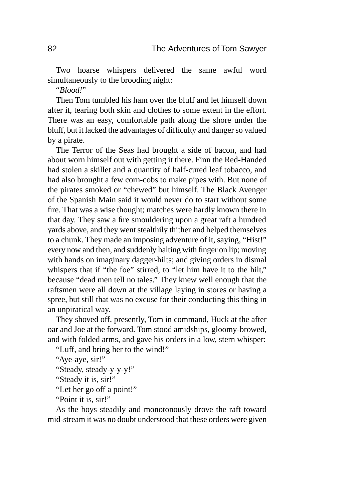Two hoarse whispers delivered the same awful word simultaneously to the brooding night:

"*Blood!*"

Then Tom tumbled his ham over the bluff and let himself down after it, tearing both skin and clothes to some extent in the effort. There was an easy, comfortable path along the shore under the bluff, but it lacked the advantages of difficulty and danger so valued by a pirate.

The Terror of the Seas had brought a side of bacon, and had about worn himself out with getting it there. Finn the Red-Handed had stolen a skillet and a quantity of half-cured leaf tobacco, and had also brought a few corn-cobs to make pipes with. But none of the pirates smoked or "chewed" but himself. The Black Avenger of the Spanish Main said it would never do to start without some fire. That was a wise thought; matches were hardly known there in that day. They saw a fire smouldering upon a great raft a hundred yards above, and they went stealthily thither and helped themselves to a chunk. They made an imposing adventure of it, saying, "Hist!" every now and then, and suddenly halting with finger on lip; moving with hands on imaginary dagger-hilts; and giving orders in dismal whispers that if "the foe" stirred, to "let him have it to the hilt," because "dead men tell no tales." They knew well enough that the raftsmen were all down at the village laying in stores or having a spree, but still that was no excuse for their conducting this thing in an unpiratical way.

They shoved off, presently, Tom in command, Huck at the after oar and Joe at the forward. Tom stood amidships, gloomy-browed, and with folded arms, and gave his orders in a low, stern whisper:

"Luff, and bring her to the wind!"

"Aye-aye, sir!"

"Steady, steady-y-y-y!"

"Steady it is, sir!"

"Let her go off a point!"

"Point it is, sir!"

As the boys steadily and monotonously drove the raft toward mid-stream it was no doubt understood that these orders were given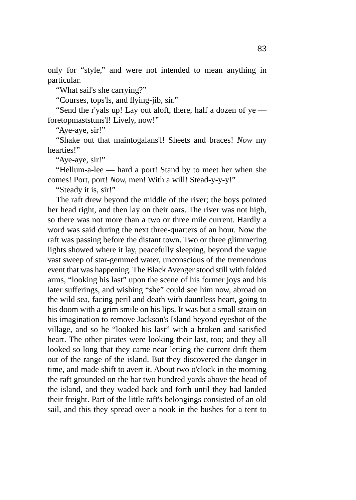only for "style," and were not intended to mean anything in particular.

"What sail's she carrying?"

"Courses, tops'ls, and flying-jib, sir."

"Send the r'yals up! Lay out aloft, there, half a dozen of ye foretopmaststuns'l! Lively, now!"

"Aye-aye, sir!"

"Shake out that maintogalans'l! Sheets and braces! *Now* my hearties!"

"Aye-aye, sir!"

"Hellum-a-lee — hard a port! Stand by to meet her when she comes! Port, port! *Now,* men! With a will! Stead-y-y-y!"

"Steady it is, sir!"

The raft drew beyond the middle of the river; the boys pointed her head right, and then lay on their oars. The river was not high, so there was not more than a two or three mile current. Hardly a word was said during the next three-quarters of an hour. Now the raft was passing before the distant town. Two or three glimmering lights showed where it lay, peacefully sleeping, beyond the vague vast sweep of star-gemmed water, unconscious of the tremendous event that was happening. The Black Avenger stood still with folded arms, "looking his last" upon the scene of his former joys and his later sufferings, and wishing "she" could see him now, abroad on the wild sea, facing peril and death with dauntless heart, going to his doom with a grim smile on his lips. It was but a small strain on his imagination to remove Jackson's Island beyond eyeshot of the village, and so he "looked his last" with a broken and satisfied heart. The other pirates were looking their last, too; and they all looked so long that they came near letting the current drift them out of the range of the island. But they discovered the danger in time, and made shift to avert it. About two o'clock in the morning the raft grounded on the bar two hundred yards above the head of the island, and they waded back and forth until they had landed their freight. Part of the little raft's belongings consisted of an old sail, and this they spread over a nook in the bushes for a tent to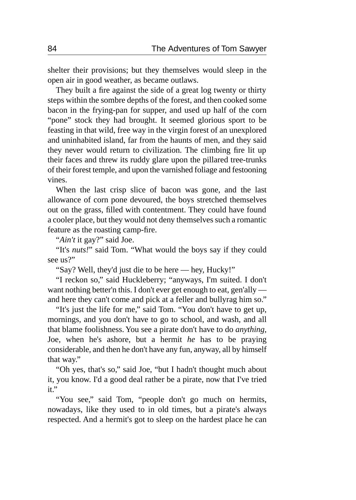shelter their provisions; but they themselves would sleep in the open air in good weather, as became outlaws.

They built a fire against the side of a great log twenty or thirty steps within the sombre depths of the forest, and then cooked some bacon in the frying-pan for supper, and used up half of the corn "pone" stock they had brought. It seemed glorious sport to be feasting in that wild, free way in the virgin forest of an unexplored and uninhabited island, far from the haunts of men, and they said they never would return to civilization. The climbing fire lit up their faces and threw its ruddy glare upon the pillared tree-trunks of their forest temple, and upon the varnished foliage and festooning vines.

When the last crisp slice of bacon was gone, and the last allowance of corn pone devoured, the boys stretched themselves out on the grass, filled with contentment. They could have found a cooler place, but they would not deny themselves such a romantic feature as the roasting camp-fire.

"*Ain't* it gay?" said Joe.

"It's *nuts!*" said Tom. "What would the boys say if they could see us?"

"Say? Well, they'd just die to be here — hey, Hucky!"

"I reckon so," said Huckleberry; "anyways, I'm suited. I don't want nothing better'n this. I don't ever get enough to eat, gen'ally and here they can't come and pick at a feller and bullyrag him so."

"It's just the life for me," said Tom. "You don't have to get up, mornings, and you don't have to go to school, and wash, and all that blame foolishness. You see a pirate don't have to do *anything,* Joe, when he's ashore, but a hermit *he* has to be praying considerable, and then he don't have any fun, anyway, all by himself that way."

"Oh yes, that's so," said Joe, "but I hadn't thought much about it, you know. I'd a good deal rather be a pirate, now that I've tried it."

"You see," said Tom, "people don't go much on hermits, nowadays, like they used to in old times, but a pirate's always respected. And a hermit's got to sleep on the hardest place he can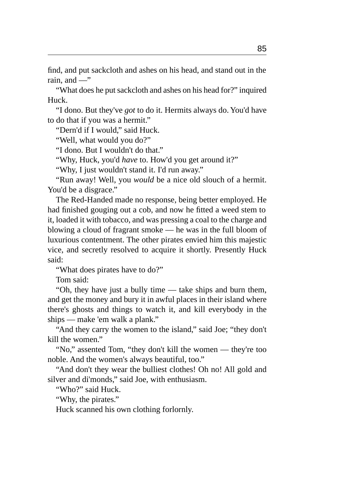find, and put sackcloth and ashes on his head, and stand out in the rain, and  $-$ "

"What does he put sackcloth and ashes on his head for?" inquired Huck.

"I dono. But they've *got* to do it. Hermits always do. You'd have to do that if you was a hermit."

"Dern'd if I would," said Huck.

"Well, what would you do?"

"I dono. But I wouldn't do that."

"Why, Huck, you'd *have* to. How'd you get around it?"

"Why, I just wouldn't stand it. I'd run away."

"Run away! Well, you *would* be a nice old slouch of a hermit. You'd be a disgrace."

The Red-Handed made no response, being better employed. He had finished gouging out a cob, and now he fitted a weed stem to it, loaded it with tobacco, and was pressing a coal to the charge and blowing a cloud of fragrant smoke — he was in the full bloom of luxurious contentment. The other pirates envied him this majestic vice, and secretly resolved to acquire it shortly. Presently Huck said:

"What does pirates have to do?"

Tom said:

"Oh, they have just a bully time — take ships and burn them, and get the money and bury it in awful places in their island where there's ghosts and things to watch it, and kill everybody in the ships — make 'em walk a plank."

"And they carry the women to the island," said Joe; "they don't kill the women."

"No," assented Tom, "they don't kill the women — they're too noble. And the women's always beautiful, too."

"And don't they wear the bulliest clothes! Oh no! All gold and silver and di'monds," said Joe, with enthusiasm.

"Who?" said Huck.

"Why, the pirates."

Huck scanned his own clothing forlornly.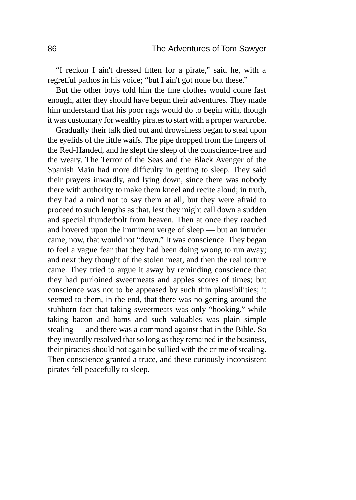"I reckon I ain't dressed fitten for a pirate," said he, with a regretful pathos in his voice; "but I ain't got none but these."

But the other boys told him the fine clothes would come fast enough, after they should have begun their adventures. They made him understand that his poor rags would do to begin with, though it was customary for wealthy pirates to start with a proper wardrobe.

Gradually their talk died out and drowsiness began to steal upon the eyelids of the little waifs. The pipe dropped from the fingers of the Red-Handed, and he slept the sleep of the conscience-free and the weary. The Terror of the Seas and the Black Avenger of the Spanish Main had more difficulty in getting to sleep. They said their prayers inwardly, and lying down, since there was nobody there with authority to make them kneel and recite aloud; in truth, they had a mind not to say them at all, but they were afraid to proceed to such lengths as that, lest they might call down a sudden and special thunderbolt from heaven. Then at once they reached and hovered upon the imminent verge of sleep — but an intruder came, now, that would not "down." It was conscience. They began to feel a vague fear that they had been doing wrong to run away; and next they thought of the stolen meat, and then the real torture came. They tried to argue it away by reminding conscience that they had purloined sweetmeats and apples scores of times; but conscience was not to be appeased by such thin plausibilities; it seemed to them, in the end, that there was no getting around the stubborn fact that taking sweetmeats was only "hooking," while taking bacon and hams and such valuables was plain simple stealing — and there was a command against that in the Bible. So they inwardly resolved that so long as they remained in the business, their piracies should not again be sullied with the crime of stealing. Then conscience granted a truce, and these curiously inconsistent pirates fell peacefully to sleep.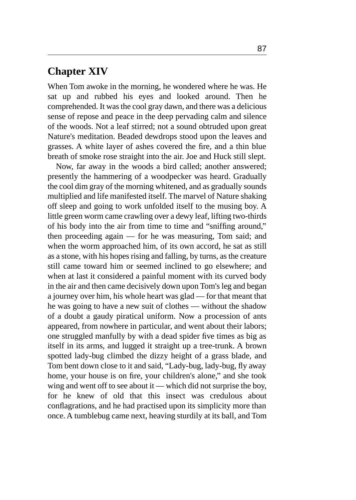#### **Chapter XIV**

When Tom awoke in the morning, he wondered where he was. He sat up and rubbed his eyes and looked around. Then he comprehended. It was the cool gray dawn, and there was a delicious sense of repose and peace in the deep pervading calm and silence of the woods. Not a leaf stirred; not a sound obtruded upon great Nature's meditation. Beaded dewdrops stood upon the leaves and grasses. A white layer of ashes covered the fire, and a thin blue breath of smoke rose straight into the air. Joe and Huck still slept.

Now, far away in the woods a bird called; another answered; presently the hammering of a woodpecker was heard. Gradually the cool dim gray of the morning whitened, and as gradually sounds multiplied and life manifested itself. The marvel of Nature shaking off sleep and going to work unfolded itself to the musing boy. A little green worm came crawling over a dewy leaf, lifting two-thirds of his body into the air from time to time and "sniffing around," then proceeding again — for he was measuring, Tom said; and when the worm approached him, of its own accord, he sat as still as a stone, with his hopes rising and falling, by turns, as the creature still came toward him or seemed inclined to go elsewhere; and when at last it considered a painful moment with its curved body in the air and then came decisively down upon Tom's leg and began a journey over him, his whole heart was glad — for that meant that he was going to have a new suit of clothes — without the shadow of a doubt a gaudy piratical uniform. Now a procession of ants appeared, from nowhere in particular, and went about their labors; one struggled manfully by with a dead spider five times as big as itself in its arms, and lugged it straight up a tree-trunk. A brown spotted lady-bug climbed the dizzy height of a grass blade, and Tom bent down close to it and said, "Lady-bug, lady-bug, fly away home, your house is on fire, your children's alone," and she took wing and went off to see about it — which did not surprise the boy, for he knew of old that this insect was credulous about conflagrations, and he had practised upon its simplicity more than once. A tumblebug came next, heaving sturdily at its ball, and Tom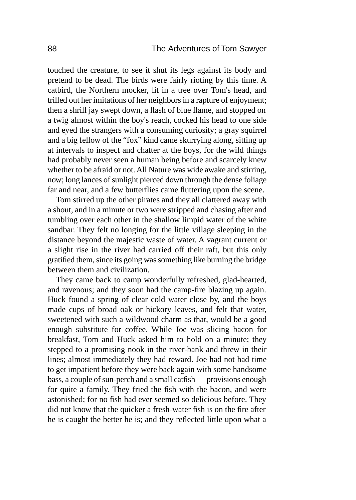touched the creature, to see it shut its legs against its body and pretend to be dead. The birds were fairly rioting by this time. A catbird, the Northern mocker, lit in a tree over Tom's head, and trilled out her imitations of her neighbors in a rapture of enjoyment; then a shrill jay swept down, a flash of blue flame, and stopped on a twig almost within the boy's reach, cocked his head to one side and eyed the strangers with a consuming curiosity; a gray squirrel and a big fellow of the "fox" kind came skurrying along, sitting up at intervals to inspect and chatter at the boys, for the wild things had probably never seen a human being before and scarcely knew whether to be afraid or not. All Nature was wide awake and stirring, now; long lances of sunlight pierced down through the dense foliage far and near, and a few butterflies came fluttering upon the scene.

Tom stirred up the other pirates and they all clattered away with a shout, and in a minute or two were stripped and chasing after and tumbling over each other in the shallow limpid water of the white sandbar. They felt no longing for the little village sleeping in the distance beyond the majestic waste of water. A vagrant current or a slight rise in the river had carried off their raft, but this only gratified them, since its going was something like burning the bridge between them and civilization.

They came back to camp wonderfully refreshed, glad-hearted, and ravenous; and they soon had the camp-fire blazing up again. Huck found a spring of clear cold water close by, and the boys made cups of broad oak or hickory leaves, and felt that water, sweetened with such a wildwood charm as that, would be a good enough substitute for coffee. While Joe was slicing bacon for breakfast, Tom and Huck asked him to hold on a minute; they stepped to a promising nook in the river-bank and threw in their lines; almost immediately they had reward. Joe had not had time to get impatient before they were back again with some handsome bass, a couple of sun-perch and a small catfish — provisions enough for quite a family. They fried the fish with the bacon, and were astonished; for no fish had ever seemed so delicious before. They did not know that the quicker a fresh-water fish is on the fire after he is caught the better he is; and they reflected little upon what a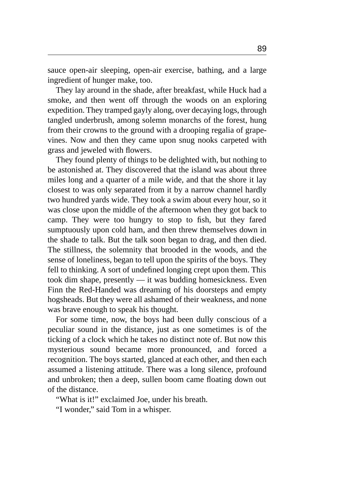sauce open-air sleeping, open-air exercise, bathing, and a large ingredient of hunger make, too.

They lay around in the shade, after breakfast, while Huck had a smoke, and then went off through the woods on an exploring expedition. They tramped gayly along, over decaying logs, through tangled underbrush, among solemn monarchs of the forest, hung from their crowns to the ground with a drooping regalia of grapevines. Now and then they came upon snug nooks carpeted with grass and jeweled with flowers.

They found plenty of things to be delighted with, but nothing to be astonished at. They discovered that the island was about three miles long and a quarter of a mile wide, and that the shore it lay closest to was only separated from it by a narrow channel hardly two hundred yards wide. They took a swim about every hour, so it was close upon the middle of the afternoon when they got back to camp. They were too hungry to stop to fish, but they fared sumptuously upon cold ham, and then threw themselves down in the shade to talk. But the talk soon began to drag, and then died. The stillness, the solemnity that brooded in the woods, and the sense of loneliness, began to tell upon the spirits of the boys. They fell to thinking. A sort of undefined longing crept upon them. This took dim shape, presently — it was budding homesickness. Even Finn the Red-Handed was dreaming of his doorsteps and empty hogsheads. But they were all ashamed of their weakness, and none was brave enough to speak his thought.

For some time, now, the boys had been dully conscious of a peculiar sound in the distance, just as one sometimes is of the ticking of a clock which he takes no distinct note of. But now this mysterious sound became more pronounced, and forced a recognition. The boys started, glanced at each other, and then each assumed a listening attitude. There was a long silence, profound and unbroken; then a deep, sullen boom came floating down out of the distance.

"What is it!" exclaimed Joe, under his breath.

"I wonder," said Tom in a whisper.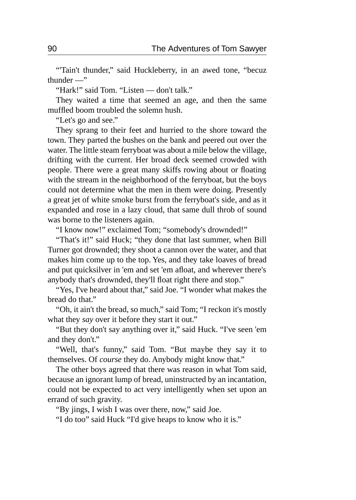"Tain't thunder," said Huckleberry, in an awed tone, "becuz thunder  $-\ddot{ }$ "

"Hark!" said Tom. "Listen — don't talk."

They waited a time that seemed an age, and then the same muffled boom troubled the solemn hush.

"Let's go and see."

They sprang to their feet and hurried to the shore toward the town. They parted the bushes on the bank and peered out over the water. The little steam ferryboat was about a mile below the village, drifting with the current. Her broad deck seemed crowded with people. There were a great many skiffs rowing about or floating with the stream in the neighborhood of the ferryboat, but the boys could not determine what the men in them were doing. Presently a great jet of white smoke burst from the ferryboat's side, and as it expanded and rose in a lazy cloud, that same dull throb of sound was borne to the listeners again.

"I know now!" exclaimed Tom; "somebody's drownded!"

"That's it!" said Huck; "they done that last summer, when Bill Turner got drownded; they shoot a cannon over the water, and that makes him come up to the top. Yes, and they take loaves of bread and put quicksilver in 'em and set 'em afloat, and wherever there's anybody that's drownded, they'll float right there and stop."

"Yes, I've heard about that," said Joe. "I wonder what makes the bread do that."

"Oh, it ain't the bread, so much," said Tom; "I reckon it's mostly what they *say* over it before they start it out."

"But they don't say anything over it," said Huck. "I've seen 'em and they don't."

"Well, that's funny," said Tom. "But maybe they say it to themselves. Of *course* they do. Anybody might know that."

The other boys agreed that there was reason in what Tom said, because an ignorant lump of bread, uninstructed by an incantation, could not be expected to act very intelligently when set upon an errand of such gravity.

"By jings, I wish I was over there, now," said Joe.

"I do too" said Huck "I'd give heaps to know who it is."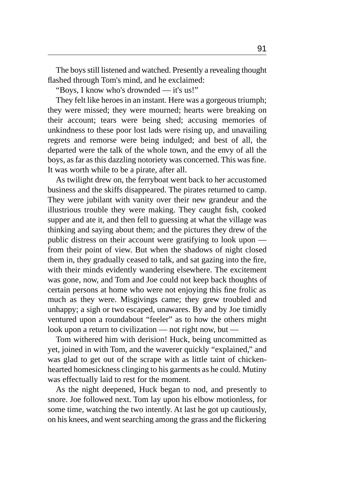The boys still listened and watched. Presently a revealing thought flashed through Tom's mind, and he exclaimed:

"Boys, I know who's drownded — it's us!"

They felt like heroes in an instant. Here was a gorgeous triumph; they were missed; they were mourned; hearts were breaking on their account; tears were being shed; accusing memories of unkindness to these poor lost lads were rising up, and unavailing regrets and remorse were being indulged; and best of all, the departed were the talk of the whole town, and the envy of all the boys, as far as this dazzling notoriety was concerned. This was fine. It was worth while to be a pirate, after all.

As twilight drew on, the ferryboat went back to her accustomed business and the skiffs disappeared. The pirates returned to camp. They were jubilant with vanity over their new grandeur and the illustrious trouble they were making. They caught fish, cooked supper and ate it, and then fell to guessing at what the village was thinking and saying about them; and the pictures they drew of the public distress on their account were gratifying to look upon from their point of view. But when the shadows of night closed them in, they gradually ceased to talk, and sat gazing into the fire, with their minds evidently wandering elsewhere. The excitement was gone, now, and Tom and Joe could not keep back thoughts of certain persons at home who were not enjoying this fine frolic as much as they were. Misgivings came; they grew troubled and unhappy; a sigh or two escaped, unawares. By and by Joe timidly ventured upon a roundabout "feeler" as to how the others might look upon a return to civilization — not right now, but —

Tom withered him with derision! Huck, being uncommitted as yet, joined in with Tom, and the waverer quickly "explained," and was glad to get out of the scrape with as little taint of chickenhearted homesickness clinging to his garments as he could. Mutiny was effectually laid to rest for the moment.

As the night deepened, Huck began to nod, and presently to snore. Joe followed next. Tom lay upon his elbow motionless, for some time, watching the two intently. At last he got up cautiously, on his knees, and went searching among the grass and the flickering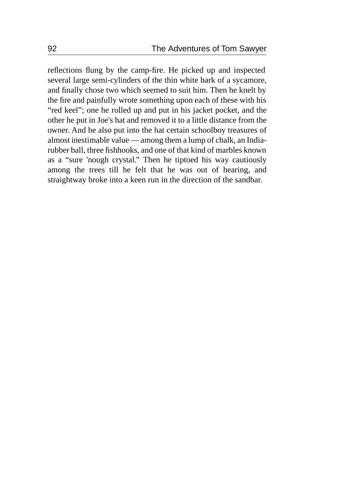reflections flung by the camp-fire. He picked up and inspected several large semi-cylinders of the thin white bark of a sycamore, and finally chose two which seemed to suit him. Then he knelt by the fire and painfully wrote something upon each of these with his "red keel"; one he rolled up and put in his jacket pocket, and the other he put in Joe's hat and removed it to a little distance from the owner. And he also put into the hat certain schoolboy treasures of almost inestimable value — among them a lump of chalk, an Indiarubber ball, three fishhooks, and one of that kind of marbles known as a "sure 'nough crystal." Then he tiptoed his way cautiously among the trees till he felt that he was out of hearing, and straightway broke into a keen run in the direction of the sandbar.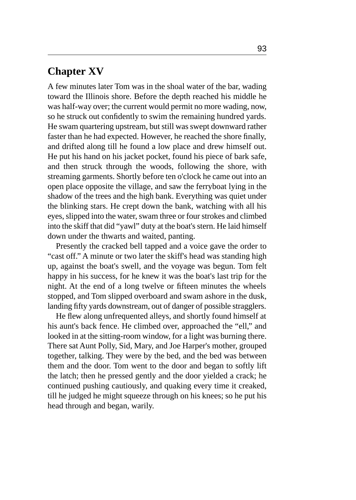## **Chapter XV**

A few minutes later Tom was in the shoal water of the bar, wading toward the Illinois shore. Before the depth reached his middle he was half-way over; the current would permit no more wading, now, so he struck out confidently to swim the remaining hundred yards. He swam quartering upstream, but still was swept downward rather faster than he had expected. However, he reached the shore finally, and drifted along till he found a low place and drew himself out. He put his hand on his jacket pocket, found his piece of bark safe, and then struck through the woods, following the shore, with streaming garments. Shortly before ten o'clock he came out into an open place opposite the village, and saw the ferryboat lying in the shadow of the trees and the high bank. Everything was quiet under the blinking stars. He crept down the bank, watching with all his eyes, slipped into the water, swam three or four strokes and climbed into the skiff that did "yawl" duty at the boat's stern. He laid himself down under the thwarts and waited, panting.

Presently the cracked bell tapped and a voice gave the order to "cast off." A minute or two later the skiff's head was standing high up, against the boat's swell, and the voyage was begun. Tom felt happy in his success, for he knew it was the boat's last trip for the night. At the end of a long twelve or fifteen minutes the wheels stopped, and Tom slipped overboard and swam ashore in the dusk, landing fifty yards downstream, out of danger of possible stragglers.

He flew along unfrequented alleys, and shortly found himself at his aunt's back fence. He climbed over, approached the "ell," and looked in at the sitting-room window, for a light was burning there. There sat Aunt Polly, Sid, Mary, and Joe Harper's mother, grouped together, talking. They were by the bed, and the bed was between them and the door. Tom went to the door and began to softly lift the latch; then he pressed gently and the door yielded a crack; he continued pushing cautiously, and quaking every time it creaked, till he judged he might squeeze through on his knees; so he put his head through and began, warily.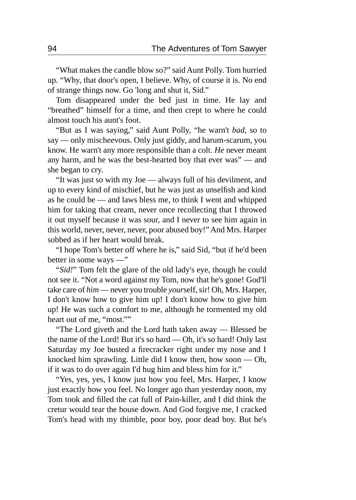"What makes the candle blow so?" said Aunt Polly. Tom hurried up. "Why, that door's open, I believe. Why, of course it is. No end of strange things now. Go 'long and shut it, Sid."

Tom disappeared under the bed just in time. He lay and "breathed" himself for a time, and then crept to where he could almost touch his aunt's foot.

"But as I was saying," said Aunt Polly, "he warn't *bad,* so to say — only misch*ee*vous. Only just giddy, and harum-scarum, you know. He warn't any more responsible than a colt. *He* never meant any harm, and he was the best-hearted boy that ever was" — and she began to cry.

"It was just so with my Joe — always full of his devilment, and up to every kind of mischief, but he was just as unselfish and kind as he could be — and laws bless me, to think I went and whipped him for taking that cream, never once recollecting that I throwed it out myself because it was sour, and I never to see him again in this world, never, never, never, poor abused boy!" And Mrs. Harper sobbed as if her heart would break.

"I hope Tom's better off where he is," said Sid, "but if he'd been better in some ways —"

"*Sid!*" Tom felt the glare of the old lady's eye, though he could not see it. "Not a word against my Tom, now that he's gone! God'll take care of *him* — never you trouble *your*self, sir! Oh, Mrs. Harper, I don't know how to give him up! I don't know how to give him up! He was such a comfort to me, although he tormented my old heart out of me, "most.""

"The Lord giveth and the Lord hath taken away — Blessed be the name of the Lord! But it's so hard — Oh, it's so hard! Only last Saturday my Joe busted a firecracker right under my nose and I knocked him sprawling. Little did I know then, how soon — Oh, if it was to do over again I'd hug him and bless him for it."

"Yes, yes, yes, I know just how you feel, Mrs. Harper, I know just exactly how you feel. No longer ago than yesterday noon, my Tom took and filled the cat full of Pain-killer, and I did think the cretur would tear the house down. And God forgive me, I cracked Tom's head with my thimble, poor boy, poor dead boy. But he's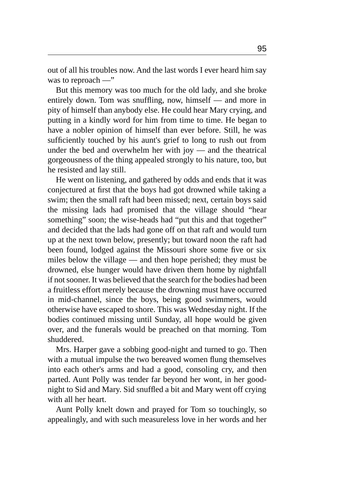out of all his troubles now. And the last words I ever heard him say was to reproach —"

But this memory was too much for the old lady, and she broke entirely down. Tom was snuffling, now, himself — and more in pity of himself than anybody else. He could hear Mary crying, and putting in a kindly word for him from time to time. He began to have a nobler opinion of himself than ever before. Still, he was sufficiently touched by his aunt's grief to long to rush out from under the bed and overwhelm her with joy — and the theatrical gorgeousness of the thing appealed strongly to his nature, too, but he resisted and lay still.

He went on listening, and gathered by odds and ends that it was conjectured at first that the boys had got drowned while taking a swim; then the small raft had been missed; next, certain boys said the missing lads had promised that the village should "hear something" soon; the wise-heads had "put this and that together" and decided that the lads had gone off on that raft and would turn up at the next town below, presently; but toward noon the raft had been found, lodged against the Missouri shore some five or six miles below the village — and then hope perished; they must be drowned, else hunger would have driven them home by nightfall if not sooner. It was believed that the search for the bodies had been a fruitless effort merely because the drowning must have occurred in mid-channel, since the boys, being good swimmers, would otherwise have escaped to shore. This was Wednesday night. If the bodies continued missing until Sunday, all hope would be given over, and the funerals would be preached on that morning. Tom shuddered.

Mrs. Harper gave a sobbing good-night and turned to go. Then with a mutual impulse the two bereaved women flung themselves into each other's arms and had a good, consoling cry, and then parted. Aunt Polly was tender far beyond her wont, in her goodnight to Sid and Mary. Sid snuffled a bit and Mary went off crying with all her heart.

Aunt Polly knelt down and prayed for Tom so touchingly, so appealingly, and with such measureless love in her words and her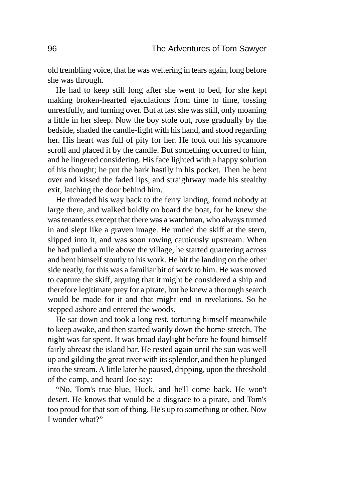old trembling voice, that he was weltering in tears again, long before she was through.

He had to keep still long after she went to bed, for she kept making broken-hearted ejaculations from time to time, tossing unrestfully, and turning over. But at last she was still, only moaning a little in her sleep. Now the boy stole out, rose gradually by the bedside, shaded the candle-light with his hand, and stood regarding her. His heart was full of pity for her. He took out his sycamore scroll and placed it by the candle. But something occurred to him, and he lingered considering. His face lighted with a happy solution of his thought; he put the bark hastily in his pocket. Then he bent over and kissed the faded lips, and straightway made his stealthy exit, latching the door behind him.

He threaded his way back to the ferry landing, found nobody at large there, and walked boldly on board the boat, for he knew she was tenantless except that there was a watchman, who always turned in and slept like a graven image. He untied the skiff at the stern, slipped into it, and was soon rowing cautiously upstream. When he had pulled a mile above the village, he started quartering across and bent himself stoutly to his work. He hit the landing on the other side neatly, for this was a familiar bit of work to him. He was moved to capture the skiff, arguing that it might be considered a ship and therefore legitimate prey for a pirate, but he knew a thorough search would be made for it and that might end in revelations. So he stepped ashore and entered the woods.

He sat down and took a long rest, torturing himself meanwhile to keep awake, and then started warily down the home-stretch. The night was far spent. It was broad daylight before he found himself fairly abreast the island bar. He rested again until the sun was well up and gilding the great river with its splendor, and then he plunged into the stream. A little later he paused, dripping, upon the threshold of the camp, and heard Joe say:

"No, Tom's true-blue, Huck, and he'll come back. He won't desert. He knows that would be a disgrace to a pirate, and Tom's too proud for that sort of thing. He's up to something or other. Now I wonder what?"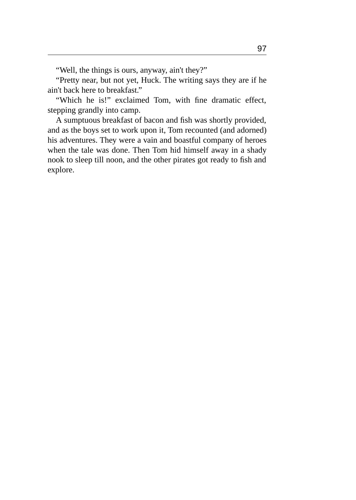"Well, the things is ours, anyway, ain't they?"

"Pretty near, but not yet, Huck. The writing says they are if he ain't back here to breakfast."

"Which he is!" exclaimed Tom, with fine dramatic effect, stepping grandly into camp.

A sumptuous breakfast of bacon and fish was shortly provided, and as the boys set to work upon it, Tom recounted (and adorned) his adventures. They were a vain and boastful company of heroes when the tale was done. Then Tom hid himself away in a shady nook to sleep till noon, and the other pirates got ready to fish and explore.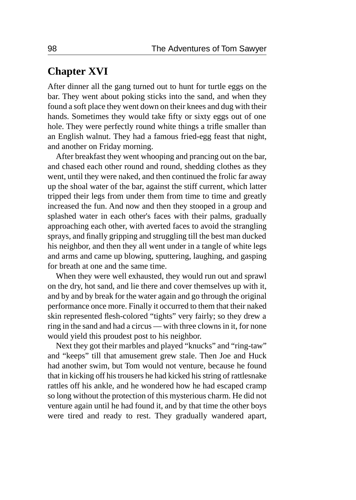#### **Chapter XVI**

After dinner all the gang turned out to hunt for turtle eggs on the bar. They went about poking sticks into the sand, and when they found a soft place they went down on their knees and dug with their hands. Sometimes they would take fifty or sixty eggs out of one hole. They were perfectly round white things a trifle smaller than an English walnut. They had a famous fried-egg feast that night, and another on Friday morning.

After breakfast they went whooping and prancing out on the bar, and chased each other round and round, shedding clothes as they went, until they were naked, and then continued the frolic far away up the shoal water of the bar, against the stiff current, which latter tripped their legs from under them from time to time and greatly increased the fun. And now and then they stooped in a group and splashed water in each other's faces with their palms, gradually approaching each other, with averted faces to avoid the strangling sprays, and finally gripping and struggling till the best man ducked his neighbor, and then they all went under in a tangle of white legs and arms and came up blowing, sputtering, laughing, and gasping for breath at one and the same time.

When they were well exhausted, they would run out and sprawl on the dry, hot sand, and lie there and cover themselves up with it, and by and by break for the water again and go through the original performance once more. Finally it occurred to them that their naked skin represented flesh-colored "tights" very fairly; so they drew a ring in the sand and had a circus — with three clowns in it, for none would yield this proudest post to his neighbor.

Next they got their marbles and played "knucks" and "ring-taw" and "keeps" till that amusement grew stale. Then Joe and Huck had another swim, but Tom would not venture, because he found that in kicking off his trousers he had kicked his string of rattlesnake rattles off his ankle, and he wondered how he had escaped cramp so long without the protection of this mysterious charm. He did not venture again until he had found it, and by that time the other boys were tired and ready to rest. They gradually wandered apart,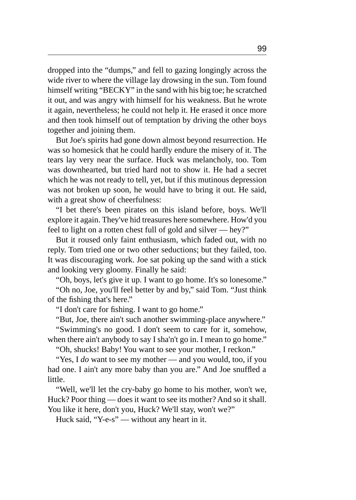dropped into the "dumps," and fell to gazing longingly across the wide river to where the village lay drowsing in the sun. Tom found himself writing "BECKY" in the sand with his big toe; he scratched it out, and was angry with himself for his weakness. But he wrote it again, nevertheless; he could not help it. He erased it once more and then took himself out of temptation by driving the other boys together and joining them.

But Joe's spirits had gone down almost beyond resurrection. He was so homesick that he could hardly endure the misery of it. The tears lay very near the surface. Huck was melancholy, too. Tom was downhearted, but tried hard not to show it. He had a secret which he was not ready to tell, yet, but if this mutinous depression was not broken up soon, he would have to bring it out. He said, with a great show of cheerfulness:

"I bet there's been pirates on this island before, boys. We'll explore it again. They've hid treasures here somewhere. How'd you feel to light on a rotten chest full of gold and silver — hey?"

But it roused only faint enthusiasm, which faded out, with no reply. Tom tried one or two other seductions; but they failed, too. It was discouraging work. Joe sat poking up the sand with a stick and looking very gloomy. Finally he said:

"Oh, boys, let's give it up. I want to go home. It's so lonesome."

"Oh no, Joe, you'll feel better by and by," said Tom. "Just think of the fishing that's here."

"I don't care for fishing. I want to go home."

"But, Joe, there ain't such another swimming-place anywhere."

"Swimming's no good. I don't seem to care for it, somehow, when there ain't anybody to say I sha'n't go in. I mean to go home."

"Oh, shucks! Baby! You want to see your mother, I reckon."

"Yes, I *do* want to see my mother — and you would, too, if you had one. I ain't any more baby than you are." And Joe snuffled a little.

"Well, we'll let the cry-baby go home to his mother, won't we, Huck? Poor thing — does it want to see its mother? And so it shall. You like it here, don't you, Huck? We'll stay, won't we?"

Huck said, "Y-e-s" — without any heart in it.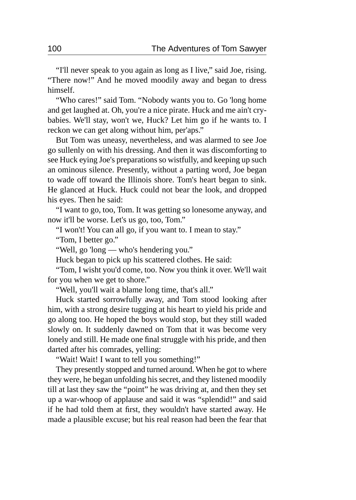"I'll never speak to you again as long as I live," said Joe, rising. "There now!" And he moved moodily away and began to dress himself.

"Who cares!" said Tom. "Nobody wants you to. Go 'long home and get laughed at. Oh, you're a nice pirate. Huck and me ain't crybabies. We'll stay, won't we, Huck? Let him go if he wants to. I reckon we can get along without him, per'aps."

But Tom was uneasy, nevertheless, and was alarmed to see Joe go sullenly on with his dressing. And then it was discomforting to see Huck eying Joe's preparations so wistfully, and keeping up such an ominous silence. Presently, without a parting word, Joe began to wade off toward the Illinois shore. Tom's heart began to sink. He glanced at Huck. Huck could not bear the look, and dropped his eyes. Then he said:

"I want to go, too, Tom. It was getting so lonesome anyway, and now it'll be worse. Let's us go, too, Tom."

"I won't! You can all go, if you want to. I mean to stay."

"Tom, I better go."

"Well, go 'long — who's hendering you."

Huck began to pick up his scattered clothes. He said:

"Tom, I wisht you'd come, too. Now you think it over. We'll wait for you when we get to shore."

"Well, you'll wait a blame long time, that's all."

Huck started sorrowfully away, and Tom stood looking after him, with a strong desire tugging at his heart to yield his pride and go along too. He hoped the boys would stop, but they still waded slowly on. It suddenly dawned on Tom that it was become very lonely and still. He made one final struggle with his pride, and then darted after his comrades, yelling:

"Wait! Wait! I want to tell you something!"

They presently stopped and turned around. When he got to where they were, he began unfolding his secret, and they listened moodily till at last they saw the "point" he was driving at, and then they set up a war-whoop of applause and said it was "splendid!" and said if he had told them at first, they wouldn't have started away. He made a plausible excuse; but his real reason had been the fear that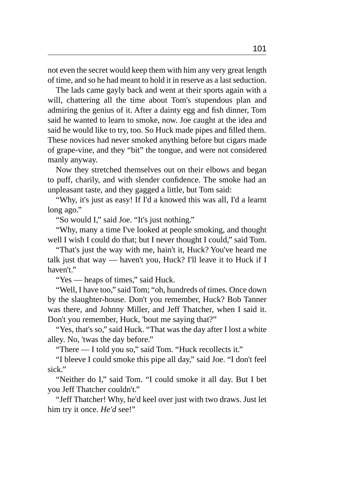not even the secret would keep them with him any very great length of time, and so he had meant to hold it in reserve as a last seduction.

The lads came gayly back and went at their sports again with a will, chattering all the time about Tom's stupendous plan and admiring the genius of it. After a dainty egg and fish dinner, Tom said he wanted to learn to smoke, now. Joe caught at the idea and said he would like to try, too. So Huck made pipes and filled them. These novices had never smoked anything before but cigars made of grape-vine, and they "bit" the tongue, and were not considered manly anyway.

Now they stretched themselves out on their elbows and began to puff, charily, and with slender confidence. The smoke had an unpleasant taste, and they gagged a little, but Tom said:

"Why, it's just as easy! If I'd a knowed this was all, I'd a learnt long ago."

"So would I," said Joe. "It's just nothing."

"Why, many a time I've looked at people smoking, and thought well I wish I could do that; but I never thought I could," said Tom.

"That's just the way with me, hain't it, Huck? You've heard me talk just that way — haven't you, Huck? I'll leave it to Huck if I haven't."

"Yes — heaps of times," said Huck.

"Well, I have too," said Tom; "oh, hundreds of times. Once down by the slaughter-house. Don't you remember, Huck? Bob Tanner was there, and Johnny Miller, and Jeff Thatcher, when I said it. Don't you remember, Huck, 'bout me saying that?"

"Yes, that's so," said Huck. "That was the day after I lost a white alley. No, 'twas the day before."

"There — I told you so," said Tom. "Huck recollects it."

"I bleeve I could smoke this pipe all day," said Joe. "I don't feel sick."

"Neither do I," said Tom. "I could smoke it all day. But I bet you Jeff Thatcher couldn't."

"Jeff Thatcher! Why, he'd keel over just with two draws. Just let him try it once. *He'd* see!"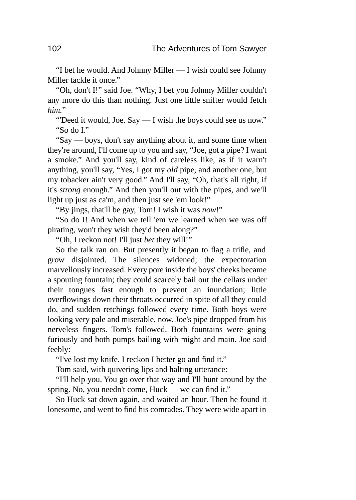"I bet he would. And Johnny Miller — I wish could see Johnny Miller tackle it once."

"Oh, don't I!" said Joe. "Why, I bet you Johnny Miller couldn't any more do this than nothing. Just one little snifter would fetch *him.*"

"Deed it would, Joe. Say — I wish the boys could see us now." "So do I."

"Say — boys, don't say anything about it, and some time when they're around, I'll come up to you and say, "Joe, got a pipe? I want a smoke." And you'll say, kind of careless like, as if it warn't anything, you'll say, "Yes, I got my *old* pipe, and another one, but my tobacker ain't very good." And I'll say, "Oh, that's all right, if it's *strong* enough." And then you'll out with the pipes, and we'll light up just as ca'm, and then just see 'em look!"

"By jings, that'll be gay, Tom! I wish it was *now*!"

"So do I! And when we tell 'em we learned when we was off pirating, won't they wish they'd been along?"

"Oh, I reckon not! I'll just *bet* they will!"

So the talk ran on. But presently it began to flag a trifle, and grow disjointed. The silences widened; the expectoration marvellously increased. Every pore inside the boys' cheeks became a spouting fountain; they could scarcely bail out the cellars under their tongues fast enough to prevent an inundation; little overflowings down their throats occurred in spite of all they could do, and sudden retchings followed every time. Both boys were looking very pale and miserable, now. Joe's pipe dropped from his nerveless fingers. Tom's followed. Both fountains were going furiously and both pumps bailing with might and main. Joe said feebly:

"I've lost my knife. I reckon I better go and find it."

Tom said, with quivering lips and halting utterance:

"I'll help you. You go over that way and I'll hunt around by the spring. No, you needn't come, Huck — we can find it."

So Huck sat down again, and waited an hour. Then he found it lonesome, and went to find his comrades. They were wide apart in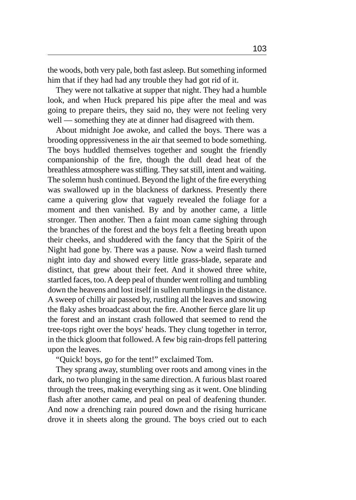the woods, both very pale, both fast asleep. But something informed him that if they had had any trouble they had got rid of it.

They were not talkative at supper that night. They had a humble look, and when Huck prepared his pipe after the meal and was going to prepare theirs, they said no, they were not feeling very well — something they ate at dinner had disagreed with them.

About midnight Joe awoke, and called the boys. There was a brooding oppressiveness in the air that seemed to bode something. The boys huddled themselves together and sought the friendly companionship of the fire, though the dull dead heat of the breathless atmosphere was stifling. They sat still, intent and waiting. The solemn hush continued. Beyond the light of the fire everything was swallowed up in the blackness of darkness. Presently there came a quivering glow that vaguely revealed the foliage for a moment and then vanished. By and by another came, a little stronger. Then another. Then a faint moan came sighing through the branches of the forest and the boys felt a fleeting breath upon their cheeks, and shuddered with the fancy that the Spirit of the Night had gone by. There was a pause. Now a weird flash turned night into day and showed every little grass-blade, separate and distinct, that grew about their feet. And it showed three white, startled faces, too. A deep peal of thunder went rolling and tumbling down the heavens and lost itself in sullen rumblings in the distance. A sweep of chilly air passed by, rustling all the leaves and snowing the flaky ashes broadcast about the fire. Another fierce glare lit up the forest and an instant crash followed that seemed to rend the tree-tops right over the boys' heads. They clung together in terror, in the thick gloom that followed. A few big rain-drops fell pattering upon the leaves.

"Quick! boys, go for the tent!" exclaimed Tom.

They sprang away, stumbling over roots and among vines in the dark, no two plunging in the same direction. A furious blast roared through the trees, making everything sing as it went. One blinding flash after another came, and peal on peal of deafening thunder. And now a drenching rain poured down and the rising hurricane drove it in sheets along the ground. The boys cried out to each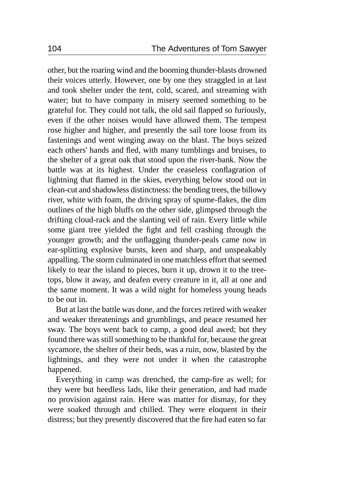other, but the roaring wind and the booming thunder-blasts drowned their voices utterly. However, one by one they straggled in at last and took shelter under the tent, cold, scared, and streaming with water; but to have company in misery seemed something to be grateful for. They could not talk, the old sail flapped so furiously, even if the other noises would have allowed them. The tempest rose higher and higher, and presently the sail tore loose from its fastenings and went winging away on the blast. The boys seized each others' hands and fled, with many tumblings and bruises, to the shelter of a great oak that stood upon the river-bank. Now the battle was at its highest. Under the ceaseless conflagration of lightning that flamed in the skies, everything below stood out in clean-cut and shadowless distinctness: the bending trees, the billowy river, white with foam, the driving spray of spume-flakes, the dim outlines of the high bluffs on the other side, glimpsed through the drifting cloud-rack and the slanting veil of rain. Every little while some giant tree yielded the fight and fell crashing through the younger growth; and the unflagging thunder-peals came now in ear-splitting explosive bursts, keen and sharp, and unspeakably appalling. The storm culminated in one matchless effort that seemed likely to tear the island to pieces, burn it up, drown it to the treetops, blow it away, and deafen every creature in it, all at one and the same moment. It was a wild night for homeless young heads to be out in.

But at last the battle was done, and the forces retired with weaker and weaker threatenings and grumblings, and peace resumed her sway. The boys went back to camp, a good deal awed; but they found there was still something to be thankful for, because the great sycamore, the shelter of their beds, was a ruin, now, blasted by the lightnings, and they were not under it when the catastrophe happened.

Everything in camp was drenched, the camp-fire as well; for they were but heedless lads, like their generation, and had made no provision against rain. Here was matter for dismay, for they were soaked through and chilled. They were eloquent in their distress; but they presently discovered that the fire had eaten so far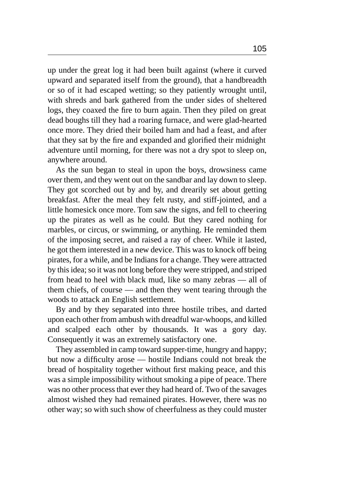up under the great log it had been built against (where it curved upward and separated itself from the ground), that a handbreadth or so of it had escaped wetting; so they patiently wrought until, with shreds and bark gathered from the under sides of sheltered logs, they coaxed the fire to burn again. Then they piled on great dead boughs till they had a roaring furnace, and were glad-hearted once more. They dried their boiled ham and had a feast, and after that they sat by the fire and expanded and glorified their midnight adventure until morning, for there was not a dry spot to sleep on, anywhere around.

As the sun began to steal in upon the boys, drowsiness came over them, and they went out on the sandbar and lay down to sleep. They got scorched out by and by, and drearily set about getting breakfast. After the meal they felt rusty, and stiff-jointed, and a little homesick once more. Tom saw the signs, and fell to cheering up the pirates as well as he could. But they cared nothing for marbles, or circus, or swimming, or anything. He reminded them of the imposing secret, and raised a ray of cheer. While it lasted, he got them interested in a new device. This was to knock off being pirates, for a while, and be Indians for a change. They were attracted by this idea; so it was not long before they were stripped, and striped from head to heel with black mud, like so many zebras — all of them chiefs, of course — and then they went tearing through the woods to attack an English settlement.

By and by they separated into three hostile tribes, and darted upon each other from ambush with dreadful war-whoops, and killed and scalped each other by thousands. It was a gory day. Consequently it was an extremely satisfactory one.

They assembled in camp toward supper-time, hungry and happy; but now a difficulty arose — hostile Indians could not break the bread of hospitality together without first making peace, and this was a simple impossibility without smoking a pipe of peace. There was no other process that ever they had heard of. Two of the savages almost wished they had remained pirates. However, there was no other way; so with such show of cheerfulness as they could muster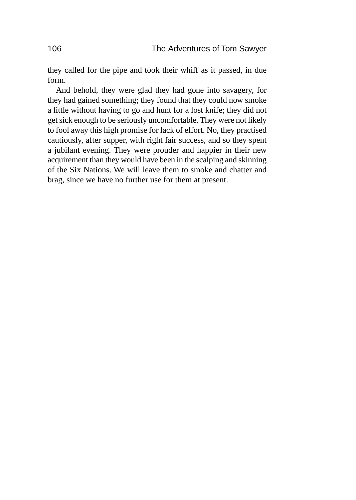they called for the pipe and took their whiff as it passed, in due form.

And behold, they were glad they had gone into savagery, for they had gained something; they found that they could now smoke a little without having to go and hunt for a lost knife; they did not get sick enough to be seriously uncomfortable. They were not likely to fool away this high promise for lack of effort. No, they practised cautiously, after supper, with right fair success, and so they spent a jubilant evening. They were prouder and happier in their new acquirement than they would have been in the scalping and skinning of the Six Nations. We will leave them to smoke and chatter and brag, since we have no further use for them at present.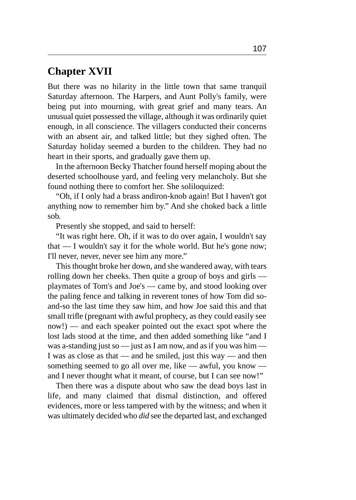#### **Chapter XVII**

But there was no hilarity in the little town that same tranquil Saturday afternoon. The Harpers, and Aunt Polly's family, were being put into mourning, with great grief and many tears. An unusual quiet possessed the village, although it was ordinarily quiet enough, in all conscience. The villagers conducted their concerns with an absent air, and talked little; but they sighed often. The Saturday holiday seemed a burden to the children. They had no heart in their sports, and gradually gave them up.

In the afternoon Becky Thatcher found herself moping about the deserted schoolhouse yard, and feeling very melancholy. But she found nothing there to comfort her. She soliloquized:

"Oh, if I only had a brass andiron-knob again! But I haven't got anything now to remember him by." And she choked back a little sob.

Presently she stopped, and said to herself:

"It was right here. Oh, if it was to do over again, I wouldn't say that — I wouldn't say it for the whole world. But he's gone now; I'll never, never, never see him any more."

This thought broke her down, and she wandered away, with tears rolling down her cheeks. Then quite a group of boys and girls playmates of Tom's and Joe's — came by, and stood looking over the paling fence and talking in reverent tones of how Tom did soand-so the last time they saw him, and how Joe said this and that small trifle (pregnant with awful prophecy, as they could easily see now!) — and each speaker pointed out the exact spot where the lost lads stood at the time, and then added something like "and I was a-standing just so — just as I am now, and as if you was him — I was as close as that — and he smiled, just this way — and then something seemed to go all over me, like — awful, you know and I never thought what it meant, of course, but I can see now!"

Then there was a dispute about who saw the dead boys last in life, and many claimed that dismal distinction, and offered evidences, more or less tampered with by the witness; and when it was ultimately decided who *did* see the departed last, and exchanged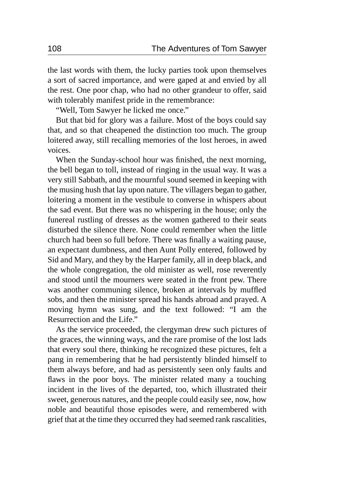the last words with them, the lucky parties took upon themselves a sort of sacred importance, and were gaped at and envied by all the rest. One poor chap, who had no other grandeur to offer, said with tolerably manifest pride in the remembrance:

"Well, Tom Sawyer he licked me once."

But that bid for glory was a failure. Most of the boys could say that, and so that cheapened the distinction too much. The group loitered away, still recalling memories of the lost heroes, in awed voices.

When the Sunday-school hour was finished, the next morning, the bell began to toll, instead of ringing in the usual way. It was a very still Sabbath, and the mournful sound seemed in keeping with the musing hush that lay upon nature. The villagers began to gather, loitering a moment in the vestibule to converse in whispers about the sad event. But there was no whispering in the house; only the funereal rustling of dresses as the women gathered to their seats disturbed the silence there. None could remember when the little church had been so full before. There was finally a waiting pause, an expectant dumbness, and then Aunt Polly entered, followed by Sid and Mary, and they by the Harper family, all in deep black, and the whole congregation, the old minister as well, rose reverently and stood until the mourners were seated in the front pew. There was another communing silence, broken at intervals by muffled sobs, and then the minister spread his hands abroad and prayed. A moving hymn was sung, and the text followed: "I am the Resurrection and the Life."

As the service proceeded, the clergyman drew such pictures of the graces, the winning ways, and the rare promise of the lost lads that every soul there, thinking he recognized these pictures, felt a pang in remembering that he had persistently blinded himself to them always before, and had as persistently seen only faults and flaws in the poor boys. The minister related many a touching incident in the lives of the departed, too, which illustrated their sweet, generous natures, and the people could easily see, now, how noble and beautiful those episodes were, and remembered with grief that at the time they occurred they had seemed rank rascalities,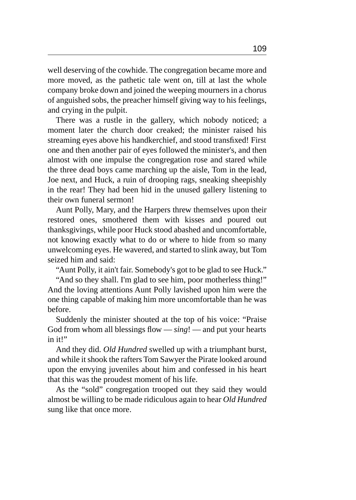well deserving of the cowhide. The congregation became more and more moved, as the pathetic tale went on, till at last the whole company broke down and joined the weeping mourners in a chorus of anguished sobs, the preacher himself giving way to his feelings, and crying in the pulpit.

There was a rustle in the gallery, which nobody noticed; a moment later the church door creaked; the minister raised his streaming eyes above his handkerchief, and stood transfixed! First one and then another pair of eyes followed the minister's, and then almost with one impulse the congregation rose and stared while the three dead boys came marching up the aisle, Tom in the lead, Joe next, and Huck, a ruin of drooping rags, sneaking sheepishly in the rear! They had been hid in the unused gallery listening to their own funeral sermon!

Aunt Polly, Mary, and the Harpers threw themselves upon their restored ones, smothered them with kisses and poured out thanksgivings, while poor Huck stood abashed and uncomfortable, not knowing exactly what to do or where to hide from so many unwelcoming eyes. He wavered, and started to slink away, but Tom seized him and said:

"Aunt Polly, it ain't fair. Somebody's got to be glad to see Huck."

"And so they shall. I'm glad to see him, poor motherless thing!" And the loving attentions Aunt Polly lavished upon him were the one thing capable of making him more uncomfortable than he was before.

Suddenly the minister shouted at the top of his voice: "Praise God from whom all blessings flow — *sing*! — and put your hearts in it!"

And they did. *Old Hundred* swelled up with a triumphant burst, and while it shook the rafters Tom Sawyer the Pirate looked around upon the envying juveniles about him and confessed in his heart that this was the proudest moment of his life.

As the "sold" congregation trooped out they said they would almost be willing to be made ridiculous again to hear *Old Hundred* sung like that once more.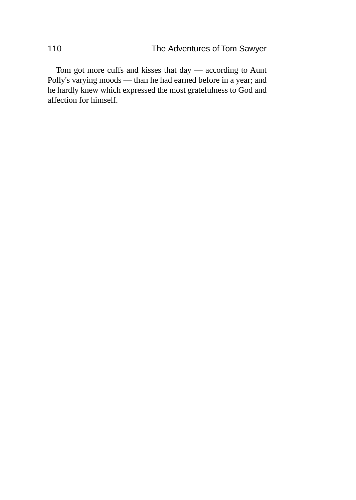Tom got more cuffs and kisses that day — according to Aunt Polly's varying moods — than he had earned before in a year; and he hardly knew which expressed the most gratefulness to God and affection for himself.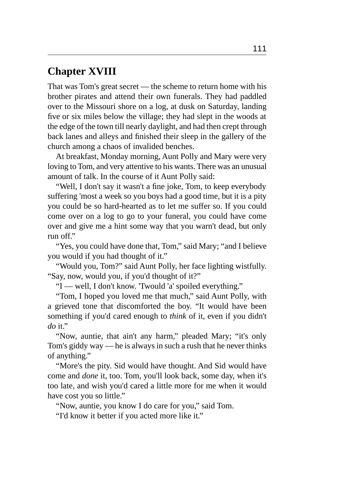## **Chapter XVIII**

That was Tom's great secret — the scheme to return home with his brother pirates and attend their own funerals. They had paddled over to the Missouri shore on a log, at dusk on Saturday, landing five or six miles below the village; they had slept in the woods at the edge of the town till nearly daylight, and had then crept through back lanes and alleys and finished their sleep in the gallery of the church among a chaos of invalided benches.

At breakfast, Monday morning, Aunt Polly and Mary were very loving to Tom, and very attentive to his wants. There was an unusual amount of talk. In the course of it Aunt Polly said:

"Well, I don't say it wasn't a fine joke, Tom, to keep everybody suffering 'most a week so you boys had a good time, but it is a pity you could be so hard-hearted as to let me suffer so. If you could come over on a log to go to your funeral, you could have come over and give me a hint some way that you warn't dead, but only run off."

"Yes, you could have done that, Tom," said Mary; "and I believe you would if you had thought of it."

"Would you, Tom?" said Aunt Polly, her face lighting wistfully. "Say, now, would you, if you'd thought of it?"

"I — well, I don't know. 'Twould 'a' spoiled everything."

"Tom, I hoped you loved me that much," said Aunt Polly, with a grieved tone that discomforted the boy. "It would have been something if you'd cared enough to *think* of it, even if you didn't *do* it."

"Now, auntie, that ain't any harm," pleaded Mary; "it's only Tom's giddy way — he is always in such a rush that he never thinks of anything."

"More's the pity. Sid would have thought. And Sid would have come and *done* it, too. Tom, you'll look back, some day, when it's too late, and wish you'd cared a little more for me when it would have cost you so little."

"Now, auntie, you know I do care for you," said Tom.

"I'd know it better if you acted more like it."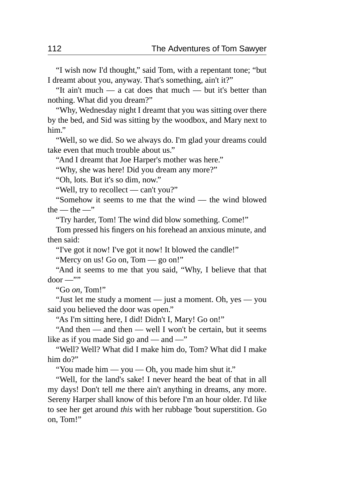"I wish now I'd thought," said Tom, with a repentant tone; "but I dreamt about you, anyway. That's something, ain't it?"

"It ain't much — a cat does that much — but it's better than nothing. What did you dream?"

"Why, Wednesday night I dreamt that you was sitting over there by the bed, and Sid was sitting by the woodbox, and Mary next to him."

"Well, so we did. So we always do. I'm glad your dreams could take even that much trouble about us."

"And I dreamt that Joe Harper's mother was here."

"Why, she was here! Did you dream any more?"

"Oh, lots. But it's so dim, now."

"Well, try to recollect — can't you?"

"Somehow it seems to me that the wind — the wind blowed the  $-$  the  $-$ "

"Try harder, Tom! The wind did blow something. Come!"

Tom pressed his fingers on his forehead an anxious minute, and then said:

"I've got it now! I've got it now! It blowed the candle!"

"Mercy on us! Go on, Tom — go on!"

"And it seems to me that you said, "Why, I believe that that  $door \rightarrow \cdots$ 

"Go *on,* Tom!"

"Just let me study a moment — just a moment. Oh, yes — you said you believed the door was open."

"As I'm sitting here, I did! Didn't I, Mary! Go on!"

"And then — and then — well I won't be certain, but it seems like as if you made Sid go and — and —"

"Well? Well? What did I make him do, Tom? What did I make him do?"

"You made him — you — Oh, you made him shut it."

"Well, for the land's sake! I never heard the beat of that in all my days! Don't tell *me* there ain't anything in dreams, any more. Sereny Harper shall know of this before I'm an hour older. I'd like to see her get around *this* with her rubbage 'bout superstition. Go on, Tom!"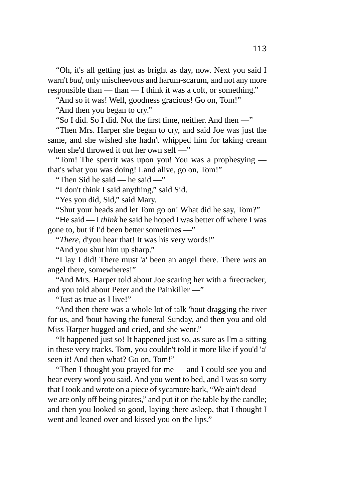"Oh, it's all getting just as bright as day, now. Next you said I warn't *bad,* only mischeevous and harum-scarum, and not any more responsible than — than — I think it was a colt, or something."

"And so it was! Well, goodness gracious! Go on, Tom!" "And then you began to cry."

"So I did. So I did. Not the first time, neither. And then —"

"Then Mrs. Harper she began to cry, and said Joe was just the same, and she wished she hadn't whipped him for taking cream when she'd throwed it out her own self —"

"Tom! The sperrit was upon you! You was a prophesying that's what you was doing! Land alive, go on, Tom!"

"Then Sid he said — he said —"

"I don't think I said anything," said Sid.

"Yes you did, Sid," said Mary.

"Shut your heads and let Tom go on! What did he say, Tom?"

"He said — I *think* he said he hoped I was better off where I was gone to, but if I'd been better sometimes —"

"*There,* d'you hear that! It was his very words!"

"And you shut him up sharp."

"I lay I did! There must 'a' been an angel there. There *was* an angel there, somewheres!"

"And Mrs. Harper told about Joe scaring her with a firecracker, and you told about Peter and the Painkiller —"

"Just as true as I live!"

"And then there was a whole lot of talk 'bout dragging the river for us, and 'bout having the funeral Sunday, and then you and old Miss Harper hugged and cried, and she went."

"It happened just so! It happened just so, as sure as I'm a-sitting in these very tracks. Tom, you couldn't told it more like if you'd 'a' seen it! And then what? Go on, Tom!"

"Then I thought you prayed for me — and I could see you and hear every word you said. And you went to bed, and I was so sorry that I took and wrote on a piece of sycamore bark, "We ain't dead we are only off being pirates," and put it on the table by the candle; and then you looked so good, laying there asleep, that I thought I went and leaned over and kissed you on the lips."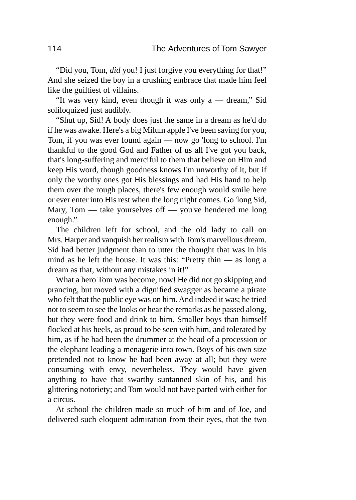"Did you, Tom, *did* you! I just forgive you everything for that!" And she seized the boy in a crushing embrace that made him feel like the guiltiest of villains.

"It was very kind, even though it was only a — dream," Sid soliloquized just audibly.

"Shut up, Sid! A body does just the same in a dream as he'd do if he was awake. Here's a big Milum apple I've been saving for you, Tom, if you was ever found again — now go 'long to school. I'm thankful to the good God and Father of us all I've got you back, that's long-suffering and merciful to them that believe on Him and keep His word, though goodness knows I'm unworthy of it, but if only the worthy ones got His blessings and had His hand to help them over the rough places, there's few enough would smile here or ever enter into His rest when the long night comes. Go 'long Sid, Mary, Tom — take yourselves off — you've hendered me long enough."

The children left for school, and the old lady to call on Mrs. Harper and vanquish her realism with Tom's marvellous dream. Sid had better judgment than to utter the thought that was in his mind as he left the house. It was this: "Pretty thin — as long a dream as that, without any mistakes in it!"

What a hero Tom was become, now! He did not go skipping and prancing, but moved with a dignified swagger as became a pirate who felt that the public eye was on him. And indeed it was; he tried not to seem to see the looks or hear the remarks as he passed along, but they were food and drink to him. Smaller boys than himself flocked at his heels, as proud to be seen with him, and tolerated by him, as if he had been the drummer at the head of a procession or the elephant leading a menagerie into town. Boys of his own size pretended not to know he had been away at all; but they were consuming with envy, nevertheless. They would have given anything to have that swarthy suntanned skin of his, and his glittering notoriety; and Tom would not have parted with either for a circus.

At school the children made so much of him and of Joe, and delivered such eloquent admiration from their eyes, that the two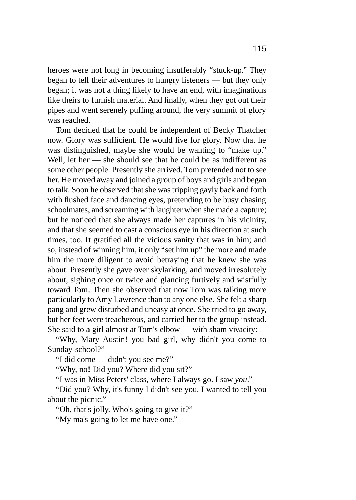heroes were not long in becoming insufferably "stuck-up." They began to tell their adventures to hungry listeners — but they only began; it was not a thing likely to have an end, with imaginations like theirs to furnish material. And finally, when they got out their pipes and went serenely puffing around, the very summit of glory was reached.

Tom decided that he could be independent of Becky Thatcher now. Glory was sufficient. He would live for glory. Now that he was distinguished, maybe she would be wanting to "make up." Well, let her — she should see that he could be as indifferent as some other people. Presently she arrived. Tom pretended not to see her. He moved away and joined a group of boys and girls and began to talk. Soon he observed that she was tripping gayly back and forth with flushed face and dancing eyes, pretending to be busy chasing schoolmates, and screaming with laughter when she made a capture; but he noticed that she always made her captures in his vicinity, and that she seemed to cast a conscious eye in his direction at such times, too. It gratified all the vicious vanity that was in him; and so, instead of winning him, it only "set him up" the more and made him the more diligent to avoid betraying that he knew she was about. Presently she gave over skylarking, and moved irresolutely about, sighing once or twice and glancing furtively and wistfully toward Tom. Then she observed that now Tom was talking more particularly to Amy Lawrence than to any one else. She felt a sharp pang and grew disturbed and uneasy at once. She tried to go away, but her feet were treacherous, and carried her to the group instead. She said to a girl almost at Tom's elbow — with sham vivacity:

"Why, Mary Austin! you bad girl, why didn't you come to Sunday-school?"

"I did come — didn't you see me?"

"Why, no! Did you? Where did you sit?"

"I was in Miss Peters' class, where I always go. I saw *you*."

"Did you? Why, it's funny I didn't see you. I wanted to tell you about the picnic."

"Oh, that's jolly. Who's going to give it?"

"My ma's going to let me have one."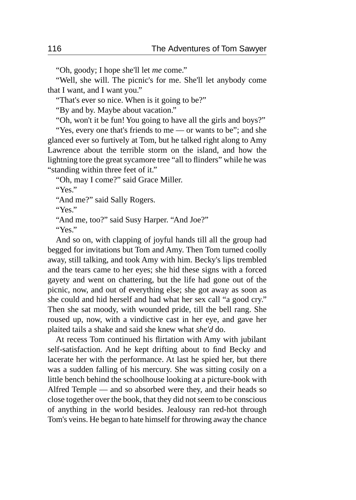"Oh, goody; I hope she'll let *me* come."

"Well, she will. The picnic's for me. She'll let anybody come that I want, and I want you."

"That's ever so nice. When is it going to be?"

"By and by. Maybe about vacation."

"Oh, won't it be fun! You going to have all the girls and boys?"

"Yes, every one that's friends to me — or wants to be"; and she glanced ever so furtively at Tom, but he talked right along to Amy Lawrence about the terrible storm on the island, and how the lightning tore the great sycamore tree "all to flinders" while he was "standing within three feet of it."

"Oh, may I come?" said Grace Miller.

"Yes."

"And me?" said Sally Rogers.

"Yes."

"And me, too?" said Susy Harper. "And Joe?"

"Yes."

And so on, with clapping of joyful hands till all the group had begged for invitations but Tom and Amy. Then Tom turned coolly away, still talking, and took Amy with him. Becky's lips trembled and the tears came to her eyes; she hid these signs with a forced gayety and went on chattering, but the life had gone out of the picnic, now, and out of everything else; she got away as soon as she could and hid herself and had what her sex call "a good cry." Then she sat moody, with wounded pride, till the bell rang. She roused up, now, with a vindictive cast in her eye, and gave her plaited tails a shake and said she knew what *she'd* do.

At recess Tom continued his flirtation with Amy with jubilant self-satisfaction. And he kept drifting about to find Becky and lacerate her with the performance. At last he spied her, but there was a sudden falling of his mercury. She was sitting cosily on a little bench behind the schoolhouse looking at a picture-book with Alfred Temple — and so absorbed were they, and their heads so close together over the book, that they did not seem to be conscious of anything in the world besides. Jealousy ran red-hot through Tom's veins. He began to hate himself for throwing away the chance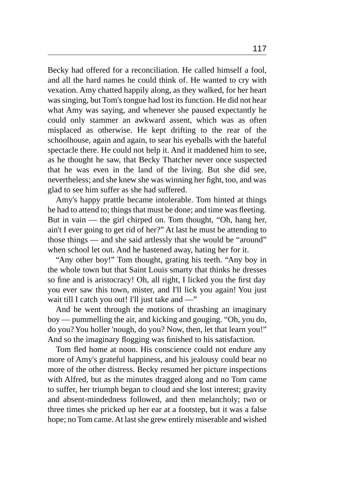Becky had offered for a reconciliation. He called himself a fool, and all the hard names he could think of. He wanted to cry with vexation. Amy chatted happily along, as they walked, for her heart was singing, but Tom's tongue had lost its function. He did not hear what Amy was saying, and whenever she paused expectantly he could only stammer an awkward assent, which was as often misplaced as otherwise. He kept drifting to the rear of the schoolhouse, again and again, to sear his eyeballs with the hateful spectacle there. He could not help it. And it maddened him to see, as he thought he saw, that Becky Thatcher never once suspected that he was even in the land of the living. But she did see, nevertheless; and she knew she was winning her fight, too, and was glad to see him suffer as she had suffered.

Amy's happy prattle became intolerable. Tom hinted at things he had to attend to; things that must be done; and time was fleeting. But in vain — the girl chirped on. Tom thought, "Oh, hang her, ain't I ever going to get rid of her?" At last he must be attending to those things — and she said artlessly that she would be "around" when school let out. And he hastened away, hating her for it.

"Any other boy!" Tom thought, grating his teeth. "Any boy in the whole town but that Saint Louis smarty that thinks he dresses so fine and is aristocracy! Oh, all right, I licked you the first day you ever saw this town, mister, and I'll lick you again! You just wait till I catch you out! I'll just take and —"

And he went through the motions of thrashing an imaginary boy — pummelling the air, and kicking and gouging. "Oh, you do, do you? You holler 'nough, do you? Now, then, let that learn you!" And so the imaginary flogging was finished to his satisfaction.

Tom fled home at noon. His conscience could not endure any more of Amy's grateful happiness, and his jealousy could bear no more of the other distress. Becky resumed her picture inspections with Alfred, but as the minutes dragged along and no Tom came to suffer, her triumph began to cloud and she lost interest; gravity and absent-mindedness followed, and then melancholy; two or three times she pricked up her ear at a footstep, but it was a false hope; no Tom came. At last she grew entirely miserable and wished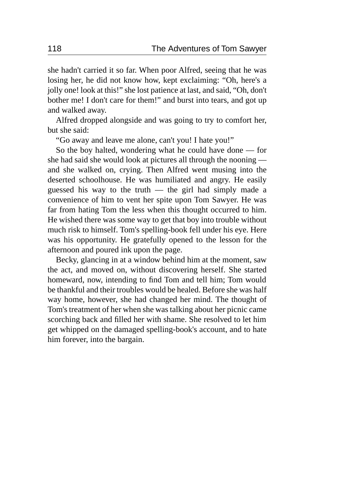she hadn't carried it so far. When poor Alfred, seeing that he was losing her, he did not know how, kept exclaiming: "Oh, here's a jolly one! look at this!" she lost patience at last, and said, "Oh, don't bother me! I don't care for them!" and burst into tears, and got up and walked away.

Alfred dropped alongside and was going to try to comfort her, but she said:

"Go away and leave me alone, can't you! I hate you!"

So the boy halted, wondering what he could have done — for she had said she would look at pictures all through the nooning and she walked on, crying. Then Alfred went musing into the deserted schoolhouse. He was humiliated and angry. He easily guessed his way to the truth — the girl had simply made a convenience of him to vent her spite upon Tom Sawyer. He was far from hating Tom the less when this thought occurred to him. He wished there was some way to get that boy into trouble without much risk to himself. Tom's spelling-book fell under his eye. Here was his opportunity. He gratefully opened to the lesson for the afternoon and poured ink upon the page.

Becky, glancing in at a window behind him at the moment, saw the act, and moved on, without discovering herself. She started homeward, now, intending to find Tom and tell him; Tom would be thankful and their troubles would be healed. Before she was half way home, however, she had changed her mind. The thought of Tom's treatment of her when she was talking about her picnic came scorching back and filled her with shame. She resolved to let him get whipped on the damaged spelling-book's account, and to hate him forever, into the bargain.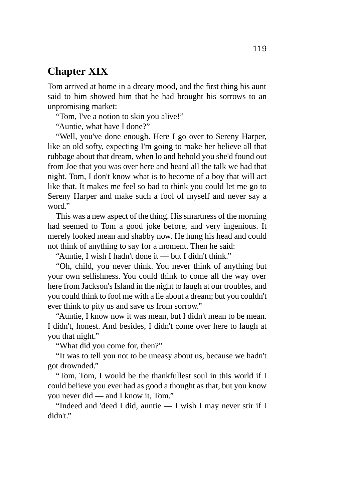## **Chapter XIX**

Tom arrived at home in a dreary mood, and the first thing his aunt said to him showed him that he had brought his sorrows to an unpromising market:

"Tom, I've a notion to skin you alive!"

"Auntie, what have I done?"

"Well, you've done enough. Here I go over to Sereny Harper, like an old softy, expecting I'm going to make her believe all that rubbage about that dream, when lo and behold you she'd found out from Joe that you was over here and heard all the talk we had that night. Tom, I don't know what is to become of a boy that will act like that. It makes me feel so bad to think you could let me go to Sereny Harper and make such a fool of myself and never say a word."

This was a new aspect of the thing. His smartness of the morning had seemed to Tom a good joke before, and very ingenious. It merely looked mean and shabby now. He hung his head and could not think of anything to say for a moment. Then he said:

"Auntie, I wish I hadn't done it — but I didn't think."

"Oh, child, you never think. You never think of anything but your own selfishness. You could think to come all the way over here from Jackson's Island in the night to laugh at our troubles, and you could think to fool me with a lie about a dream; but you couldn't ever think to pity us and save us from sorrow."

"Auntie, I know now it was mean, but I didn't mean to be mean. I didn't, honest. And besides, I didn't come over here to laugh at you that night."

"What did you come for, then?"

"It was to tell you not to be uneasy about us, because we hadn't got drownded."

"Tom, Tom, I would be the thankfullest soul in this world if I could believe you ever had as good a thought as that, but you know you never did — and I know it, Tom."

"Indeed and 'deed I did, auntie — I wish I may never stir if I didn't."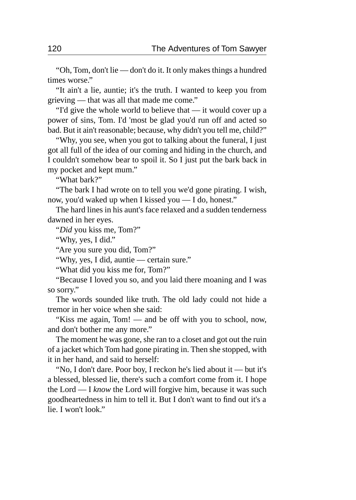"Oh, Tom, don't lie — don't do it. It only makes things a hundred times worse."

"It ain't a lie, auntie; it's the truth. I wanted to keep you from grieving — that was all that made me come."

"I'd give the whole world to believe that — it would cover up a power of sins, Tom. I'd 'most be glad you'd run off and acted so bad. But it ain't reasonable; because, why didn't you tell me, child?"

"Why, you see, when you got to talking about the funeral, I just got all full of the idea of our coming and hiding in the church, and I couldn't somehow bear to spoil it. So I just put the bark back in my pocket and kept mum."

"What bark?"

"The bark I had wrote on to tell you we'd gone pirating. I wish, now, you'd waked up when I kissed you — I do, honest."

The hard lines in his aunt's face relaxed and a sudden tenderness dawned in her eyes.

"*Did* you kiss me, Tom?"

"Why, yes, I did."

"Are you sure you did, Tom?"

"Why, yes, I did, auntie — certain sure."

"What did you kiss me for, Tom?"

"Because I loved you so, and you laid there moaning and I was so sorry."

The words sounded like truth. The old lady could not hide a tremor in her voice when she said:

"Kiss me again, Tom! — and be off with you to school, now, and don't bother me any more."

The moment he was gone, she ran to a closet and got out the ruin of a jacket which Tom had gone pirating in. Then she stopped, with it in her hand, and said to herself:

"No, I don't dare. Poor boy, I reckon he's lied about it — but it's a blessed, blessed lie, there's such a comfort come from it. I hope the Lord — I *know* the Lord will forgive him, because it was such goodheartedness in him to tell it. But I don't want to find out it's a lie. I won't look."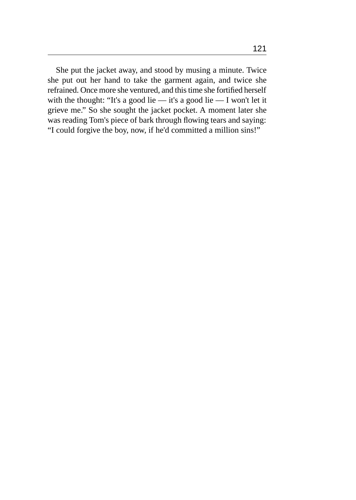She put the jacket away, and stood by musing a minute. Twice she put out her hand to take the garment again, and twice she refrained. Once more she ventured, and this time she fortified herself with the thought: "It's a good lie — it's a good lie — I won't let it grieve me." So she sought the jacket pocket. A moment later she was reading Tom's piece of bark through flowing tears and saying: "I could forgive the boy, now, if he'd committed a million sins!"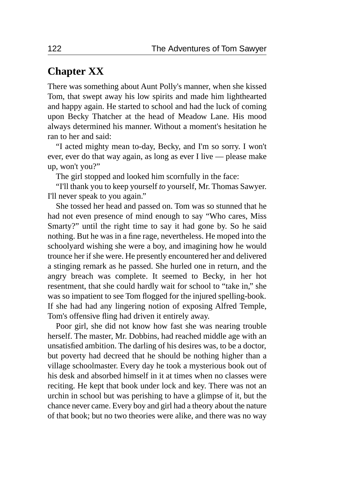## **Chapter XX**

There was something about Aunt Polly's manner, when she kissed Tom, that swept away his low spirits and made him lighthearted and happy again. He started to school and had the luck of coming upon Becky Thatcher at the head of Meadow Lane. His mood always determined his manner. Without a moment's hesitation he ran to her and said:

"I acted mighty mean to-day, Becky, and I'm so sorry. I won't ever, ever do that way again, as long as ever I live — please make up, won't you?"

The girl stopped and looked him scornfully in the face:

"I'll thank you to keep yourself *to* yourself, Mr. Thomas Sawyer. I'll never speak to you again."

She tossed her head and passed on. Tom was so stunned that he had not even presence of mind enough to say "Who cares, Miss Smarty?" until the right time to say it had gone by. So he said nothing. But he was in a fine rage, nevertheless. He moped into the schoolyard wishing she were a boy, and imagining how he would trounce her if she were. He presently encountered her and delivered a stinging remark as he passed. She hurled one in return, and the angry breach was complete. It seemed to Becky, in her hot resentment, that she could hardly wait for school to "take in," she was so impatient to see Tom flogged for the injured spelling-book. If she had had any lingering notion of exposing Alfred Temple, Tom's offensive fling had driven it entirely away.

Poor girl, she did not know how fast she was nearing trouble herself. The master, Mr. Dobbins, had reached middle age with an unsatisfied ambition. The darling of his desires was, to be a doctor, but poverty had decreed that he should be nothing higher than a village schoolmaster. Every day he took a mysterious book out of his desk and absorbed himself in it at times when no classes were reciting. He kept that book under lock and key. There was not an urchin in school but was perishing to have a glimpse of it, but the chance never came. Every boy and girl had a theory about the nature of that book; but no two theories were alike, and there was no way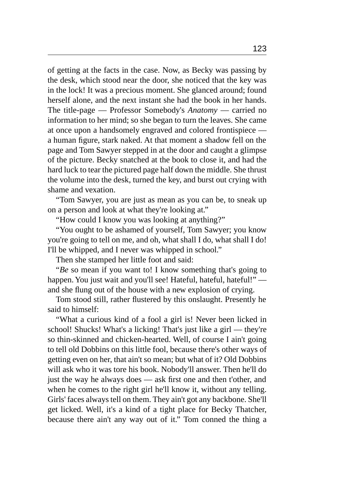of getting at the facts in the case. Now, as Becky was passing by the desk, which stood near the door, she noticed that the key was in the lock! It was a precious moment. She glanced around; found herself alone, and the next instant she had the book in her hands. The title-page — Professor Somebody's *Anatomy* — carried no information to her mind; so she began to turn the leaves. She came at once upon a handsomely engraved and colored frontispiece a human figure, stark naked. At that moment a shadow fell on the page and Tom Sawyer stepped in at the door and caught a glimpse of the picture. Becky snatched at the book to close it, and had the hard luck to tear the pictured page half down the middle. She thrust the volume into the desk, turned the key, and burst out crying with shame and vexation.

"Tom Sawyer, you are just as mean as you can be, to sneak up on a person and look at what they're looking at."

"How could I know you was looking at anything?"

"You ought to be ashamed of yourself, Tom Sawyer; you know you're going to tell on me, and oh, what shall I do, what shall I do! I'll be whipped, and I never was whipped in school."

Then she stamped her little foot and said:

"*Be* so mean if you want to! I know something that's going to happen. You just wait and you'll see! Hateful, hateful, hateful!" and she flung out of the house with a new explosion of crying.

Tom stood still, rather flustered by this onslaught. Presently he said to himself:

"What a curious kind of a fool a girl is! Never been licked in school! Shucks! What's a licking! That's just like a girl — they're so thin-skinned and chicken-hearted. Well, of course I ain't going to tell old Dobbins on this little fool, because there's other ways of getting even on her, that ain't so mean; but what of it? Old Dobbins will ask who it was tore his book. Nobody'll answer. Then he'll do just the way he always does — ask first one and then t'other, and when he comes to the right girl he'll know it, without any telling. Girls' faces always tell on them. They ain't got any backbone. She'll get licked. Well, it's a kind of a tight place for Becky Thatcher, because there ain't any way out of it." Tom conned the thing a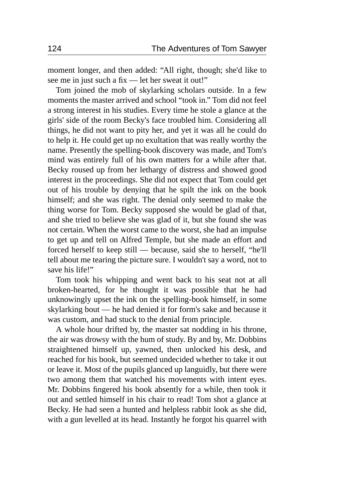moment longer, and then added: "All right, though; she'd like to see me in just such a fix — let her sweat it out!"

Tom joined the mob of skylarking scholars outside. In a few moments the master arrived and school "took in." Tom did not feel a strong interest in his studies. Every time he stole a glance at the girls' side of the room Becky's face troubled him. Considering all things, he did not want to pity her, and yet it was all he could do to help it. He could get up no exultation that was really worthy the name. Presently the spelling-book discovery was made, and Tom's mind was entirely full of his own matters for a while after that. Becky roused up from her lethargy of distress and showed good interest in the proceedings. She did not expect that Tom could get out of his trouble by denying that he spilt the ink on the book himself; and she was right. The denial only seemed to make the thing worse for Tom. Becky supposed she would be glad of that, and she tried to believe she was glad of it, but she found she was not certain. When the worst came to the worst, she had an impulse to get up and tell on Alfred Temple, but she made an effort and forced herself to keep still — because, said she to herself, "he'll tell about me tearing the picture sure. I wouldn't say a word, not to save his life!"

Tom took his whipping and went back to his seat not at all broken-hearted, for he thought it was possible that he had unknowingly upset the ink on the spelling-book himself, in some skylarking bout — he had denied it for form's sake and because it was custom, and had stuck to the denial from principle.

A whole hour drifted by, the master sat nodding in his throne, the air was drowsy with the hum of study. By and by, Mr. Dobbins straightened himself up, yawned, then unlocked his desk, and reached for his book, but seemed undecided whether to take it out or leave it. Most of the pupils glanced up languidly, but there were two among them that watched his movements with intent eyes. Mr. Dobbins fingered his book absently for a while, then took it out and settled himself in his chair to read! Tom shot a glance at Becky. He had seen a hunted and helpless rabbit look as she did, with a gun levelled at its head. Instantly he forgot his quarrel with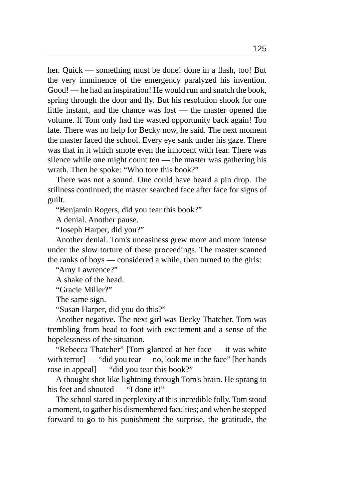her. Quick — something must be done! done in a flash, too! But the very imminence of the emergency paralyzed his invention. Good! — he had an inspiration! He would run and snatch the book, spring through the door and fly. But his resolution shook for one little instant, and the chance was lost — the master opened the volume. If Tom only had the wasted opportunity back again! Too late. There was no help for Becky now, he said. The next moment the master faced the school. Every eye sank under his gaze. There was that in it which smote even the innocent with fear. There was silence while one might count ten — the master was gathering his wrath. Then he spoke: "Who tore this book?"

There was not a sound. One could have heard a pin drop. The stillness continued; the master searched face after face for signs of guilt.

"Benjamin Rogers, did you tear this book?"

A denial. Another pause.

"Joseph Harper, did you?"

Another denial. Tom's uneasiness grew more and more intense under the slow torture of these proceedings. The master scanned the ranks of boys — considered a while, then turned to the girls:

"Amy Lawrence?"

A shake of the head.

"Gracie Miller?"

The same sign.

"Susan Harper, did you do this?"

Another negative. The next girl was Becky Thatcher. Tom was trembling from head to foot with excitement and a sense of the hopelessness of the situation.

"Rebecca Thatcher" [Tom glanced at her face — it was white with terror] — "did you tear — no, look me in the face" [her hands rose in appeal] — "did you tear this book?"

A thought shot like lightning through Tom's brain. He sprang to his feet and shouted — "I done it!"

The school stared in perplexity at this incredible folly. Tom stood a moment, to gather his dismembered faculties; and when he stepped forward to go to his punishment the surprise, the gratitude, the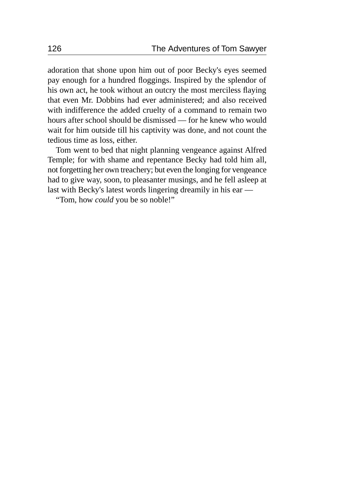adoration that shone upon him out of poor Becky's eyes seemed pay enough for a hundred floggings. Inspired by the splendor of his own act, he took without an outcry the most merciless flaying that even Mr. Dobbins had ever administered; and also received with indifference the added cruelty of a command to remain two hours after school should be dismissed — for he knew who would wait for him outside till his captivity was done, and not count the tedious time as loss, either.

Tom went to bed that night planning vengeance against Alfred Temple; for with shame and repentance Becky had told him all, not forgetting her own treachery; but even the longing for vengeance had to give way, soon, to pleasanter musings, and he fell asleep at last with Becky's latest words lingering dreamily in his ear —

"Tom, how *could* you be so noble!"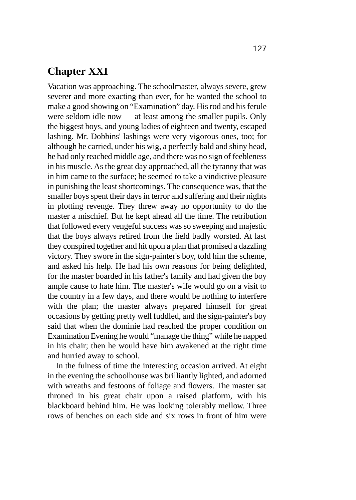## **Chapter XXI**

Vacation was approaching. The schoolmaster, always severe, grew severer and more exacting than ever, for he wanted the school to make a good showing on "Examination" day. His rod and his ferule were seldom idle now — at least among the smaller pupils. Only the biggest boys, and young ladies of eighteen and twenty, escaped lashing. Mr. Dobbins' lashings were very vigorous ones, too; for although he carried, under his wig, a perfectly bald and shiny head, he had only reached middle age, and there was no sign of feebleness in his muscle. As the great day approached, all the tyranny that was in him came to the surface; he seemed to take a vindictive pleasure in punishing the least shortcomings. The consequence was, that the smaller boys spent their days in terror and suffering and their nights in plotting revenge. They threw away no opportunity to do the master a mischief. But he kept ahead all the time. The retribution that followed every vengeful success was so sweeping and majestic that the boys always retired from the field badly worsted. At last they conspired together and hit upon a plan that promised a dazzling victory. They swore in the sign-painter's boy, told him the scheme, and asked his help. He had his own reasons for being delighted, for the master boarded in his father's family and had given the boy ample cause to hate him. The master's wife would go on a visit to the country in a few days, and there would be nothing to interfere with the plan; the master always prepared himself for great occasions by getting pretty well fuddled, and the sign-painter's boy said that when the dominie had reached the proper condition on Examination Evening he would "manage the thing" while he napped in his chair; then he would have him awakened at the right time and hurried away to school.

In the fulness of time the interesting occasion arrived. At eight in the evening the schoolhouse was brilliantly lighted, and adorned with wreaths and festoons of foliage and flowers. The master sat throned in his great chair upon a raised platform, with his blackboard behind him. He was looking tolerably mellow. Three rows of benches on each side and six rows in front of him were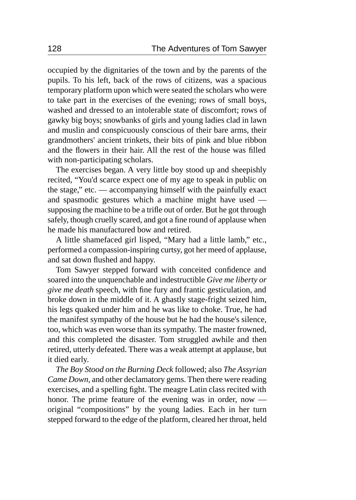occupied by the dignitaries of the town and by the parents of the pupils. To his left, back of the rows of citizens, was a spacious temporary platform upon which were seated the scholars who were to take part in the exercises of the evening; rows of small boys, washed and dressed to an intolerable state of discomfort; rows of gawky big boys; snowbanks of girls and young ladies clad in lawn and muslin and conspicuously conscious of their bare arms, their grandmothers' ancient trinkets, their bits of pink and blue ribbon and the flowers in their hair. All the rest of the house was filled with non-participating scholars.

The exercises began. A very little boy stood up and sheepishly recited, "You'd scarce expect one of my age to speak in public on the stage," etc. — accompanying himself with the painfully exact and spasmodic gestures which a machine might have used supposing the machine to be a trifle out of order. But he got through safely, though cruelly scared, and got a fine round of applause when he made his manufactured bow and retired.

A little shamefaced girl lisped, "Mary had a little lamb," etc., performed a compassion-inspiring curtsy, got her meed of applause, and sat down flushed and happy.

Tom Sawyer stepped forward with conceited confidence and soared into the unquenchable and indestructible *Give me liberty or give me death* speech, with fine fury and frantic gesticulation, and broke down in the middle of it. A ghastly stage-fright seized him, his legs quaked under him and he was like to choke. True, he had the manifest sympathy of the house but he had the house's silence, too, which was even worse than its sympathy. The master frowned, and this completed the disaster. Tom struggled awhile and then retired, utterly defeated. There was a weak attempt at applause, but it died early.

*The Boy Stood on the Burning Deck* followed; also *The Assyrian Came Down,* and other declamatory gems. Then there were reading exercises, and a spelling fight. The meagre Latin class recited with honor. The prime feature of the evening was in order, now original "compositions" by the young ladies. Each in her turn stepped forward to the edge of the platform, cleared her throat, held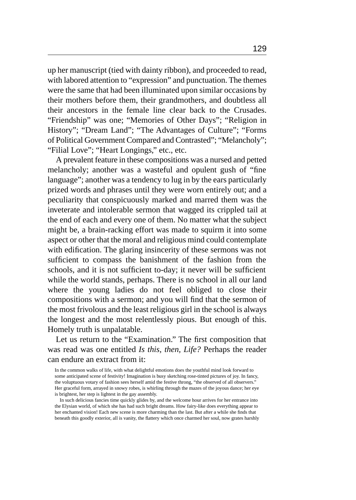up her manuscript (tied with dainty ribbon), and proceeded to read, with labored attention to "expression" and punctuation. The themes were the same that had been illuminated upon similar occasions by their mothers before them, their grandmothers, and doubtless all their ancestors in the female line clear back to the Crusades. "Friendship" was one; "Memories of Other Days"; "Religion in History"; "Dream Land"; "The Advantages of Culture"; "Forms of Political Government Compared and Contrasted"; "Melancholy"; "Filial Love"; "Heart Longings," etc., etc.

A prevalent feature in these compositions was a nursed and petted melancholy; another was a wasteful and opulent gush of "fine language"; another was a tendency to lug in by the ears particularly prized words and phrases until they were worn entirely out; and a peculiarity that conspicuously marked and marred them was the inveterate and intolerable sermon that wagged its crippled tail at the end of each and every one of them. No matter what the subject might be, a brain-racking effort was made to squirm it into some aspect or other that the moral and religious mind could contemplate with edification. The glaring insincerity of these sermons was not sufficient to compass the banishment of the fashion from the schools, and it is not sufficient to-day; it never will be sufficient while the world stands, perhaps. There is no school in all our land where the young ladies do not feel obliged to close their compositions with a sermon; and you will find that the sermon of the most frivolous and the least religious girl in the school is always the longest and the most relentlessly pious. But enough of this. Homely truth is unpalatable.

Let us return to the "Examination." The first composition that was read was one entitled *Is this, then, Life?* Perhaps the reader can endure an extract from it:

In the common walks of life, with what delightful emotions does the youthful mind look forward to some anticipated scene of festivity! Imagination is busy sketching rose-tinted pictures of joy. In fancy, the voluptuous votary of fashion sees herself amid the festive throng, "the observed of all observers." Her graceful form, arrayed in snowy robes, is whirling through the mazes of the joyous dance; her eye is brightest, her step is lightest in the gay assembly.

In such delicious fancies time quickly glides by, and the welcome hour arrives for her entrance into the Elysian world, of which she has had such bright dreams. How fairy-like does everything appear to her enchanted vision! Each new scene is more charming than the last. But after a while she finds that beneath this goodly exterior, all is vanity, the flattery which once charmed her soul, now grates harshly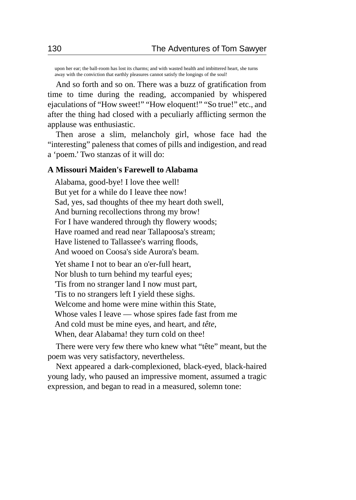upon her ear; the ball-room has lost its charms; and with wasted health and imbittered heart, she turns away with the conviction that earthly pleasures cannot satisfy the longings of the soul!

And so forth and so on. There was a buzz of gratification from time to time during the reading, accompanied by whispered ejaculations of "How sweet!" "How eloquent!" "So true!" etc., and after the thing had closed with a peculiarly afflicting sermon the applause was enthusiastic.

Then arose a slim, melancholy girl, whose face had the "interesting" paleness that comes of pills and indigestion, and read a 'poem.' Two stanzas of it will do:

#### **A Missouri Maiden's Farewell to Alabama**

Alabama, good-bye! I love thee well! But yet for a while do I leave thee now! Sad, yes, sad thoughts of thee my heart doth swell, And burning recollections throng my brow! For I have wandered through thy flowery woods; Have roamed and read near Tallapoosa's stream; Have listened to Tallassee's warring floods, And wooed on Coosa's side Aurora's beam.

Yet shame I not to bear an o'er-full heart, Nor blush to turn behind my tearful eyes; 'Tis from no stranger land I now must part, 'Tis to no strangers left I yield these sighs. Welcome and home were mine within this State, Whose vales I leave — whose spires fade fast from me And cold must be mine eyes, and heart, and *tête*, When, dear Alabama! they turn cold on thee!

There were very few there who knew what "tête" meant, but the poem was very satisfactory, nevertheless.

Next appeared a dark-complexioned, black-eyed, black-haired young lady, who paused an impressive moment, assumed a tragic expression, and began to read in a measured, solemn tone: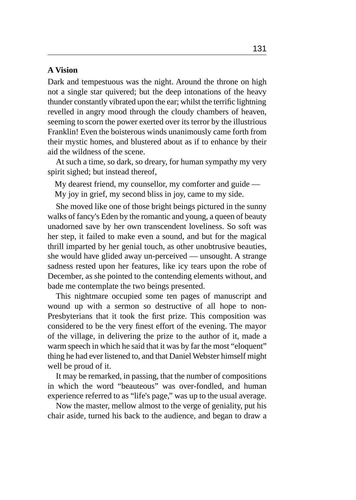#### **A Vision**

Dark and tempestuous was the night. Around the throne on high not a single star quivered; but the deep intonations of the heavy thunder constantly vibrated upon the ear; whilst the terrific lightning revelled in angry mood through the cloudy chambers of heaven, seeming to scorn the power exerted over its terror by the illustrious Franklin! Even the boisterous winds unanimously came forth from their mystic homes, and blustered about as if to enhance by their aid the wildness of the scene.

At such a time, so dark, so dreary, for human sympathy my very spirit sighed; but instead thereof,

My dearest friend, my counsellor, my comforter and guide — My joy in grief, my second bliss in joy, came to my side.

She moved like one of those bright beings pictured in the sunny walks of fancy's Eden by the romantic and young, a queen of beauty unadorned save by her own transcendent loveliness. So soft was her step, it failed to make even a sound, and but for the magical thrill imparted by her genial touch, as other unobtrusive beauties, she would have glided away un-perceived — unsought. A strange sadness rested upon her features, like icy tears upon the robe of December, as she pointed to the contending elements without, and bade me contemplate the two beings presented.

This nightmare occupied some ten pages of manuscript and wound up with a sermon so destructive of all hope to non-Presbyterians that it took the first prize. This composition was considered to be the very finest effort of the evening. The mayor of the village, in delivering the prize to the author of it, made a warm speech in which he said that it was by far the most "eloquent" thing he had ever listened to, and that Daniel Webster himself might well be proud of it.

It may be remarked, in passing, that the number of compositions in which the word "beauteous" was over-fondled, and human experience referred to as "life's page," was up to the usual average.

Now the master, mellow almost to the verge of geniality, put his chair aside, turned his back to the audience, and began to draw a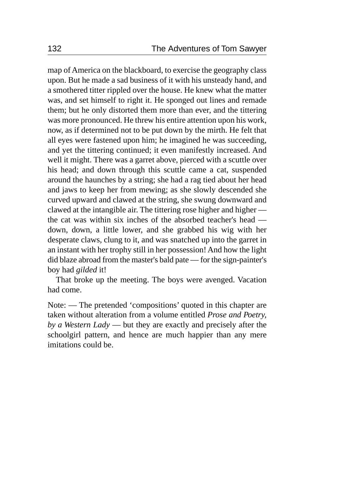map of America on the blackboard, to exercise the geography class upon. But he made a sad business of it with his unsteady hand, and a smothered titter rippled over the house. He knew what the matter was, and set himself to right it. He sponged out lines and remade them; but he only distorted them more than ever, and the tittering was more pronounced. He threw his entire attention upon his work, now, as if determined not to be put down by the mirth. He felt that all eyes were fastened upon him; he imagined he was succeeding, and yet the tittering continued; it even manifestly increased. And well it might. There was a garret above, pierced with a scuttle over his head; and down through this scuttle came a cat, suspended around the haunches by a string; she had a rag tied about her head and jaws to keep her from mewing; as she slowly descended she curved upward and clawed at the string, she swung downward and clawed at the intangible air. The tittering rose higher and higher the cat was within six inches of the absorbed teacher's head down, down, a little lower, and she grabbed his wig with her desperate claws, clung to it, and was snatched up into the garret in an instant with her trophy still in her possession! And how the light did blaze abroad from the master's bald pate — for the sign-painter's boy had *gilded* it!

That broke up the meeting. The boys were avenged. Vacation had come.

Note: — The pretended 'compositions' quoted in this chapter are taken without alteration from a volume entitled *Prose and Poetry, by a Western Lady* — but they are exactly and precisely after the schoolgirl pattern, and hence are much happier than any mere imitations could be.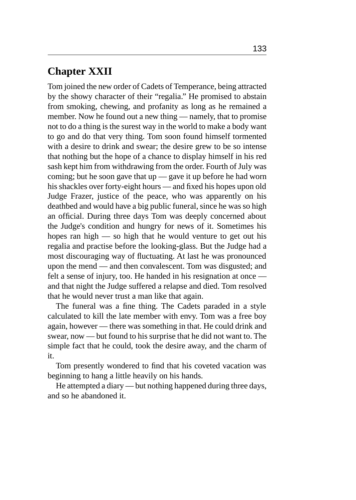## **Chapter XXII**

Tom joined the new order of Cadets of Temperance, being attracted by the showy character of their "regalia." He promised to abstain from smoking, chewing, and profanity as long as he remained a member. Now he found out a new thing — namely, that to promise not to do a thing is the surest way in the world to make a body want to go and do that very thing. Tom soon found himself tormented with a desire to drink and swear; the desire grew to be so intense that nothing but the hope of a chance to display himself in his red sash kept him from withdrawing from the order. Fourth of July was coming; but he soon gave that up — gave it up before he had worn his shackles over forty-eight hours — and fixed his hopes upon old Judge Frazer, justice of the peace, who was apparently on his deathbed and would have a big public funeral, since he was so high an official. During three days Tom was deeply concerned about the Judge's condition and hungry for news of it. Sometimes his hopes ran high — so high that he would venture to get out his regalia and practise before the looking-glass. But the Judge had a most discouraging way of fluctuating. At last he was pronounced upon the mend — and then convalescent. Tom was disgusted; and felt a sense of injury, too. He handed in his resignation at once and that night the Judge suffered a relapse and died. Tom resolved that he would never trust a man like that again.

The funeral was a fine thing. The Cadets paraded in a style calculated to kill the late member with envy. Tom was a free boy again, however — there was something in that. He could drink and swear, now — but found to his surprise that he did not want to. The simple fact that he could, took the desire away, and the charm of it.

Tom presently wondered to find that his coveted vacation was beginning to hang a little heavily on his hands.

He attempted a diary — but nothing happened during three days, and so he abandoned it.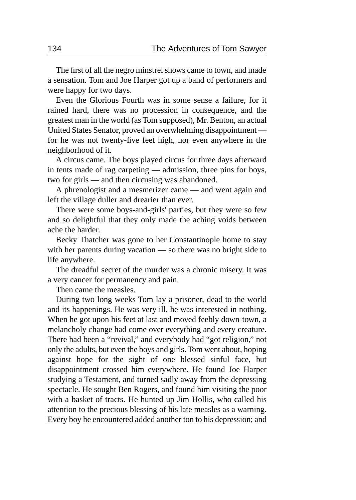The first of all the negro minstrel shows came to town, and made a sensation. Tom and Joe Harper got up a band of performers and were happy for two days.

Even the Glorious Fourth was in some sense a failure, for it rained hard, there was no procession in consequence, and the greatest man in the world (as Tom supposed), Mr. Benton, an actual United States Senator, proved an overwhelming disappointment for he was not twenty-five feet high, nor even anywhere in the neighborhood of it.

A circus came. The boys played circus for three days afterward in tents made of rag carpeting — admission, three pins for boys, two for girls — and then circusing was abandoned.

A phrenologist and a mesmerizer came — and went again and left the village duller and drearier than ever.

There were some boys-and-girls' parties, but they were so few and so delightful that they only made the aching voids between ache the harder.

Becky Thatcher was gone to her Constantinople home to stay with her parents during vacation — so there was no bright side to life anywhere.

The dreadful secret of the murder was a chronic misery. It was a very cancer for permanency and pain.

Then came the measles.

During two long weeks Tom lay a prisoner, dead to the world and its happenings. He was very ill, he was interested in nothing. When he got upon his feet at last and moved feebly down-town, a melancholy change had come over everything and every creature. There had been a "revival," and everybody had "got religion," not only the adults, but even the boys and girls. Tom went about, hoping against hope for the sight of one blessed sinful face, but disappointment crossed him everywhere. He found Joe Harper studying a Testament, and turned sadly away from the depressing spectacle. He sought Ben Rogers, and found him visiting the poor with a basket of tracts. He hunted up Jim Hollis, who called his attention to the precious blessing of his late measles as a warning. Every boy he encountered added another ton to his depression; and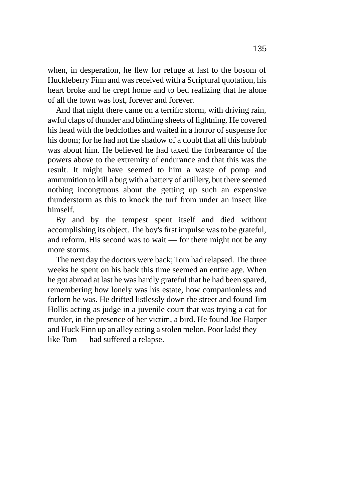when, in desperation, he flew for refuge at last to the bosom of Huckleberry Finn and was received with a Scriptural quotation, his heart broke and he crept home and to bed realizing that he alone of all the town was lost, forever and forever.

And that night there came on a terrific storm, with driving rain, awful claps of thunder and blinding sheets of lightning. He covered his head with the bedclothes and waited in a horror of suspense for his doom; for he had not the shadow of a doubt that all this hubbub was about him. He believed he had taxed the forbearance of the powers above to the extremity of endurance and that this was the result. It might have seemed to him a waste of pomp and ammunition to kill a bug with a battery of artillery, but there seemed nothing incongruous about the getting up such an expensive thunderstorm as this to knock the turf from under an insect like himself.

By and by the tempest spent itself and died without accomplishing its object. The boy's first impulse was to be grateful, and reform. His second was to wait — for there might not be any more storms.

The next day the doctors were back; Tom had relapsed. The three weeks he spent on his back this time seemed an entire age. When he got abroad at last he was hardly grateful that he had been spared, remembering how lonely was his estate, how companionless and forlorn he was. He drifted listlessly down the street and found Jim Hollis acting as judge in a juvenile court that was trying a cat for murder, in the presence of her victim, a bird. He found Joe Harper and Huck Finn up an alley eating a stolen melon. Poor lads! they like Tom — had suffered a relapse.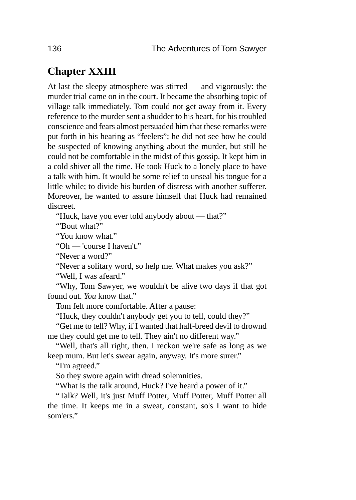# **Chapter XXIII**

At last the sleepy atmosphere was stirred — and vigorously: the murder trial came on in the court. It became the absorbing topic of village talk immediately. Tom could not get away from it. Every reference to the murder sent a shudder to his heart, for his troubled conscience and fears almost persuaded him that these remarks were put forth in his hearing as "feelers"; he did not see how he could be suspected of knowing anything about the murder, but still he could not be comfortable in the midst of this gossip. It kept him in a cold shiver all the time. He took Huck to a lonely place to have a talk with him. It would be some relief to unseal his tongue for a little while; to divide his burden of distress with another sufferer. Moreover, he wanted to assure himself that Huck had remained discreet.

"Huck, have you ever told anybody about — that?"

"'Bout what?"

"You know what."

"Oh — 'course I haven't."

"Never a word?"

"Never a solitary word, so help me. What makes you ask?"

"Well, I was afeard."

"Why, Tom Sawyer, we wouldn't be alive two days if that got found out. *You* know that."

Tom felt more comfortable. After a pause:

"Huck, they couldn't anybody get you to tell, could they?"

"Get me to tell? Why, if I wanted that half-breed devil to drownd me they could get me to tell. They ain't no different way."

"Well, that's all right, then. I reckon we're safe as long as we keep mum. But let's swear again, anyway. It's more surer."

"I'm agreed."

So they swore again with dread solemnities.

"What is the talk around, Huck? I've heard a power of it."

"Talk? Well, it's just Muff Potter, Muff Potter, Muff Potter all the time. It keeps me in a sweat, constant, so's I want to hide som'ers."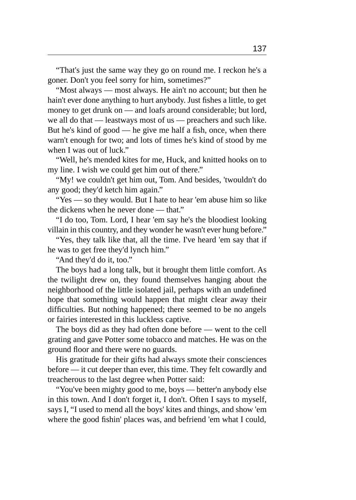"That's just the same way they go on round me. I reckon he's a goner. Don't you feel sorry for him, sometimes?"

"Most always — most always. He ain't no account; but then he hain't ever done anything to hurt anybody. Just fishes a little, to get money to get drunk on — and loafs around considerable; but lord, we all do that — leastways most of us — preachers and such like. But he's kind of good — he give me half a fish, once, when there warn't enough for two; and lots of times he's kind of stood by me when I was out of luck."

"Well, he's mended kites for me, Huck, and knitted hooks on to my line. I wish we could get him out of there."

"My! we couldn't get him out, Tom. And besides, 'twouldn't do any good; they'd ketch him again."

"Yes — so they would. But I hate to hear 'em abuse him so like the dickens when he never done — that."

"I do too, Tom. Lord, I hear 'em say he's the bloodiest looking villain in this country, and they wonder he wasn't ever hung before."

"Yes, they talk like that, all the time. I've heard 'em say that if he was to get free they'd lynch him."

"And they'd do it, too."

The boys had a long talk, but it brought them little comfort. As the twilight drew on, they found themselves hanging about the neighborhood of the little isolated jail, perhaps with an undefined hope that something would happen that might clear away their difficulties. But nothing happened; there seemed to be no angels or fairies interested in this luckless captive.

The boys did as they had often done before — went to the cell grating and gave Potter some tobacco and matches. He was on the ground floor and there were no guards.

His gratitude for their gifts had always smote their consciences before — it cut deeper than ever, this time. They felt cowardly and treacherous to the last degree when Potter said:

"You've been mighty good to me, boys — better'n anybody else in this town. And I don't forget it, I don't. Often I says to myself, says I, "I used to mend all the boys' kites and things, and show 'em where the good fishin' places was, and befriend 'em what I could,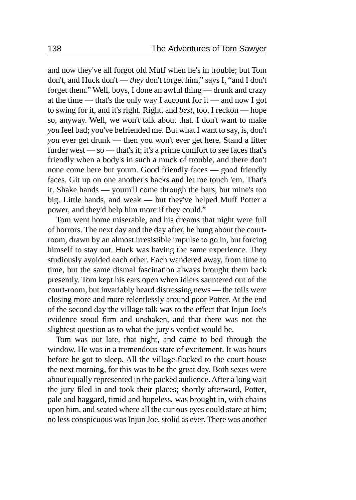and now they've all forgot old Muff when he's in trouble; but Tom don't, and Huck don't — *they* don't forget him," says I, "and I don't forget them." Well, boys, I done an awful thing — drunk and crazy at the time — that's the only way I account for it — and now I got to swing for it, and it's right. Right, and *best,* too, I reckon — hope so, anyway. Well, we won't talk about that. I don't want to make *you* feel bad; you've befriended me. But what I want to say, is, don't *you* ever get drunk — then you won't ever get here. Stand a litter furder west — so — that's it; it's a prime comfort to see faces that's friendly when a body's in such a muck of trouble, and there don't none come here but yourn. Good friendly faces — good friendly faces. Git up on one another's backs and let me touch 'em. That's it. Shake hands — yourn'll come through the bars, but mine's too big. Little hands, and weak — but they've helped Muff Potter a power, and they'd help him more if they could."

Tom went home miserable, and his dreams that night were full of horrors. The next day and the day after, he hung about the courtroom, drawn by an almost irresistible impulse to go in, but forcing himself to stay out. Huck was having the same experience. They studiously avoided each other. Each wandered away, from time to time, but the same dismal fascination always brought them back presently. Tom kept his ears open when idlers sauntered out of the court-room, but invariably heard distressing news — the toils were closing more and more relentlessly around poor Potter. At the end of the second day the village talk was to the effect that Injun Joe's evidence stood firm and unshaken, and that there was not the slightest question as to what the jury's verdict would be.

Tom was out late, that night, and came to bed through the window. He was in a tremendous state of excitement. It was hours before he got to sleep. All the village flocked to the court-house the next morning, for this was to be the great day. Both sexes were about equally represented in the packed audience. After a long wait the jury filed in and took their places; shortly afterward, Potter, pale and haggard, timid and hopeless, was brought in, with chains upon him, and seated where all the curious eyes could stare at him; no less conspicuous was Injun Joe, stolid as ever. There was another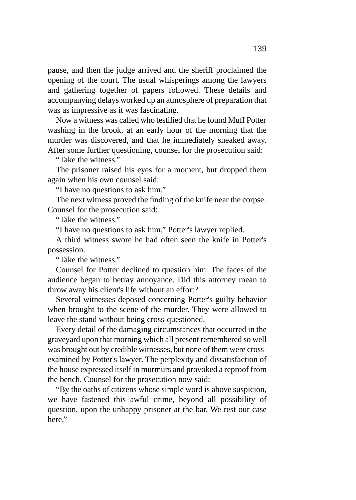pause, and then the judge arrived and the sheriff proclaimed the opening of the court. The usual whisperings among the lawyers and gathering together of papers followed. These details and accompanying delays worked up an atmosphere of preparation that was as impressive as it was fascinating.

Now a witness was called who testified that he found Muff Potter washing in the brook, at an early hour of the morning that the murder was discovered, and that he immediately sneaked away. After some further questioning, counsel for the prosecution said:

"Take the witness."

The prisoner raised his eyes for a moment, but dropped them again when his own counsel said:

"I have no questions to ask him."

The next witness proved the finding of the knife near the corpse. Counsel for the prosecution said:

"Take the witness."

"I have no questions to ask him," Potter's lawyer replied.

A third witness swore he had often seen the knife in Potter's possession.

"Take the witness."

Counsel for Potter declined to question him. The faces of the audience began to betray annoyance. Did this attorney mean to throw away his client's life without an effort?

Several witnesses deposed concerning Potter's guilty behavior when brought to the scene of the murder. They were allowed to leave the stand without being cross-questioned.

Every detail of the damaging circumstances that occurred in the graveyard upon that morning which all present remembered so well was brought out by credible witnesses, but none of them were crossexamined by Potter's lawyer. The perplexity and dissatisfaction of the house expressed itself in murmurs and provoked a reproof from the bench. Counsel for the prosecution now said:

"By the oaths of citizens whose simple word is above suspicion, we have fastened this awful crime, beyond all possibility of question, upon the unhappy prisoner at the bar. We rest our case here."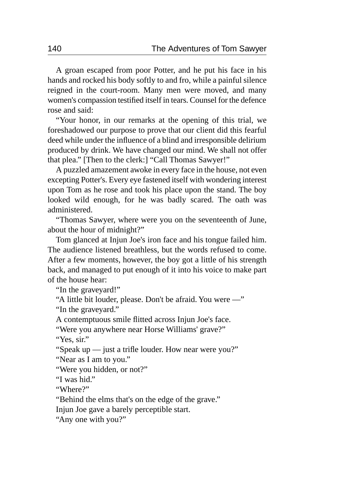A groan escaped from poor Potter, and he put his face in his hands and rocked his body softly to and fro, while a painful silence reigned in the court-room. Many men were moved, and many women's compassion testified itself in tears. Counsel for the defence rose and said:

"Your honor, in our remarks at the opening of this trial, we foreshadowed our purpose to prove that our client did this fearful deed while under the influence of a blind and irresponsible delirium produced by drink. We have changed our mind. We shall not offer that plea." [Then to the clerk:] "Call Thomas Sawyer!"

A puzzled amazement awoke in every face in the house, not even excepting Potter's. Every eye fastened itself with wondering interest upon Tom as he rose and took his place upon the stand. The boy looked wild enough, for he was badly scared. The oath was administered.

"Thomas Sawyer, where were you on the seventeenth of June, about the hour of midnight?"

Tom glanced at Injun Joe's iron face and his tongue failed him. The audience listened breathless, but the words refused to come. After a few moments, however, the boy got a little of his strength back, and managed to put enough of it into his voice to make part of the house hear:

"In the graveyard!"

"A little bit louder, please. Don't be afraid. You were —" "In the graveyard."

A contemptuous smile flitted across Injun Joe's face.

"Were you anywhere near Horse Williams' grave?"

"Yes, sir."

"Speak up — just a trifle louder. How near were you?"

"Near as I am to you."

"Were you hidden, or not?"

"I was hid."

"Where?"

"Behind the elms that's on the edge of the grave."

Injun Joe gave a barely perceptible start.

"Any one with you?"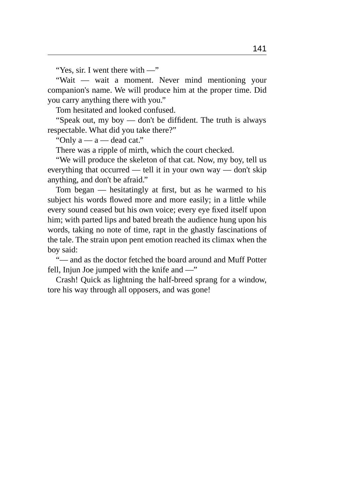"Yes, sir. I went there with —"

"Wait — wait a moment. Never mind mentioning your companion's name. We will produce him at the proper time. Did you carry anything there with you."

Tom hesitated and looked confused.

"Speak out, my boy — don't be diffident. The truth is always respectable. What did you take there?"

"Only  $a - a$  — dead cat."

There was a ripple of mirth, which the court checked.

"We will produce the skeleton of that cat. Now, my boy, tell us everything that occurred — tell it in your own way — don't skip anything, and don't be afraid."

Tom began — hesitatingly at first, but as he warmed to his subject his words flowed more and more easily; in a little while every sound ceased but his own voice; every eye fixed itself upon him; with parted lips and bated breath the audience hung upon his words, taking no note of time, rapt in the ghastly fascinations of the tale. The strain upon pent emotion reached its climax when the boy said:

"— and as the doctor fetched the board around and Muff Potter fell, Injun Joe jumped with the knife and —"

Crash! Quick as lightning the half-breed sprang for a window, tore his way through all opposers, and was gone!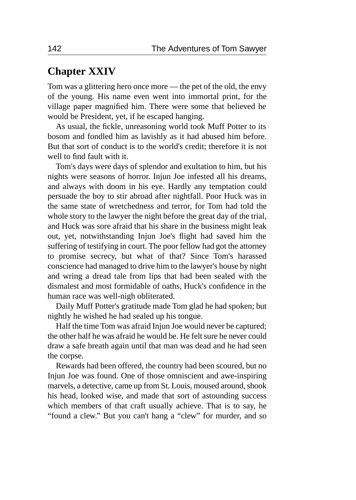### **Chapter XXIV**

Tom was a glittering hero once more — the pet of the old, the envy of the young. His name even went into immortal print, for the village paper magnified him. There were some that believed he would be President, yet, if he escaped hanging.

As usual, the fickle, unreasoning world took Muff Potter to its bosom and fondled him as lavishly as it had abused him before. But that sort of conduct is to the world's credit; therefore it is not well to find fault with it.

Tom's days were days of splendor and exultation to him, but his nights were seasons of horror. Injun Joe infested all his dreams, and always with doom in his eye. Hardly any temptation could persuade the boy to stir abroad after nightfall. Poor Huck was in the same state of wretchedness and terror, for Tom had told the whole story to the lawyer the night before the great day of the trial, and Huck was sore afraid that his share in the business might leak out, yet, notwithstanding Injun Joe's flight had saved him the suffering of testifying in court. The poor fellow had got the attorney to promise secrecy, but what of that? Since Tom's harassed conscience had managed to drive him to the lawyer's house by night and wring a dread tale from lips that had been sealed with the dismalest and most formidable of oaths, Huck's confidence in the human race was well-nigh obliterated.

Daily Muff Potter's gratitude made Tom glad he had spoken; but nightly he wished he had sealed up his tongue.

Half the time Tom was afraid Injun Joe would never be captured; the other half he was afraid he would be. He felt sure he never could draw a safe breath again until that man was dead and he had seen the corpse.

Rewards had been offered, the country had been scoured, but no Injun Joe was found. One of those omniscient and awe-inspiring marvels, a detective, came up from St. Louis, moused around, shook his head, looked wise, and made that sort of astounding success which members of that craft usually achieve. That is to say, he "found a clew." But you can't hang a "clew" for murder, and so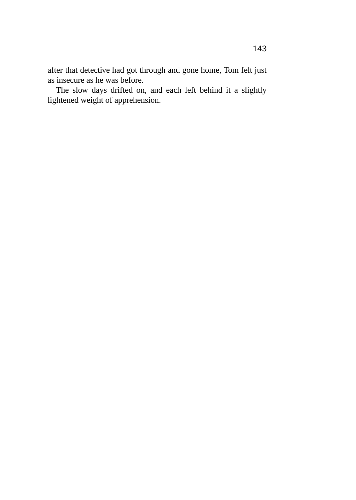after that detective had got through and gone home, Tom felt just as insecure as he was before.

The slow days drifted on, and each left behind it a slightly lightened weight of apprehension.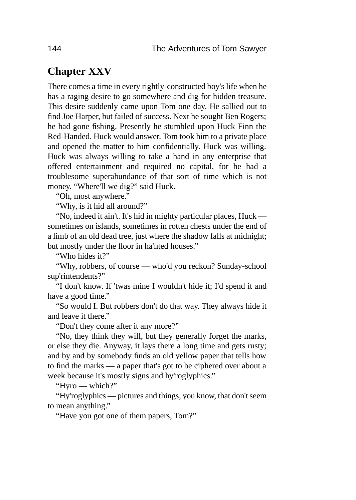### **Chapter XXV**

There comes a time in every rightly-constructed boy's life when he has a raging desire to go somewhere and dig for hidden treasure. This desire suddenly came upon Tom one day. He sallied out to find Joe Harper, but failed of success. Next he sought Ben Rogers; he had gone fishing. Presently he stumbled upon Huck Finn the Red-Handed. Huck would answer. Tom took him to a private place and opened the matter to him confidentially. Huck was willing. Huck was always willing to take a hand in any enterprise that offered entertainment and required no capital, for he had a troublesome superabundance of that sort of time which is not money. "Where'll we dig?" said Huck.

"Oh, most anywhere."

"Why, is it hid all around?"

"No, indeed it ain't. It's hid in mighty particular places, Huck sometimes on islands, sometimes in rotten chests under the end of a limb of an old dead tree, just where the shadow falls at midnight; but mostly under the floor in ha'nted houses."

"Who hides it?"

"Why, robbers, of course — who'd you reckon? Sunday-school sup'rintendents?"

"I don't know. If 'twas mine I wouldn't hide it; I'd spend it and have a good time."

"So would I. But robbers don't do that way. They always hide it and leave it there."

"Don't they come after it any more?"

"No, they think they will, but they generally forget the marks, or else they die. Anyway, it lays there a long time and gets rusty; and by and by somebody finds an old yellow paper that tells how to find the marks — a paper that's got to be ciphered over about a week because it's mostly signs and hy'roglyphics."

"Hyro — which?"

"Hy'roglyphics — pictures and things, you know, that don't seem to mean anything."

"Have you got one of them papers, Tom?"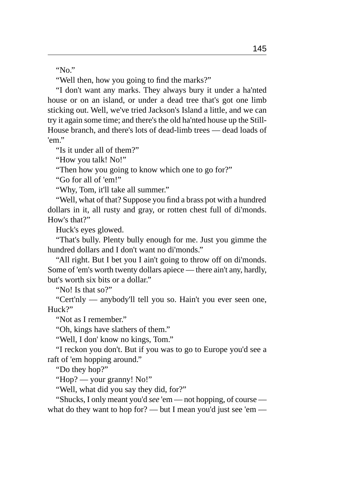"No."

"Well then, how you going to find the marks?"

"I don't want any marks. They always bury it under a ha'nted house or on an island, or under a dead tree that's got one limb sticking out. Well, we've tried Jackson's Island a little, and we can try it again some time; and there's the old ha'nted house up the Still-House branch, and there's lots of dead-limb trees — dead loads of 'em"

"Is it under all of them?"

"How you talk! No!"

"Then how you going to know which one to go for?"

"Go for all of 'em!"

"Why, Tom, it'll take all summer."

"Well, what of that? Suppose you find a brass pot with a hundred dollars in it, all rusty and gray, or rotten chest full of di'monds. How's that?"

Huck's eyes glowed.

"That's bully. Plenty bully enough for me. Just you gimme the hundred dollars and I don't want no di'monds."

"All right. But I bet you I ain't going to throw off on di'monds. Some of 'em's worth twenty dollars apiece — there ain't any, hardly, but's worth six bits or a dollar."

"No! Is that so?"

"Cert'nly — anybody'll tell you so. Hain't you ever seen one, Huck?"

"Not as I remember."

"Oh, kings have slathers of them."

"Well, I don' know no kings, Tom."

"I reckon you don't. But if you was to go to Europe you'd see a raft of 'em hopping around."

"Do they hop?"

"Hop? — your granny! No!"

"Well, what did you say they did, for?"

"Shucks, I only meant you'd *see* 'em — not hopping, of course what do they want to hop for? — but I mean you'd just see 'em —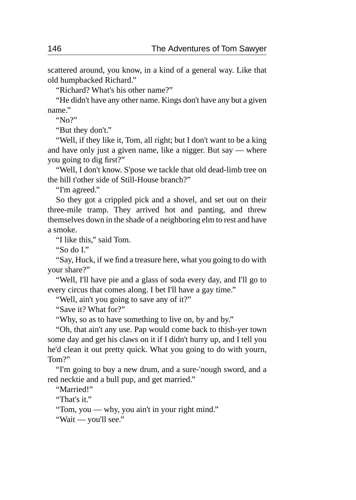scattered around, you know, in a kind of a general way. Like that old humpbacked Richard."

"Richard? What's his other name?"

"He didn't have any other name. Kings don't have any but a given name."

"No?"

"But they don't."

"Well, if they like it, Tom, all right; but I don't want to be a king and have only just a given name, like a nigger. But say — where you going to dig first?"

"Well, I don't know. S'pose we tackle that old dead-limb tree on the hill t'other side of Still-House branch?"

"I'm agreed."

So they got a crippled pick and a shovel, and set out on their three-mile tramp. They arrived hot and panting, and threw themselves down in the shade of a neighboring elm to rest and have a smoke.

"I like this," said Tom.

"So do I."

"Say, Huck, if we find a treasure here, what you going to do with your share?"

"Well, I'll have pie and a glass of soda every day, and I'll go to every circus that comes along. I bet I'll have a gay time."

"Well, ain't you going to save any of it?"

"Save it? What for?"

"Why, so as to have something to live on, by and by."

"Oh, that ain't any use. Pap would come back to thish-yer town some day and get his claws on it if I didn't hurry up, and I tell you he'd clean it out pretty quick. What you going to do with yourn, Tom?"

"I'm going to buy a new drum, and a sure-'nough sword, and a red necktie and a bull pup, and get married."

"Married!"

"That's it."

"Tom, you — why, you ain't in your right mind."

"Wait — you'll see."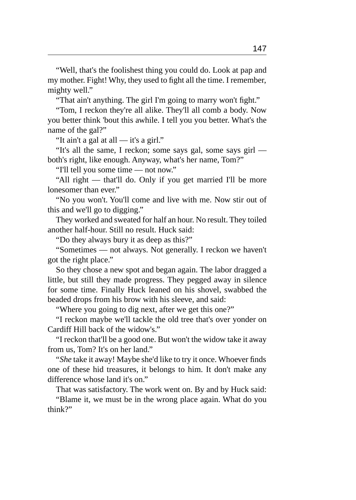"Well, that's the foolishest thing you could do. Look at pap and my mother. Fight! Why, they used to fight all the time. I remember, mighty well."

"That ain't anything. The girl I'm going to marry won't fight."

"Tom, I reckon they're all alike. They'll all comb a body. Now you better think 'bout this awhile. I tell you you better. What's the name of the gal?"

"It ain't a gal at all — it's a girl."

"It's all the same, I reckon; some says gal, some says girl both's right, like enough. Anyway, what's her name, Tom?"

"I'll tell you some time — not now."

"All right — that'll do. Only if you get married I'll be more lonesomer than ever."

"No you won't. You'll come and live with me. Now stir out of this and we'll go to digging."

They worked and sweated for half an hour. No result. They toiled another half-hour. Still no result. Huck said:

"Do they always bury it as deep as this?"

"Sometimes — not always. Not generally. I reckon we haven't got the right place."

So they chose a new spot and began again. The labor dragged a little, but still they made progress. They pegged away in silence for some time. Finally Huck leaned on his shovel, swabbed the beaded drops from his brow with his sleeve, and said:

"Where you going to dig next, after we get this one?"

"I reckon maybe we'll tackle the old tree that's over yonder on Cardiff Hill back of the widow's."

"I reckon that'll be a good one. But won't the widow take it away from us, Tom? It's on her land."

"*She* take it away! Maybe she'd like to try it once. Whoever finds one of these hid treasures, it belongs to him. It don't make any difference whose land it's on."

That was satisfactory. The work went on. By and by Huck said:

"Blame it, we must be in the wrong place again. What do you think?"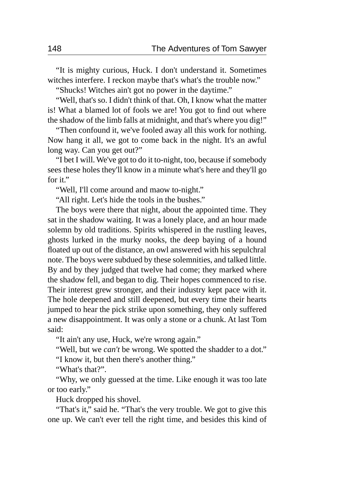"It is mighty curious, Huck. I don't understand it. Sometimes witches interfere. I reckon maybe that's what's the trouble now."

"Shucks! Witches ain't got no power in the daytime."

"Well, that's so. I didn't think of that. Oh, I know what the matter is! What a blamed lot of fools we are! You got to find out where the shadow of the limb falls at midnight, and that's where you dig!"

"Then confound it, we've fooled away all this work for nothing. Now hang it all, we got to come back in the night. It's an awful long way. Can you get out?"

"I bet I will. We've got to do it to-night, too, because if somebody sees these holes they'll know in a minute what's here and they'll go for it."

"Well, I'll come around and maow to-night."

"All right. Let's hide the tools in the bushes."

The boys were there that night, about the appointed time. They sat in the shadow waiting. It was a lonely place, and an hour made solemn by old traditions. Spirits whispered in the rustling leaves, ghosts lurked in the murky nooks, the deep baying of a hound floated up out of the distance, an owl answered with his sepulchral note. The boys were subdued by these solemnities, and talked little. By and by they judged that twelve had come; they marked where the shadow fell, and began to dig. Their hopes commenced to rise. Their interest grew stronger, and their industry kept pace with it. The hole deepened and still deepened, but every time their hearts jumped to hear the pick strike upon something, they only suffered a new disappointment. It was only a stone or a chunk. At last Tom said:

"It ain't any use, Huck, we're wrong again."

"Well, but we *can't* be wrong. We spotted the shadder to a dot."

"I know it, but then there's another thing."

"What's that?".

"Why, we only guessed at the time. Like enough it was too late or too early."

Huck dropped his shovel.

"That's it," said he. "That's the very trouble. We got to give this one up. We can't ever tell the right time, and besides this kind of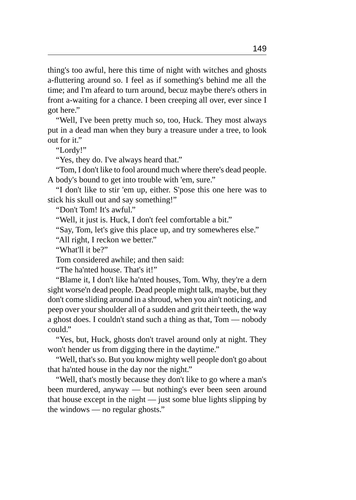thing's too awful, here this time of night with witches and ghosts a-fluttering around so. I feel as if something's behind me all the time; and I'm afeard to turn around, becuz maybe there's others in front a-waiting for a chance. I been creeping all over, ever since I got here."

"Well, I've been pretty much so, too, Huck. They most always put in a dead man when they bury a treasure under a tree, to look out for it."

"Lordy!"

"Yes, they do. I've always heard that."

"Tom, I don't like to fool around much where there's dead people. A body's bound to get into trouble with 'em, sure."

"I don't like to stir 'em up, either. S'pose this one here was to stick his skull out and say something!"

"Don't Tom! It's awful."

"Well, it just is. Huck, I don't feel comfortable a bit."

"Say, Tom, let's give this place up, and try somewheres else."

"All right, I reckon we better."

"What'll it be?"

Tom considered awhile; and then said:

"The ha'nted house. That's it!"

"Blame it, I don't like ha'nted houses, Tom. Why, they're a dern sight worse'n dead people. Dead people might talk, maybe, but they don't come sliding around in a shroud, when you ain't noticing, and peep over your shoulder all of a sudden and grit their teeth, the way a ghost does. I couldn't stand such a thing as that, Tom — nobody could."

"Yes, but, Huck, ghosts don't travel around only at night. They won't hender us from digging there in the daytime."

"Well, that's so. But you know mighty well people don't go about that ha'nted house in the day nor the night."

"Well, that's mostly because they don't like to go where a man's been murdered, anyway — but nothing's ever been seen around that house except in the night  $-$  just some blue lights slipping by the windows — no regular ghosts."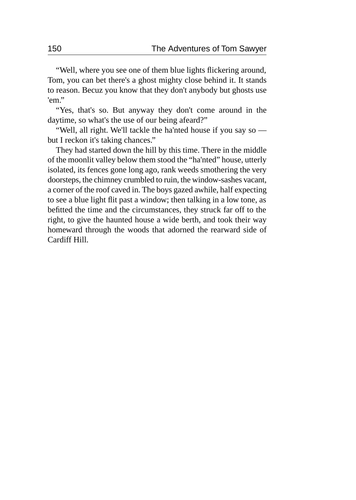"Well, where you see one of them blue lights flickering around, Tom, you can bet there's a ghost mighty close behind it. It stands to reason. Becuz you know that they don't anybody but ghosts use 'em."

"Yes, that's so. But anyway they don't come around in the daytime, so what's the use of our being afeard?"

"Well, all right. We'll tackle the ha'nted house if you say so but I reckon it's taking chances."

They had started down the hill by this time. There in the middle of the moonlit valley below them stood the "ha'nted" house, utterly isolated, its fences gone long ago, rank weeds smothering the very doorsteps, the chimney crumbled to ruin, the window-sashes vacant, a corner of the roof caved in. The boys gazed awhile, half expecting to see a blue light flit past a window; then talking in a low tone, as befitted the time and the circumstances, they struck far off to the right, to give the haunted house a wide berth, and took their way homeward through the woods that adorned the rearward side of Cardiff Hill.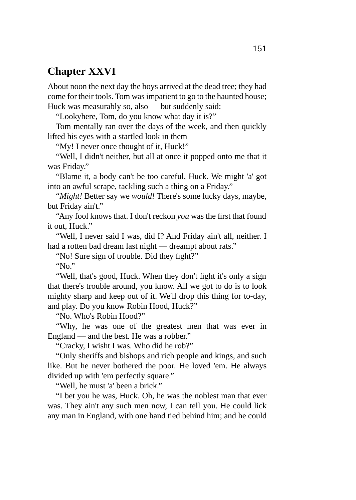### **Chapter XXVI**

About noon the next day the boys arrived at the dead tree; they had come for their tools. Tom was impatient to go to the haunted house; Huck was measurably so, also — but suddenly said:

"Lookyhere, Tom, do you know what day it is?"

Tom mentally ran over the days of the week, and then quickly lifted his eyes with a startled look in them —

"My! I never once thought of it, Huck!"

"Well, I didn't neither, but all at once it popped onto me that it was Friday."

"Blame it, a body can't be too careful, Huck. We might 'a' got into an awful scrape, tackling such a thing on a Friday."

"*Might!* Better say we *would!* There's some lucky days, maybe, but Friday ain't."

"Any fool knows that. I don't reckon *you* was the first that found it out, Huck."

"Well, I never said I was, did I? And Friday ain't all, neither. I had a rotten bad dream last night — dreampt about rats."

"No! Sure sign of trouble. Did they fight?"

"No."

"Well, that's good, Huck. When they don't fight it's only a sign that there's trouble around, you know. All we got to do is to look mighty sharp and keep out of it. We'll drop this thing for to-day, and play. Do you know Robin Hood, Huck?"

"No. Who's Robin Hood?"

"Why, he was one of the greatest men that was ever in England — and the best. He was a robber."

"Cracky, I wisht I was. Who did he rob?"

"Only sheriffs and bishops and rich people and kings, and such like. But he never bothered the poor. He loved 'em. He always divided up with 'em perfectly square."

"Well, he must 'a' been a brick."

"I bet you he was, Huck. Oh, he was the noblest man that ever was. They ain't any such men now, I can tell you. He could lick any man in England, with one hand tied behind him; and he could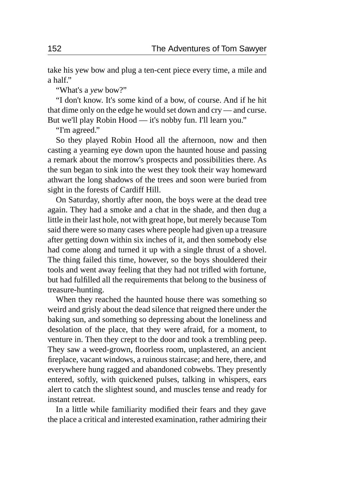take his yew bow and plug a ten-cent piece every time, a mile and a half."

"What's a *yew* bow?"

"I don't know. It's some kind of a bow, of course. And if he hit that dime only on the edge he would set down and cry — and curse. But we'll play Robin Hood — it's nobby fun. I'll learn you."

"I'm agreed."

So they played Robin Hood all the afternoon, now and then casting a yearning eye down upon the haunted house and passing a remark about the morrow's prospects and possibilities there. As the sun began to sink into the west they took their way homeward athwart the long shadows of the trees and soon were buried from sight in the forests of Cardiff Hill.

On Saturday, shortly after noon, the boys were at the dead tree again. They had a smoke and a chat in the shade, and then dug a little in their last hole, not with great hope, but merely because Tom said there were so many cases where people had given up a treasure after getting down within six inches of it, and then somebody else had come along and turned it up with a single thrust of a shovel. The thing failed this time, however, so the boys shouldered their tools and went away feeling that they had not trifled with fortune, but had fulfilled all the requirements that belong to the business of treasure-hunting.

When they reached the haunted house there was something so weird and grisly about the dead silence that reigned there under the baking sun, and something so depressing about the loneliness and desolation of the place, that they were afraid, for a moment, to venture in. Then they crept to the door and took a trembling peep. They saw a weed-grown, floorless room, unplastered, an ancient fireplace, vacant windows, a ruinous staircase; and here, there, and everywhere hung ragged and abandoned cobwebs. They presently entered, softly, with quickened pulses, talking in whispers, ears alert to catch the slightest sound, and muscles tense and ready for instant retreat.

In a little while familiarity modified their fears and they gave the place a critical and interested examination, rather admiring their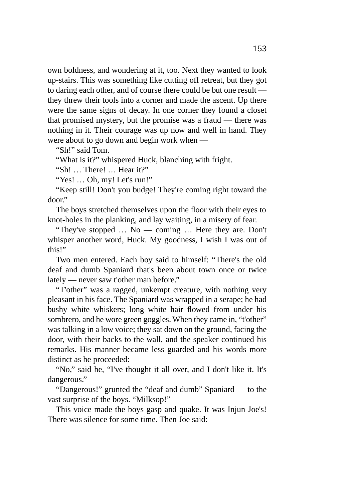own boldness, and wondering at it, too. Next they wanted to look up-stairs. This was something like cutting off retreat, but they got to daring each other, and of course there could be but one result they threw their tools into a corner and made the ascent. Up there were the same signs of decay. In one corner they found a closet that promised mystery, but the promise was a fraud — there was nothing in it. Their courage was up now and well in hand. They were about to go down and begin work when —

"Sh!" said Tom.

"What is it?" whispered Huck, blanching with fright.

"Sh! … There! … Hear it?"

"Yes! … Oh, my! Let's run!"

"Keep still! Don't you budge! They're coming right toward the door."

The boys stretched themselves upon the floor with their eyes to knot-holes in the planking, and lay waiting, in a misery of fear.

"They've stopped … No — coming … Here they are. Don't whisper another word, Huck. My goodness, I wish I was out of this!"

Two men entered. Each boy said to himself: "There's the old deaf and dumb Spaniard that's been about town once or twice lately — never saw t'other man before."

"T'other" was a ragged, unkempt creature, with nothing very pleasant in his face. The Spaniard was wrapped in a serape; he had bushy white whiskers; long white hair flowed from under his sombrero, and he wore green goggles. When they came in, "t'other" was talking in a low voice; they sat down on the ground, facing the door, with their backs to the wall, and the speaker continued his remarks. His manner became less guarded and his words more distinct as he proceeded:

"No," said he, "I've thought it all over, and I don't like it. It's dangerous."

"Dangerous!" grunted the "deaf and dumb" Spaniard — to the vast surprise of the boys. "Milksop!"

This voice made the boys gasp and quake. It was Injun Joe's! There was silence for some time. Then Joe said: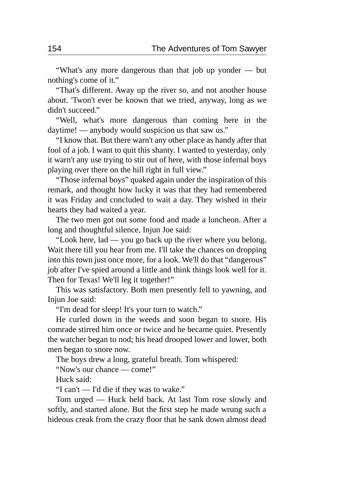"What's any more dangerous than that job up yonder — but nothing's come of it."

"That's different. Away up the river so, and not another house about. 'Twon't ever be known that we tried, anyway, long as we didn't succeed."

"Well, what's more dangerous than coming here in the daytime! — anybody would suspicion us that saw us."

"I know that. But there warn't any other place as handy after that fool of a job. I want to quit this shanty. I wanted to yesterday, only it warn't any use trying to stir out of here, with those infernal boys playing over there on the hill right in full view."

"Those infernal boys" quaked again under the inspiration of this remark, and thought how lucky it was that they had remembered it was Friday and concluded to wait a day. They wished in their hearts they had waited a year.

The two men got out some food and made a luncheon. After a long and thoughtful silence, Injun Joe said:

"Look here, lad — you go back up the river where you belong. Wait there till you hear from me. I'll take the chances on dropping into this town just once more, for a look. We'll do that "dangerous" job after I've spied around a little and think things look well for it. Then for Texas! We'll leg it together!"

This was satisfactory. Both men presently fell to yawning, and Injun Joe said:

"I'm dead for sleep! It's your turn to watch."

He curled down in the weeds and soon began to snore. His comrade stirred him once or twice and he became quiet. Presently the watcher began to nod; his head drooped lower and lower, both men began to snore now.

The boys drew a long, grateful breath. Tom whispered:

"Now's our chance — come!"

Huck said:

"I can't — I'd die if they was to wake."

Tom urged — Huck held back. At last Tom rose slowly and softly, and started alone. But the first step he made wrung such a hideous creak from the crazy floor that he sank down almost dead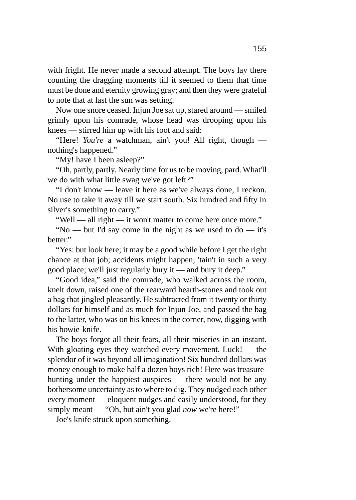with fright. He never made a second attempt. The boys lay there counting the dragging moments till it seemed to them that time must be done and eternity growing gray; and then they were grateful to note that at last the sun was setting.

Now one snore ceased. Injun Joe sat up, stared around — smiled grimly upon his comrade, whose head was drooping upon his knees — stirred him up with his foot and said:

"Here! *You're* a watchman, ain't you! All right, though nothing's happened."

"My! have I been asleep?"

"Oh, partly, partly. Nearly time for us to be moving, pard. What'll we do with what little swag we've got left?"

"I don't know — leave it here as we've always done, I reckon. No use to take it away till we start south. Six hundred and fifty in silver's something to carry."

"Well — all right — it won't matter to come here once more."

"No — but I'd say come in the night as we used to do — it's better."

"Yes: but look here; it may be a good while before I get the right chance at that job; accidents might happen; 'tain't in such a very good place; we'll just regularly bury it — and bury it deep."

"Good idea," said the comrade, who walked across the room, knelt down, raised one of the rearward hearth-stones and took out a bag that jingled pleasantly. He subtracted from it twenty or thirty dollars for himself and as much for Injun Joe, and passed the bag to the latter, who was on his knees in the corner, now, digging with his bowie-knife.

The boys forgot all their fears, all their miseries in an instant. With gloating eyes they watched every movement. Luck! — the splendor of it was beyond all imagination! Six hundred dollars was money enough to make half a dozen boys rich! Here was treasurehunting under the happiest auspices — there would not be any bothersome uncertainty as to where to dig. They nudged each other every moment — eloquent nudges and easily understood, for they simply meant — "Oh, but ain't you glad *now* we're here!"

Joe's knife struck upon something.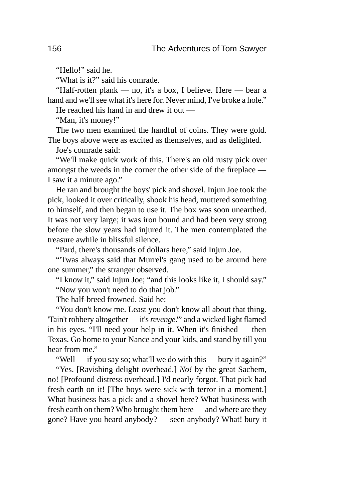"Hello!" said he.

"What is it?" said his comrade.

"Half-rotten plank — no, it's a box, I believe. Here — bear a hand and we'll see what it's here for. Never mind, I've broke a hole."

He reached his hand in and drew it out —

"Man, it's money!"

The two men examined the handful of coins. They were gold. The boys above were as excited as themselves, and as delighted.

Joe's comrade said:

"We'll make quick work of this. There's an old rusty pick over amongst the weeds in the corner the other side of the fireplace — I saw it a minute ago."

He ran and brought the boys' pick and shovel. Injun Joe took the pick, looked it over critically, shook his head, muttered something to himself, and then began to use it. The box was soon unearthed. It was not very large; it was iron bound and had been very strong before the slow years had injured it. The men contemplated the treasure awhile in blissful silence.

"Pard, there's thousands of dollars here," said Injun Joe.

"'Twas always said that Murrel's gang used to be around here one summer," the stranger observed.

"I know it," said Injun Joe; "and this looks like it, I should say."

"Now you won't need to do that job."

The half-breed frowned. Said he:

"You don't know me. Least you don't know all about that thing. 'Tain't robbery altogether — it's *revenge!*" and a wicked light flamed in his eyes. "I'll need your help in it. When it's finished — then Texas. Go home to your Nance and your kids, and stand by till you hear from me."

"Well — if you say so; what'll we do with this — bury it again?"

"Yes. [Ravishing delight overhead.] *No!* by the great Sachem, no! [Profound distress overhead.] I'd nearly forgot. That pick had fresh earth on it! [The boys were sick with terror in a moment.] What business has a pick and a shovel here? What business with fresh earth on them? Who brought them here — and where are they gone? Have you heard anybody? — seen anybody? What! bury it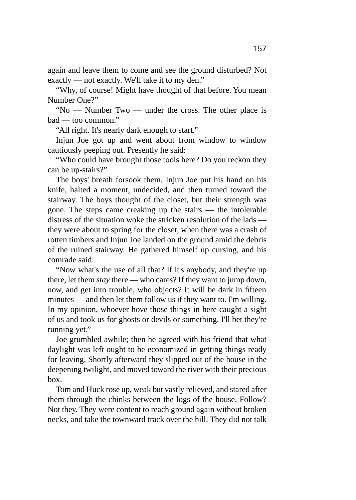again and leave them to come and see the ground disturbed? Not exactly — not exactly. We'll take it to my den."

"Why, of course! Might have thought of that before. You mean Number One?"

"No — Number Two — under the cross. The other place is bad — too common."

"All right. It's nearly dark enough to start."

Injun Joe got up and went about from window to window cautiously peeping out. Presently he said:

"Who could have brought those tools here? Do you reckon they can be up-stairs?"

The boys' breath forsook them. Injun Joe put his hand on his knife, halted a moment, undecided, and then turned toward the stairway. The boys thought of the closet, but their strength was gone. The steps came creaking up the stairs — the intolerable distress of the situation woke the stricken resolution of the lads they were about to spring for the closet, when there was a crash of rotten timbers and Injun Joe landed on the ground amid the debris of the ruined stairway. He gathered himself up cursing, and his comrade said:

"Now what's the use of all that? If it's anybody, and they're up there, let them *stay* there — who cares? If they want to jump down, now, and get into trouble, who objects? It will be dark in fifteen minutes — and then let them follow us if they want to. I'm willing. In my opinion, whoever hove those things in here caught a sight of us and took us for ghosts or devils or something. I'll bet they're running yet."

Joe grumbled awhile; then he agreed with his friend that what daylight was left ought to be economized in getting things ready for leaving. Shortly afterward they slipped out of the house in the deepening twilight, and moved toward the river with their precious box.

Tom and Huck rose up, weak but vastly relieved, and stared after them through the chinks between the logs of the house. Follow? Not they. They were content to reach ground again without broken necks, and take the townward track over the hill. They did not talk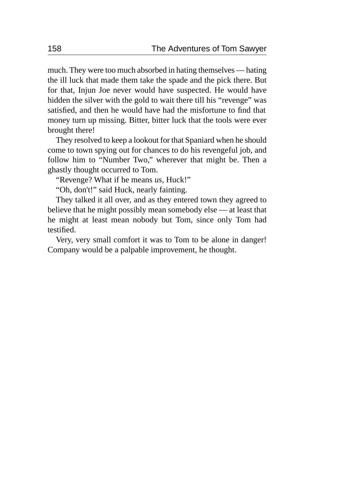much. They were too much absorbed in hating themselves — hating the ill luck that made them take the spade and the pick there. But for that, Injun Joe never would have suspected. He would have hidden the silver with the gold to wait there till his "revenge" was satisfied, and then he would have had the misfortune to find that money turn up missing. Bitter, bitter luck that the tools were ever brought there!

They resolved to keep a lookout for that Spaniard when he should come to town spying out for chances to do his revengeful job, and follow him to "Number Two," wherever that might be. Then a ghastly thought occurred to Tom.

"Revenge? What if he means *us,* Huck!"

"Oh, don't!" said Huck, nearly fainting.

They talked it all over, and as they entered town they agreed to believe that he might possibly mean somebody else — at least that he might at least mean nobody but Tom, since only Tom had testified.

Very, very small comfort it was to Tom to be alone in danger! Company would be a palpable improvement, he thought.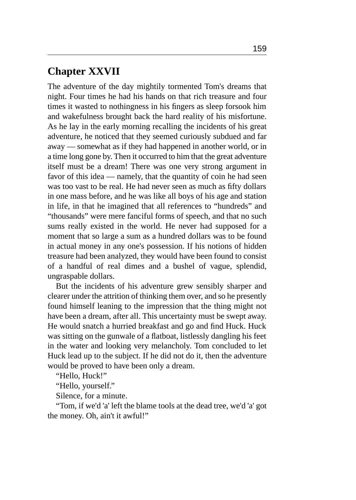# **Chapter XXVII**

The adventure of the day mightily tormented Tom's dreams that night. Four times he had his hands on that rich treasure and four times it wasted to nothingness in his fingers as sleep forsook him and wakefulness brought back the hard reality of his misfortune. As he lay in the early morning recalling the incidents of his great adventure, he noticed that they seemed curiously subdued and far away — somewhat as if they had happened in another world, or in a time long gone by. Then it occurred to him that the great adventure itself must be a dream! There was one very strong argument in favor of this idea — namely, that the quantity of coin he had seen was too vast to be real. He had never seen as much as fifty dollars in one mass before, and he was like all boys of his age and station in life, in that he imagined that all references to "hundreds" and "thousands" were mere fanciful forms of speech, and that no such sums really existed in the world. He never had supposed for a moment that so large a sum as a hundred dollars was to be found in actual money in any one's possession. If his notions of hidden treasure had been analyzed, they would have been found to consist of a handful of real dimes and a bushel of vague, splendid, ungraspable dollars.

But the incidents of his adventure grew sensibly sharper and clearer under the attrition of thinking them over, and so he presently found himself leaning to the impression that the thing might not have been a dream, after all. This uncertainty must be swept away. He would snatch a hurried breakfast and go and find Huck. Huck was sitting on the gunwale of a flatboat, listlessly dangling his feet in the water and looking very melancholy. Tom concluded to let Huck lead up to the subject. If he did not do it, then the adventure would be proved to have been only a dream.

"Hello, Huck!"

"Hello, yourself."

Silence, for a minute.

"Tom, if we'd 'a' left the blame tools at the dead tree, we'd 'a' got the money. Oh, ain't it awful!"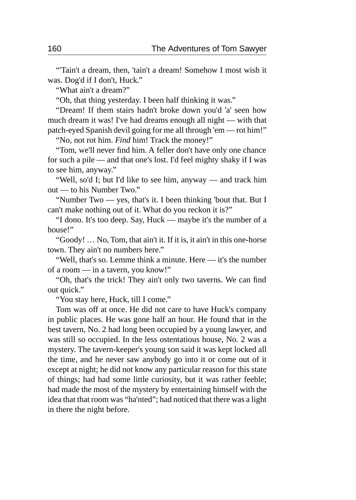"'Tain't a dream, then, 'tain't a dream! Somehow I most wish it was. Dog'd if I don't, Huck."

"What ain't a dream?"

"Oh, that thing yesterday. I been half thinking it was."

"Dream! If them stairs hadn't broke down you'd 'a' seen how much dream it was! I've had dreams enough all night — with that patch-eyed Spanish devil going for me all through 'em — rot him!"

"No, not rot him. *Find* him! Track the money!"

"Tom, we'll never find him. A feller don't have only one chance for such a pile — and that one's lost. I'd feel mighty shaky if I was to see him, anyway."

"Well, so'd I; but I'd like to see him, anyway — and track him out — to his Number Two."

"Number Two — yes, that's it. I been thinking 'bout that. But I can't make nothing out of it. What do you reckon it is?"

"I dono. It's too deep. Say, Huck — maybe it's the number of a house!"

"Goody! … No, Tom, that ain't it. If it is, it ain't in this one-horse town. They ain't no numbers here."

"Well, that's so. Lemme think a minute. Here — it's the number of a room — in a tavern, you know!"

"Oh, that's the trick! They ain't only two taverns. We can find out quick."

"You stay here, Huck, till I come."

Tom was off at once. He did not care to have Huck's company in public places. He was gone half an hour. He found that in the best tavern, No. 2 had long been occupied by a young lawyer, and was still so occupied. In the less ostentatious house, No. 2 was a mystery. The tavern-keeper's young son said it was kept locked all the time, and he never saw anybody go into it or come out of it except at night; he did not know any particular reason for this state of things; had had some little curiosity, but it was rather feeble; had made the most of the mystery by entertaining himself with the idea that that room was "ha'nted"; had noticed that there was a light in there the night before.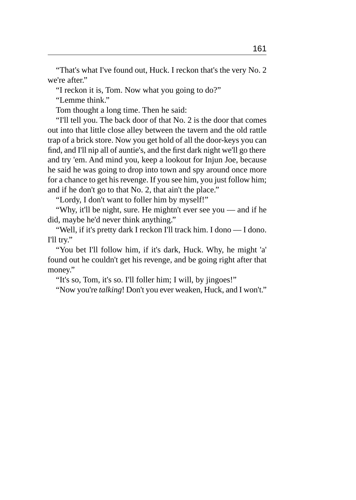"That's what I've found out, Huck. I reckon that's the very No. 2 we're after."

"I reckon it is, Tom. Now what you going to do?"

"Lemme think."

Tom thought a long time. Then he said:

"I'll tell you. The back door of that No. 2 is the door that comes out into that little close alley between the tavern and the old rattle trap of a brick store. Now you get hold of all the door-keys you can find, and I'll nip all of auntie's, and the first dark night we'll go there and try 'em. And mind you, keep a lookout for Injun Joe, because he said he was going to drop into town and spy around once more for a chance to get his revenge. If you see him, you just follow him; and if he don't go to that No. 2, that ain't the place."

"Lordy, I don't want to foller him by myself!"

"Why, it'll be night, sure. He mightn't ever see you — and if he did, maybe he'd never think anything."

"Well, if it's pretty dark I reckon I'll track him. I dono — I dono. I'll try."

"You bet I'll follow him, if it's dark, Huck. Why, he might 'a' found out he couldn't get his revenge, and be going right after that money."

"It's so, Tom, it's so. I'll foller him; I will, by jingoes!"

"Now you're *talking*! Don't you ever weaken, Huck, and I won't."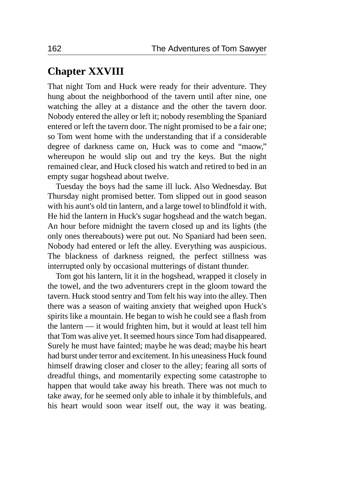### **Chapter XXVIII**

That night Tom and Huck were ready for their adventure. They hung about the neighborhood of the tavern until after nine, one watching the alley at a distance and the other the tavern door. Nobody entered the alley or left it; nobody resembling the Spaniard entered or left the tavern door. The night promised to be a fair one; so Tom went home with the understanding that if a considerable degree of darkness came on, Huck was to come and "maow," whereupon he would slip out and try the keys. But the night remained clear, and Huck closed his watch and retired to bed in an empty sugar hogshead about twelve.

Tuesday the boys had the same ill luck. Also Wednesday. But Thursday night promised better. Tom slipped out in good season with his aunt's old tin lantern, and a large towel to blindfold it with. He hid the lantern in Huck's sugar hogshead and the watch began. An hour before midnight the tavern closed up and its lights (the only ones thereabouts) were put out. No Spaniard had been seen. Nobody had entered or left the alley. Everything was auspicious. The blackness of darkness reigned, the perfect stillness was interrupted only by occasional mutterings of distant thunder.

Tom got his lantern, lit it in the hogshead, wrapped it closely in the towel, and the two adventurers crept in the gloom toward the tavern. Huck stood sentry and Tom felt his way into the alley. Then there was a season of waiting anxiety that weighed upon Huck's spirits like a mountain. He began to wish he could see a flash from the lantern — it would frighten him, but it would at least tell him that Tom was alive yet. It seemed hours since Tom had disappeared. Surely he must have fainted; maybe he was dead; maybe his heart had burst under terror and excitement. In his uneasiness Huck found himself drawing closer and closer to the alley; fearing all sorts of dreadful things, and momentarily expecting some catastrophe to happen that would take away his breath. There was not much to take away, for he seemed only able to inhale it by thimblefuls, and his heart would soon wear itself out, the way it was beating.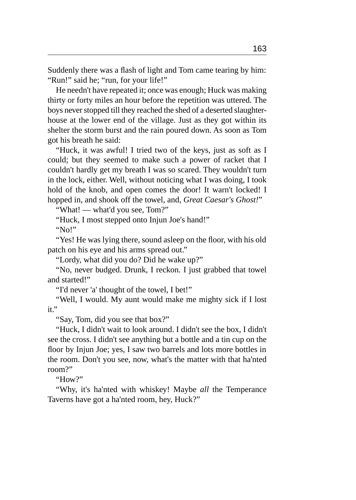Suddenly there was a flash of light and Tom came tearing by him: "Run!" said he; "run, for your life!"

He needn't have repeated it; once was enough; Huck was making thirty or forty miles an hour before the repetition was uttered. The boys never stopped till they reached the shed of a deserted slaughterhouse at the lower end of the village. Just as they got within its shelter the storm burst and the rain poured down. As soon as Tom got his breath he said:

"Huck, it was awful! I tried two of the keys, just as soft as I could; but they seemed to make such a power of racket that I couldn't hardly get my breath I was so scared. They wouldn't turn in the lock, either. Well, without noticing what I was doing, I took hold of the knob, and open comes the door! It warn't locked! I hopped in, and shook off the towel, and, *Great Caesar's Ghost!*"

"What! — what'd you see, Tom?"

"Huck, I most stepped onto Injun Joe's hand!" "No!"

"Yes! He was lying there, sound asleep on the floor, with his old patch on his eye and his arms spread out."

"Lordy, what did you do? Did he wake up?"

"No, never budged. Drunk, I reckon. I just grabbed that towel and started!"

"I'd never 'a' thought of the towel, I bet!"

"Well, I would. My aunt would make me mighty sick if I lost it."

"Say, Tom, did you see that box?"

"Huck, I didn't wait to look around. I didn't see the box, I didn't see the cross. I didn't see anything but a bottle and a tin cup on the floor by Injun Joe; yes, I saw two barrels and lots more bottles in the room. Don't you see, now, what's the matter with that ha'nted room?"

"How?"

"Why, it's ha'nted with whiskey! Maybe *all* the Temperance Taverns have got a ha'nted room, hey, Huck?"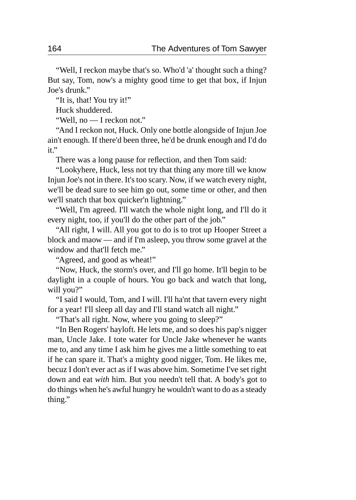"Well, I reckon maybe that's so. Who'd 'a' thought such a thing? But say, Tom, now's a mighty good time to get that box, if Injun Joe's drunk."

"It is, that! You try it!"

Huck shuddered.

"Well, no — I reckon not."

"And I reckon not, Huck. Only one bottle alongside of Injun Joe ain't enough. If there'd been three, he'd be drunk enough and I'd do it."

There was a long pause for reflection, and then Tom said:

"Lookyhere, Huck, less not try that thing any more till we know Injun Joe's not in there. It's too scary. Now, if we watch every night, we'll be dead sure to see him go out, some time or other, and then we'll snatch that box quicker'n lightning."

"Well, I'm agreed. I'll watch the whole night long, and I'll do it every night, too, if you'll do the other part of the job."

"All right, I will. All you got to do is to trot up Hooper Street a block and maow — and if I'm asleep, you throw some gravel at the window and that'll fetch me."

"Agreed, and good as wheat!"

"Now, Huck, the storm's over, and I'll go home. It'll begin to be daylight in a couple of hours. You go back and watch that long, will you?"

"I said I would, Tom, and I will. I'll ha'nt that tavern every night for a year! I'll sleep all day and I'll stand watch all night."

"That's all right. Now, where you going to sleep?"

"In Ben Rogers' hayloft. He lets me, and so does his pap's nigger man, Uncle Jake. I tote water for Uncle Jake whenever he wants me to, and any time I ask him he gives me a little something to eat if he can spare it. That's a mighty good nigger, Tom. He likes me, becuz I don't ever act as if I was above him. Sometime I've set right down and eat *with* him. But you needn't tell that. A body's got to do things when he's awful hungry he wouldn't want to do as a steady thing."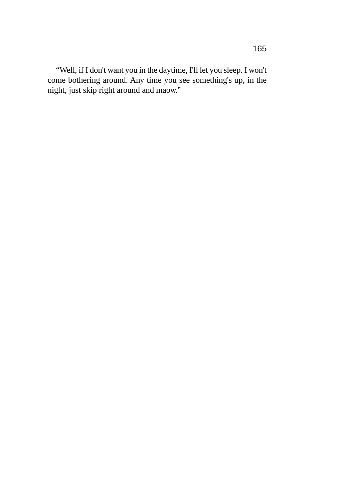"Well, if I don't want you in the daytime, I'll let you sleep. I won't come bothering around. Any time you see something's up, in the night, just skip right around and maow."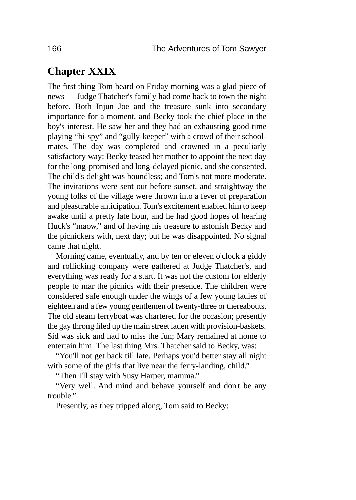## **Chapter XXIX**

The first thing Tom heard on Friday morning was a glad piece of news — Judge Thatcher's family had come back to town the night before. Both Injun Joe and the treasure sunk into secondary importance for a moment, and Becky took the chief place in the boy's interest. He saw her and they had an exhausting good time playing "hi-spy" and "gully-keeper" with a crowd of their schoolmates. The day was completed and crowned in a peculiarly satisfactory way: Becky teased her mother to appoint the next day for the long-promised and long-delayed picnic, and she consented. The child's delight was boundless; and Tom's not more moderate. The invitations were sent out before sunset, and straightway the young folks of the village were thrown into a fever of preparation and pleasurable anticipation. Tom's excitement enabled him to keep awake until a pretty late hour, and he had good hopes of hearing Huck's "maow," and of having his treasure to astonish Becky and the picnickers with, next day; but he was disappointed. No signal came that night.

Morning came, eventually, and by ten or eleven o'clock a giddy and rollicking company were gathered at Judge Thatcher's, and everything was ready for a start. It was not the custom for elderly people to mar the picnics with their presence. The children were considered safe enough under the wings of a few young ladies of eighteen and a few young gentlemen of twenty-three or thereabouts. The old steam ferryboat was chartered for the occasion; presently the gay throng filed up the main street laden with provision-baskets. Sid was sick and had to miss the fun; Mary remained at home to entertain him. The last thing Mrs. Thatcher said to Becky, was:

"You'll not get back till late. Perhaps you'd better stay all night with some of the girls that live near the ferry-landing, child."

"Then I'll stay with Susy Harper, mamma."

"Very well. And mind and behave yourself and don't be any trouble."

Presently, as they tripped along, Tom said to Becky: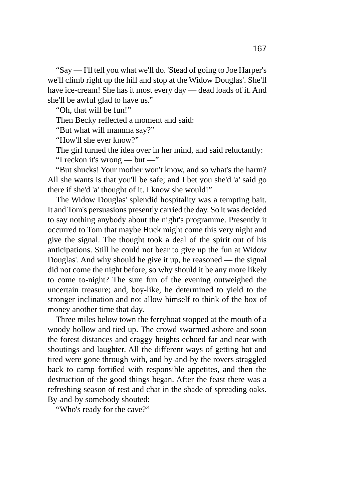"Say — I'll tell you what we'll do. 'Stead of going to Joe Harper's we'll climb right up the hill and stop at the Widow Douglas'. She'll have ice-cream! She has it most every day — dead loads of it. And she'll be awful glad to have us."

"Oh, that will be fun!"

Then Becky reflected a moment and said:

"But what will mamma say?"

"How'll she ever know?"

The girl turned the idea over in her mind, and said reluctantly:

"I reckon it's wrong — but —"

"But shucks! Your mother won't know, and so what's the harm? All she wants is that you'll be safe; and I bet you she'd 'a' said go there if she'd 'a' thought of it. I know she would!"

The Widow Douglas' splendid hospitality was a tempting bait. It and Tom's persuasions presently carried the day. So it was decided to say nothing anybody about the night's programme. Presently it occurred to Tom that maybe Huck might come this very night and give the signal. The thought took a deal of the spirit out of his anticipations. Still he could not bear to give up the fun at Widow Douglas'. And why should he give it up, he reasoned — the signal did not come the night before, so why should it be any more likely to come to-night? The sure fun of the evening outweighed the uncertain treasure; and, boy-like, he determined to yield to the stronger inclination and not allow himself to think of the box of money another time that day.

Three miles below town the ferryboat stopped at the mouth of a woody hollow and tied up. The crowd swarmed ashore and soon the forest distances and craggy heights echoed far and near with shoutings and laughter. All the different ways of getting hot and tired were gone through with, and by-and-by the rovers straggled back to camp fortified with responsible appetites, and then the destruction of the good things began. After the feast there was a refreshing season of rest and chat in the shade of spreading oaks. By-and-by somebody shouted:

"Who's ready for the cave?"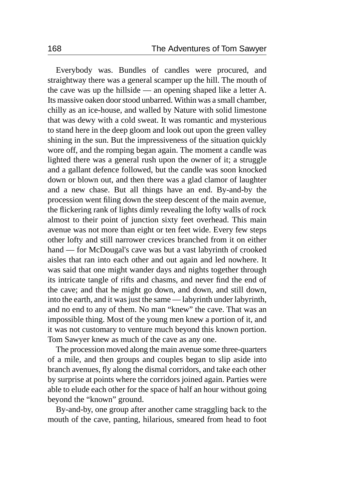Everybody was. Bundles of candles were procured, and straightway there was a general scamper up the hill. The mouth of the cave was up the hillside — an opening shaped like a letter A. Its massive oaken door stood unbarred. Within was a small chamber, chilly as an ice-house, and walled by Nature with solid limestone that was dewy with a cold sweat. It was romantic and mysterious to stand here in the deep gloom and look out upon the green valley shining in the sun. But the impressiveness of the situation quickly wore off, and the romping began again. The moment a candle was lighted there was a general rush upon the owner of it; a struggle and a gallant defence followed, but the candle was soon knocked down or blown out, and then there was a glad clamor of laughter and a new chase. But all things have an end. By-and-by the procession went filing down the steep descent of the main avenue, the flickering rank of lights dimly revealing the lofty walls of rock almost to their point of junction sixty feet overhead. This main avenue was not more than eight or ten feet wide. Every few steps other lofty and still narrower crevices branched from it on either hand — for McDougal's cave was but a vast labyrinth of crooked aisles that ran into each other and out again and led nowhere. It was said that one might wander days and nights together through its intricate tangle of rifts and chasms, and never find the end of the cave; and that he might go down, and down, and still down, into the earth, and it was just the same — labyrinth under labyrinth, and no end to any of them. No man "knew" the cave. That was an impossible thing. Most of the young men knew a portion of it, and it was not customary to venture much beyond this known portion. Tom Sawyer knew as much of the cave as any one.

The procession moved along the main avenue some three-quarters of a mile, and then groups and couples began to slip aside into branch avenues, fly along the dismal corridors, and take each other by surprise at points where the corridors joined again. Parties were able to elude each other for the space of half an hour without going beyond the "known" ground.

By-and-by, one group after another came straggling back to the mouth of the cave, panting, hilarious, smeared from head to foot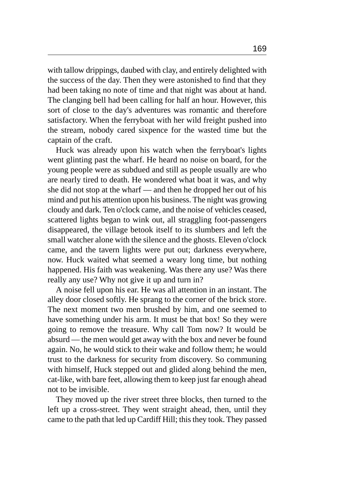with tallow drippings, daubed with clay, and entirely delighted with the success of the day. Then they were astonished to find that they had been taking no note of time and that night was about at hand. The clanging bell had been calling for half an hour. However, this sort of close to the day's adventures was romantic and therefore satisfactory. When the ferryboat with her wild freight pushed into the stream, nobody cared sixpence for the wasted time but the captain of the craft.

Huck was already upon his watch when the ferryboat's lights went glinting past the wharf. He heard no noise on board, for the young people were as subdued and still as people usually are who are nearly tired to death. He wondered what boat it was, and why she did not stop at the wharf — and then he dropped her out of his mind and put his attention upon his business. The night was growing cloudy and dark. Ten o'clock came, and the noise of vehicles ceased, scattered lights began to wink out, all straggling foot-passengers disappeared, the village betook itself to its slumbers and left the small watcher alone with the silence and the ghosts. Eleven o'clock came, and the tavern lights were put out; darkness everywhere, now. Huck waited what seemed a weary long time, but nothing happened. His faith was weakening. Was there any use? Was there really any use? Why not give it up and turn in?

A noise fell upon his ear. He was all attention in an instant. The alley door closed softly. He sprang to the corner of the brick store. The next moment two men brushed by him, and one seemed to have something under his arm. It must be that box! So they were going to remove the treasure. Why call Tom now? It would be absurd — the men would get away with the box and never be found again. No, he would stick to their wake and follow them; he would trust to the darkness for security from discovery. So communing with himself, Huck stepped out and glided along behind the men, cat-like, with bare feet, allowing them to keep just far enough ahead not to be invisible.

They moved up the river street three blocks, then turned to the left up a cross-street. They went straight ahead, then, until they came to the path that led up Cardiff Hill; this they took. They passed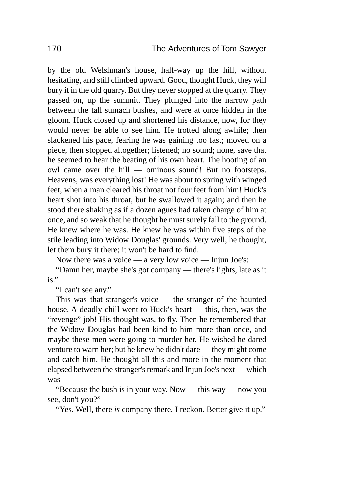by the old Welshman's house, half-way up the hill, without hesitating, and still climbed upward. Good, thought Huck, they will bury it in the old quarry. But they never stopped at the quarry. They passed on, up the summit. They plunged into the narrow path between the tall sumach bushes, and were at once hidden in the gloom. Huck closed up and shortened his distance, now, for they would never be able to see him. He trotted along awhile; then slackened his pace, fearing he was gaining too fast; moved on a piece, then stopped altogether; listened; no sound; none, save that he seemed to hear the beating of his own heart. The hooting of an owl came over the hill — ominous sound! But no footsteps. Heavens, was everything lost! He was about to spring with winged feet, when a man cleared his throat not four feet from him! Huck's heart shot into his throat, but he swallowed it again; and then he stood there shaking as if a dozen agues had taken charge of him at once, and so weak that he thought he must surely fall to the ground. He knew where he was. He knew he was within five steps of the stile leading into Widow Douglas' grounds. Very well, he thought, let them bury it there; it won't be hard to find.

Now there was a voice — a very low voice — Injun Joe's:

"Damn her, maybe she's got company — there's lights, late as it is."

"I can't see any."

This was that stranger's voice — the stranger of the haunted house. A deadly chill went to Huck's heart — this, then, was the "revenge" job! His thought was, to fly. Then he remembered that the Widow Douglas had been kind to him more than once, and maybe these men were going to murder her. He wished he dared venture to warn her; but he knew he didn't dare — they might come and catch him. He thought all this and more in the moment that elapsed between the stranger's remark and Injun Joe's next — which was —

"Because the bush is in your way. Now — this way — now you see, don't you?"

"Yes. Well, there *is* company there, I reckon. Better give it up."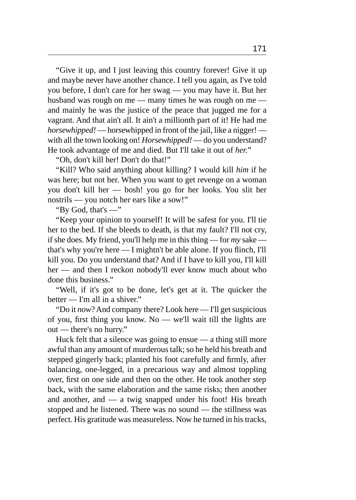"Give it up, and I just leaving this country forever! Give it up and maybe never have another chance. I tell you again, as I've told you before, I don't care for her swag — you may have it. But her husband was rough on me — many times he was rough on me and mainly he was the justice of the peace that jugged me for a vagrant. And that ain't all. It ain't a millionth part of it! He had me *horsewhipped!* — horsewhipped in front of the jail, like a nigger! with all the town looking on! *Horsewhipped!* — do you understand? He took advantage of me and died. But I'll take it out of *her.*"

"Oh, don't kill her! Don't do that!"

"Kill? Who said anything about killing? I would kill *him* if he was here; but not her. When you want to get revenge on a woman you don't kill her — bosh! you go for her looks. You slit her nostrils — you notch her ears like a sow!"

"By God, that's —"

"Keep your opinion to yourself! It will be safest for you. I'll tie her to the bed. If she bleeds to death, is that my fault? I'll not cry, if she does. My friend, you'll help me in this thing — for *my* sake that's why you're here — I mightn't be able alone. If you flinch, I'll kill you. Do you understand that? And if I have to kill you, I'll kill her — and then I reckon nobody'll ever know much about who done this business."

"Well, if it's got to be done, let's get at it. The quicker the better — I'm all in a shiver."

"Do it *now*? And company there? Look here — I'll get suspicious of you, first thing you know. No — we'll wait till the lights are out — there's no hurry."

Huck felt that a silence was going to ensue — a thing still more awful than any amount of murderous talk; so he held his breath and stepped gingerly back; planted his foot carefully and firmly, after balancing, one-legged, in a precarious way and almost toppling over, first on one side and then on the other. He took another step back, with the same elaboration and the same risks; then another and another, and — a twig snapped under his foot! His breath stopped and he listened. There was no sound — the stillness was perfect. His gratitude was measureless. Now he turned in his tracks,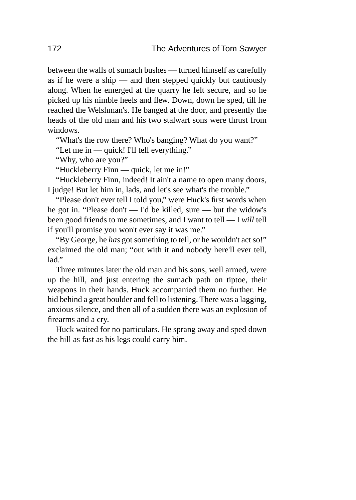between the walls of sumach bushes — turned himself as carefully as if he were a ship — and then stepped quickly but cautiously along. When he emerged at the quarry he felt secure, and so he picked up his nimble heels and flew. Down, down he sped, till he reached the Welshman's. He banged at the door, and presently the heads of the old man and his two stalwart sons were thrust from windows.

"What's the row there? Who's banging? What do you want?"

"Let me in — quick! I'll tell everything."

"Why, who are you?"

"Huckleberry Finn — quick, let me in!"

"Huckleberry Finn, indeed! It ain't a name to open many doors, I judge! But let him in, lads, and let's see what's the trouble."

"Please don't ever tell I told you," were Huck's first words when he got in. "Please don't — I'd be killed, sure — but the widow's been good friends to me sometimes, and I want to tell — I *will* tell if you'll promise you won't ever say it was me."

"By George, he *has* got something to tell, or he wouldn't act so!" exclaimed the old man; "out with it and nobody here'll ever tell,  $l$ ad"

Three minutes later the old man and his sons, well armed, were up the hill, and just entering the sumach path on tiptoe, their weapons in their hands. Huck accompanied them no further. He hid behind a great boulder and fell to listening. There was a lagging, anxious silence, and then all of a sudden there was an explosion of firearms and a cry.

Huck waited for no particulars. He sprang away and sped down the hill as fast as his legs could carry him.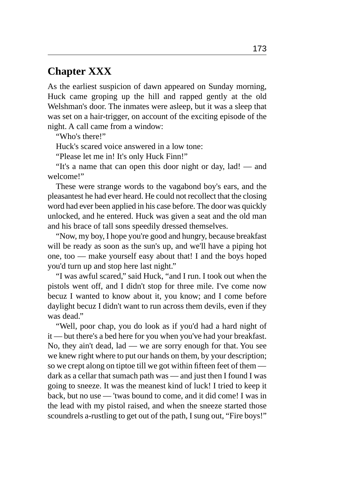## **Chapter XXX**

As the earliest suspicion of dawn appeared on Sunday morning, Huck came groping up the hill and rapped gently at the old Welshman's door. The inmates were asleep, but it was a sleep that was set on a hair-trigger, on account of the exciting episode of the night. A call came from a window:

"Who's there!"

Huck's scared voice answered in a low tone:

"Please let me in! It's only Huck Finn!"

"It's a name that can open this door night or day, lad! — and welcome!"

These were strange words to the vagabond boy's ears, and the pleasantest he had ever heard. He could not recollect that the closing word had ever been applied in his case before. The door was quickly unlocked, and he entered. Huck was given a seat and the old man and his brace of tall sons speedily dressed themselves.

"Now, my boy, I hope you're good and hungry, because breakfast will be ready as soon as the sun's up, and we'll have a piping hot one, too — make yourself easy about that! I and the boys hoped you'd turn up and stop here last night."

"I was awful scared," said Huck, "and I run. I took out when the pistols went off, and I didn't stop for three mile. I've come now becuz I wanted to know about it, you know; and I come before daylight becuz I didn't want to run across them devils, even if they was dead."

"Well, poor chap, you do look as if you'd had a hard night of it — but there's a bed here for you when you've had your breakfast. No, they ain't dead, lad — we are sorry enough for that. You see we knew right where to put our hands on them, by your description; so we crept along on tiptoe till we got within fifteen feet of them dark as a cellar that sumach path was — and just then I found I was going to sneeze. It was the meanest kind of luck! I tried to keep it back, but no use — 'twas bound to come, and it did come! I was in the lead with my pistol raised, and when the sneeze started those scoundrels a-rustling to get out of the path, I sung out, "Fire boys!"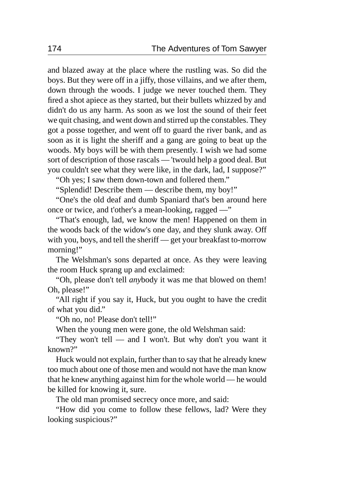and blazed away at the place where the rustling was. So did the boys. But they were off in a jiffy, those villains, and we after them, down through the woods. I judge we never touched them. They fired a shot apiece as they started, but their bullets whizzed by and didn't do us any harm. As soon as we lost the sound of their feet we quit chasing, and went down and stirred up the constables. They got a posse together, and went off to guard the river bank, and as soon as it is light the sheriff and a gang are going to beat up the woods. My boys will be with them presently. I wish we had some sort of description of those rascals — 'twould help a good deal. But you couldn't see what they were like, in the dark, lad, I suppose?"

"Oh yes; I saw them down-town and follered them."

"Splendid! Describe them — describe them, my boy!"

"One's the old deaf and dumb Spaniard that's ben around here once or twice, and t'other's a mean-looking, ragged —"

"That's enough, lad, we know the men! Happened on them in the woods back of the widow's one day, and they slunk away. Off with you, boys, and tell the sheriff — get your breakfast to-morrow morning!"

The Welshman's sons departed at once. As they were leaving the room Huck sprang up and exclaimed:

"Oh, please don't tell *any*body it was me that blowed on them! Oh, please!"

"All right if you say it, Huck, but you ought to have the credit of what you did."

"Oh no, no! Please don't tell!"

When the young men were gone, the old Welshman said:

"They won't tell — and I won't. But why don't you want it known?"

Huck would not explain, further than to say that he already knew too much about one of those men and would not have the man know that he knew anything against him for the whole world — he would be killed for knowing it, sure.

The old man promised secrecy once more, and said:

"How did you come to follow these fellows, lad? Were they looking suspicious?"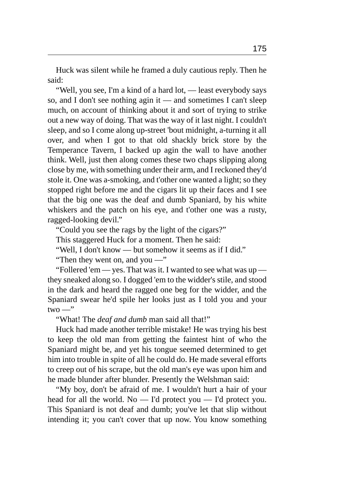Huck was silent while he framed a duly cautious reply. Then he said:

"Well, you see, I'm a kind of a hard lot, — least everybody says so, and I don't see nothing agin it — and sometimes I can't sleep much, on account of thinking about it and sort of trying to strike out a new way of doing. That was the way of it last night. I couldn't sleep, and so I come along up-street 'bout midnight, a-turning it all over, and when I got to that old shackly brick store by the Temperance Tavern, I backed up agin the wall to have another think. Well, just then along comes these two chaps slipping along close by me, with something under their arm, and I reckoned they'd stole it. One was a-smoking, and t'other one wanted a light; so they stopped right before me and the cigars lit up their faces and I see that the big one was the deaf and dumb Spaniard, by his white whiskers and the patch on his eye, and t'other one was a rusty, ragged-looking devil."

"Could you see the rags by the light of the cigars?"

This staggered Huck for a moment. Then he said:

"Well, I don't know — but somehow it seems as if I did."

"Then they went on, and you —"

"Follered 'em — yes. That was it. I wanted to see what was up they sneaked along so. I dogged 'em to the widder's stile, and stood in the dark and heard the ragged one beg for the widder, and the Spaniard swear he'd spile her looks just as I told you and your  $two -$ "

"What! The *deaf and dumb* man said all that!"

Huck had made another terrible mistake! He was trying his best to keep the old man from getting the faintest hint of who the Spaniard might be, and yet his tongue seemed determined to get him into trouble in spite of all he could do. He made several efforts to creep out of his scrape, but the old man's eye was upon him and he made blunder after blunder. Presently the Welshman said:

"My boy, don't be afraid of me. I wouldn't hurt a hair of your head for all the world. No — I'd protect you — I'd protect you. This Spaniard is not deaf and dumb; you've let that slip without intending it; you can't cover that up now. You know something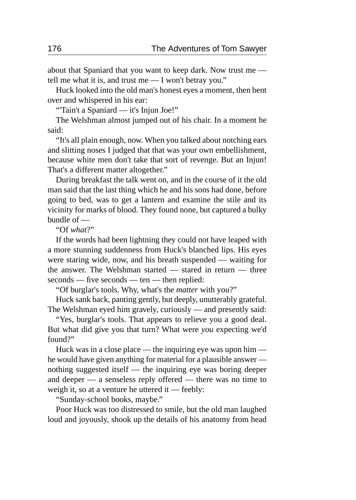about that Spaniard that you want to keep dark. Now trust me tell me what it is, and trust me — I won't betray you."

Huck looked into the old man's honest eyes a moment, then bent over and whispered in his ear:

"'Tain't a Spaniard — it's Injun Joe!"

The Welshman almost jumped out of his chair. In a moment he said:

"It's all plain enough, now. When you talked about notching ears and slitting noses I judged that that was your own embellishment, because white men don't take that sort of revenge. But an Injun! That's a different matter altogether."

During breakfast the talk went on, and in the course of it the old man said that the last thing which he and his sons had done, before going to bed, was to get a lantern and examine the stile and its vicinity for marks of blood. They found none, but captured a bulky bundle of —

"Of *what*?"

If the words had been lightning they could not have leaped with a more stunning suddenness from Huck's blanched lips. His eyes were staring wide, now, and his breath suspended — waiting for the answer. The Welshman started — stared in return — three seconds — five seconds — ten — then replied:

"Of burglar's tools. Why, what's the *matter* with you?"

Huck sank back, panting gently, but deeply, unutterably grateful. The Welshman eyed him gravely, curiously — and presently said:

"Yes, burglar's tools. That appears to relieve you a good deal. But what did give you that turn? What were *you* expecting we'd found?"

Huck was in a close place — the inquiring eye was upon him he would have given anything for material for a plausible answer nothing suggested itself — the inquiring eye was boring deeper and deeper — a senseless reply offered — there was no time to weigh it, so at a venture he uttered it — feebly:

"Sunday-school books, maybe."

Poor Huck was too distressed to smile, but the old man laughed loud and joyously, shook up the details of his anatomy from head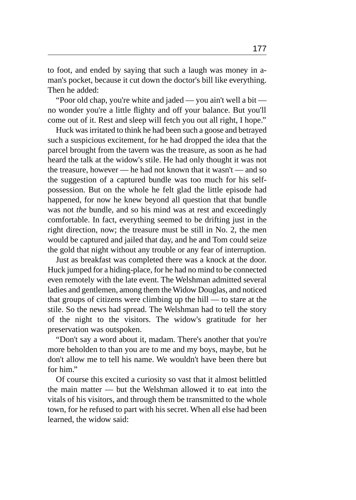to foot, and ended by saying that such a laugh was money in aman's pocket, because it cut down the doctor's bill like everything. Then he added:

"Poor old chap, you're white and jaded — you ain't well a bit no wonder you're a little flighty and off your balance. But you'll come out of it. Rest and sleep will fetch you out all right, I hope."

Huck was irritated to think he had been such a goose and betrayed such a suspicious excitement, for he had dropped the idea that the parcel brought from the tavern was the treasure, as soon as he had heard the talk at the widow's stile. He had only thought it was not the treasure, however — he had not known that it wasn't — and so the suggestion of a captured bundle was too much for his selfpossession. But on the whole he felt glad the little episode had happened, for now he knew beyond all question that that bundle was not *the* bundle, and so his mind was at rest and exceedingly comfortable. In fact, everything seemed to be drifting just in the right direction, now; the treasure must be still in No. 2, the men would be captured and jailed that day, and he and Tom could seize the gold that night without any trouble or any fear of interruption.

Just as breakfast was completed there was a knock at the door. Huck jumped for a hiding-place, for he had no mind to be connected even remotely with the late event. The Welshman admitted several ladies and gentlemen, among them the Widow Douglas, and noticed that groups of citizens were climbing up the hill — to stare at the stile. So the news had spread. The Welshman had to tell the story of the night to the visitors. The widow's gratitude for her preservation was outspoken.

"Don't say a word about it, madam. There's another that you're more beholden to than you are to me and my boys, maybe, but he don't allow me to tell his name. We wouldn't have been there but for him."

Of course this excited a curiosity so vast that it almost belittled the main matter — but the Welshman allowed it to eat into the vitals of his visitors, and through them be transmitted to the whole town, for he refused to part with his secret. When all else had been learned, the widow said: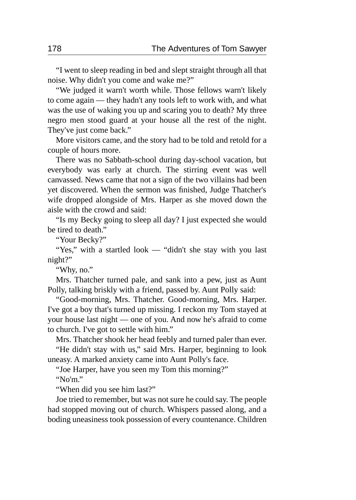"I went to sleep reading in bed and slept straight through all that noise. Why didn't you come and wake me?"

"We judged it warn't worth while. Those fellows warn't likely to come again — they hadn't any tools left to work with, and what was the use of waking you up and scaring you to death? My three negro men stood guard at your house all the rest of the night. They've just come back."

More visitors came, and the story had to be told and retold for a couple of hours more.

There was no Sabbath-school during day-school vacation, but everybody was early at church. The stirring event was well canvassed. News came that not a sign of the two villains had been yet discovered. When the sermon was finished, Judge Thatcher's wife dropped alongside of Mrs. Harper as she moved down the aisle with the crowd and said:

"Is my Becky going to sleep all day? I just expected she would be tired to death."

"Your Becky?"

"Yes," with a startled look — "didn't she stay with you last night?"

"Why, no."

Mrs. Thatcher turned pale, and sank into a pew, just as Aunt Polly, talking briskly with a friend, passed by. Aunt Polly said:

"Good-morning, Mrs. Thatcher. Good-morning, Mrs. Harper. I've got a boy that's turned up missing. I reckon my Tom stayed at your house last night — one of you. And now he's afraid to come to church. I've got to settle with him."

Mrs. Thatcher shook her head feebly and turned paler than ever. "He didn't stay with us," said Mrs. Harper, beginning to look uneasy. A marked anxiety came into Aunt Polly's face.

"Joe Harper, have you seen my Tom this morning?"

"No'm."

"When did you see him last?"

Joe tried to remember, but was not sure he could say. The people had stopped moving out of church. Whispers passed along, and a boding uneasiness took possession of every countenance. Children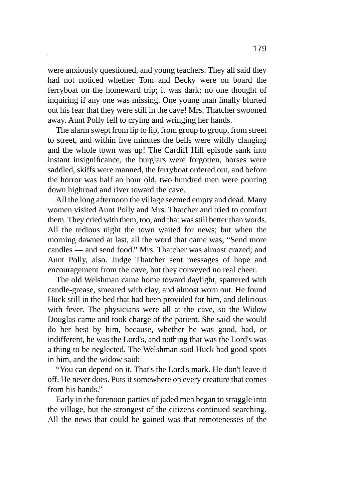were anxiously questioned, and young teachers. They all said they had not noticed whether Tom and Becky were on board the ferryboat on the homeward trip; it was dark; no one thought of inquiring if any one was missing. One young man finally blurted out his fear that they were still in the cave! Mrs. Thatcher swooned away. Aunt Polly fell to crying and wringing her hands.

The alarm swept from lip to lip, from group to group, from street to street, and within five minutes the bells were wildly clanging and the whole town was up! The Cardiff Hill episode sank into instant insignificance, the burglars were forgotten, horses were saddled, skiffs were manned, the ferryboat ordered out, and before the horror was half an hour old, two hundred men were pouring down highroad and river toward the cave.

All the long afternoon the village seemed empty and dead. Many women visited Aunt Polly and Mrs. Thatcher and tried to comfort them. They cried with them, too, and that was still better than words. All the tedious night the town waited for news; but when the morning dawned at last, all the word that came was, "Send more candles — and send food." Mrs. Thatcher was almost crazed; and Aunt Polly, also. Judge Thatcher sent messages of hope and encouragement from the cave, but they conveyed no real cheer.

The old Welshman came home toward daylight, spattered with candle-grease, smeared with clay, and almost worn out. He found Huck still in the bed that had been provided for him, and delirious with fever. The physicians were all at the cave, so the Widow Douglas came and took charge of the patient. She said she would do her best by him, because, whether he was good, bad, or indifferent, he was the Lord's, and nothing that was the Lord's was a thing to be neglected. The Welshman said Huck had good spots in him, and the widow said:

"You can depend on it. That's the Lord's mark. He don't leave it off. He never does. Puts it somewhere on every creature that comes from his hands."

Early in the forenoon parties of jaded men began to straggle into the village, but the strongest of the citizens continued searching. All the news that could be gained was that remotenesses of the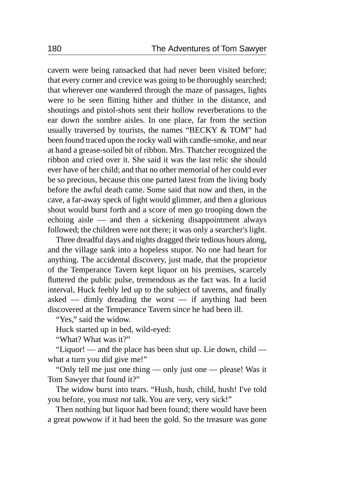cavern were being ransacked that had never been visited before; that every corner and crevice was going to be thoroughly searched; that wherever one wandered through the maze of passages, lights were to be seen flitting hither and thither in the distance, and shoutings and pistol-shots sent their hollow reverberations to the ear down the sombre aisles. In one place, far from the section usually traversed by tourists, the names "BECKY & TOM" had been found traced upon the rocky wall with candle-smoke, and near at hand a grease-soiled bit of ribbon. Mrs. Thatcher recognized the ribbon and cried over it. She said it was the last relic she should ever have of her child; and that no other memorial of her could ever be so precious, because this one parted latest from the living body before the awful death came. Some said that now and then, in the cave, a far-away speck of light would glimmer, and then a glorious shout would burst forth and a score of men go trooping down the echoing aisle — and then a sickening disappointment always followed; the children were not there; it was only a searcher's light.

Three dreadful days and nights dragged their tedious hours along, and the village sank into a hopeless stupor. No one had heart for anything. The accidental discovery, just made, that the proprietor of the Temperance Tavern kept liquor on his premises, scarcely fluttered the public pulse, tremendous as the fact was. In a lucid interval, Huck feebly led up to the subject of taverns, and finally asked  $-$  dimly dreading the worst  $-$  if anything had been discovered at the Temperance Tavern since he had been ill.

"Yes," said the widow.

Huck started up in bed, wild-eyed:

"What? What was it?"

"Liquor! — and the place has been shut up. Lie down, child what a turn you did give me!"

"Only tell me just one thing — only just one — please! Was it Tom Sawyer that found it?"

The widow burst into tears. "Hush, hush, child, hush! I've told you before, you must *not* talk. You are very, very sick!"

Then nothing but liquor had been found; there would have been a great powwow if it had been the gold. So the treasure was gone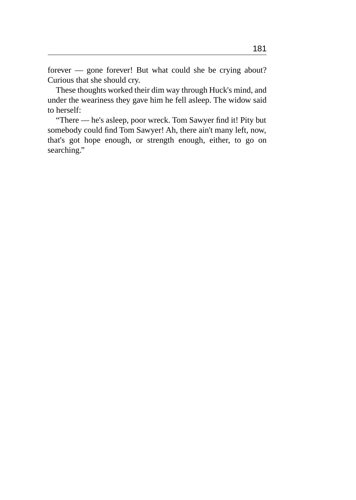forever — gone forever! But what could she be crying about? Curious that she should cry.

These thoughts worked their dim way through Huck's mind, and under the weariness they gave him he fell asleep. The widow said to herself:

"There — he's asleep, poor wreck. Tom Sawyer find it! Pity but somebody could find Tom Sawyer! Ah, there ain't many left, now, that's got hope enough, or strength enough, either, to go on searching."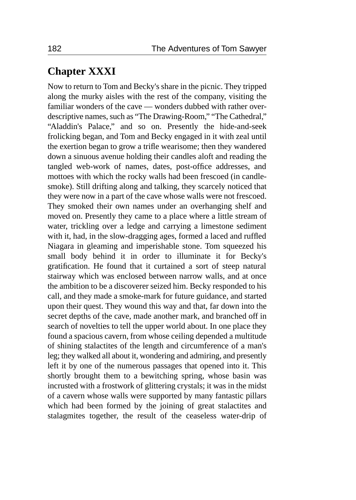# **Chapter XXXI**

Now to return to Tom and Becky's share in the picnic. They tripped along the murky aisles with the rest of the company, visiting the familiar wonders of the cave — wonders dubbed with rather overdescriptive names, such as "The Drawing-Room," "The Cathedral," "Aladdin's Palace," and so on. Presently the hide-and-seek frolicking began, and Tom and Becky engaged in it with zeal until the exertion began to grow a trifle wearisome; then they wandered down a sinuous avenue holding their candles aloft and reading the tangled web-work of names, dates, post-office addresses, and mottoes with which the rocky walls had been frescoed (in candlesmoke). Still drifting along and talking, they scarcely noticed that they were now in a part of the cave whose walls were not frescoed. They smoked their own names under an overhanging shelf and moved on. Presently they came to a place where a little stream of water, trickling over a ledge and carrying a limestone sediment with it, had, in the slow-dragging ages, formed a laced and ruffled Niagara in gleaming and imperishable stone. Tom squeezed his small body behind it in order to illuminate it for Becky's gratification. He found that it curtained a sort of steep natural stairway which was enclosed between narrow walls, and at once the ambition to be a discoverer seized him. Becky responded to his call, and they made a smoke-mark for future guidance, and started upon their quest. They wound this way and that, far down into the secret depths of the cave, made another mark, and branched off in search of novelties to tell the upper world about. In one place they found a spacious cavern, from whose ceiling depended a multitude of shining stalactites of the length and circumference of a man's leg; they walked all about it, wondering and admiring, and presently left it by one of the numerous passages that opened into it. This shortly brought them to a bewitching spring, whose basin was incrusted with a frostwork of glittering crystals; it was in the midst of a cavern whose walls were supported by many fantastic pillars which had been formed by the joining of great stalactites and stalagmites together, the result of the ceaseless water-drip of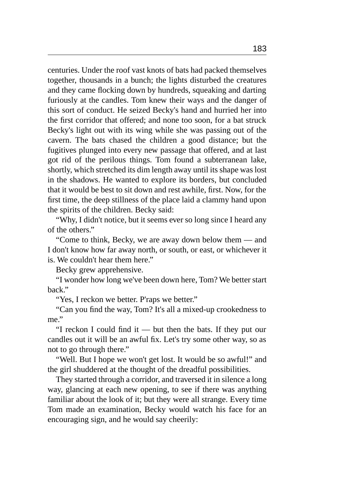centuries. Under the roof vast knots of bats had packed themselves together, thousands in a bunch; the lights disturbed the creatures and they came flocking down by hundreds, squeaking and darting furiously at the candles. Tom knew their ways and the danger of this sort of conduct. He seized Becky's hand and hurried her into the first corridor that offered; and none too soon, for a bat struck Becky's light out with its wing while she was passing out of the cavern. The bats chased the children a good distance; but the fugitives plunged into every new passage that offered, and at last got rid of the perilous things. Tom found a subterranean lake, shortly, which stretched its dim length away until its shape was lost in the shadows. He wanted to explore its borders, but concluded that it would be best to sit down and rest awhile, first. Now, for the first time, the deep stillness of the place laid a clammy hand upon the spirits of the children. Becky said:

"Why, I didn't notice, but it seems ever so long since I heard any of the others."

"Come to think, Becky, we are away down below them — and I don't know how far away north, or south, or east, or whichever it is. We couldn't hear them here."

Becky grew apprehensive.

"I wonder how long we've been down here, Tom? We better start back."

"Yes, I reckon we better. P'raps we better."

"Can you find the way, Tom? It's all a mixed-up crookedness to me."

"I reckon I could find it — but then the bats. If they put our candles out it will be an awful fix. Let's try some other way, so as not to go through there."

"Well. But I hope we won't get lost. It would be so awful!" and the girl shuddered at the thought of the dreadful possibilities.

They started through a corridor, and traversed it in silence a long way, glancing at each new opening, to see if there was anything familiar about the look of it; but they were all strange. Every time Tom made an examination, Becky would watch his face for an encouraging sign, and he would say cheerily: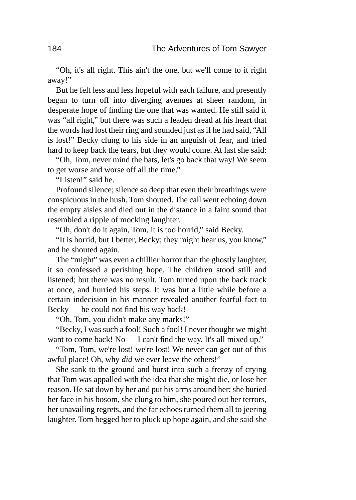"Oh, it's all right. This ain't the one, but we'll come to it right away!"

But he felt less and less hopeful with each failure, and presently began to turn off into diverging avenues at sheer random, in desperate hope of finding the one that was wanted. He still said it was "all right," but there was such a leaden dread at his heart that the words had lost their ring and sounded just as if he had said, "All is lost!" Becky clung to his side in an anguish of fear, and tried hard to keep back the tears, but they would come. At last she said:

"Oh, Tom, never mind the bats, let's go back that way! We seem to get worse and worse off all the time."

"Listen!" said he.

Profound silence; silence so deep that even their breathings were conspicuous in the hush. Tom shouted. The call went echoing down the empty aisles and died out in the distance in a faint sound that resembled a ripple of mocking laughter.

"Oh, don't do it again, Tom, it is too horrid," said Becky.

"It is horrid, but I better, Becky; they might hear us, you know," and he shouted again.

The "might" was even a chillier horror than the ghostly laughter, it so confessed a perishing hope. The children stood still and listened; but there was no result. Tom turned upon the back track at once, and hurried his steps. It was but a little while before a certain indecision in his manner revealed another fearful fact to Becky — he could not find his way back!

"Oh, Tom, you didn't make any marks!"

"Becky, I was such a fool! Such a fool! I never thought we might want to come back! No — I can't find the way. It's all mixed up."

"Tom, Tom, we're lost! we're lost! We never can get out of this awful place! Oh, why *did* we ever leave the others!"

She sank to the ground and burst into such a frenzy of crying that Tom was appalled with the idea that she might die, or lose her reason. He sat down by her and put his arms around her; she buried her face in his bosom, she clung to him, she poured out her terrors, her unavailing regrets, and the far echoes turned them all to jeering laughter. Tom begged her to pluck up hope again, and she said she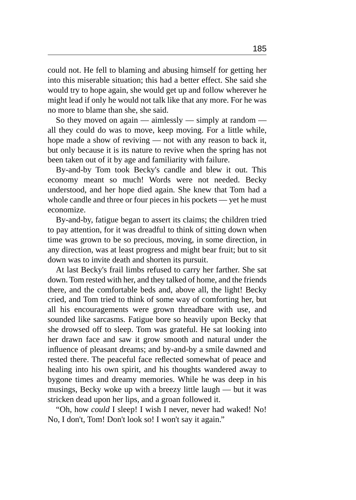could not. He fell to blaming and abusing himself for getting her into this miserable situation; this had a better effect. She said she would try to hope again, she would get up and follow wherever he might lead if only he would not talk like that any more. For he was no more to blame than she, she said.

So they moved on again — aimlessly — simply at random all they could do was to move, keep moving. For a little while, hope made a show of reviving — not with any reason to back it, but only because it is its nature to revive when the spring has not been taken out of it by age and familiarity with failure.

By-and-by Tom took Becky's candle and blew it out. This economy meant so much! Words were not needed. Becky understood, and her hope died again. She knew that Tom had a whole candle and three or four pieces in his pockets — yet he must economize.

By-and-by, fatigue began to assert its claims; the children tried to pay attention, for it was dreadful to think of sitting down when time was grown to be so precious, moving, in some direction, in any direction, was at least progress and might bear fruit; but to sit down was to invite death and shorten its pursuit.

At last Becky's frail limbs refused to carry her farther. She sat down. Tom rested with her, and they talked of home, and the friends there, and the comfortable beds and, above all, the light! Becky cried, and Tom tried to think of some way of comforting her, but all his encouragements were grown threadbare with use, and sounded like sarcasms. Fatigue bore so heavily upon Becky that she drowsed off to sleep. Tom was grateful. He sat looking into her drawn face and saw it grow smooth and natural under the influence of pleasant dreams; and by-and-by a smile dawned and rested there. The peaceful face reflected somewhat of peace and healing into his own spirit, and his thoughts wandered away to bygone times and dreamy memories. While he was deep in his musings, Becky woke up with a breezy little laugh — but it was stricken dead upon her lips, and a groan followed it.

"Oh, how *could* I sleep! I wish I never, never had waked! No! No, I don't, Tom! Don't look so! I won't say it again."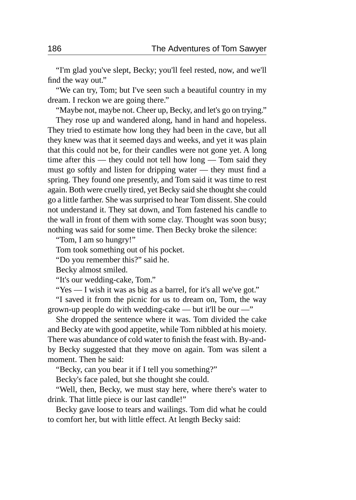"I'm glad you've slept, Becky; you'll feel rested, now, and we'll find the way out."

"We can try, Tom; but I've seen such a beautiful country in my dream. I reckon we are going there."

"Maybe not, maybe not. Cheer up, Becky, and let's go on trying."

They rose up and wandered along, hand in hand and hopeless. They tried to estimate how long they had been in the cave, but all they knew was that it seemed days and weeks, and yet it was plain that this could not be, for their candles were not gone yet. A long time after this — they could not tell how long — Tom said they must go softly and listen for dripping water — they must find a spring. They found one presently, and Tom said it was time to rest again. Both were cruelly tired, yet Becky said she thought she could go a little farther. She was surprised to hear Tom dissent. She could not understand it. They sat down, and Tom fastened his candle to the wall in front of them with some clay. Thought was soon busy; nothing was said for some time. Then Becky broke the silence:

"Tom, I am so hungry!"

Tom took something out of his pocket.

"Do you remember this?" said he.

Becky almost smiled.

"It's our wedding-cake, Tom."

"Yes — I wish it was as big as a barrel, for it's all we've got."

"I saved it from the picnic for us to dream on, Tom, the way grown-up people do with wedding-cake — but it'll be our —"

She dropped the sentence where it was. Tom divided the cake and Becky ate with good appetite, while Tom nibbled at his moiety. There was abundance of cold water to finish the feast with. By-andby Becky suggested that they move on again. Tom was silent a moment. Then he said:

"Becky, can you bear it if I tell you something?"

Becky's face paled, but she thought she could.

"Well, then, Becky, we must stay here, where there's water to drink. That little piece is our last candle!"

Becky gave loose to tears and wailings. Tom did what he could to comfort her, but with little effect. At length Becky said: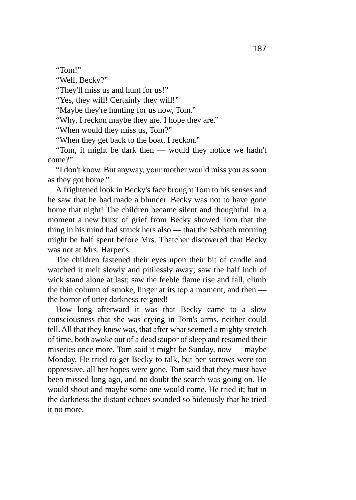"Tom!"

"Well, Becky?"

"They'll miss us and hunt for us!"

"Yes, they will! Certainly they will!"

"Maybe they're hunting for us now, Tom."

"Why, I reckon maybe they are. I hope they are."

"When would they miss us, Tom?"

"When they get back to the boat, I reckon."

"Tom, it might be dark then — would they notice we hadn't come?"

"I don't know. But anyway, your mother would miss you as soon as they got home."

A frightened look in Becky's face brought Tom to his senses and he saw that he had made a blunder. Becky was not to have gone home that night! The children became silent and thoughtful. In a moment a new burst of grief from Becky showed Tom that the thing in his mind had struck hers also — that the Sabbath morning might be half spent before Mrs. Thatcher discovered that Becky was not at Mrs. Harper's.

The children fastened their eyes upon their bit of candle and watched it melt slowly and pitilessly away; saw the half inch of wick stand alone at last; saw the feeble flame rise and fall, climb the thin column of smoke, linger at its top a moment, and then the horror of utter darkness reigned!

How long afterward it was that Becky came to a slow consciousness that she was crying in Tom's arms, neither could tell. All that they knew was, that after what seemed a mighty stretch of time, both awoke out of a dead stupor of sleep and resumed their miseries once more. Tom said it might be Sunday, now — maybe Monday. He tried to get Becky to talk, but her sorrows were too oppressive, all her hopes were gone. Tom said that they must have been missed long ago, and no doubt the search was going on. He would shout and maybe some one would come. He tried it; but in the darkness the distant echoes sounded so hideously that he tried it no more.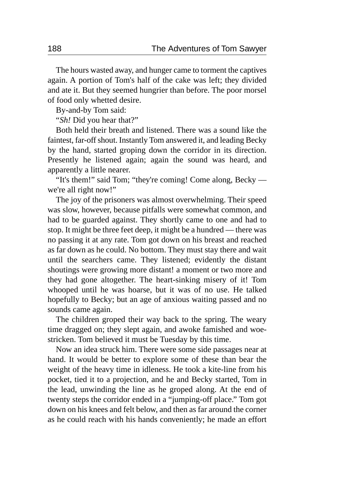The hours wasted away, and hunger came to torment the captives again. A portion of Tom's half of the cake was left; they divided and ate it. But they seemed hungrier than before. The poor morsel of food only whetted desire.

By-and-by Tom said:

"*Sh!* Did you hear that?"

Both held their breath and listened. There was a sound like the faintest, far-off shout. Instantly Tom answered it, and leading Becky by the hand, started groping down the corridor in its direction. Presently he listened again; again the sound was heard, and apparently a little nearer.

"It's them!" said Tom; "they're coming! Come along, Becky we're all right now!"

The joy of the prisoners was almost overwhelming. Their speed was slow, however, because pitfalls were somewhat common, and had to be guarded against. They shortly came to one and had to stop. It might be three feet deep, it might be a hundred — there was no passing it at any rate. Tom got down on his breast and reached as far down as he could. No bottom. They must stay there and wait until the searchers came. They listened; evidently the distant shoutings were growing more distant! a moment or two more and they had gone altogether. The heart-sinking misery of it! Tom whooped until he was hoarse, but it was of no use. He talked hopefully to Becky; but an age of anxious waiting passed and no sounds came again.

The children groped their way back to the spring. The weary time dragged on; they slept again, and awoke famished and woestricken. Tom believed it must be Tuesday by this time.

Now an idea struck him. There were some side passages near at hand. It would be better to explore some of these than bear the weight of the heavy time in idleness. He took a kite-line from his pocket, tied it to a projection, and he and Becky started, Tom in the lead, unwinding the line as he groped along. At the end of twenty steps the corridor ended in a "jumping-off place." Tom got down on his knees and felt below, and then as far around the corner as he could reach with his hands conveniently; he made an effort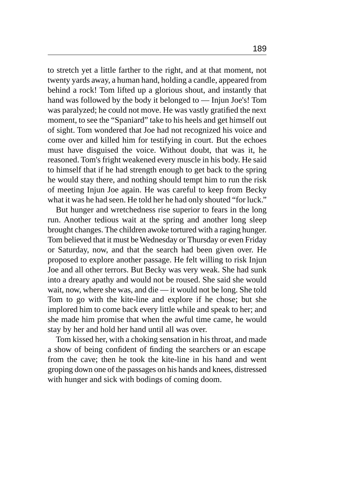to stretch yet a little farther to the right, and at that moment, not twenty yards away, a human hand, holding a candle, appeared from behind a rock! Tom lifted up a glorious shout, and instantly that hand was followed by the body it belonged to — Injun Joe's! Tom was paralyzed; he could not move. He was vastly gratified the next moment, to see the "Spaniard" take to his heels and get himself out of sight. Tom wondered that Joe had not recognized his voice and come over and killed him for testifying in court. But the echoes must have disguised the voice. Without doubt, that was it, he reasoned. Tom's fright weakened every muscle in his body. He said to himself that if he had strength enough to get back to the spring he would stay there, and nothing should tempt him to run the risk of meeting Injun Joe again. He was careful to keep from Becky what it was he had seen. He told her he had only shouted "for luck."

But hunger and wretchedness rise superior to fears in the long run. Another tedious wait at the spring and another long sleep brought changes. The children awoke tortured with a raging hunger. Tom believed that it must be Wednesday or Thursday or even Friday or Saturday, now, and that the search had been given over. He proposed to explore another passage. He felt willing to risk Injun Joe and all other terrors. But Becky was very weak. She had sunk into a dreary apathy and would not be roused. She said she would wait, now, where she was, and die — it would not be long. She told Tom to go with the kite-line and explore if he chose; but she implored him to come back every little while and speak to her; and she made him promise that when the awful time came, he would stay by her and hold her hand until all was over.

Tom kissed her, with a choking sensation in his throat, and made a show of being confident of finding the searchers or an escape from the cave; then he took the kite-line in his hand and went groping down one of the passages on his hands and knees, distressed with hunger and sick with bodings of coming doom.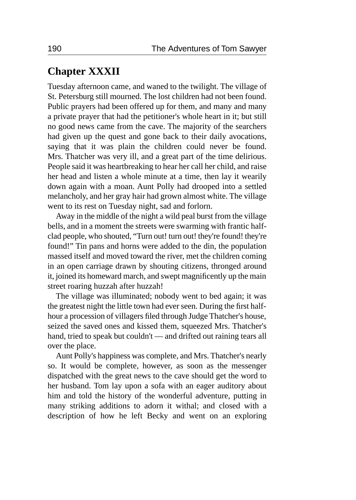# **Chapter XXXII**

Tuesday afternoon came, and waned to the twilight. The village of St. Petersburg still mourned. The lost children had not been found. Public prayers had been offered up for them, and many and many a private prayer that had the petitioner's whole heart in it; but still no good news came from the cave. The majority of the searchers had given up the quest and gone back to their daily avocations, saying that it was plain the children could never be found. Mrs. Thatcher was very ill, and a great part of the time delirious. People said it was heartbreaking to hear her call her child, and raise her head and listen a whole minute at a time, then lay it wearily down again with a moan. Aunt Polly had drooped into a settled melancholy, and her gray hair had grown almost white. The village went to its rest on Tuesday night, sad and forlorn.

Away in the middle of the night a wild peal burst from the village bells, and in a moment the streets were swarming with frantic halfclad people, who shouted, "Turn out! turn out! they're found! they're found!" Tin pans and horns were added to the din, the population massed itself and moved toward the river, met the children coming in an open carriage drawn by shouting citizens, thronged around it, joined its homeward march, and swept magnificently up the main street roaring huzzah after huzzah!

The village was illuminated; nobody went to bed again; it was the greatest night the little town had ever seen. During the first halfhour a procession of villagers filed through Judge Thatcher's house, seized the saved ones and kissed them, squeezed Mrs. Thatcher's hand, tried to speak but couldn't — and drifted out raining tears all over the place.

Aunt Polly's happiness was complete, and Mrs. Thatcher's nearly so. It would be complete, however, as soon as the messenger dispatched with the great news to the cave should get the word to her husband. Tom lay upon a sofa with an eager auditory about him and told the history of the wonderful adventure, putting in many striking additions to adorn it withal; and closed with a description of how he left Becky and went on an exploring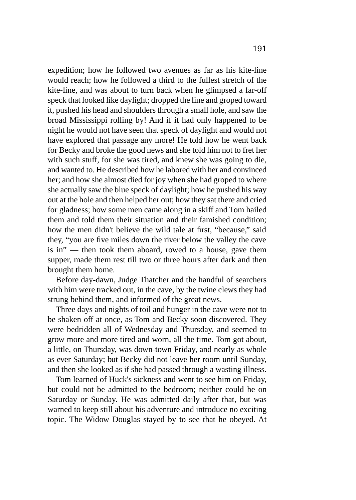expedition; how he followed two avenues as far as his kite-line would reach; how he followed a third to the fullest stretch of the kite-line, and was about to turn back when he glimpsed a far-off speck that looked like daylight; dropped the line and groped toward it, pushed his head and shoulders through a small hole, and saw the broad Mississippi rolling by! And if it had only happened to be night he would not have seen that speck of daylight and would not have explored that passage any more! He told how he went back for Becky and broke the good news and she told him not to fret her with such stuff, for she was tired, and knew she was going to die, and wanted to. He described how he labored with her and convinced her; and how she almost died for joy when she had groped to where she actually saw the blue speck of daylight; how he pushed his way out at the hole and then helped her out; how they sat there and cried for gladness; how some men came along in a skiff and Tom hailed them and told them their situation and their famished condition; how the men didn't believe the wild tale at first, "because," said they, "you are five miles down the river below the valley the cave is in" — then took them aboard, rowed to a house, gave them supper, made them rest till two or three hours after dark and then brought them home.

Before day-dawn, Judge Thatcher and the handful of searchers with him were tracked out, in the cave, by the twine clews they had strung behind them, and informed of the great news.

Three days and nights of toil and hunger in the cave were not to be shaken off at once, as Tom and Becky soon discovered. They were bedridden all of Wednesday and Thursday, and seemed to grow more and more tired and worn, all the time. Tom got about, a little, on Thursday, was down-town Friday, and nearly as whole as ever Saturday; but Becky did not leave her room until Sunday, and then she looked as if she had passed through a wasting illness.

Tom learned of Huck's sickness and went to see him on Friday, but could not be admitted to the bedroom; neither could he on Saturday or Sunday. He was admitted daily after that, but was warned to keep still about his adventure and introduce no exciting topic. The Widow Douglas stayed by to see that he obeyed. At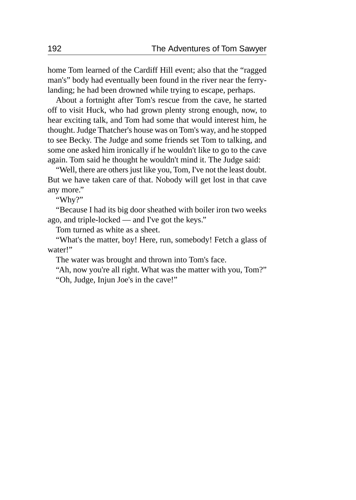home Tom learned of the Cardiff Hill event; also that the "ragged man's" body had eventually been found in the river near the ferrylanding; he had been drowned while trying to escape, perhaps.

About a fortnight after Tom's rescue from the cave, he started off to visit Huck, who had grown plenty strong enough, now, to hear exciting talk, and Tom had some that would interest him, he thought. Judge Thatcher's house was on Tom's way, and he stopped to see Becky. The Judge and some friends set Tom to talking, and some one asked him ironically if he wouldn't like to go to the cave again. Tom said he thought he wouldn't mind it. The Judge said:

"Well, there are others just like you, Tom, I've not the least doubt. But we have taken care of that. Nobody will get lost in that cave any more."

"Why?"

"Because I had its big door sheathed with boiler iron two weeks ago, and triple-locked — and I've got the keys."

Tom turned as white as a sheet.

"What's the matter, boy! Here, run, somebody! Fetch a glass of water!"

The water was brought and thrown into Tom's face.

"Ah, now you're all right. What was the matter with you, Tom?"

"Oh, Judge, Injun Joe's in the cave!"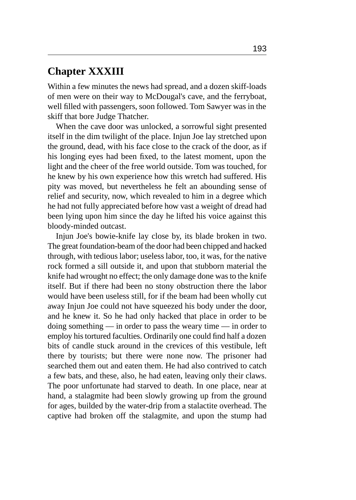### **Chapter XXXIII**

Within a few minutes the news had spread, and a dozen skiff-loads of men were on their way to McDougal's cave, and the ferryboat, well filled with passengers, soon followed. Tom Sawyer was in the skiff that bore Judge Thatcher.

When the cave door was unlocked, a sorrowful sight presented itself in the dim twilight of the place. Injun Joe lay stretched upon the ground, dead, with his face close to the crack of the door, as if his longing eyes had been fixed, to the latest moment, upon the light and the cheer of the free world outside. Tom was touched, for he knew by his own experience how this wretch had suffered. His pity was moved, but nevertheless he felt an abounding sense of relief and security, now, which revealed to him in a degree which he had not fully appreciated before how vast a weight of dread had been lying upon him since the day he lifted his voice against this bloody-minded outcast.

Injun Joe's bowie-knife lay close by, its blade broken in two. The great foundation-beam of the door had been chipped and hacked through, with tedious labor; useless labor, too, it was, for the native rock formed a sill outside it, and upon that stubborn material the knife had wrought no effect; the only damage done was to the knife itself. But if there had been no stony obstruction there the labor would have been useless still, for if the beam had been wholly cut away Injun Joe could not have squeezed his body under the door, and he knew it. So he had only hacked that place in order to be doing something — in order to pass the weary time — in order to employ his tortured faculties. Ordinarily one could find half a dozen bits of candle stuck around in the crevices of this vestibule, left there by tourists; but there were none now. The prisoner had searched them out and eaten them. He had also contrived to catch a few bats, and these, also, he had eaten, leaving only their claws. The poor unfortunate had starved to death. In one place, near at hand, a stalagmite had been slowly growing up from the ground for ages, builded by the water-drip from a stalactite overhead. The captive had broken off the stalagmite, and upon the stump had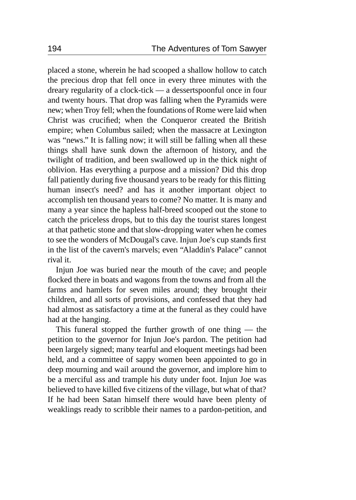placed a stone, wherein he had scooped a shallow hollow to catch the precious drop that fell once in every three minutes with the dreary regularity of a clock-tick — a dessertspoonful once in four and twenty hours. That drop was falling when the Pyramids were new; when Troy fell; when the foundations of Rome were laid when Christ was crucified; when the Conqueror created the British empire; when Columbus sailed; when the massacre at Lexington was "news." It is falling now; it will still be falling when all these things shall have sunk down the afternoon of history, and the twilight of tradition, and been swallowed up in the thick night of oblivion. Has everything a purpose and a mission? Did this drop fall patiently during five thousand years to be ready for this flitting human insect's need? and has it another important object to accomplish ten thousand years to come? No matter. It is many and many a year since the hapless half-breed scooped out the stone to catch the priceless drops, but to this day the tourist stares longest at that pathetic stone and that slow-dropping water when he comes to see the wonders of McDougal's cave. Injun Joe's cup stands first in the list of the cavern's marvels; even "Aladdin's Palace" cannot rival it.

Injun Joe was buried near the mouth of the cave; and people flocked there in boats and wagons from the towns and from all the farms and hamlets for seven miles around; they brought their children, and all sorts of provisions, and confessed that they had had almost as satisfactory a time at the funeral as they could have had at the hanging.

This funeral stopped the further growth of one thing — the petition to the governor for Injun Joe's pardon. The petition had been largely signed; many tearful and eloquent meetings had been held, and a committee of sappy women been appointed to go in deep mourning and wail around the governor, and implore him to be a merciful ass and trample his duty under foot. Injun Joe was believed to have killed five citizens of the village, but what of that? If he had been Satan himself there would have been plenty of weaklings ready to scribble their names to a pardon-petition, and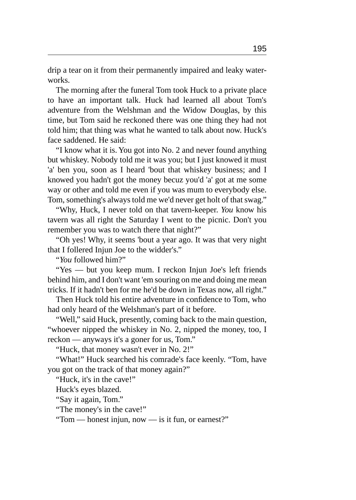drip a tear on it from their permanently impaired and leaky waterworks.

The morning after the funeral Tom took Huck to a private place to have an important talk. Huck had learned all about Tom's adventure from the Welshman and the Widow Douglas, by this time, but Tom said he reckoned there was one thing they had not told him; that thing was what he wanted to talk about now. Huck's face saddened. He said:

"I know what it is. You got into No. 2 and never found anything but whiskey. Nobody told me it was you; but I just knowed it must 'a' ben you, soon as I heard 'bout that whiskey business; and I knowed you hadn't got the money becuz you'd 'a' got at me some way or other and told me even if you was mum to everybody else. Tom, something's always told me we'd never get holt of that swag."

"Why, Huck, I never told on that tavern-keeper. *You* know his tavern was all right the Saturday I went to the picnic. Don't you remember you was to watch there that night?"

"Oh yes! Why, it seems 'bout a year ago. It was that very night that I follered Injun Joe to the widder's."

"*You* followed him?"

"Yes — but you keep mum. I reckon Injun Joe's left friends behind him, and I don't want 'em souring on me and doing me mean tricks. If it hadn't ben for me he'd be down in Texas now, all right."

Then Huck told his entire adventure in confidence to Tom, who had only heard of the Welshman's part of it before.

"Well," said Huck, presently, coming back to the main question, "whoever nipped the whiskey in No. 2, nipped the money, too, I reckon — anyways it's a goner for us, Tom."

"Huck, that money wasn't ever in No. 2!"

"What!" Huck searched his comrade's face keenly. "Tom, have you got on the track of that money again?"

"Huck, it's in the cave!"

Huck's eyes blazed.

"Say it again, Tom."

"The money's in the cave!"

"Tom — honest injun, now — is it fun, or earnest?"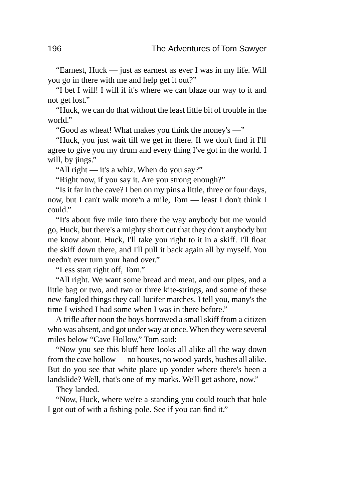"Earnest, Huck — just as earnest as ever I was in my life. Will you go in there with me and help get it out?"

"I bet I will! I will if it's where we can blaze our way to it and not get lost."

"Huck, we can do that without the least little bit of trouble in the world."

"Good as wheat! What makes you think the money's —"

"Huck, you just wait till we get in there. If we don't find it I'll agree to give you my drum and every thing I've got in the world. I will, by jings."

"All right — it's a whiz. When do you say?"

"Right now, if you say it. Are you strong enough?"

"Is it far in the cave? I ben on my pins a little, three or four days, now, but I can't walk more'n a mile, Tom — least I don't think I could."

"It's about five mile into there the way anybody but me would go, Huck, but there's a mighty short cut that they don't anybody but me know about. Huck, I'll take you right to it in a skiff. I'll float the skiff down there, and I'll pull it back again all by myself. You needn't ever turn your hand over."

"Less start right off, Tom."

"All right. We want some bread and meat, and our pipes, and a little bag or two, and two or three kite-strings, and some of these new-fangled things they call lucifer matches. I tell you, many's the time I wished I had some when I was in there before."

A trifle after noon the boys borrowed a small skiff from a citizen who was absent, and got under way at once. When they were several miles below "Cave Hollow," Tom said:

"Now you see this bluff here looks all alike all the way down from the cave hollow — no houses, no wood-yards, bushes all alike. But do you see that white place up yonder where there's been a landslide? Well, that's one of my marks. We'll get ashore, now."

They landed.

"Now, Huck, where we're a-standing you could touch that hole I got out of with a fishing-pole. See if you can find it."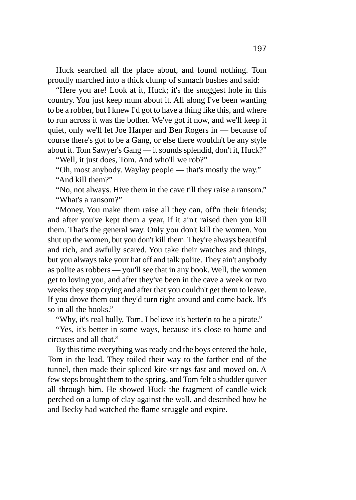Huck searched all the place about, and found nothing. Tom proudly marched into a thick clump of sumach bushes and said:

"Here you are! Look at it, Huck; it's the snuggest hole in this country. You just keep mum about it. All along I've been wanting to be a robber, but I knew I'd got to have a thing like this, and where to run across it was the bother. We've got it now, and we'll keep it quiet, only we'll let Joe Harper and Ben Rogers in — because of course there's got to be a Gang, or else there wouldn't be any style about it. Tom Sawyer's Gang — it sounds splendid, don't it, Huck?"

"Well, it just does, Tom. And who'll we rob?"

"Oh, most anybody. Waylay people — that's mostly the way." "And kill them?"

"No, not always. Hive them in the cave till they raise a ransom." "What's a ransom?"

"Money. You make them raise all they can, off'n their friends; and after you've kept them a year, if it ain't raised then you kill them. That's the general way. Only you don't kill the women. You shut up the women, but you don't kill them. They're always beautiful and rich, and awfully scared. You take their watches and things, but you always take your hat off and talk polite. They ain't anybody as polite as robbers — you'll see that in any book. Well, the women get to loving you, and after they've been in the cave a week or two weeks they stop crying and after that you couldn't get them to leave. If you drove them out they'd turn right around and come back. It's so in all the books."

"Why, it's real bully, Tom. I believe it's better'n to be a pirate."

"Yes, it's better in some ways, because it's close to home and circuses and all that."

By this time everything was ready and the boys entered the hole, Tom in the lead. They toiled their way to the farther end of the tunnel, then made their spliced kite-strings fast and moved on. A few steps brought them to the spring, and Tom felt a shudder quiver all through him. He showed Huck the fragment of candle-wick perched on a lump of clay against the wall, and described how he and Becky had watched the flame struggle and expire.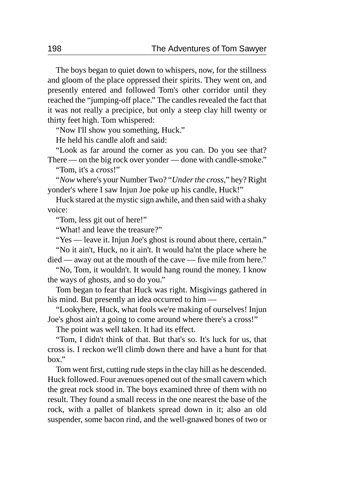The boys began to quiet down to whispers, now, for the stillness and gloom of the place oppressed their spirits. They went on, and presently entered and followed Tom's other corridor until they reached the "jumping-off place." The candles revealed the fact that it was not really a precipice, but only a steep clay hill twenty or thirty feet high. Tom whispered:

"Now I'll show you something, Huck."

He held his candle aloft and said:

"Look as far around the corner as you can. Do you see that? There — on the big rock over yonder — done with candle-smoke."

"Tom, it's a *cross*!"

"*Now* where's your Number Two? "*Under the cross,*" hey? Right yonder's where I saw Injun Joe poke up his candle, Huck!"

Huck stared at the mystic sign awhile, and then said with a shaky voice:

"Tom, less git out of here!"

"What! and leave the treasure?"

"Yes — leave it. Injun Joe's ghost is round about there, certain."

"No it ain't, Huck, no it ain't. It would ha'nt the place where he died — away out at the mouth of the cave — five mile from here."

"No, Tom, it wouldn't. It would hang round the money. I know the ways of ghosts, and so do you."

Tom began to fear that Huck was right. Misgivings gathered in his mind. But presently an idea occurred to him —

"Lookyhere, Huck, what fools we're making of ourselves! Injun Joe's ghost ain't a going to come around where there's a cross!"

The point was well taken. It had its effect.

"Tom, I didn't think of that. But that's so. It's luck for us, that cross is. I reckon we'll climb down there and have a hunt for that box."

Tom went first, cutting rude steps in the clay hill as he descended. Huck followed. Four avenues opened out of the small cavern which the great rock stood in. The boys examined three of them with no result. They found a small recess in the one nearest the base of the rock, with a pallet of blankets spread down in it; also an old suspender, some bacon rind, and the well-gnawed bones of two or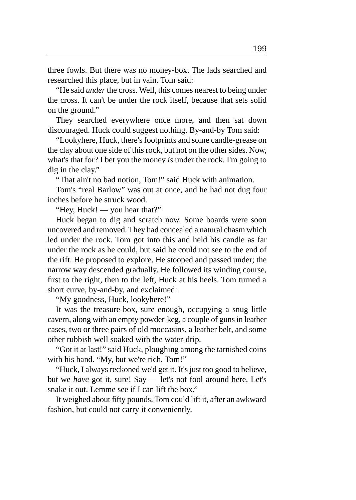three fowls. But there was no money-box. The lads searched and researched this place, but in vain. Tom said:

"He said *under* the cross. Well, this comes nearest to being under the cross. It can't be under the rock itself, because that sets solid on the ground."

They searched everywhere once more, and then sat down discouraged. Huck could suggest nothing. By-and-by Tom said:

"Lookyhere, Huck, there's footprints and some candle-grease on the clay about one side of this rock, but not on the other sides. Now, what's that for? I bet you the money *is* under the rock. I'm going to dig in the clay."

"That ain't no bad notion, Tom!" said Huck with animation.

Tom's "real Barlow" was out at once, and he had not dug four inches before he struck wood.

"Hey, Huck! — you hear that?"

Huck began to dig and scratch now. Some boards were soon uncovered and removed. They had concealed a natural chasm which led under the rock. Tom got into this and held his candle as far under the rock as he could, but said he could not see to the end of the rift. He proposed to explore. He stooped and passed under; the narrow way descended gradually. He followed its winding course, first to the right, then to the left, Huck at his heels. Tom turned a short curve, by-and-by, and exclaimed:

"My goodness, Huck, lookyhere!"

It was the treasure-box, sure enough, occupying a snug little cavern, along with an empty powder-keg, a couple of guns in leather cases, two or three pairs of old moccasins, a leather belt, and some other rubbish well soaked with the water-drip.

"Got it at last!" said Huck, ploughing among the tarnished coins with his hand. "My, but we're rich, Tom!"

"Huck, I always reckoned we'd get it. It's just too good to believe, but we *have* got it, sure! Say — let's not fool around here. Let's snake it out. Lemme see if I can lift the box."

It weighed about fifty pounds. Tom could lift it, after an awkward fashion, but could not carry it conveniently.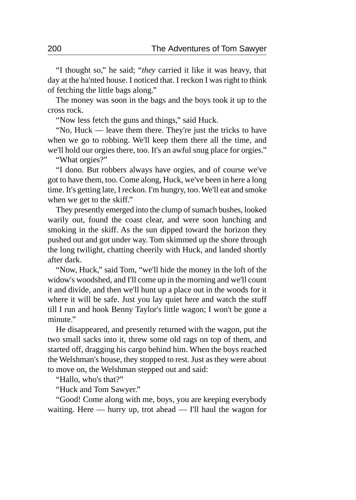"I thought so," he said; "*they* carried it like it was heavy, that day at the ha'nted house. I noticed that. I reckon I was right to think of fetching the little bags along."

The money was soon in the bags and the boys took it up to the cross rock.

"Now less fetch the guns and things," said Huck.

"No, Huck — leave them there. They're just the tricks to have when we go to robbing. We'll keep them there all the time, and we'll hold our orgies there, too. It's an awful snug place for orgies."

"What orgies?"

"I dono. But robbers always have orgies, and of course we've got to have them, too. Come along, Huck, we've been in here a long time. It's getting late, I reckon. I'm hungry, too. We'll eat and smoke when we get to the skiff."

They presently emerged into the clump of sumach bushes, looked warily out, found the coast clear, and were soon lunching and smoking in the skiff. As the sun dipped toward the horizon they pushed out and got under way. Tom skimmed up the shore through the long twilight, chatting cheerily with Huck, and landed shortly after dark.

"Now, Huck," said Tom, "we'll hide the money in the loft of the widow's woodshed, and I'll come up in the morning and we'll count it and divide, and then we'll hunt up a place out in the woods for it where it will be safe. Just you lay quiet here and watch the stuff till I run and hook Benny Taylor's little wagon; I won't be gone a minute."

He disappeared, and presently returned with the wagon, put the two small sacks into it, threw some old rags on top of them, and started off, dragging his cargo behind him. When the boys reached the Welshman's house, they stopped to rest. Just as they were about to move on, the Welshman stepped out and said:

"Hallo, who's that?"

"Huck and Tom Sawyer."

"Good! Come along with me, boys, you are keeping everybody waiting. Here — hurry up, trot ahead — I'll haul the wagon for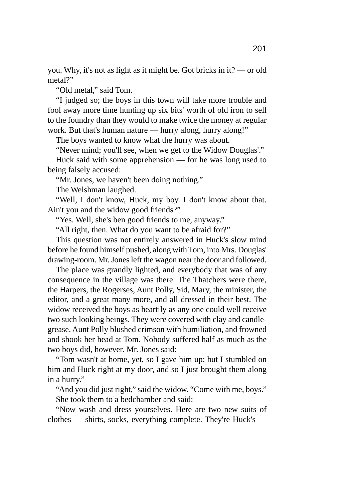you. Why, it's not as light as it might be. Got bricks in it? — or old metal?"

"Old metal," said Tom.

"I judged so; the boys in this town will take more trouble and fool away more time hunting up six bits' worth of old iron to sell to the foundry than they would to make twice the money at regular work. But that's human nature — hurry along, hurry along!"

The boys wanted to know what the hurry was about.

"Never mind; you'll see, when we get to the Widow Douglas'."

Huck said with some apprehension — for he was long used to being falsely accused:

"Mr. Jones, we haven't been doing nothing."

The Welshman laughed.

"Well, I don't know, Huck, my boy. I don't know about that. Ain't you and the widow good friends?"

"Yes. Well, she's ben good friends to me, anyway."

"All right, then. What do you want to be afraid for?"

This question was not entirely answered in Huck's slow mind before he found himself pushed, along with Tom, into Mrs. Douglas' drawing-room. Mr. Jones left the wagon near the door and followed.

The place was grandly lighted, and everybody that was of any consequence in the village was there. The Thatchers were there, the Harpers, the Rogerses, Aunt Polly, Sid, Mary, the minister, the editor, and a great many more, and all dressed in their best. The widow received the boys as heartily as any one could well receive two such looking beings. They were covered with clay and candlegrease. Aunt Polly blushed crimson with humiliation, and frowned and shook her head at Tom. Nobody suffered half as much as the two boys did, however. Mr. Jones said:

"Tom wasn't at home, yet, so I gave him up; but I stumbled on him and Huck right at my door, and so I just brought them along in a hurry."

"And you did just right," said the widow. "Come with me, boys." She took them to a bedchamber and said:

"Now wash and dress yourselves. Here are two new suits of clothes — shirts, socks, everything complete. They're Huck's —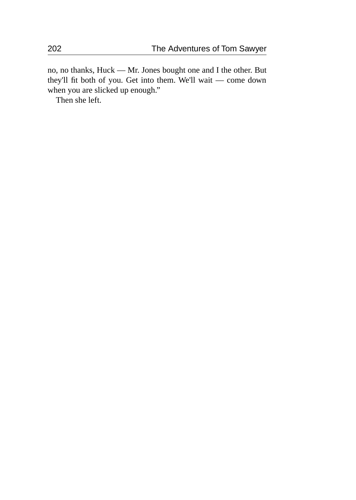no, no thanks, Huck — Mr. Jones bought one and I the other. But they'll fit both of you. Get into them. We'll wait — come down when you are slicked up enough."

Then she left.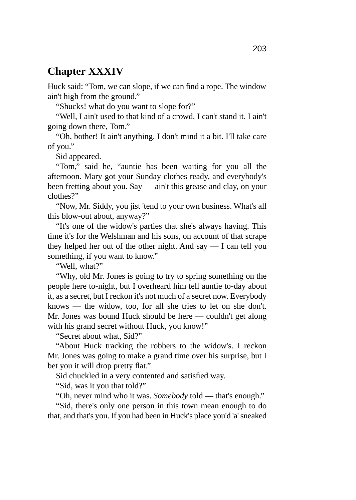#### **Chapter XXXIV**

Huck said: "Tom, we can slope, if we can find a rope. The window ain't high from the ground."

"Shucks! what do you want to slope for?"

"Well, I ain't used to that kind of a crowd. I can't stand it. I ain't going down there, Tom."

"Oh, bother! It ain't anything. I don't mind it a bit. I'll take care of you."

Sid appeared.

"Tom," said he, "auntie has been waiting for you all the afternoon. Mary got your Sunday clothes ready, and everybody's been fretting about you. Say — ain't this grease and clay, on your clothes?"

"Now, Mr. Siddy, you jist 'tend to your own business. What's all this blow-out about, anyway?"

"It's one of the widow's parties that she's always having. This time it's for the Welshman and his sons, on account of that scrape they helped her out of the other night. And say — I can tell you something, if you want to know."

"Well, what?"

"Why, old Mr. Jones is going to try to spring something on the people here to-night, but I overheard him tell auntie to-day about it, as a secret, but I reckon it's not much of a secret now. Everybody knows — the widow, too, for all she tries to let on she don't. Mr. Jones was bound Huck should be here — couldn't get along with his grand secret without Huck, you know!"

"Secret about what, Sid?"

"About Huck tracking the robbers to the widow's. I reckon Mr. Jones was going to make a grand time over his surprise, but I bet you it will drop pretty flat."

Sid chuckled in a very contented and satisfied way.

"Sid, was it you that told?"

"Oh, never mind who it was. *Somebody* told — that's enough."

"Sid, there's only one person in this town mean enough to do that, and that's you. If you had been in Huck's place you'd 'a' sneaked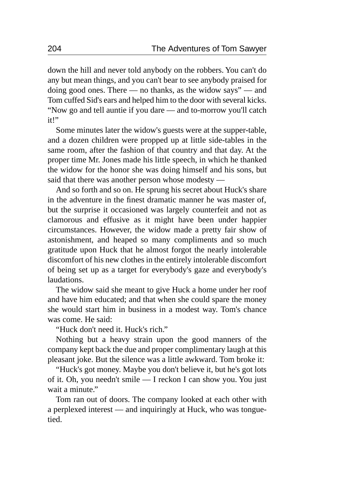down the hill and never told anybody on the robbers. You can't do any but mean things, and you can't bear to see anybody praised for doing good ones. There — no thanks, as the widow says" — and Tom cuffed Sid's ears and helped him to the door with several kicks. "Now go and tell auntie if you dare — and to-morrow you'll catch it!"

Some minutes later the widow's guests were at the supper-table, and a dozen children were propped up at little side-tables in the same room, after the fashion of that country and that day. At the proper time Mr. Jones made his little speech, in which he thanked the widow for the honor she was doing himself and his sons, but said that there was another person whose modesty —

And so forth and so on. He sprung his secret about Huck's share in the adventure in the finest dramatic manner he was master of, but the surprise it occasioned was largely counterfeit and not as clamorous and effusive as it might have been under happier circumstances. However, the widow made a pretty fair show of astonishment, and heaped so many compliments and so much gratitude upon Huck that he almost forgot the nearly intolerable discomfort of his new clothes in the entirely intolerable discomfort of being set up as a target for everybody's gaze and everybody's laudations.

The widow said she meant to give Huck a home under her roof and have him educated; and that when she could spare the money she would start him in business in a modest way. Tom's chance was come. He said:

"Huck don't need it. Huck's rich."

Nothing but a heavy strain upon the good manners of the company kept back the due and proper complimentary laugh at this pleasant joke. But the silence was a little awkward. Tom broke it:

"Huck's got money. Maybe you don't believe it, but he's got lots of it. Oh, you needn't smile — I reckon I can show you. You just wait a minute."

Tom ran out of doors. The company looked at each other with a perplexed interest — and inquiringly at Huck, who was tonguetied.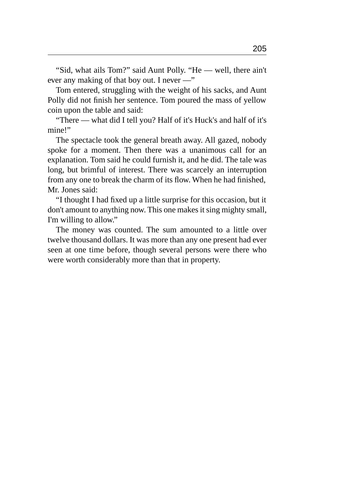"Sid, what ails Tom?" said Aunt Polly. "He — well, there ain't ever any making of that boy out. I never —"

Tom entered, struggling with the weight of his sacks, and Aunt Polly did not finish her sentence. Tom poured the mass of yellow coin upon the table and said:

"There — what did I tell you? Half of it's Huck's and half of it's mine!"

The spectacle took the general breath away. All gazed, nobody spoke for a moment. Then there was a unanimous call for an explanation. Tom said he could furnish it, and he did. The tale was long, but brimful of interest. There was scarcely an interruption from any one to break the charm of its flow. When he had finished, Mr. Jones said:

"I thought I had fixed up a little surprise for this occasion, but it don't amount to anything now. This one makes it sing mighty small, I'm willing to allow."

The money was counted. The sum amounted to a little over twelve thousand dollars. It was more than any one present had ever seen at one time before, though several persons were there who were worth considerably more than that in property.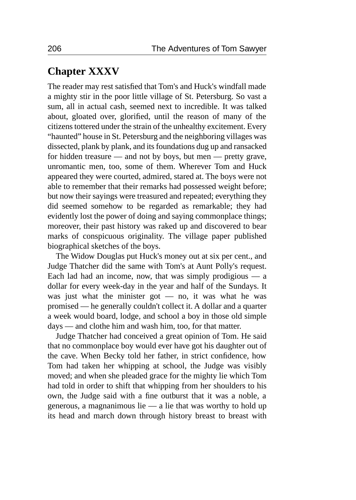### **Chapter XXXV**

The reader may rest satisfied that Tom's and Huck's windfall made a mighty stir in the poor little village of St. Petersburg. So vast a sum, all in actual cash, seemed next to incredible. It was talked about, gloated over, glorified, until the reason of many of the citizens tottered under the strain of the unhealthy excitement. Every "haunted" house in St. Petersburg and the neighboring villages was dissected, plank by plank, and its foundations dug up and ransacked for hidden treasure — and not by boys, but men — pretty grave, unromantic men, too, some of them. Wherever Tom and Huck appeared they were courted, admired, stared at. The boys were not able to remember that their remarks had possessed weight before; but now their sayings were treasured and repeated; everything they did seemed somehow to be regarded as remarkable; they had evidently lost the power of doing and saying commonplace things; moreover, their past history was raked up and discovered to bear marks of conspicuous originality. The village paper published biographical sketches of the boys.

The Widow Douglas put Huck's money out at six per cent., and Judge Thatcher did the same with Tom's at Aunt Polly's request. Each lad had an income, now, that was simply prodigious  $-$  a dollar for every week-day in the year and half of the Sundays. It was just what the minister got — no, it was what he was promised — he generally couldn't collect it. A dollar and a quarter a week would board, lodge, and school a boy in those old simple days — and clothe him and wash him, too, for that matter.

Judge Thatcher had conceived a great opinion of Tom. He said that no commonplace boy would ever have got his daughter out of the cave. When Becky told her father, in strict confidence, how Tom had taken her whipping at school, the Judge was visibly moved; and when she pleaded grace for the mighty lie which Tom had told in order to shift that whipping from her shoulders to his own, the Judge said with a fine outburst that it was a noble, a generous, a magnanimous lie — a lie that was worthy to hold up its head and march down through history breast to breast with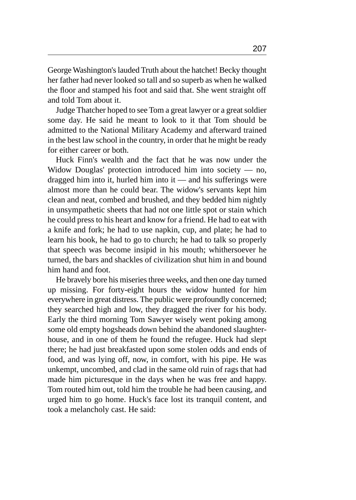George Washington's lauded Truth about the hatchet! Becky thought her father had never looked so tall and so superb as when he walked the floor and stamped his foot and said that. She went straight off and told Tom about it.

Judge Thatcher hoped to see Tom a great lawyer or a great soldier some day. He said he meant to look to it that Tom should be admitted to the National Military Academy and afterward trained in the best law school in the country, in order that he might be ready for either career or both.

Huck Finn's wealth and the fact that he was now under the Widow Douglas' protection introduced him into society — no, dragged him into it, hurled him into it — and his sufferings were almost more than he could bear. The widow's servants kept him clean and neat, combed and brushed, and they bedded him nightly in unsympathetic sheets that had not one little spot or stain which he could press to his heart and know for a friend. He had to eat with a knife and fork; he had to use napkin, cup, and plate; he had to learn his book, he had to go to church; he had to talk so properly that speech was become insipid in his mouth; whithersoever he turned, the bars and shackles of civilization shut him in and bound him hand and foot.

He bravely bore his miseries three weeks, and then one day turned up missing. For forty-eight hours the widow hunted for him everywhere in great distress. The public were profoundly concerned; they searched high and low, they dragged the river for his body. Early the third morning Tom Sawyer wisely went poking among some old empty hogsheads down behind the abandoned slaughterhouse, and in one of them he found the refugee. Huck had slept there; he had just breakfasted upon some stolen odds and ends of food, and was lying off, now, in comfort, with his pipe. He was unkempt, uncombed, and clad in the same old ruin of rags that had made him picturesque in the days when he was free and happy. Tom routed him out, told him the trouble he had been causing, and urged him to go home. Huck's face lost its tranquil content, and took a melancholy cast. He said: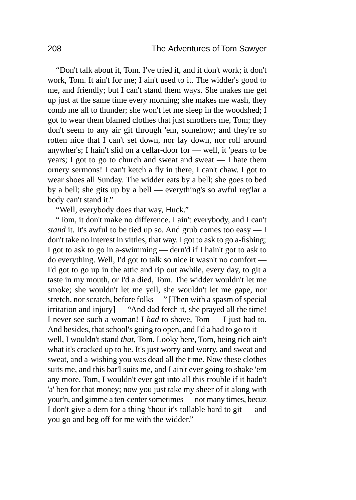"Don't talk about it, Tom. I've tried it, and it don't work; it don't work, Tom. It ain't for me; I ain't used to it. The widder's good to me, and friendly; but I can't stand them ways. She makes me get up just at the same time every morning; she makes me wash, they comb me all to thunder; she won't let me sleep in the woodshed; I got to wear them blamed clothes that just smothers me, Tom; they don't seem to any air git through 'em, somehow; and they're so rotten nice that I can't set down, nor lay down, nor roll around anywher's; I hain't slid on a cellar-door for — well, it 'pears to be years; I got to go to church and sweat and sweat — I hate them ornery sermons! I can't ketch a fly in there, I can't chaw. I got to wear shoes all Sunday. The widder eats by a bell; she goes to bed by a bell; she gits up by a bell — everything's so awful reg'lar a body can't stand it."

"Well, everybody does that way, Huck."

"Tom, it don't make no difference. I ain't everybody, and I can't *stand* it. It's awful to be tied up so. And grub comes too easy — I don't take no interest in vittles, that way. I got to ask to go a-fishing; I got to ask to go in a-swimming — dern'd if I hain't got to ask to do everything. Well, I'd got to talk so nice it wasn't no comfort — I'd got to go up in the attic and rip out awhile, every day, to git a taste in my mouth, or I'd a died, Tom. The widder wouldn't let me smoke; she wouldn't let me yell, she wouldn't let me gape, nor stretch, nor scratch, before folks —" [Then with a spasm of special irritation and injury] — "And dad fetch it, she prayed all the time! I never see such a woman! I *had* to shove, Tom — I just had to. And besides, that school's going to open, and I'd a had to go to it well, I wouldn't stand *that,* Tom. Looky here, Tom, being rich ain't what it's cracked up to be. It's just worry and worry, and sweat and sweat, and a-wishing you was dead all the time. Now these clothes suits me, and this bar'l suits me, and I ain't ever going to shake 'em any more. Tom, I wouldn't ever got into all this trouble if it hadn't 'a' ben for that money; now you just take my sheer of it along with your'n, and gimme a ten-center sometimes — not many times, becuz I don't give a dern for a thing 'thout it's tollable hard to git — and you go and beg off for me with the widder."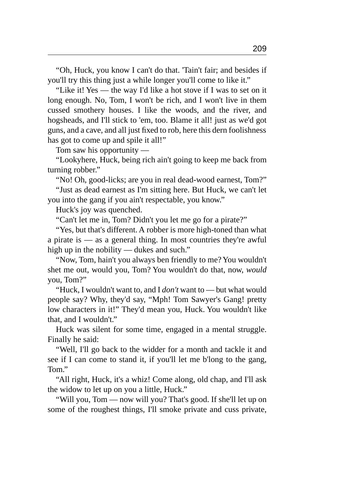"Oh, Huck, you know I can't do that. 'Tain't fair; and besides if you'll try this thing just a while longer you'll come to like it."

"Like it! Yes — the way I'd like a hot stove if I was to set on it long enough. No, Tom, I won't be rich, and I won't live in them cussed smothery houses. I like the woods, and the river, and hogsheads, and I'll stick to 'em, too. Blame it all! just as we'd got guns, and a cave, and all just fixed to rob, here this dern foolishness has got to come up and spile it all!"

Tom saw his opportunity —

"Lookyhere, Huck, being rich ain't going to keep me back from turning robber."

"No! Oh, good-licks; are you in real dead-wood earnest, Tom?" "Just as dead earnest as I'm sitting here. But Huck, we can't let you into the gang if you ain't respectable, you know."

Huck's joy was quenched.

"Can't let me in, Tom? Didn't you let me go for a pirate?"

"Yes, but that's different. A robber is more high-toned than what a pirate is — as a general thing. In most countries they're awful high up in the nobility — dukes and such."

"Now, Tom, hain't you always ben friendly to me? You wouldn't shet me out, would you, Tom? You wouldn't do that, now, *would* you, Tom?"

"Huck, I wouldn't want to, and I *don't* want to — but what would people say? Why, they'd say, "Mph! Tom Sawyer's Gang! pretty low characters in it!" They'd mean you, Huck. You wouldn't like that, and I wouldn't."

Huck was silent for some time, engaged in a mental struggle. Finally he said:

"Well, I'll go back to the widder for a month and tackle it and see if I can come to stand it, if you'll let me b'long to the gang, Tom."

"All right, Huck, it's a whiz! Come along, old chap, and I'll ask the widow to let up on you a little, Huck."

"Will you, Tom — now will you? That's good. If she'll let up on some of the roughest things, I'll smoke private and cuss private,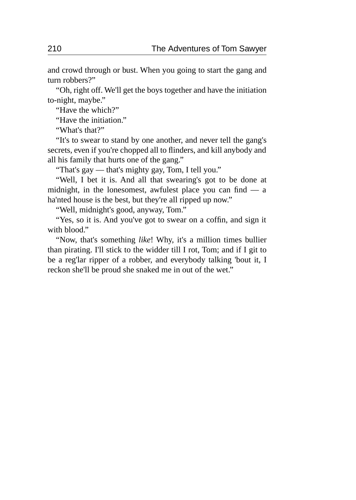and crowd through or bust. When you going to start the gang and turn robbers?"

"Oh, right off. We'll get the boys together and have the initiation to-night, maybe."

"Have the which?"

"Have the initiation."

"What's that?"

"It's to swear to stand by one another, and never tell the gang's secrets, even if you're chopped all to flinders, and kill anybody and all his family that hurts one of the gang."

"That's gay — that's mighty gay, Tom, I tell you."

"Well, I bet it is. And all that swearing's got to be done at midnight, in the lonesomest, awfulest place you can find — a ha'nted house is the best, but they're all ripped up now."

"Well, midnight's good, anyway, Tom."

"Yes, so it is. And you've got to swear on a coffin, and sign it with blood."

"Now, that's something *like*! Why, it's a million times bullier than pirating. I'll stick to the widder till I rot, Tom; and if I git to be a reg'lar ripper of a robber, and everybody talking 'bout it, I reckon she'll be proud she snaked me in out of the wet."